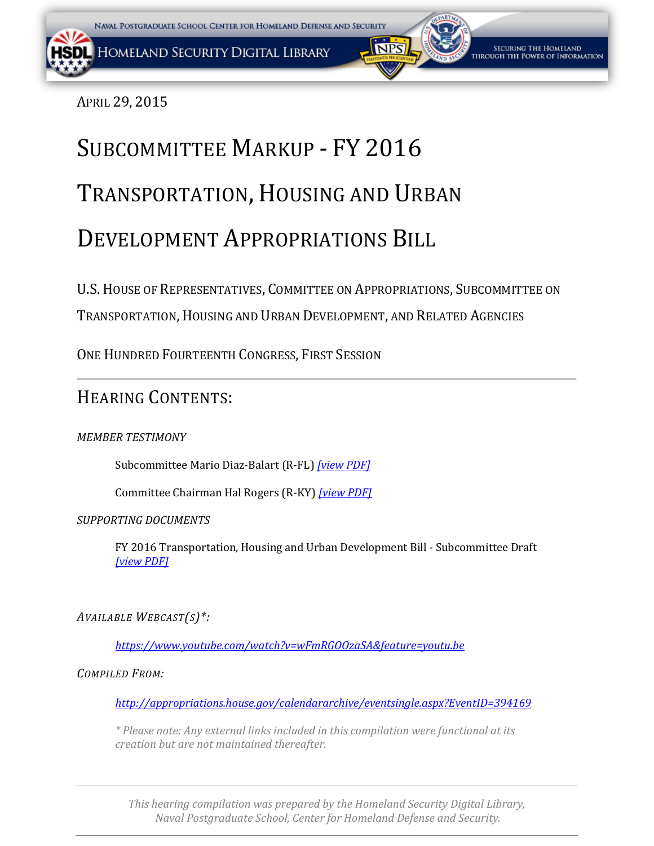APRIL 29, 2015

# SUBCOMMITTEE MARKUP - FY 2016 TRANSPORTATION, HOUSING AND URBAN DEVELOPMENT APPROPRIATIONS BILL

U.S.HOUSE OF REPRESENTATIVES, COMMITTEE ON APPROPRIATIONS, SUBCOMMITTEE ON TRANSPORTATION,HOUSING AND URBAN DEVELOPMENT, AND RELATED AGENCIES

ONE HUNDRED FOURTEENTH CONGRESS, FIRST SESSION

### HEARING CONTENTS:

*MEMBER TESTIMONY*

Subcommittee Mario Diaz-Balart (R-FL) *[\[view PDF\]](#page-1-0)*

Committee Chairman Hal Rogers (R-KY) *[\[view PDF\]](#page-3-0)*

*SUPPORTING DOCUMENTS*

FY 2016 Transportation, Housing and Urban Development Bill - Subcommittee Draft *[\[view PDF\]](#page-5-0)*

*AVAILABLE WEBCAST(S)\*:*

*<https://www.youtube.com/watch?v=wFmRGOOzaSA&feature=youtu.be>*

*COMPILED FROM:*

*<http://appropriations.house.gov/calendararchive/eventsingle.aspx?EventID=394169>*

*\* Please note: Any external links included in this compilation were functional at its creation but are not maintained thereafter.*

*This hearing compilation was prepared by the Homeland Security Digital Library, Naval Postgraduate School, Center for Homeland Defense and Security.*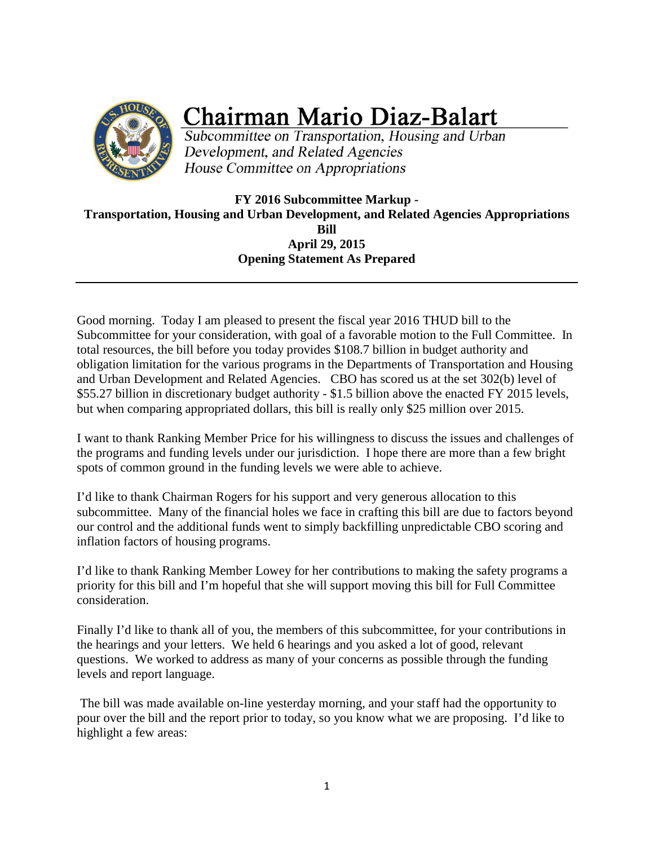<span id="page-1-0"></span>

## **Chairman Mario Diaz-Balart**

Subcommittee on Transportation, Housing and Urban Development, and Related Agencies House Committee on Appropriations

**FY 2016 Subcommittee Markup - Transportation, Housing and Urban Development, and Related Agencies Appropriations Bill April 29, 2015 Opening Statement As Prepared**

Good morning. Today I am pleased to present the fiscal year 2016 THUD bill to the Subcommittee for your consideration, with goal of a favorable motion to the Full Committee. In total resources, the bill before you today provides \$108.7 billion in budget authority and obligation limitation for the various programs in the Departments of Transportation and Housing and Urban Development and Related Agencies. CBO has scored us at the set 302(b) level of \$55.27 billion in discretionary budget authority - \$1.5 billion above the enacted FY 2015 levels, but when comparing appropriated dollars, this bill is really only \$25 million over 2015.

I want to thank Ranking Member Price for his willingness to discuss the issues and challenges of the programs and funding levels under our jurisdiction. I hope there are more than a few bright spots of common ground in the funding levels we were able to achieve.

I'd like to thank Chairman Rogers for his support and very generous allocation to this subcommittee. Many of the financial holes we face in crafting this bill are due to factors beyond our control and the additional funds went to simply backfilling unpredictable CBO scoring and inflation factors of housing programs.

I'd like to thank Ranking Member Lowey for her contributions to making the safety programs a priority for this bill and I'm hopeful that she will support moving this bill for Full Committee consideration.

Finally I'd like to thank all of you, the members of this subcommittee, for your contributions in the hearings and your letters. We held 6 hearings and you asked a lot of good, relevant questions. We worked to address as many of your concerns as possible through the funding levels and report language.

The bill was made available on-line yesterday morning, and your staff had the opportunity to pour over the bill and the report prior to today, so you know what we are proposing. I'd like to highlight a few areas: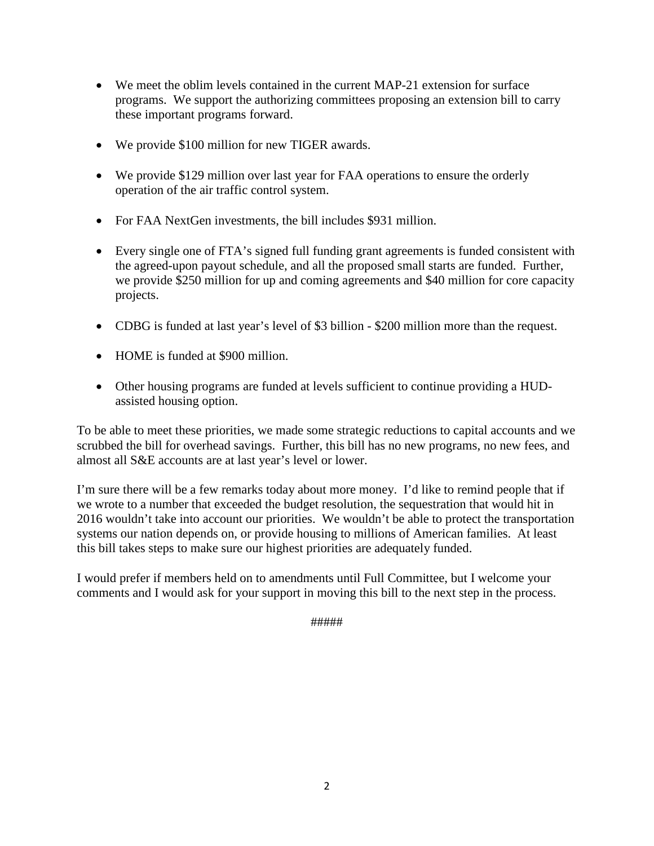- We meet the oblim levels contained in the current MAP-21 extension for surface programs. We support the authorizing committees proposing an extension bill to carry these important programs forward.
- We provide \$100 million for new TIGER awards.
- We provide \$129 million over last year for FAA operations to ensure the orderly operation of the air traffic control system.
- For FAA NextGen investments, the bill includes \$931 million.
- Every single one of FTA's signed full funding grant agreements is funded consistent with the agreed-upon payout schedule, and all the proposed small starts are funded. Further, we provide \$250 million for up and coming agreements and \$40 million for core capacity projects.
- CDBG is funded at last year's level of \$3 billion \$200 million more than the request.
- HOME is funded at \$900 million.
- Other housing programs are funded at levels sufficient to continue providing a HUDassisted housing option.

To be able to meet these priorities, we made some strategic reductions to capital accounts and we scrubbed the bill for overhead savings. Further, this bill has no new programs, no new fees, and almost all S&E accounts are at last year's level or lower.

I'm sure there will be a few remarks today about more money. I'd like to remind people that if we wrote to a number that exceeded the budget resolution, the sequestration that would hit in 2016 wouldn't take into account our priorities. We wouldn't be able to protect the transportation systems our nation depends on, or provide housing to millions of American families. At least this bill takes steps to make sure our highest priorities are adequately funded.

I would prefer if members held on to amendments until Full Committee, but I welcome your comments and I would ask for your support in moving this bill to the next step in the process.

#####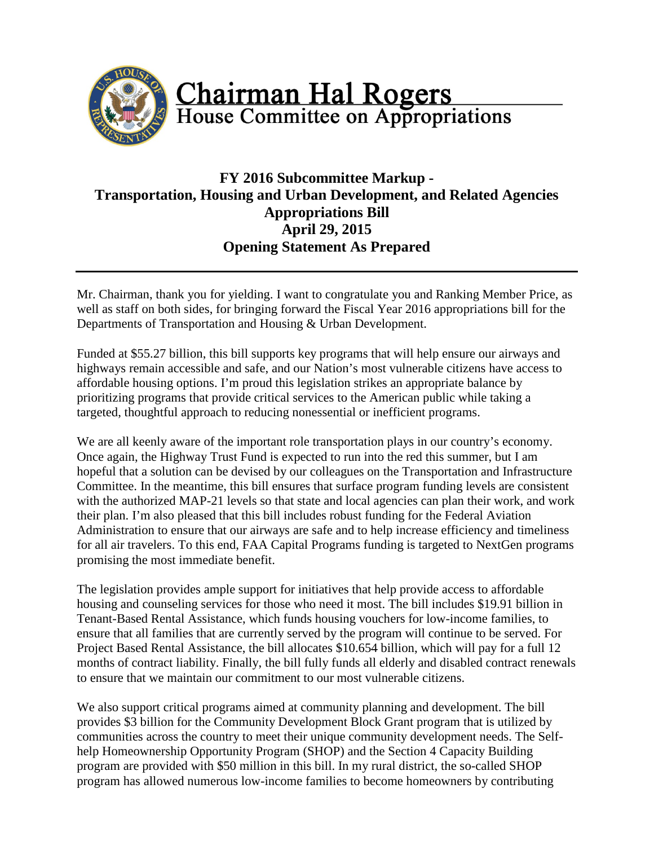<span id="page-3-0"></span>

#### **FY 2016 Subcommittee Markup - Transportation, Housing and Urban Development, and Related Agencies Appropriations Bill April 29, 2015 Opening Statement As Prepared**

Mr. Chairman, thank you for yielding. I want to congratulate you and Ranking Member Price, as well as staff on both sides, for bringing forward the Fiscal Year 2016 appropriations bill for the Departments of Transportation and Housing & Urban Development.

Funded at \$55.27 billion, this bill supports key programs that will help ensure our airways and highways remain accessible and safe, and our Nation's most vulnerable citizens have access to affordable housing options. I'm proud this legislation strikes an appropriate balance by prioritizing programs that provide critical services to the American public while taking a targeted, thoughtful approach to reducing nonessential or inefficient programs.

We are all keenly aware of the important role transportation plays in our country's economy. Once again, the Highway Trust Fund is expected to run into the red this summer, but I am hopeful that a solution can be devised by our colleagues on the Transportation and Infrastructure Committee. In the meantime, this bill ensures that surface program funding levels are consistent with the authorized MAP-21 levels so that state and local agencies can plan their work, and work their plan. I'm also pleased that this bill includes robust funding for the Federal Aviation Administration to ensure that our airways are safe and to help increase efficiency and timeliness for all air travelers. To this end, FAA Capital Programs funding is targeted to NextGen programs promising the most immediate benefit.

The legislation provides ample support for initiatives that help provide access to affordable housing and counseling services for those who need it most. The bill includes \$19.91 billion in Tenant-Based Rental Assistance, which funds housing vouchers for low-income families, to ensure that all families that are currently served by the program will continue to be served. For Project Based Rental Assistance, the bill allocates \$10.654 billion, which will pay for a full 12 months of contract liability. Finally, the bill fully funds all elderly and disabled contract renewals to ensure that we maintain our commitment to our most vulnerable citizens.

We also support critical programs aimed at community planning and development. The bill provides \$3 billion for the Community Development Block Grant program that is utilized by communities across the country to meet their unique community development needs. The Selfhelp Homeownership Opportunity Program (SHOP) and the Section 4 Capacity Building program are provided with \$50 million in this bill. In my rural district, the so-called SHOP program has allowed numerous low-income families to become homeowners by contributing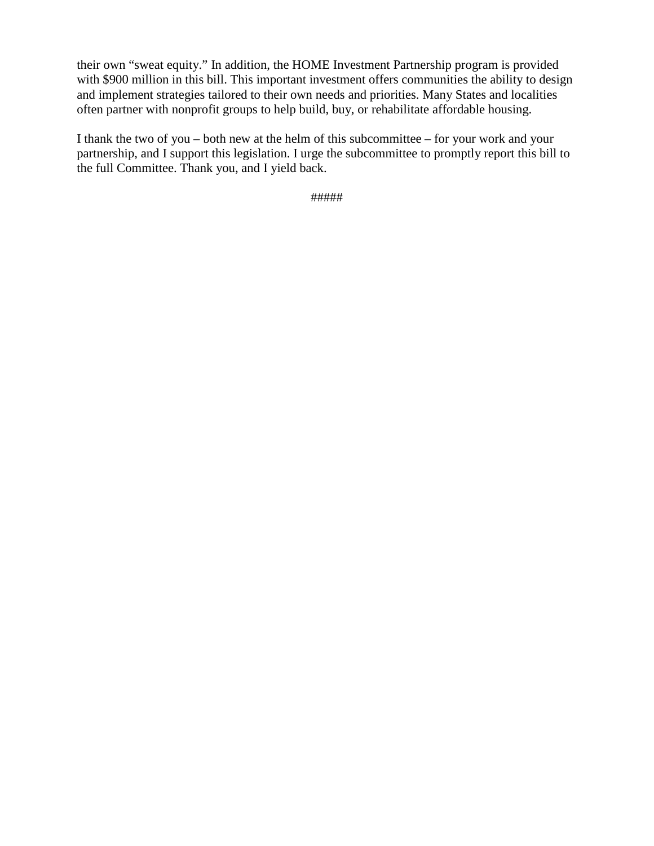their own "sweat equity." In addition, the HOME Investment Partnership program is provided with \$900 million in this bill. This important investment offers communities the ability to design and implement strategies tailored to their own needs and priorities. Many States and localities often partner with nonprofit groups to help build, buy, or rehabilitate affordable housing.

I thank the two of you – both new at the helm of this subcommittee – for your work and your partnership, and I support this legislation. I urge the subcommittee to promptly report this bill to the full Committee. Thank you, and I yield back.

#####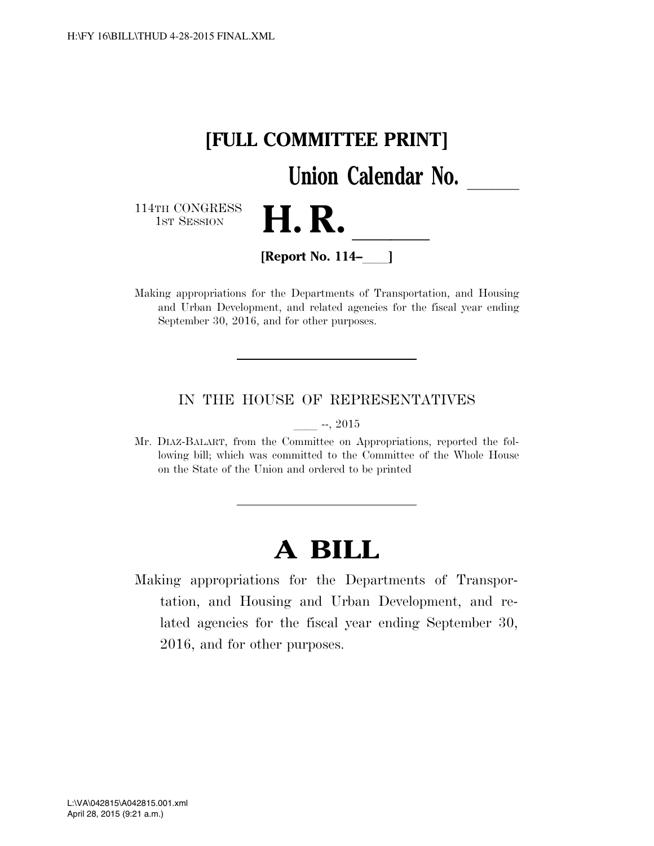<span id="page-5-0"></span>

Making appropriations for the Departments of Transportation, and Housing and Urban Development, and related agencies for the fiscal year ending September 30, 2016, and for other purposes.

#### IN THE HOUSE OF REPRESENTATIVES

 $-$ , 2015

Mr. DIAZ-BALART, from the Committee on Appropriations, reported the following bill; which was committed to the Committee of the Whole House on the State of the Union and ordered to be printed

### **A BILL**

Making appropriations for the Departments of Transportation, and Housing and Urban Development, and related agencies for the fiscal year ending September 30, 2016, and for other purposes.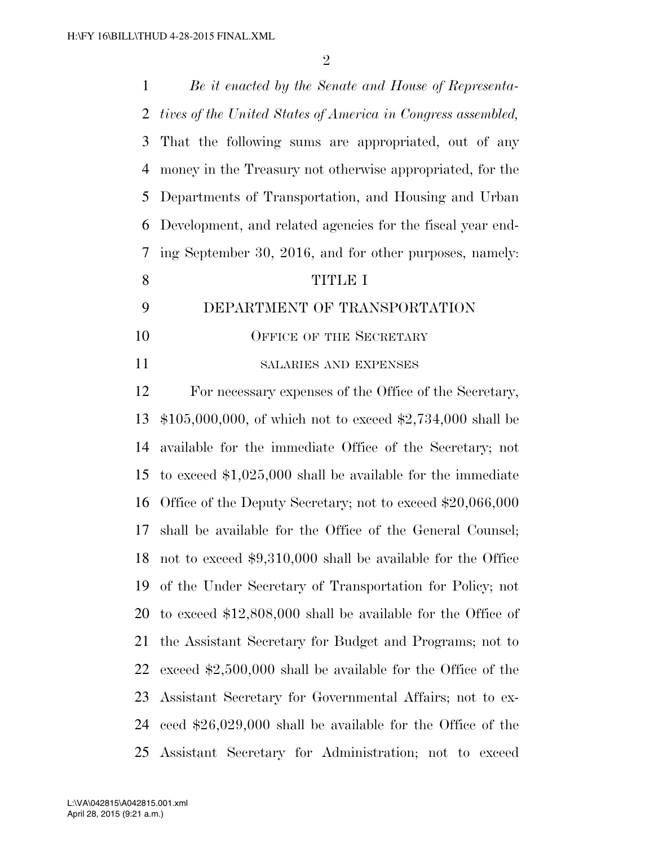*Be it enacted by the Senate and House of Representa- tives of the United States of America in Congress assembled,*  That the following sums are appropriated, out of any money in the Treasury not otherwise appropriated, for the Departments of Transportation, and Housing and Urban Development, and related agencies for the fiscal year end- ing September 30, 2016, and for other purposes, namely: TITLE I DEPARTMENT OF TRANSPORTATION 10 OFFICE OF THE SECRETARY SALARIES AND EXPENSES For necessary expenses of the Office of the Secretary, \$105,000,000, of which not to exceed \$2,734,000 shall be available for the immediate Office of the Secretary; not to exceed \$1,025,000 shall be available for the immediate Office of the Deputy Secretary; not to exceed \$20,066,000 shall be available for the Office of the General Counsel; not to exceed \$9,310,000 shall be available for the Office of the Under Secretary of Transportation for Policy; not to exceed \$12,808,000 shall be available for the Office of the Assistant Secretary for Budget and Programs; not to exceed \$2,500,000 shall be available for the Office of the Assistant Secretary for Governmental Affairs; not to ex-ceed \$26,029,000 shall be available for the Office of the

Assistant Secretary for Administration; not to exceed

April 28, 2015 (9:21 a.m.) L:\VA\042815\A042815.001.xml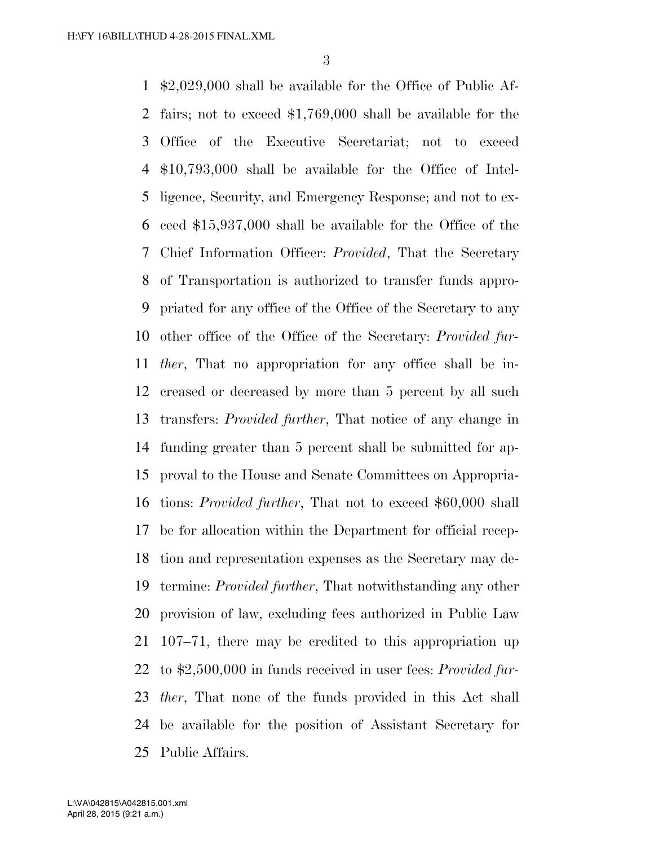\$2,029,000 shall be available for the Office of Public Af- fairs; not to exceed \$1,769,000 shall be available for the Office of the Executive Secretariat; not to exceed \$10,793,000 shall be available for the Office of Intel- ligence, Security, and Emergency Response; and not to ex- ceed \$15,937,000 shall be available for the Office of the Chief Information Officer: *Provided*, That the Secretary of Transportation is authorized to transfer funds appro- priated for any office of the Office of the Secretary to any other office of the Office of the Secretary: *Provided fur- ther*, That no appropriation for any office shall be in- creased or decreased by more than 5 percent by all such transfers: *Provided further*, That notice of any change in funding greater than 5 percent shall be submitted for ap- proval to the House and Senate Committees on Appropria- tions: *Provided further*, That not to exceed \$60,000 shall be for allocation within the Department for official recep- tion and representation expenses as the Secretary may de- termine: *Provided further*, That notwithstanding any other provision of law, excluding fees authorized in Public Law 107–71, there may be credited to this appropriation up to \$2,500,000 in funds received in user fees: *Provided fur- ther*, That none of the funds provided in this Act shall be available for the position of Assistant Secretary for Public Affairs.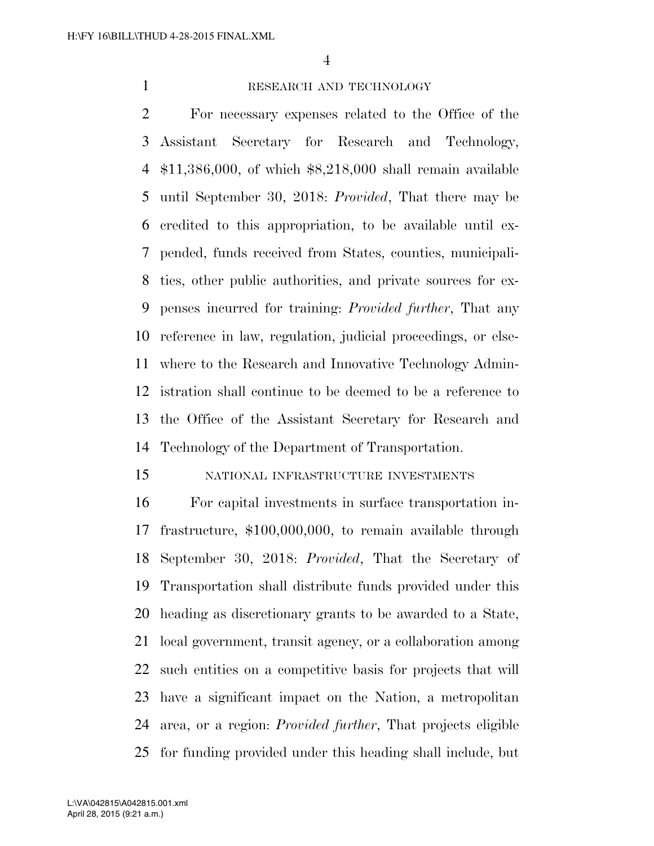#### 1 RESEARCH AND TECHNOLOGY

 For necessary expenses related to the Office of the Assistant Secretary for Research and Technology, \$11,386,000, of which \$8,218,000 shall remain available until September 30, 2018: *Provided*, That there may be credited to this appropriation, to be available until ex- pended, funds received from States, counties, municipali- ties, other public authorities, and private sources for ex- penses incurred for training: *Provided further*, That any reference in law, regulation, judicial proceedings, or else- where to the Research and Innovative Technology Admin- istration shall continue to be deemed to be a reference to the Office of the Assistant Secretary for Research and Technology of the Department of Transportation.

#### NATIONAL INFRASTRUCTURE INVESTMENTS

 For capital investments in surface transportation in- frastructure, \$100,000,000, to remain available through September 30, 2018: *Provided*, That the Secretary of Transportation shall distribute funds provided under this heading as discretionary grants to be awarded to a State, local government, transit agency, or a collaboration among such entities on a competitive basis for projects that will have a significant impact on the Nation, a metropolitan area, or a region: *Provided further*, That projects eligible for funding provided under this heading shall include, but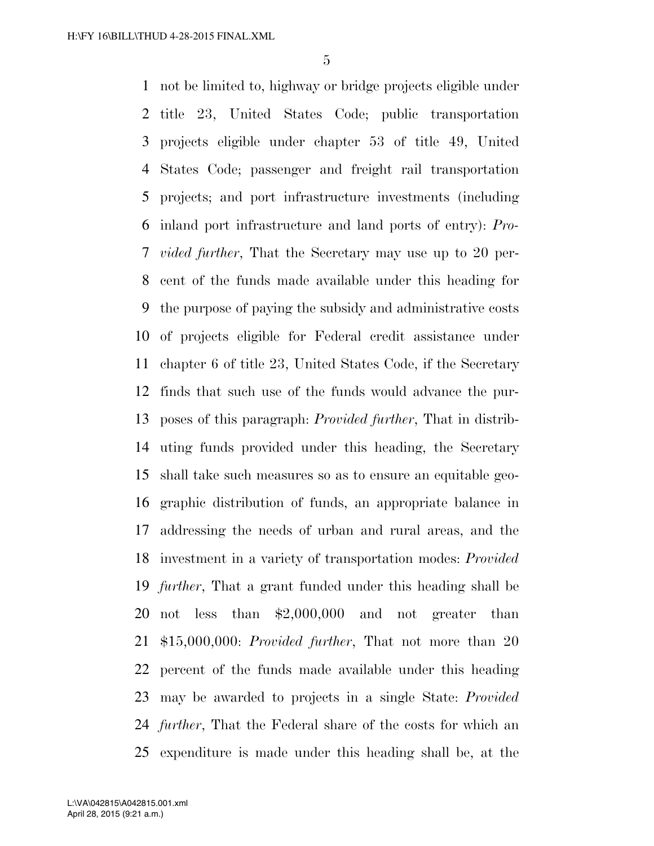not be limited to, highway or bridge projects eligible under title 23, United States Code; public transportation projects eligible under chapter 53 of title 49, United States Code; passenger and freight rail transportation projects; and port infrastructure investments (including inland port infrastructure and land ports of entry): *Pro- vided further*, That the Secretary may use up to 20 per- cent of the funds made available under this heading for the purpose of paying the subsidy and administrative costs of projects eligible for Federal credit assistance under chapter 6 of title 23, United States Code, if the Secretary finds that such use of the funds would advance the pur- poses of this paragraph: *Provided further*, That in distrib- uting funds provided under this heading, the Secretary shall take such measures so as to ensure an equitable geo- graphic distribution of funds, an appropriate balance in addressing the needs of urban and rural areas, and the investment in a variety of transportation modes: *Provided further*, That a grant funded under this heading shall be not less than \$2,000,000 and not greater than \$15,000,000: *Provided further*, That not more than 20 percent of the funds made available under this heading may be awarded to projects in a single State: *Provided further*, That the Federal share of the costs for which an expenditure is made under this heading shall be, at the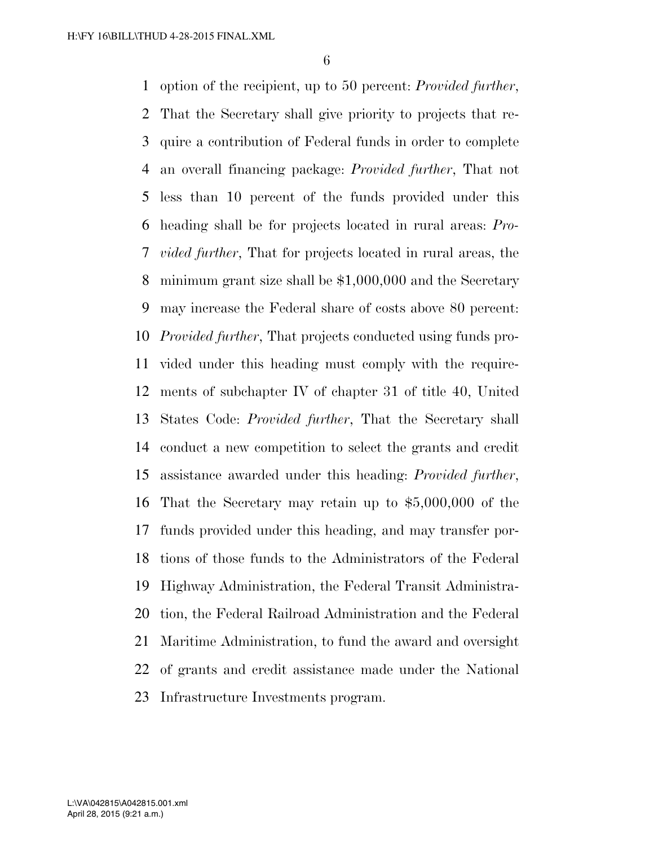option of the recipient, up to 50 percent: *Provided further*, That the Secretary shall give priority to projects that re- quire a contribution of Federal funds in order to complete an overall financing package: *Provided further*, That not less than 10 percent of the funds provided under this heading shall be for projects located in rural areas: *Pro- vided further*, That for projects located in rural areas, the minimum grant size shall be \$1,000,000 and the Secretary may increase the Federal share of costs above 80 percent: *Provided further*, That projects conducted using funds pro- vided under this heading must comply with the require- ments of subchapter IV of chapter 31 of title 40, United States Code: *Provided further*, That the Secretary shall conduct a new competition to select the grants and credit assistance awarded under this heading: *Provided further*, That the Secretary may retain up to \$5,000,000 of the funds provided under this heading, and may transfer por- tions of those funds to the Administrators of the Federal Highway Administration, the Federal Transit Administra- tion, the Federal Railroad Administration and the Federal Maritime Administration, to fund the award and oversight of grants and credit assistance made under the National Infrastructure Investments program.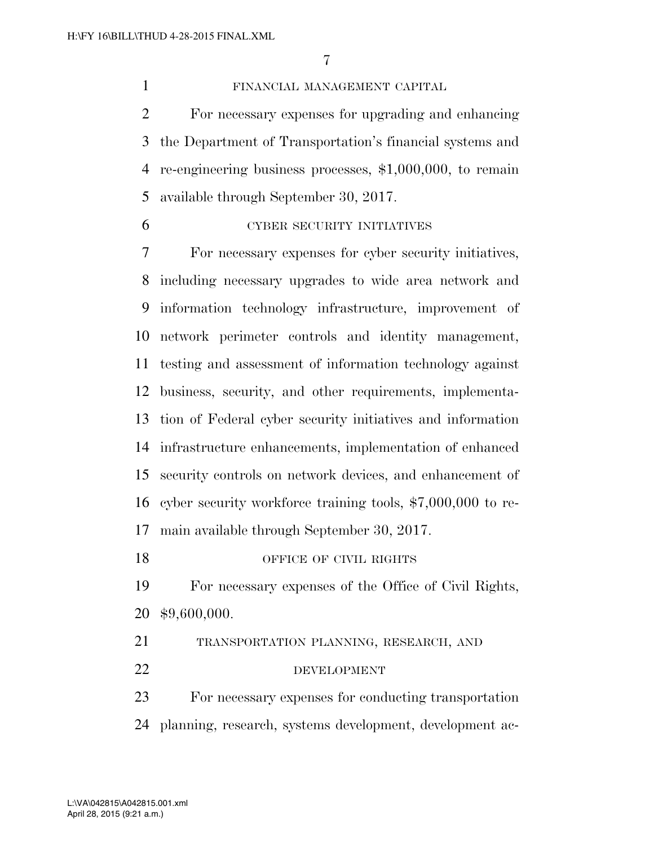FINANCIAL MANAGEMENT CAPITAL For necessary expenses for upgrading and enhancing the Department of Transportation's financial systems and re-engineering business processes, \$1,000,000, to remain available through September 30, 2017.

CYBER SECURITY INITIATIVES

 For necessary expenses for cyber security initiatives, including necessary upgrades to wide area network and information technology infrastructure, improvement of network perimeter controls and identity management, testing and assessment of information technology against business, security, and other requirements, implementa- tion of Federal cyber security initiatives and information infrastructure enhancements, implementation of enhanced security controls on network devices, and enhancement of cyber security workforce training tools, \$7,000,000 to re-main available through September 30, 2017.

18 OFFICE OF CIVIL RIGHTS

 For necessary expenses of the Office of Civil Rights, \$9,600,000.

 TRANSPORTATION PLANNING, RESEARCH, AND 22 DEVELOPMENT

 For necessary expenses for conducting transportation planning, research, systems development, development ac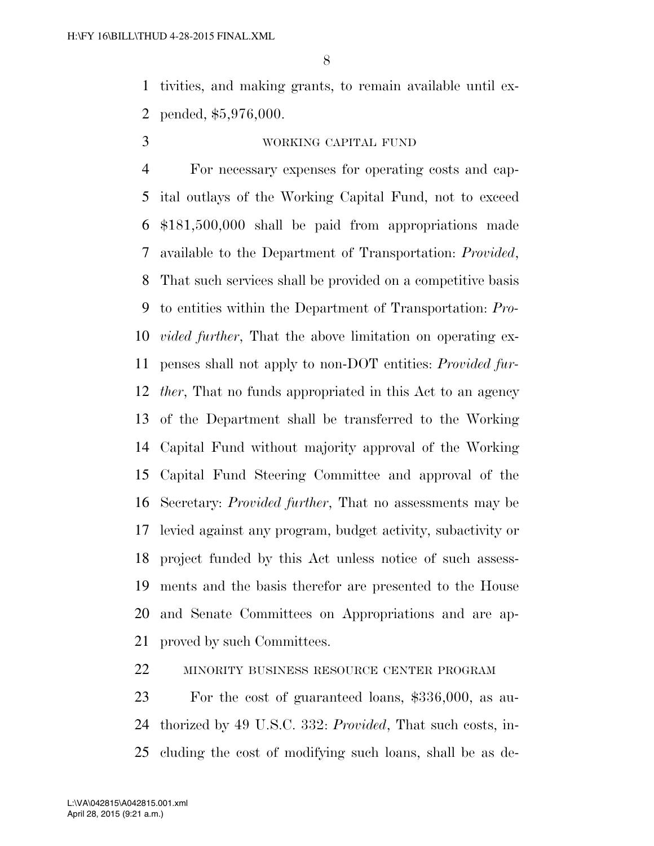tivities, and making grants, to remain available until ex-pended, \$5,976,000.

#### WORKING CAPITAL FUND

 For necessary expenses for operating costs and cap- ital outlays of the Working Capital Fund, not to exceed \$181,500,000 shall be paid from appropriations made available to the Department of Transportation: *Provided*, That such services shall be provided on a competitive basis to entities within the Department of Transportation: *Pro- vided further*, That the above limitation on operating ex- penses shall not apply to non-DOT entities: *Provided fur- ther*, That no funds appropriated in this Act to an agency of the Department shall be transferred to the Working Capital Fund without majority approval of the Working Capital Fund Steering Committee and approval of the Secretary: *Provided further*, That no assessments may be levied against any program, budget activity, subactivity or project funded by this Act unless notice of such assess- ments and the basis therefor are presented to the House and Senate Committees on Appropriations and are ap-proved by such Committees.

MINORITY BUSINESS RESOURCE CENTER PROGRAM

 For the cost of guaranteed loans, \$336,000, as au- thorized by 49 U.S.C. 332: *Provided*, That such costs, in-cluding the cost of modifying such loans, shall be as de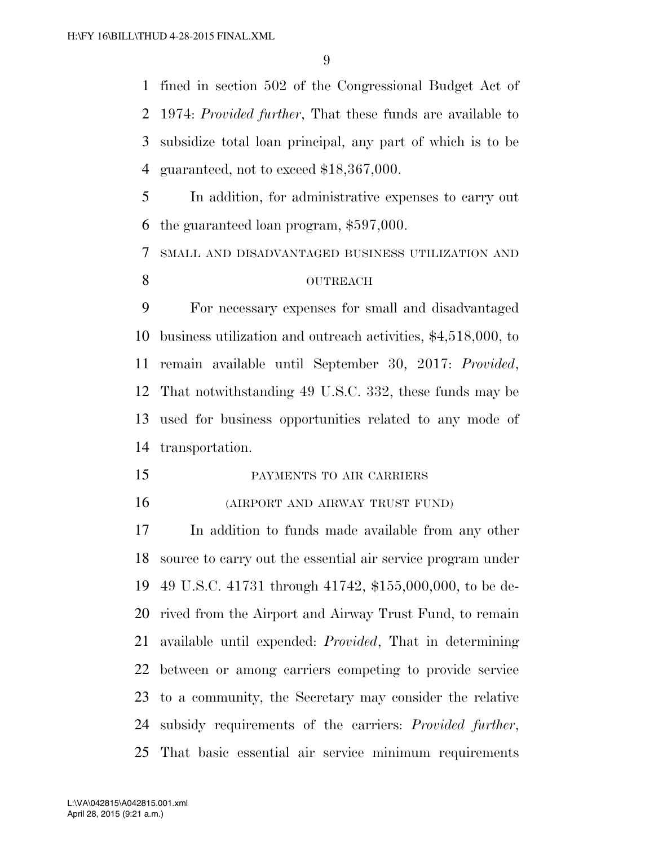fined in section 502 of the Congressional Budget Act of 1974: *Provided further*, That these funds are available to subsidize total loan principal, any part of which is to be guaranteed, not to exceed \$18,367,000.

 In addition, for administrative expenses to carry out the guaranteed loan program, \$597,000.

SMALL AND DISADVANTAGED BUSINESS UTILIZATION AND

#### 8 OUTREACH

 For necessary expenses for small and disadvantaged business utilization and outreach activities, \$4,518,000, to remain available until September 30, 2017: *Provided*, That notwithstanding 49 U.S.C. 332, these funds may be used for business opportunities related to any mode of transportation.

PAYMENTS TO AIR CARRIERS

(AIRPORT AND AIRWAY TRUST FUND)

 In addition to funds made available from any other source to carry out the essential air service program under 49 U.S.C. 41731 through 41742, \$155,000,000, to be de- rived from the Airport and Airway Trust Fund, to remain available until expended: *Provided*, That in determining between or among carriers competing to provide service to a community, the Secretary may consider the relative subsidy requirements of the carriers: *Provided further*, That basic essential air service minimum requirements

April 28, 2015 (9:21 a.m.) L:\VA\042815\A042815.001.xml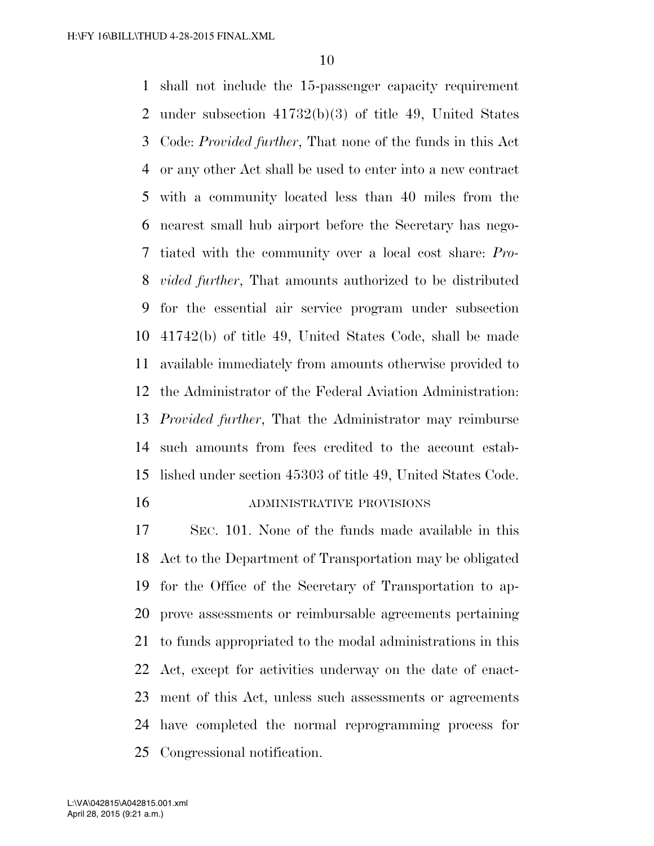shall not include the 15-passenger capacity requirement under subsection 41732(b)(3) of title 49, United States Code: *Provided further*, That none of the funds in this Act or any other Act shall be used to enter into a new contract with a community located less than 40 miles from the nearest small hub airport before the Secretary has nego- tiated with the community over a local cost share: *Pro- vided further*, That amounts authorized to be distributed for the essential air service program under subsection 41742(b) of title 49, United States Code, shall be made available immediately from amounts otherwise provided to the Administrator of the Federal Aviation Administration: *Provided further*, That the Administrator may reimburse such amounts from fees credited to the account estab- lished under section 45303 of title 49, United States Code. ADMINISTRATIVE PROVISIONS

 SEC. 101. None of the funds made available in this Act to the Department of Transportation may be obligated for the Office of the Secretary of Transportation to ap- prove assessments or reimbursable agreements pertaining to funds appropriated to the modal administrations in this Act, except for activities underway on the date of enact- ment of this Act, unless such assessments or agreements have completed the normal reprogramming process for Congressional notification.

April 28, 2015 (9:21 a.m.) L:\VA\042815\A042815.001.xml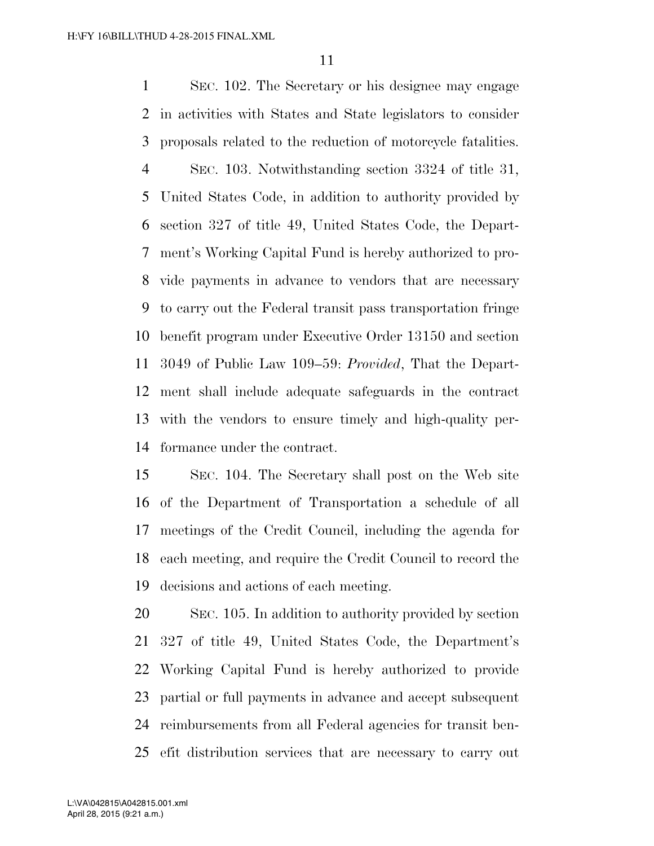SEC. 102. The Secretary or his designee may engage in activities with States and State legislators to consider proposals related to the reduction of motorcycle fatalities. SEC. 103. Notwithstanding section 3324 of title 31, United States Code, in addition to authority provided by section 327 of title 49, United States Code, the Depart- ment's Working Capital Fund is hereby authorized to pro- vide payments in advance to vendors that are necessary to carry out the Federal transit pass transportation fringe benefit program under Executive Order 13150 and section 3049 of Public Law 109–59: *Provided*, That the Depart- ment shall include adequate safeguards in the contract with the vendors to ensure timely and high-quality per-formance under the contract.

 SEC. 104. The Secretary shall post on the Web site of the Department of Transportation a schedule of all meetings of the Credit Council, including the agenda for each meeting, and require the Credit Council to record the decisions and actions of each meeting.

 SEC. 105. In addition to authority provided by section 327 of title 49, United States Code, the Department's Working Capital Fund is hereby authorized to provide partial or full payments in advance and accept subsequent reimbursements from all Federal agencies for transit ben-efit distribution services that are necessary to carry out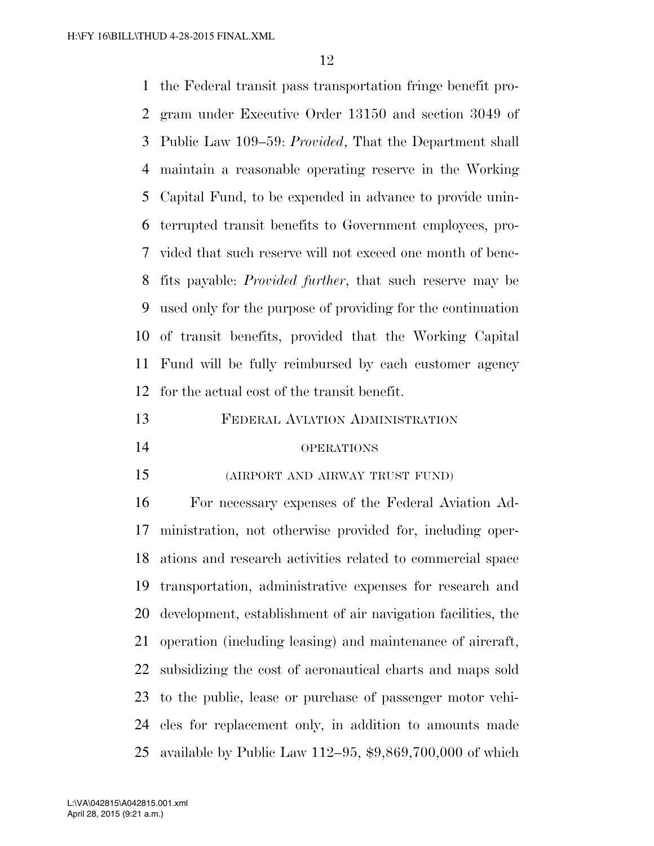the Federal transit pass transportation fringe benefit pro- gram under Executive Order 13150 and section 3049 of Public Law 109–59: *Provided*, That the Department shall maintain a reasonable operating reserve in the Working Capital Fund, to be expended in advance to provide unin- terrupted transit benefits to Government employees, pro- vided that such reserve will not exceed one month of bene- fits payable: *Provided further*, that such reserve may be used only for the purpose of providing for the continuation of transit benefits, provided that the Working Capital Fund will be fully reimbursed by each customer agency for the actual cost of the transit benefit.

FEDERAL AVIATION ADMINISTRATION

#### OPERATIONS

(AIRPORT AND AIRWAY TRUST FUND)

 For necessary expenses of the Federal Aviation Ad- ministration, not otherwise provided for, including oper- ations and research activities related to commercial space transportation, administrative expenses for research and development, establishment of air navigation facilities, the operation (including leasing) and maintenance of aircraft, subsidizing the cost of aeronautical charts and maps sold to the public, lease or purchase of passenger motor vehi- cles for replacement only, in addition to amounts made available by Public Law 112–95, \$9,869,700,000 of which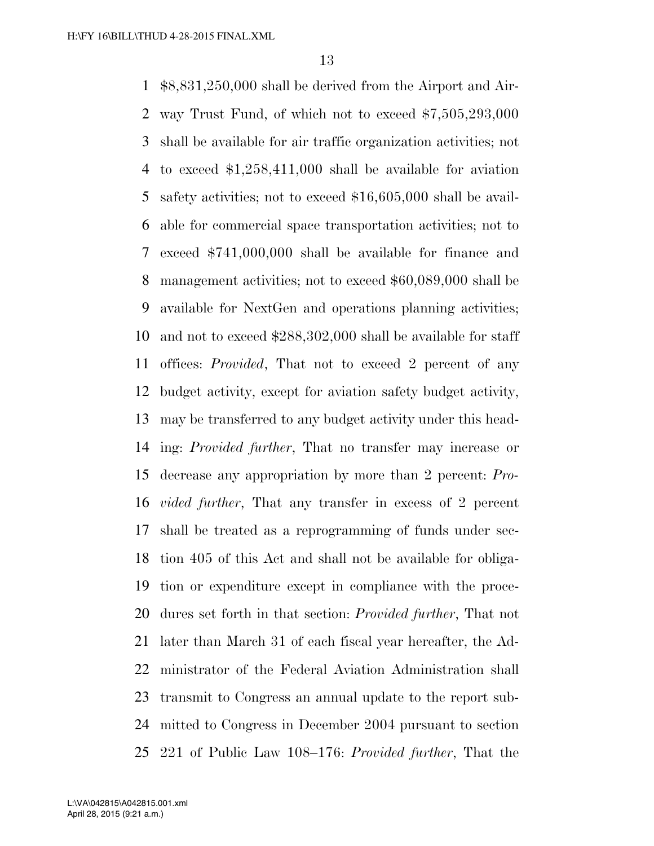\$8,831,250,000 shall be derived from the Airport and Air- way Trust Fund, of which not to exceed \$7,505,293,000 shall be available for air traffic organization activities; not to exceed \$1,258,411,000 shall be available for aviation safety activities; not to exceed \$16,605,000 shall be avail- able for commercial space transportation activities; not to exceed \$741,000,000 shall be available for finance and management activities; not to exceed \$60,089,000 shall be available for NextGen and operations planning activities; and not to exceed \$288,302,000 shall be available for staff offices: *Provided*, That not to exceed 2 percent of any budget activity, except for aviation safety budget activity, may be transferred to any budget activity under this head- ing: *Provided further*, That no transfer may increase or decrease any appropriation by more than 2 percent: *Pro- vided further*, That any transfer in excess of 2 percent shall be treated as a reprogramming of funds under sec- tion 405 of this Act and shall not be available for obliga- tion or expenditure except in compliance with the proce- dures set forth in that section: *Provided further*, That not later than March 31 of each fiscal year hereafter, the Ad- ministrator of the Federal Aviation Administration shall transmit to Congress an annual update to the report sub- mitted to Congress in December 2004 pursuant to section 221 of Public Law 108–176: *Provided further*, That the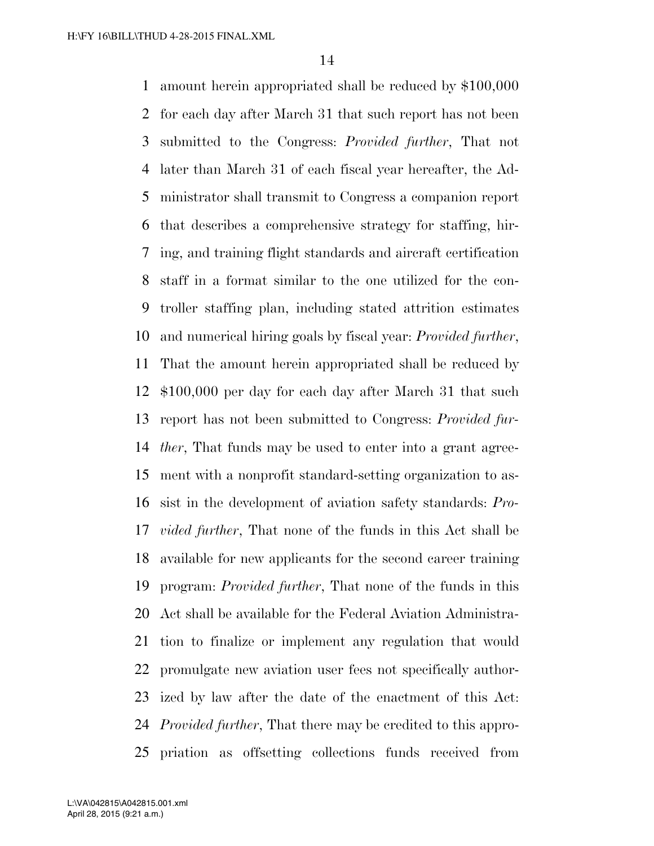amount herein appropriated shall be reduced by \$100,000 for each day after March 31 that such report has not been submitted to the Congress: *Provided further*, That not later than March 31 of each fiscal year hereafter, the Ad- ministrator shall transmit to Congress a companion report that describes a comprehensive strategy for staffing, hir- ing, and training flight standards and aircraft certification staff in a format similar to the one utilized for the con- troller staffing plan, including stated attrition estimates and numerical hiring goals by fiscal year: *Provided further*, That the amount herein appropriated shall be reduced by \$100,000 per day for each day after March 31 that such report has not been submitted to Congress: *Provided fur- ther*, That funds may be used to enter into a grant agree- ment with a nonprofit standard-setting organization to as- sist in the development of aviation safety standards: *Pro- vided further*, That none of the funds in this Act shall be available for new applicants for the second career training program: *Provided further*, That none of the funds in this Act shall be available for the Federal Aviation Administra- tion to finalize or implement any regulation that would promulgate new aviation user fees not specifically author- ized by law after the date of the enactment of this Act: *Provided further*, That there may be credited to this appro-priation as offsetting collections funds received from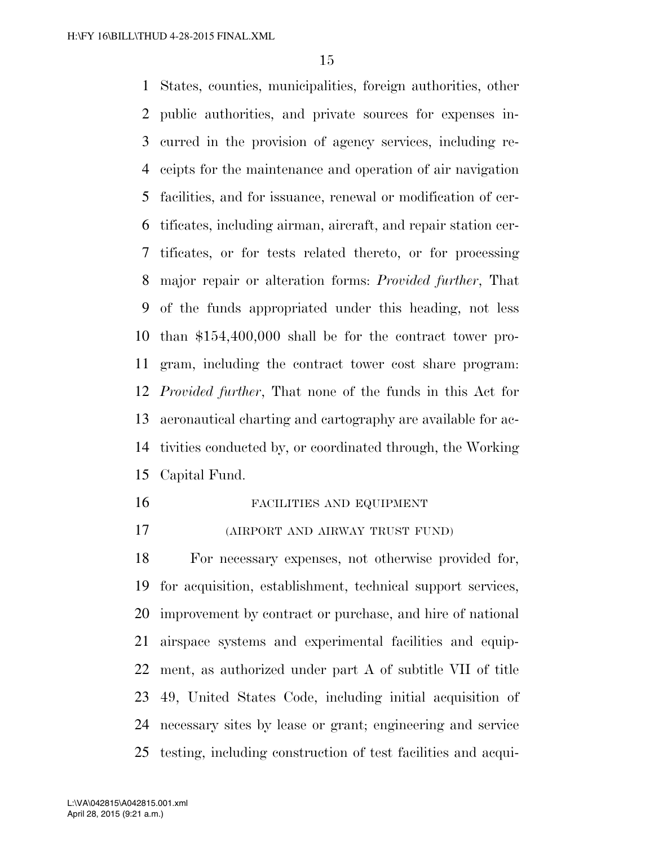States, counties, municipalities, foreign authorities, other public authorities, and private sources for expenses in- curred in the provision of agency services, including re- ceipts for the maintenance and operation of air navigation facilities, and for issuance, renewal or modification of cer- tificates, including airman, aircraft, and repair station cer- tificates, or for tests related thereto, or for processing major repair or alteration forms: *Provided further*, That of the funds appropriated under this heading, not less than \$154,400,000 shall be for the contract tower pro- gram, including the contract tower cost share program: *Provided further*, That none of the funds in this Act for aeronautical charting and cartography are available for ac- tivities conducted by, or coordinated through, the Working Capital Fund.

#### FACILITIES AND EQUIPMENT

(AIRPORT AND AIRWAY TRUST FUND)

 For necessary expenses, not otherwise provided for, for acquisition, establishment, technical support services, improvement by contract or purchase, and hire of national airspace systems and experimental facilities and equip- ment, as authorized under part A of subtitle VII of title 49, United States Code, including initial acquisition of necessary sites by lease or grant; engineering and service testing, including construction of test facilities and acqui-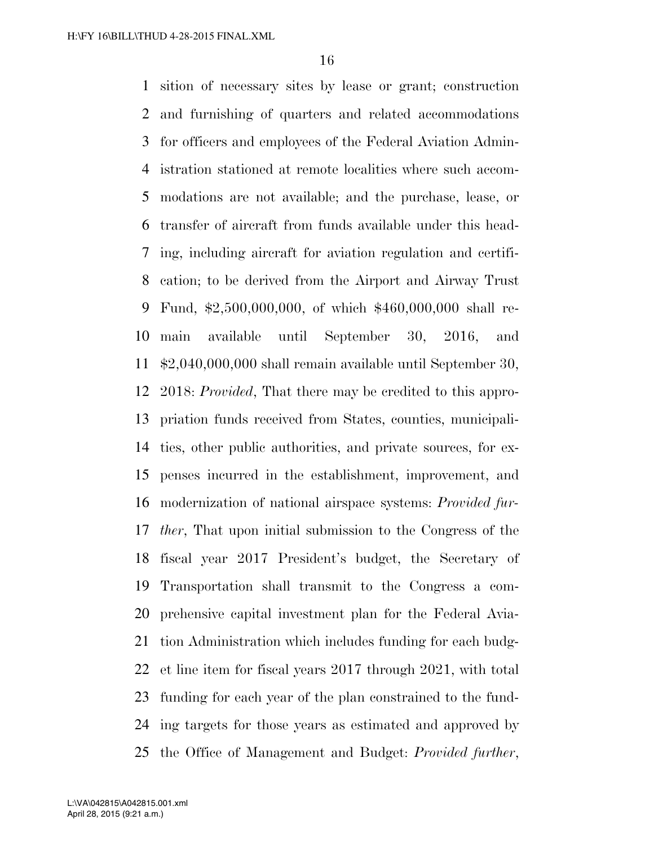sition of necessary sites by lease or grant; construction and furnishing of quarters and related accommodations for officers and employees of the Federal Aviation Admin- istration stationed at remote localities where such accom- modations are not available; and the purchase, lease, or transfer of aircraft from funds available under this head- ing, including aircraft for aviation regulation and certifi- cation; to be derived from the Airport and Airway Trust Fund, \$2,500,000,000, of which \$460,000,000 shall re- main available until September 30, 2016, and \$2,040,000,000 shall remain available until September 30, 2018: *Provided*, That there may be credited to this appro- priation funds received from States, counties, municipali- ties, other public authorities, and private sources, for ex- penses incurred in the establishment, improvement, and modernization of national airspace systems: *Provided fur- ther*, That upon initial submission to the Congress of the fiscal year 2017 President's budget, the Secretary of Transportation shall transmit to the Congress a com- prehensive capital investment plan for the Federal Avia- tion Administration which includes funding for each budg- et line item for fiscal years 2017 through 2021, with total funding for each year of the plan constrained to the fund- ing targets for those years as estimated and approved by the Office of Management and Budget: *Provided further*,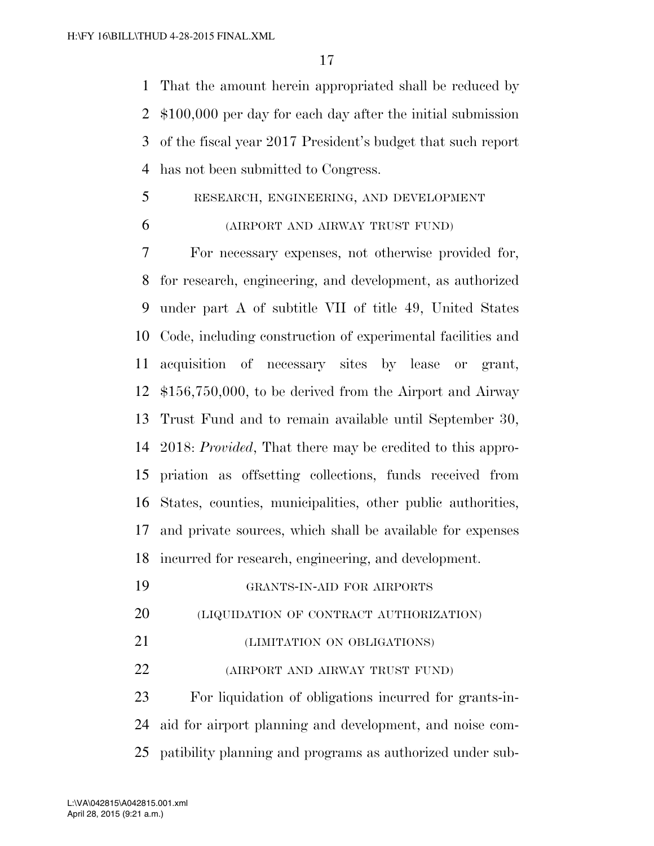That the amount herein appropriated shall be reduced by \$100,000 per day for each day after the initial submission of the fiscal year 2017 President's budget that such report has not been submitted to Congress.

#### RESEARCH, ENGINEERING, AND DEVELOPMENT

#### (AIRPORT AND AIRWAY TRUST FUND)

 For necessary expenses, not otherwise provided for, for research, engineering, and development, as authorized under part A of subtitle VII of title 49, United States Code, including construction of experimental facilities and acquisition of necessary sites by lease or grant, \$156,750,000, to be derived from the Airport and Airway Trust Fund and to remain available until September 30, 2018: *Provided*, That there may be credited to this appro- priation as offsetting collections, funds received from States, counties, municipalities, other public authorities, and private sources, which shall be available for expenses incurred for research, engineering, and development.

GRANTS-IN-AID FOR AIRPORTS

- (LIQUIDATION OF CONTRACT AUTHORIZATION)
- (LIMITATION ON OBLIGATIONS)
- (AIRPORT AND AIRWAY TRUST FUND)

 For liquidation of obligations incurred for grants-in- aid for airport planning and development, and noise com-patibility planning and programs as authorized under sub-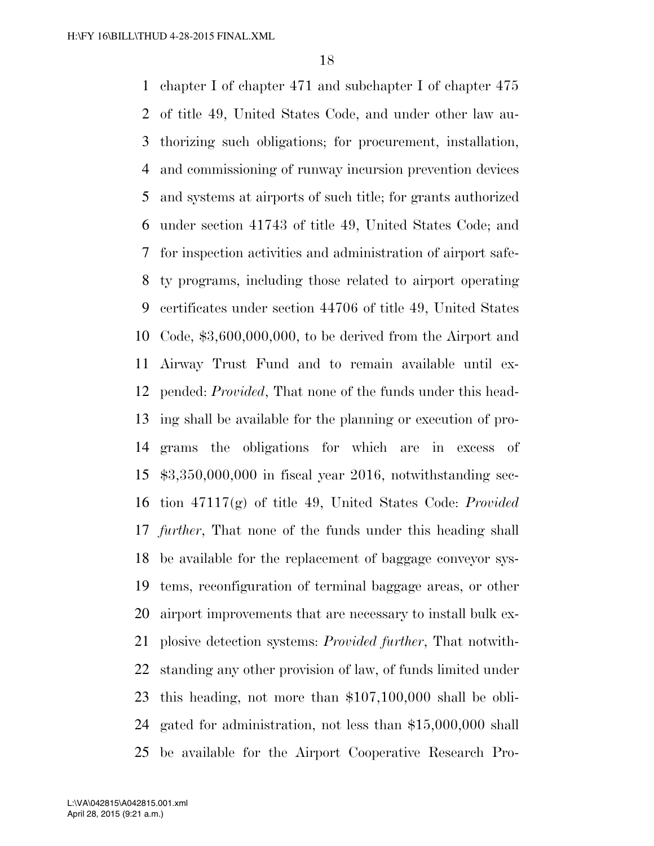chapter I of chapter 471 and subchapter I of chapter 475 of title 49, United States Code, and under other law au- thorizing such obligations; for procurement, installation, and commissioning of runway incursion prevention devices and systems at airports of such title; for grants authorized under section 41743 of title 49, United States Code; and for inspection activities and administration of airport safe- ty programs, including those related to airport operating certificates under section 44706 of title 49, United States Code, \$3,600,000,000, to be derived from the Airport and Airway Trust Fund and to remain available until ex- pended: *Provided*, That none of the funds under this head- ing shall be available for the planning or execution of pro- grams the obligations for which are in excess of \$3,350,000,000 in fiscal year 2016, notwithstanding sec- tion 47117(g) of title 49, United States Code: *Provided further*, That none of the funds under this heading shall be available for the replacement of baggage conveyor sys- tems, reconfiguration of terminal baggage areas, or other airport improvements that are necessary to install bulk ex- plosive detection systems: *Provided further*, That notwith- standing any other provision of law, of funds limited under this heading, not more than \$107,100,000 shall be obli- gated for administration, not less than \$15,000,000 shall be available for the Airport Cooperative Research Pro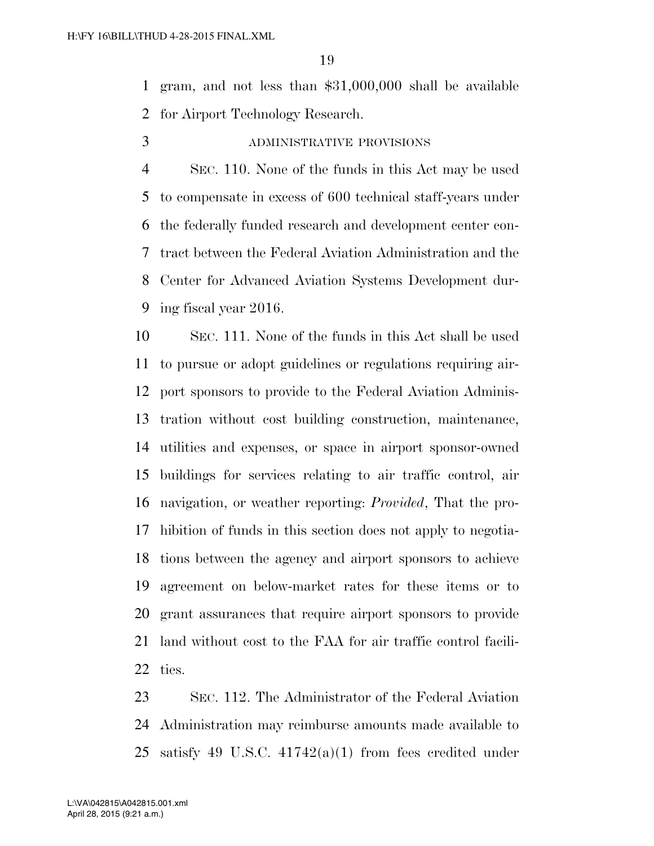gram, and not less than \$31,000,000 shall be available for Airport Technology Research.

ADMINISTRATIVE PROVISIONS

 SEC. 110. None of the funds in this Act may be used to compensate in excess of 600 technical staff-years under the federally funded research and development center con- tract between the Federal Aviation Administration and the Center for Advanced Aviation Systems Development dur-ing fiscal year 2016.

 SEC. 111. None of the funds in this Act shall be used to pursue or adopt guidelines or regulations requiring air- port sponsors to provide to the Federal Aviation Adminis- tration without cost building construction, maintenance, utilities and expenses, or space in airport sponsor-owned buildings for services relating to air traffic control, air navigation, or weather reporting: *Provided*, That the pro- hibition of funds in this section does not apply to negotia- tions between the agency and airport sponsors to achieve agreement on below-market rates for these items or to grant assurances that require airport sponsors to provide land without cost to the FAA for air traffic control facili-ties.

 SEC. 112. The Administrator of the Federal Aviation Administration may reimburse amounts made available to satisfy 49 U.S.C. 41742(a)(1) from fees credited under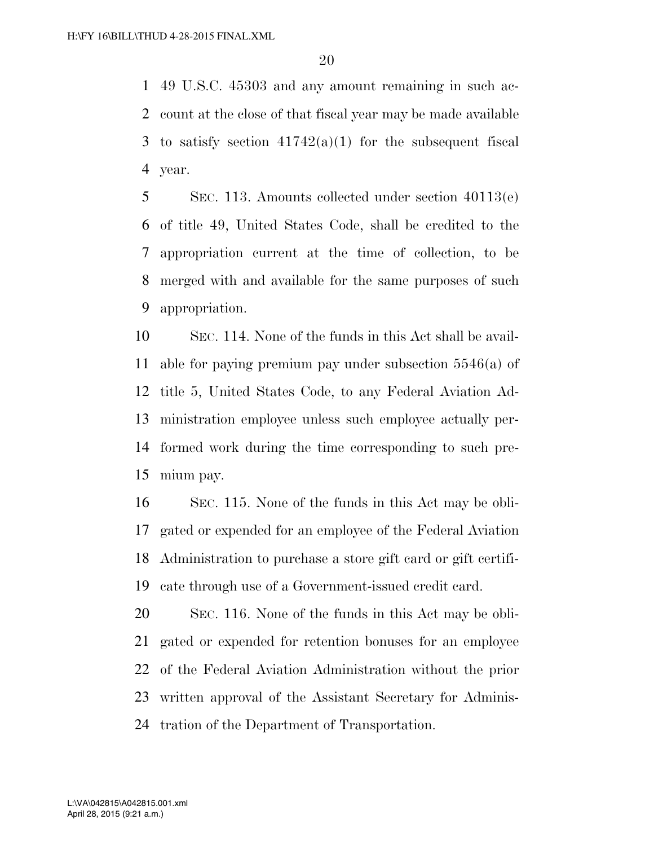49 U.S.C. 45303 and any amount remaining in such ac- count at the close of that fiscal year may be made available 3 to satisfy section  $41742(a)(1)$  for the subsequent fiscal year.

 SEC. 113. Amounts collected under section 40113(e) of title 49, United States Code, shall be credited to the appropriation current at the time of collection, to be merged with and available for the same purposes of such appropriation.

 SEC. 114. None of the funds in this Act shall be avail- able for paying premium pay under subsection 5546(a) of title 5, United States Code, to any Federal Aviation Ad- ministration employee unless such employee actually per- formed work during the time corresponding to such pre-mium pay.

 SEC. 115. None of the funds in this Act may be obli- gated or expended for an employee of the Federal Aviation Administration to purchase a store gift card or gift certifi-cate through use of a Government-issued credit card.

 SEC. 116. None of the funds in this Act may be obli- gated or expended for retention bonuses for an employee of the Federal Aviation Administration without the prior written approval of the Assistant Secretary for Adminis-tration of the Department of Transportation.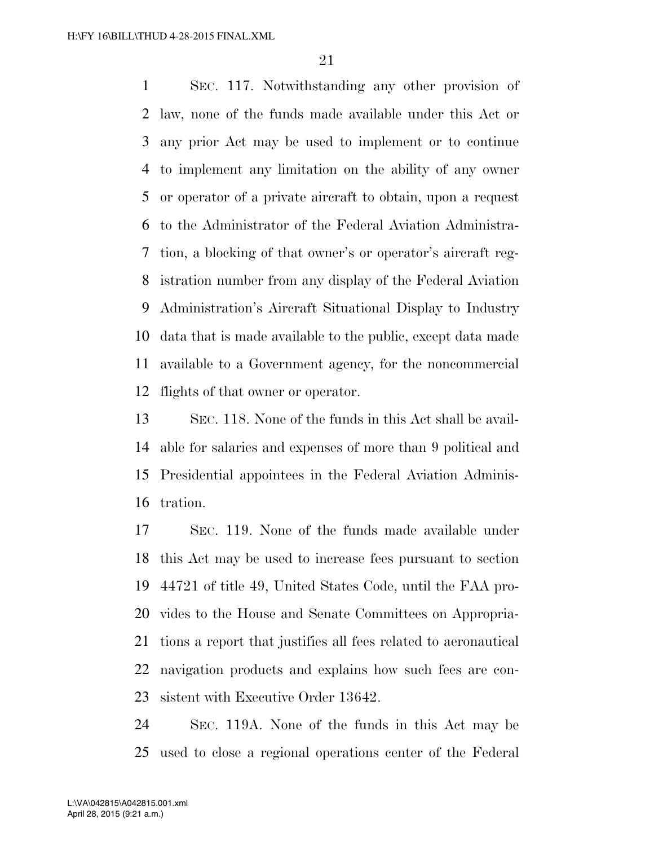SEC. 117. Notwithstanding any other provision of law, none of the funds made available under this Act or any prior Act may be used to implement or to continue to implement any limitation on the ability of any owner or operator of a private aircraft to obtain, upon a request to the Administrator of the Federal Aviation Administra- tion, a blocking of that owner's or operator's aircraft reg- istration number from any display of the Federal Aviation Administration's Aircraft Situational Display to Industry data that is made available to the public, except data made available to a Government agency, for the noncommercial flights of that owner or operator.

 SEC. 118. None of the funds in this Act shall be avail- able for salaries and expenses of more than 9 political and Presidential appointees in the Federal Aviation Adminis-tration.

 SEC. 119. None of the funds made available under this Act may be used to increase fees pursuant to section 44721 of title 49, United States Code, until the FAA pro- vides to the House and Senate Committees on Appropria- tions a report that justifies all fees related to aeronautical navigation products and explains how such fees are con-sistent with Executive Order 13642.

 SEC. 119A. None of the funds in this Act may be used to close a regional operations center of the Federal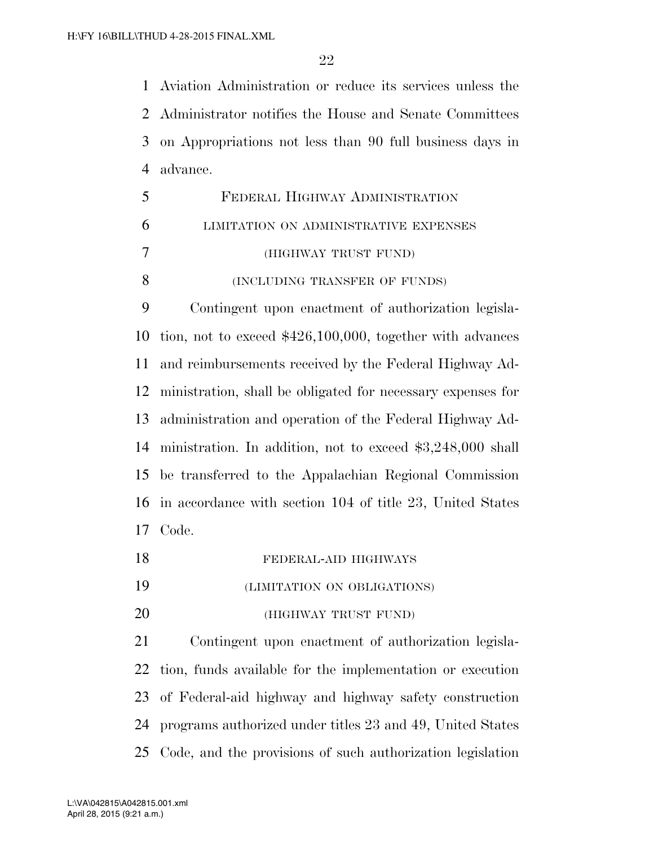Aviation Administration or reduce its services unless the Administrator notifies the House and Senate Committees on Appropriations not less than 90 full business days in advance.

|   | FEDERAL HIGHWAY ADMINISTRATION        |
|---|---------------------------------------|
| 6 | LIMITATION ON ADMINISTRATIVE EXPENSES |
|   | (HIGHWAY TRUST FUND)                  |
| 8 | (INCLUDING TRANSFER OF FUNDS)         |

 Contingent upon enactment of authorization legisla- tion, not to exceed \$426,100,000, together with advances and reimbursements received by the Federal Highway Ad- ministration, shall be obligated for necessary expenses for administration and operation of the Federal Highway Ad- ministration. In addition, not to exceed \$3,248,000 shall be transferred to the Appalachian Regional Commission in accordance with section 104 of title 23, United States Code.

| 18 | FEDERAL-AID HIGHWAYS        |
|----|-----------------------------|
| 19 | (LIMITATION ON OBLIGATIONS) |

(HIGHWAY TRUST FUND)

 Contingent upon enactment of authorization legisla- tion, funds available for the implementation or execution of Federal-aid highway and highway safety construction programs authorized under titles 23 and 49, United States Code, and the provisions of such authorization legislation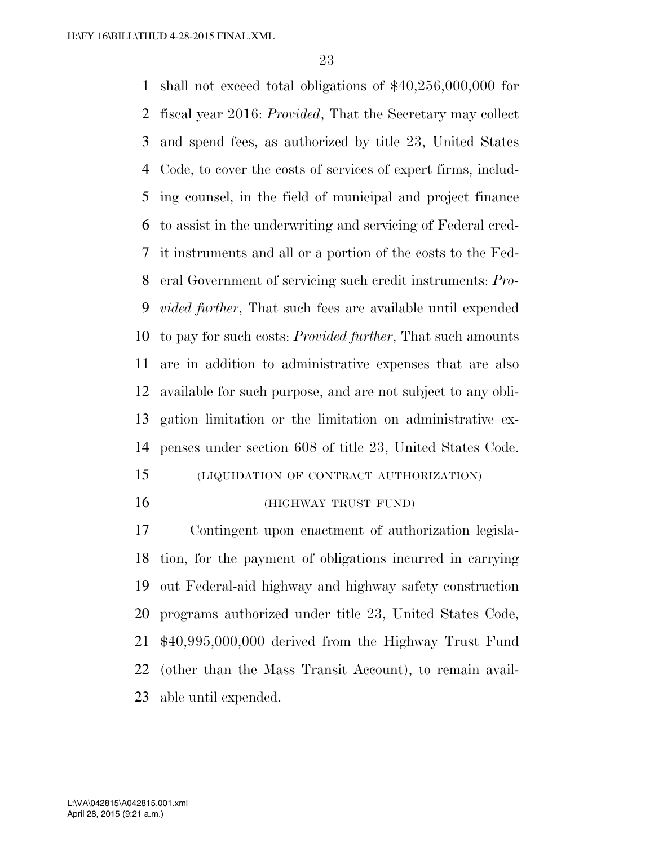shall not exceed total obligations of \$40,256,000,000 for fiscal year 2016: *Provided*, That the Secretary may collect and spend fees, as authorized by title 23, United States Code, to cover the costs of services of expert firms, includ- ing counsel, in the field of municipal and project finance to assist in the underwriting and servicing of Federal cred- it instruments and all or a portion of the costs to the Fed- eral Government of servicing such credit instruments: *Pro- vided further*, That such fees are available until expended to pay for such costs: *Provided further*, That such amounts are in addition to administrative expenses that are also available for such purpose, and are not subject to any obli- gation limitation or the limitation on administrative ex-penses under section 608 of title 23, United States Code.

- (LIQUIDATION OF CONTRACT AUTHORIZATION)
- 

#### (HIGHWAY TRUST FUND)

 Contingent upon enactment of authorization legisla- tion, for the payment of obligations incurred in carrying out Federal-aid highway and highway safety construction programs authorized under title 23, United States Code, \$40,995,000,000 derived from the Highway Trust Fund (other than the Mass Transit Account), to remain avail-able until expended.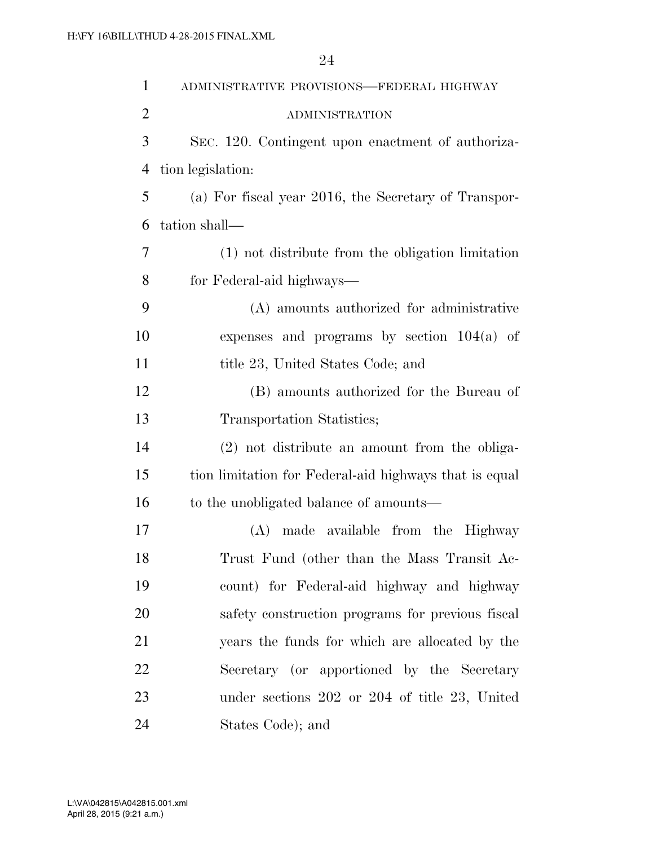| $\mathbf{1}$   | ADMINISTRATIVE PROVISIONS-FEDERAL HIGHWAY              |
|----------------|--------------------------------------------------------|
| $\overline{2}$ | <b>ADMINISTRATION</b>                                  |
| 3              | SEC. 120. Contingent upon enactment of authoriza-      |
| $\overline{4}$ | tion legislation:                                      |
| 5              | (a) For fiscal year 2016, the Secretary of Transpor-   |
| 6              | tation shall—                                          |
| 7              | (1) not distribute from the obligation limitation      |
| 8              | for Federal-aid highways—                              |
| 9              | (A) amounts authorized for administrative              |
| 10             | expenses and programs by section $104(a)$ of           |
| 11             | title 23, United States Code; and                      |
| 12             | (B) amounts authorized for the Bureau of               |
| 13             | Transportation Statistics;                             |
| 14             | (2) not distribute an amount from the obliga-          |
| 15             | tion limitation for Federal-aid highways that is equal |
| 16             | to the unobligated balance of amounts—                 |
| 17             | made available from the Highway<br>(A)                 |
| 18             | Trust Fund (other than the Mass Transit Ac-            |
| 19             | count) for Federal-aid highway and highway             |
| 20             | safety construction programs for previous fiscal       |
| 21             | years the funds for which are allocated by the         |
| 22             | Secretary (or apportioned by the Secretary             |
| 23             | under sections $202$ or $204$ of title $23$ , United   |
| 24             | States Code); and                                      |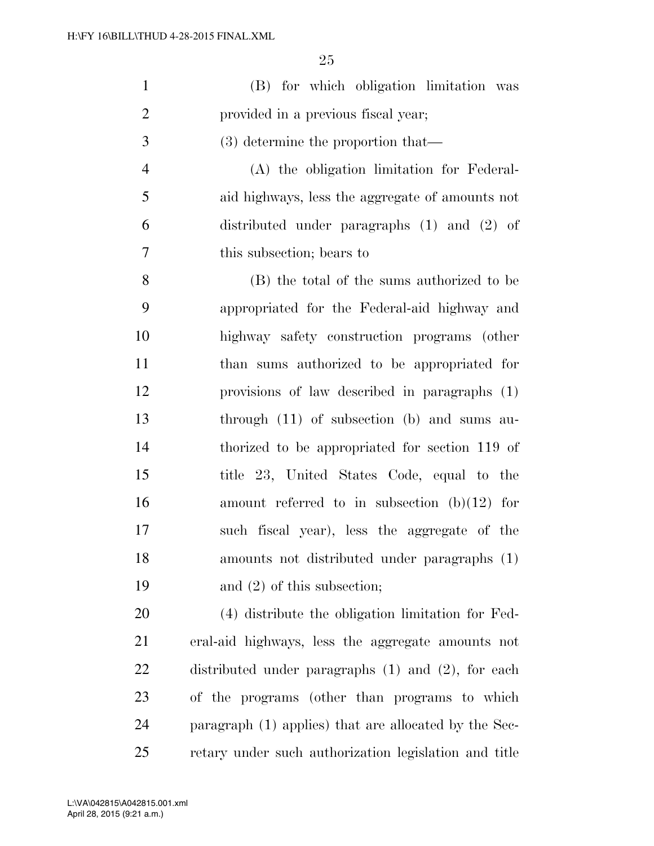| (B) for which obligation limitation was |  |
|-----------------------------------------|--|
| provided in a previous fiscal year;     |  |

(3) determine the proportion that—

 (A) the obligation limitation for Federal- aid highways, less the aggregate of amounts not distributed under paragraphs (1) and (2) of this subsection; bears to

 (B) the total of the sums authorized to be appropriated for the Federal-aid highway and highway safety construction programs (other than sums authorized to be appropriated for provisions of law described in paragraphs (1) through (11) of subsection (b) and sums au- thorized to be appropriated for section 119 of title 23, United States Code, equal to the amount referred to in subsection (b)(12) for such fiscal year), less the aggregate of the amounts not distributed under paragraphs (1) and (2) of this subsection;

 (4) distribute the obligation limitation for Fed- eral-aid highways, less the aggregate amounts not distributed under paragraphs (1) and (2), for each of the programs (other than programs to which paragraph (1) applies) that are allocated by the Sec-retary under such authorization legislation and title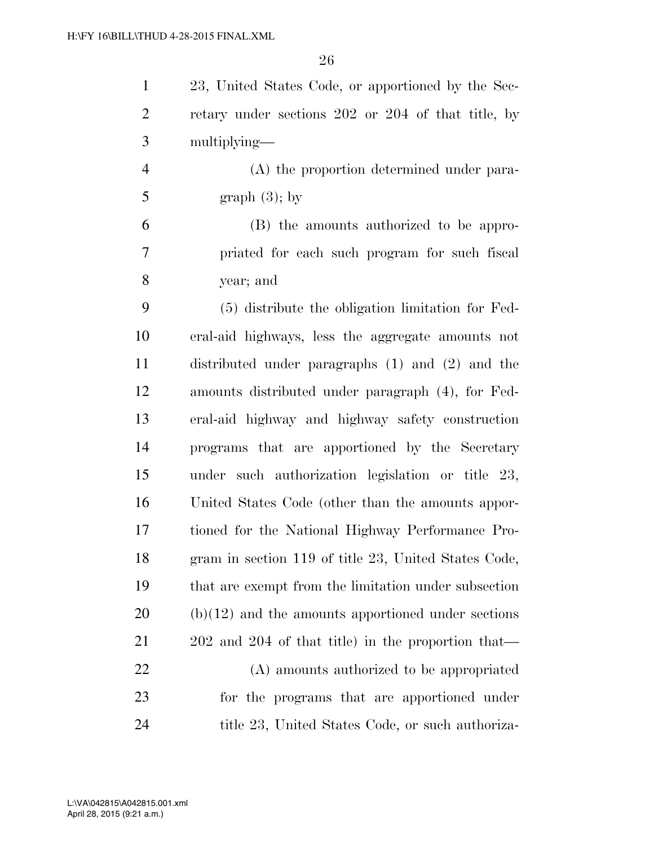23, United States Code, or apportioned by the Sec- retary under sections 202 or 204 of that title, by multiplying—

 (A) the proportion determined under para-5 graph  $(3)$ ; by

 (B) the amounts authorized to be appro- priated for each such program for such fiscal year; and

 (5) distribute the obligation limitation for Fed- eral-aid highways, less the aggregate amounts not distributed under paragraphs (1) and (2) and the amounts distributed under paragraph (4), for Fed- eral-aid highway and highway safety construction programs that are apportioned by the Secretary under such authorization legislation or title 23, United States Code (other than the amounts appor- tioned for the National Highway Performance Pro- gram in section 119 of title 23, United States Code, that are exempt from the limitation under subsection (b)(12) and the amounts apportioned under sections 202 and 204 of that title) in the proportion that— (A) amounts authorized to be appropriated for the programs that are apportioned under 24 title 23, United States Code, or such authoriza-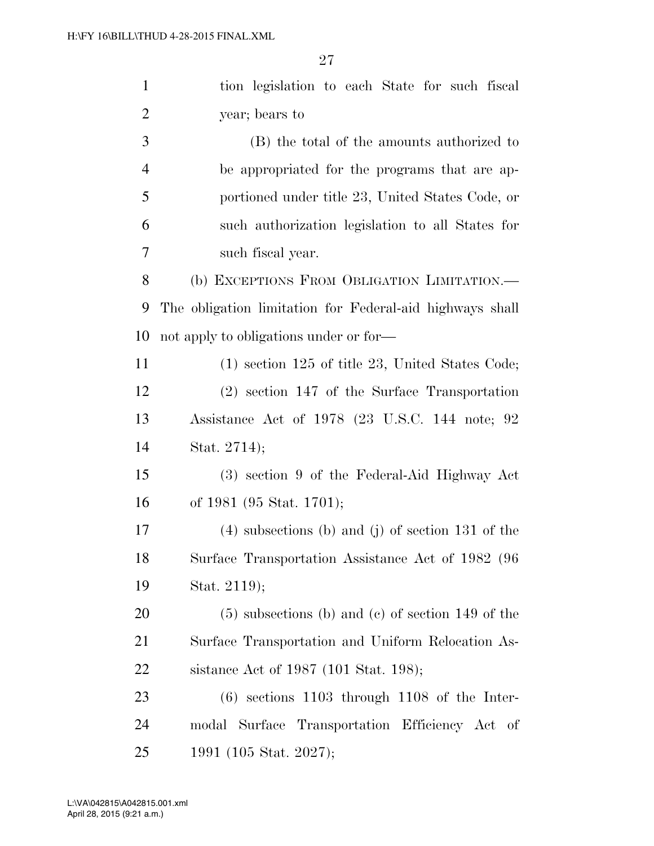| $\mathbf{1}$   | tion legislation to each State for such fiscal           |
|----------------|----------------------------------------------------------|
| $\overline{2}$ | year; bears to                                           |
| 3              | (B) the total of the amounts authorized to               |
| $\overline{4}$ | be appropriated for the programs that are ap-            |
| 5              | portioned under title 23, United States Code, or         |
| 6              | such authorization legislation to all States for         |
| 7              | such fiscal year.                                        |
| 8              | (b) EXCEPTIONS FROM OBLIGATION LIMITATION.—              |
| 9              | The obligation limitation for Federal-aid highways shall |
| 10             | not apply to obligations under or for—                   |
| 11             | $(1)$ section 125 of title 23, United States Code;       |
| 12             | $(2)$ section 147 of the Surface Transportation          |
| 13             | Assistance Act of 1978 (23 U.S.C. 144 note; 92           |
| 14             | Stat. 2714);                                             |
| 15             | (3) section 9 of the Federal-Aid Highway Act             |
| 16             | of 1981 (95 Stat. 1701);                                 |
| 17             | $(4)$ subsections (b) and (j) of section 131 of the      |
| 18             | Surface Transportation Assistance Act of 1982 (96        |
| 19             | Stat. 2119);                                             |
| 20             | $(5)$ subsections (b) and (c) of section 149 of the      |
| 21             | Surface Transportation and Uniform Relocation As-        |
| 22             | sistance Act of 1987 (101 Stat. 198);                    |
| 23             | $(6)$ sections 1103 through 1108 of the Inter-           |
| 24             | modal Surface Transportation Efficiency Act of           |
| 25             | 1991 (105 Stat. 2027);                                   |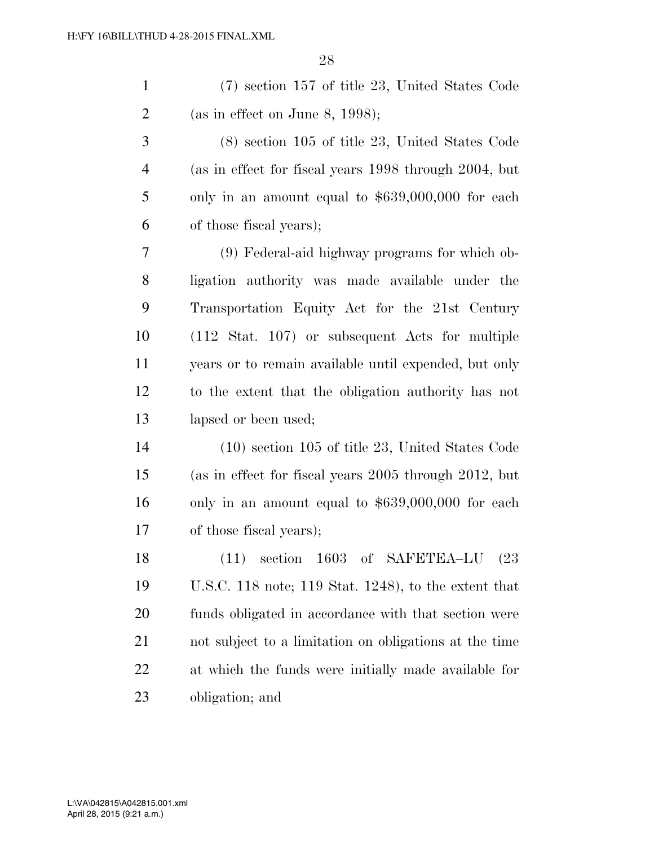(7) section 157 of title 23, United States Code (as in effect on June 8, 1998);

 (8) section 105 of title 23, United States Code (as in effect for fiscal years 1998 through 2004, but only in an amount equal to \$639,000,000 for each of those fiscal years);

 (9) Federal-aid highway programs for which ob- ligation authority was made available under the Transportation Equity Act for the 21st Century (112 Stat. 107) or subsequent Acts for multiple years or to remain available until expended, but only to the extent that the obligation authority has not 13 lapsed or been used;

 (10) section 105 of title 23, United States Code (as in effect for fiscal years 2005 through 2012, but only in an amount equal to \$639,000,000 for each of those fiscal years);

 (11) section 1603 of SAFETEA–LU (23 U.S.C. 118 note; 119 Stat. 1248), to the extent that funds obligated in accordance with that section were not subject to a limitation on obligations at the time at which the funds were initially made available for obligation; and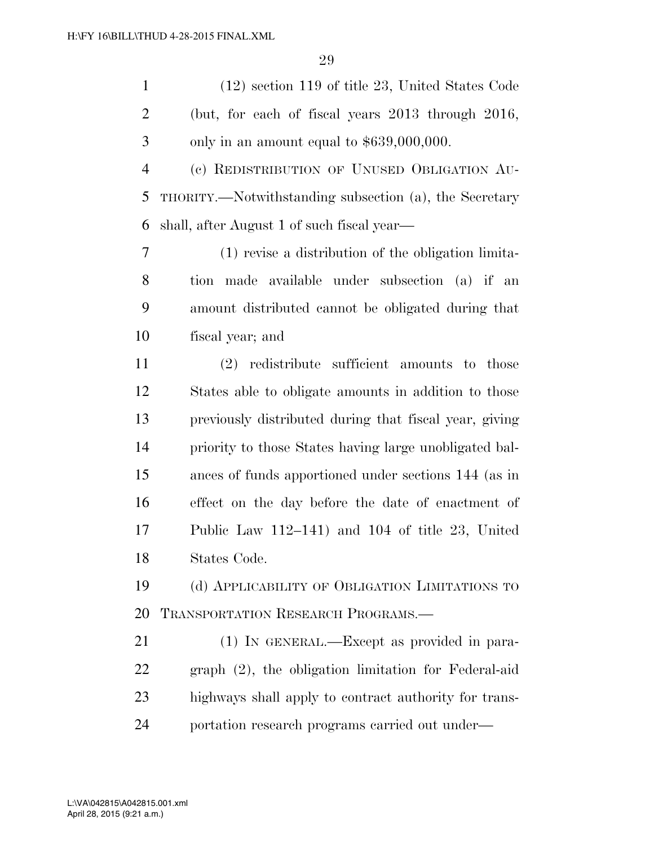|    | $(12)$ section 119 of title 23, United States Code     |
|----|--------------------------------------------------------|
| 2  | (but, for each of fiscal years $2013$ through $2016$ , |
| -3 | only in an amount equal to $$639,000,000$ .            |

 (c) REDISTRIBUTION OF UNUSED OBLIGATION AU- THORITY.—Notwithstanding subsection (a), the Secretary shall, after August 1 of such fiscal year—

 (1) revise a distribution of the obligation limita- tion made available under subsection (a) if an amount distributed cannot be obligated during that fiscal year; and

 (2) redistribute sufficient amounts to those States able to obligate amounts in addition to those previously distributed during that fiscal year, giving priority to those States having large unobligated bal- ances of funds apportioned under sections 144 (as in effect on the day before the date of enactment of Public Law 112–141) and 104 of title 23, United States Code.

 (d) APPLICABILITY OF OBLIGATION LIMITATIONS TO TRANSPORTATION RESEARCH PROGRAMS.—

 (1) IN GENERAL.—Except as provided in para- graph (2), the obligation limitation for Federal-aid highways shall apply to contract authority for trans-portation research programs carried out under—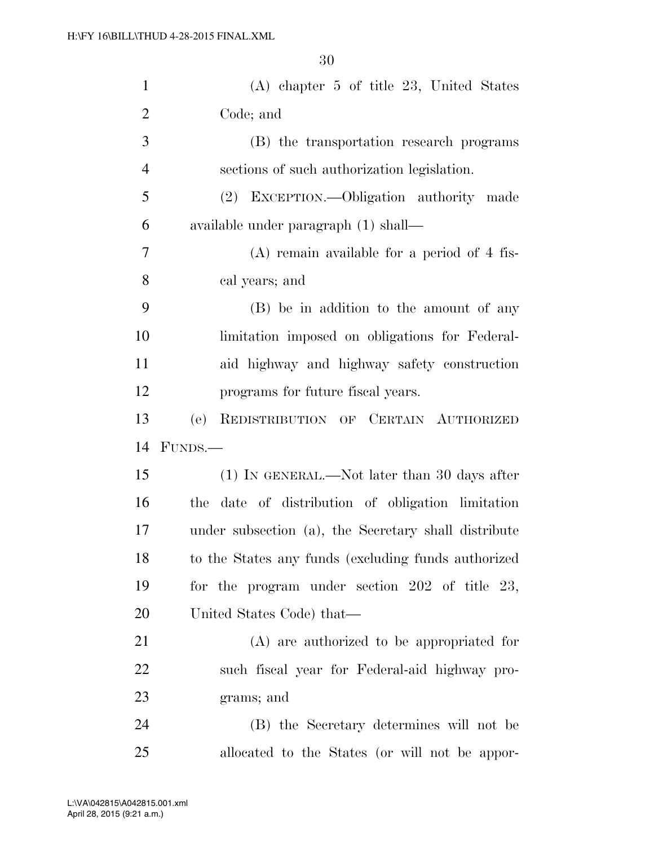| $\mathbf{1}$   | (A) chapter 5 of title 23, United States             |
|----------------|------------------------------------------------------|
| $\overline{2}$ | Code; and                                            |
| 3              | (B) the transportation research programs             |
| $\overline{4}$ | sections of such authorization legislation.          |
| 5              | (2) EXCEPTION.—Obligation authority made             |
| 6              | available under paragraph (1) shall—                 |
| 7              | $(A)$ remain available for a period of 4 fis-        |
| 8              | cal years; and                                       |
| 9              | (B) be in addition to the amount of any              |
| 10             | limitation imposed on obligations for Federal-       |
| 11             | aid highway and highway safety construction          |
| 12             | programs for future fiscal years.                    |
| 13             | REDISTRIBUTION OF CERTAIN AUTHORIZED<br>(e)          |
| 14             | FUNDS.—                                              |
| 15             | (1) IN GENERAL.—Not later than 30 days after         |
| 16             | date of distribution of obligation limitation<br>the |
| 17             | under subsection (a), the Secretary shall distribute |
| 18             | to the States any funds (excluding funds authorized  |
| 19             | for the program under section $202$ of title $23$ ,  |
| 20             | United States Code) that—                            |
| 21             | (A) are authorized to be appropriated for            |
| 22             | such fiscal year for Federal-aid highway pro-        |
| 23             | grams; and                                           |
| 24             | (B) the Secretary determines will not be             |
| 25             | allocated to the States (or will not be appor-       |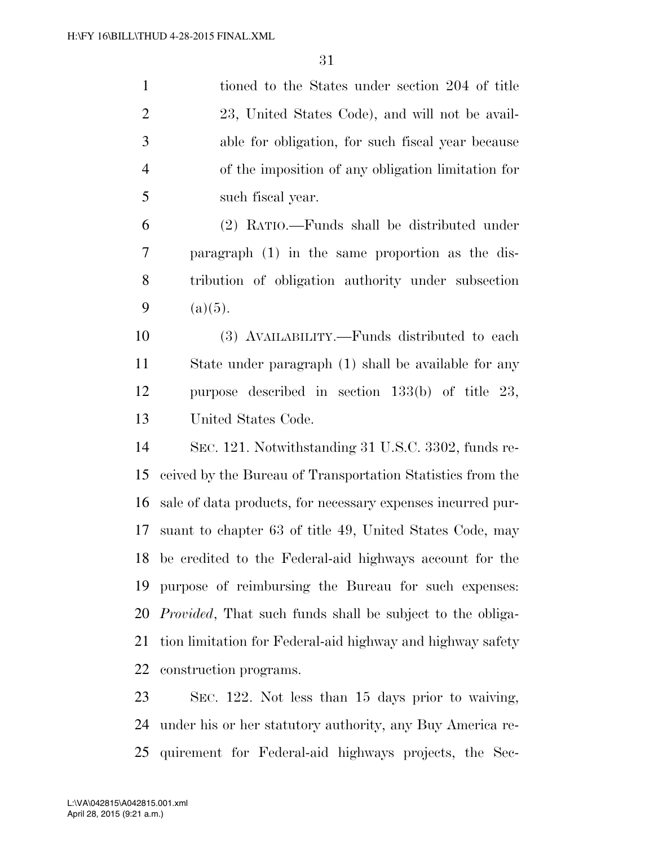tioned to the States under section 204 of title 23, United States Code), and will not be avail- able for obligation, for such fiscal year because of the imposition of any obligation limitation for such fiscal year.

 (2) RATIO.—Funds shall be distributed under paragraph (1) in the same proportion as the dis- tribution of obligation authority under subsection 9 (a)(5).

 (3) AVAILABILITY.—Funds distributed to each State under paragraph (1) shall be available for any purpose described in section 133(b) of title 23, United States Code.

 SEC. 121. Notwithstanding 31 U.S.C. 3302, funds re- ceived by the Bureau of Transportation Statistics from the sale of data products, for necessary expenses incurred pur- suant to chapter 63 of title 49, United States Code, may be credited to the Federal-aid highways account for the purpose of reimbursing the Bureau for such expenses: *Provided*, That such funds shall be subject to the obliga- tion limitation for Federal-aid highway and highway safety construction programs.

 SEC. 122. Not less than 15 days prior to waiving, under his or her statutory authority, any Buy America re-quirement for Federal-aid highways projects, the Sec-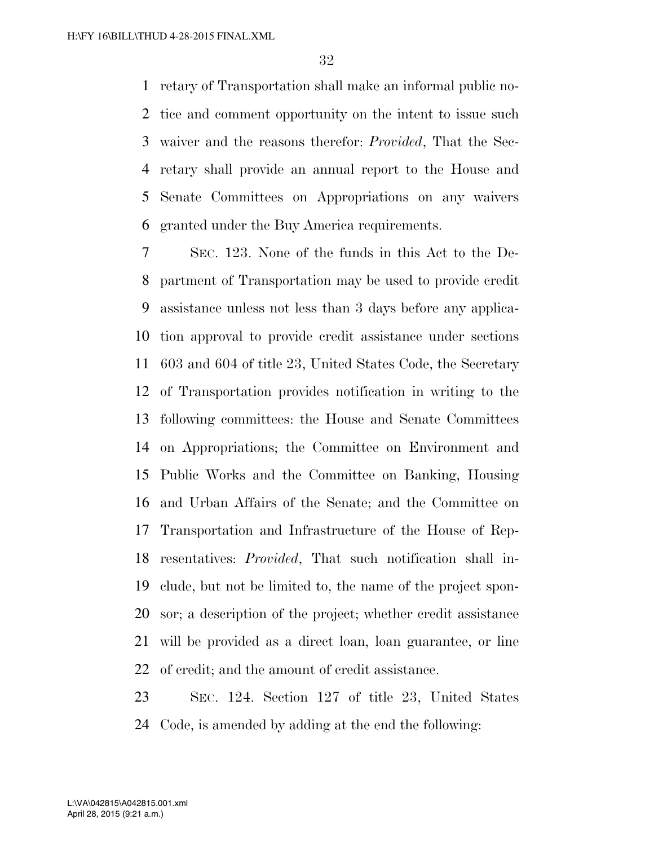retary of Transportation shall make an informal public no- tice and comment opportunity on the intent to issue such waiver and the reasons therefor: *Provided*, That the Sec- retary shall provide an annual report to the House and Senate Committees on Appropriations on any waivers granted under the Buy America requirements.

 SEC. 123. None of the funds in this Act to the De- partment of Transportation may be used to provide credit assistance unless not less than 3 days before any applica- tion approval to provide credit assistance under sections 603 and 604 of title 23, United States Code, the Secretary of Transportation provides notification in writing to the following committees: the House and Senate Committees on Appropriations; the Committee on Environment and Public Works and the Committee on Banking, Housing and Urban Affairs of the Senate; and the Committee on Transportation and Infrastructure of the House of Rep- resentatives: *Provided*, That such notification shall in- clude, but not be limited to, the name of the project spon- sor; a description of the project; whether credit assistance will be provided as a direct loan, loan guarantee, or line of credit; and the amount of credit assistance.

 SEC. 124. Section 127 of title 23, United States Code, is amended by adding at the end the following: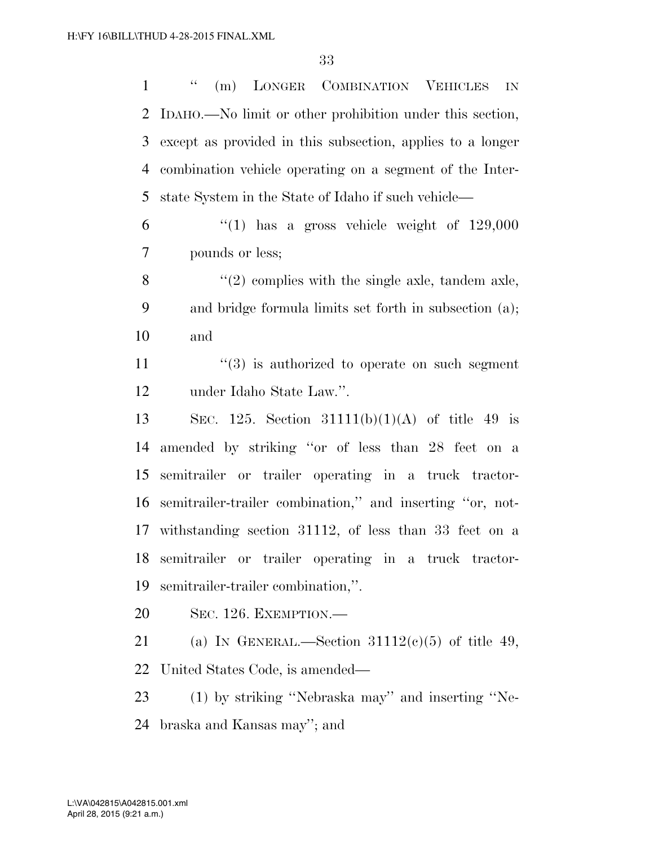1 " (m) LONGER COMBINATION VEHICLES IN IDAHO.—No limit or other prohibition under this section, except as provided in this subsection, applies to a longer combination vehicle operating on a segment of the Inter-state System in the State of Idaho if such vehicle—

 "(1) has a gross vehicle weight of 129,000 pounds or less;

8  $\langle (2)$  complies with the single axle, tandem axle, and bridge formula limits set forth in subsection (a); and

 $(3)$  is authorized to operate on such segment under Idaho State Law.''.

 SEC. 125. Section 31111(b)(1)(A) of title 49 is amended by striking ''or of less than 28 feet on a semitrailer or trailer operating in a truck tractor- semitrailer-trailer combination,'' and inserting ''or, not- withstanding section 31112, of less than 33 feet on a semitrailer or trailer operating in a truck tractor-semitrailer-trailer combination,''.

SEC. 126. EXEMPTION.—

21 (a) IN GENERAL.—Section  $31112(c)(5)$  of title 49, United States Code, is amended—

 (1) by striking ''Nebraska may'' and inserting ''Ne-braska and Kansas may''; and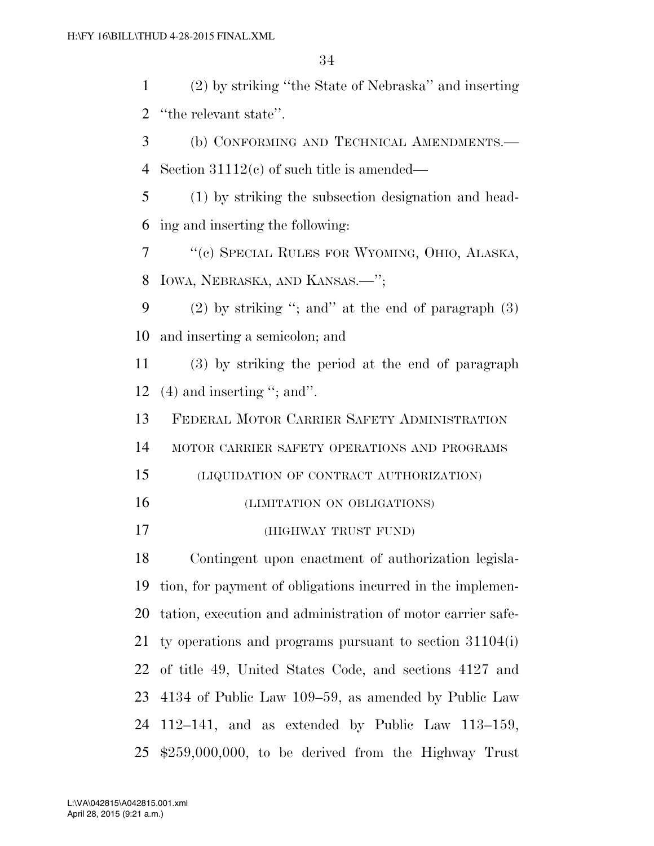(2) by striking ''the State of Nebraska'' and inserting ''the relevant state''.

 (b) CONFORMING AND TECHNICAL AMENDMENTS.— Section 31112(c) of such title is amended—

 (1) by striking the subsection designation and head-ing and inserting the following:

 ''(c) SPECIAL RULES FOR WYOMING, OHIO, ALASKA, IOWA, NEBRASKA, AND KANSAS.—'';

 (2) by striking ''; and'' at the end of paragraph (3) and inserting a semicolon; and

 (3) by striking the period at the end of paragraph (4) and inserting ''; and''.

FEDERAL MOTOR CARRIER SAFETY ADMINISTRATION

MOTOR CARRIER SAFETY OPERATIONS AND PROGRAMS

(LIQUIDATION OF CONTRACT AUTHORIZATION)

(LIMITATION ON OBLIGATIONS)

(HIGHWAY TRUST FUND)

 Contingent upon enactment of authorization legisla- tion, for payment of obligations incurred in the implemen- tation, execution and administration of motor carrier safe- ty operations and programs pursuant to section 31104(i) of title 49, United States Code, and sections 4127 and 4134 of Public Law 109–59, as amended by Public Law 112–141, and as extended by Public Law 113–159, \$259,000,000, to be derived from the Highway Trust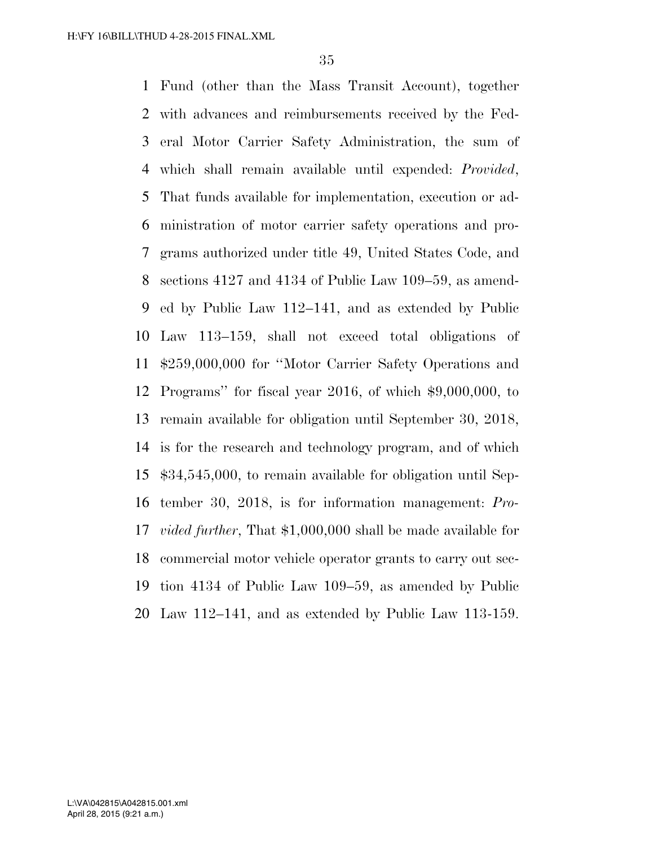Fund (other than the Mass Transit Account), together with advances and reimbursements received by the Fed- eral Motor Carrier Safety Administration, the sum of which shall remain available until expended: *Provided*, That funds available for implementation, execution or ad- ministration of motor carrier safety operations and pro- grams authorized under title 49, United States Code, and sections 4127 and 4134 of Public Law 109–59, as amend- ed by Public Law 112–141, and as extended by Public Law 113–159, shall not exceed total obligations of \$259,000,000 for ''Motor Carrier Safety Operations and Programs'' for fiscal year 2016, of which \$9,000,000, to remain available for obligation until September 30, 2018, is for the research and technology program, and of which \$34,545,000, to remain available for obligation until Sep- tember 30, 2018, is for information management: *Pro- vided further*, That \$1,000,000 shall be made available for commercial motor vehicle operator grants to carry out sec- tion 4134 of Public Law 109–59, as amended by Public Law 112–141, and as extended by Public Law 113-159.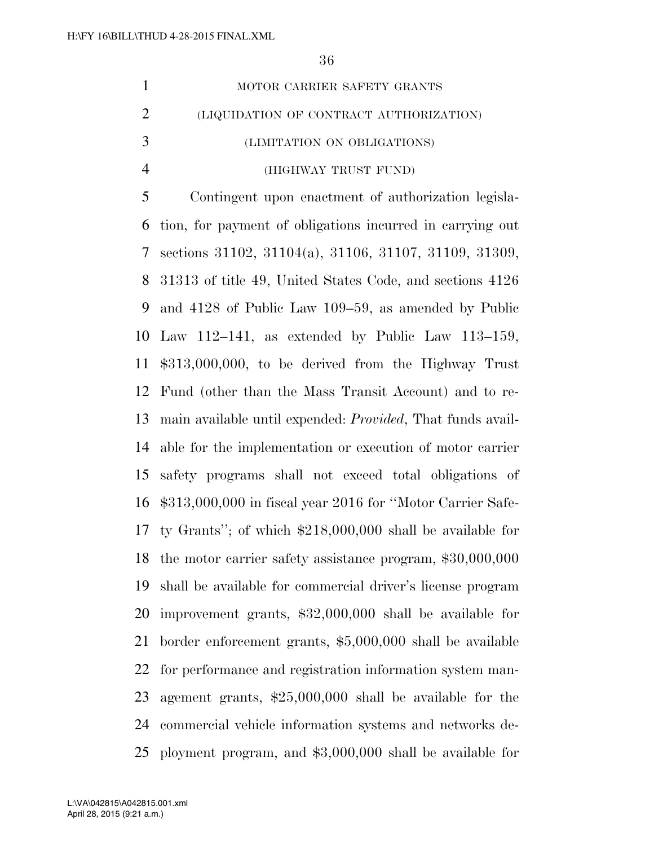$0<sup>6</sup>$ 

|                | 56                                                                 |
|----------------|--------------------------------------------------------------------|
| $\mathbf{1}$   | MOTOR CARRIER SAFETY GRANTS                                        |
| $\overline{2}$ | (LIQUIDATION OF CONTRACT AUTHORIZATION)                            |
| 3              | (LIMITATION ON OBLIGATIONS)                                        |
| $\overline{4}$ | (HIGHWAY TRUST FUND)                                               |
| 5              | Contingent upon enactment of authorization legisla-                |
| 6              | tion, for payment of obligations incurred in carrying out          |
| 7              | sections 31102, 31104(a), 31106, 31107, 31109, 31309,              |
| 8              | 31313 of title 49, United States Code, and sections 4126           |
| 9              | and 4128 of Public Law 109–59, as amended by Public                |
| 10             | Law $112-141$ , as extended by Public Law $113-159$ ,              |
| 11             | $$313,000,000$ , to be derived from the Highway Trust              |
| 12             | Fund (other than the Mass Transit Account) and to re-              |
| 13             | main available until expended: <i>Provided</i> , That funds avail- |
| 14             | able for the implementation or execution of motor carrier          |
| 15             | safety programs shall not exceed total obligations of              |
| 16             | $$313,000,000$ in fiscal year 2016 for "Motor Carrier Safe-        |
| 17             | ty Grants"; of which $$218,000,000$ shall be available for         |

 the motor carrier safety assistance program, \$30,000,000 shall be available for commercial driver's license program improvement grants, \$32,000,000 shall be available for border enforcement grants, \$5,000,000 shall be available for performance and registration information system man- agement grants, \$25,000,000 shall be available for the commercial vehicle information systems and networks de-

ployment program, and \$3,000,000 shall be available for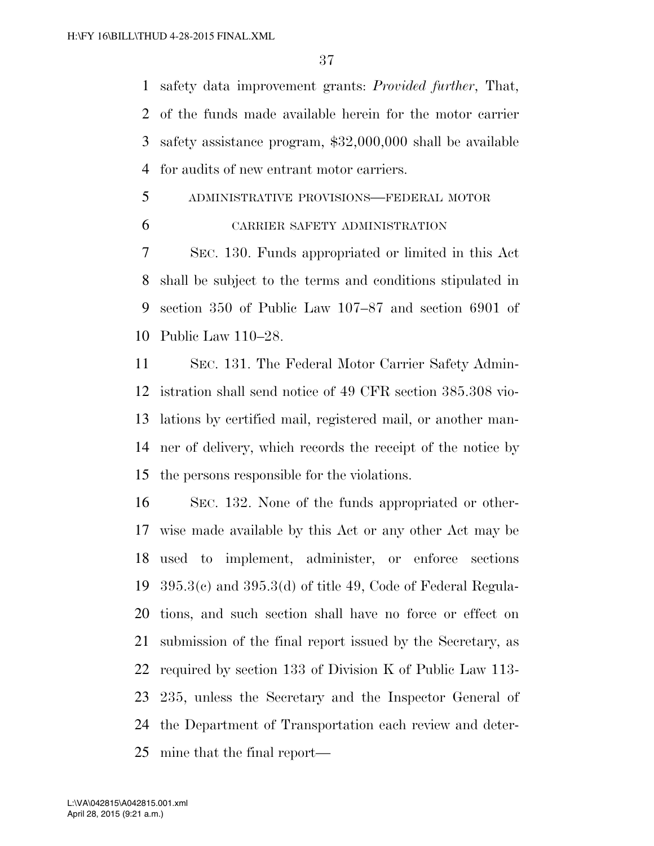safety data improvement grants: *Provided further*, That, of the funds made available herein for the motor carrier safety assistance program, \$32,000,000 shall be available for audits of new entrant motor carriers.

- ADMINISTRATIVE PROVISIONS—FEDERAL MOTOR
- 

## CARRIER SAFETY ADMINISTRATION

 SEC. 130. Funds appropriated or limited in this Act shall be subject to the terms and conditions stipulated in section 350 of Public Law 107–87 and section 6901 of Public Law 110–28.

 SEC. 131. The Federal Motor Carrier Safety Admin- istration shall send notice of 49 CFR section 385.308 vio- lations by certified mail, registered mail, or another man- ner of delivery, which records the receipt of the notice by the persons responsible for the violations.

 SEC. 132. None of the funds appropriated or other- wise made available by this Act or any other Act may be used to implement, administer, or enforce sections 395.3(c) and 395.3(d) of title 49, Code of Federal Regula- tions, and such section shall have no force or effect on submission of the final report issued by the Secretary, as required by section 133 of Division K of Public Law 113- 235, unless the Secretary and the Inspector General of the Department of Transportation each review and deter-mine that the final report—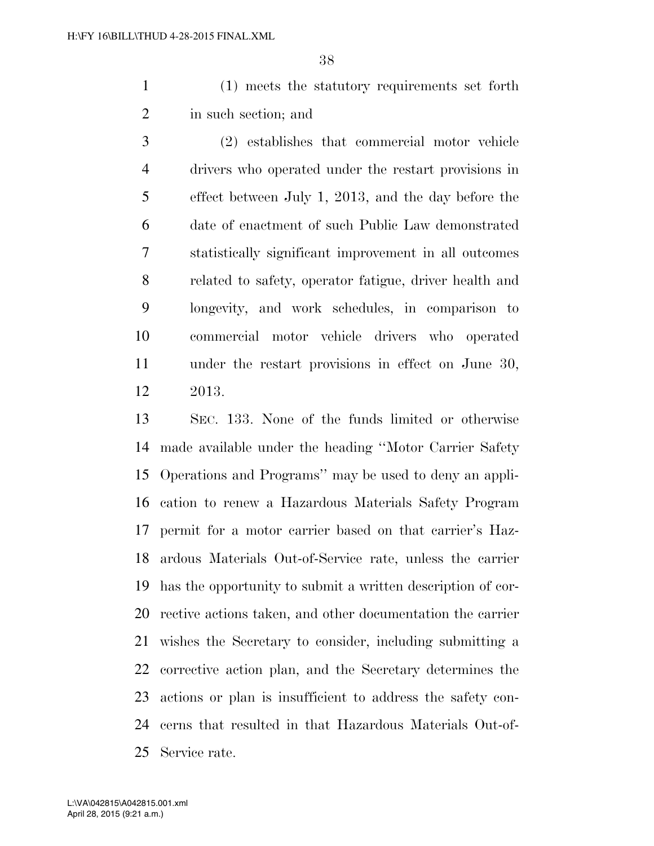(1) meets the statutory requirements set forth in such section; and

 (2) establishes that commercial motor vehicle drivers who operated under the restart provisions in effect between July 1, 2013, and the day before the date of enactment of such Public Law demonstrated statistically significant improvement in all outcomes related to safety, operator fatigue, driver health and longevity, and work schedules, in comparison to commercial motor vehicle drivers who operated under the restart provisions in effect on June 30, 2013.

 SEC. 133. None of the funds limited or otherwise made available under the heading ''Motor Carrier Safety Operations and Programs'' may be used to deny an appli- cation to renew a Hazardous Materials Safety Program permit for a motor carrier based on that carrier's Haz- ardous Materials Out-of-Service rate, unless the carrier has the opportunity to submit a written description of cor- rective actions taken, and other documentation the carrier wishes the Secretary to consider, including submitting a corrective action plan, and the Secretary determines the actions or plan is insufficient to address the safety con- cerns that resulted in that Hazardous Materials Out-of-Service rate.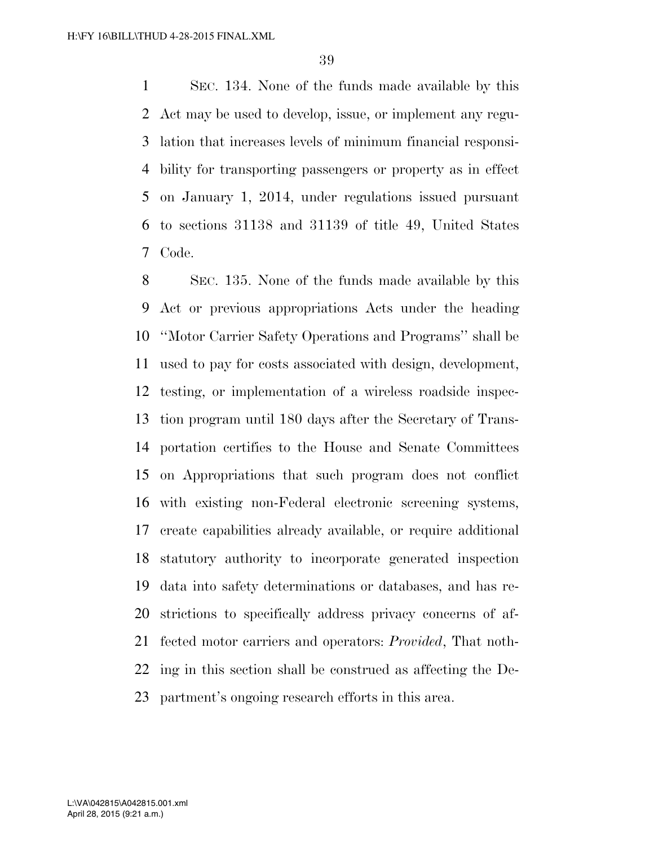SEC. 134. None of the funds made available by this Act may be used to develop, issue, or implement any regu- lation that increases levels of minimum financial responsi- bility for transporting passengers or property as in effect on January 1, 2014, under regulations issued pursuant to sections 31138 and 31139 of title 49, United States Code.

 SEC. 135. None of the funds made available by this Act or previous appropriations Acts under the heading ''Motor Carrier Safety Operations and Programs'' shall be used to pay for costs associated with design, development, testing, or implementation of a wireless roadside inspec- tion program until 180 days after the Secretary of Trans- portation certifies to the House and Senate Committees on Appropriations that such program does not conflict with existing non-Federal electronic screening systems, create capabilities already available, or require additional statutory authority to incorporate generated inspection data into safety determinations or databases, and has re- strictions to specifically address privacy concerns of af- fected motor carriers and operators: *Provided*, That noth- ing in this section shall be construed as affecting the De-partment's ongoing research efforts in this area.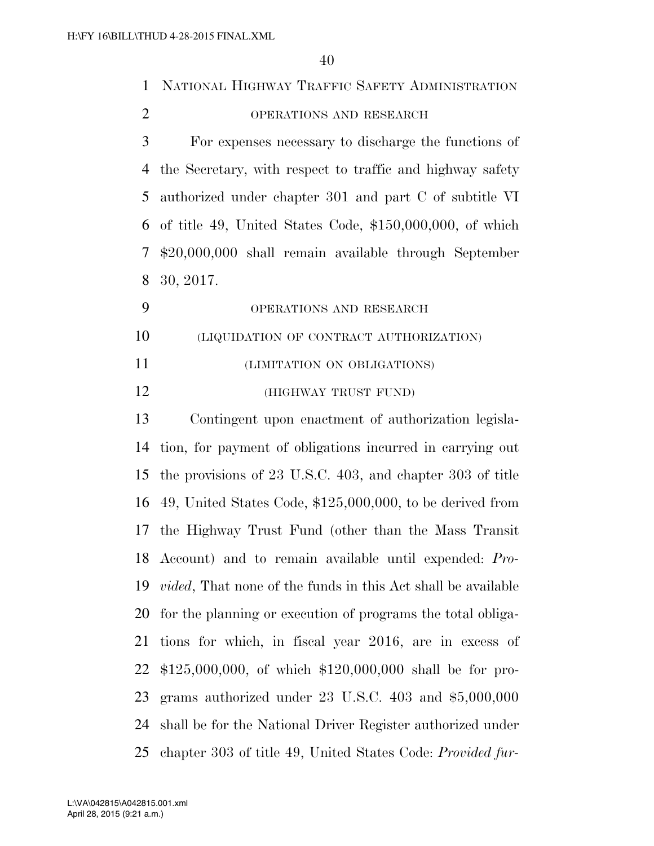| $\mathbf{1}$   | NATIONAL HIGHWAY TRAFFIC SAFETY ADMINISTRATION                       |
|----------------|----------------------------------------------------------------------|
| $\overline{2}$ | OPERATIONS AND RESEARCH                                              |
| 3              | For expenses necessary to discharge the functions of                 |
| 4              | the Secretary, with respect to traffic and highway safety            |
| 5              | authorized under chapter 301 and part C of subtitle VI               |
| 6              | of title 49, United States Code, $$150,000,000$ , of which           |
| 7              | \$20,000,000 shall remain available through September                |
| 8              | 30, 2017.                                                            |
| 9              | OPERATIONS AND RESEARCH                                              |
| 10             | (LIQUIDATION OF CONTRACT AUTHORIZATION)                              |
| 11             | (LIMITATION ON OBLIGATIONS)                                          |
| 12             | (HIGHWAY TRUST FUND)                                                 |
| 13             | Contingent upon enactment of authorization legisla-                  |
| 14             | tion, for payment of obligations incurred in carrying out            |
| 15             | the provisions of 23 U.S.C. 403, and chapter 303 of title            |
| 16             | 49, United States Code, $$125,000,000$ , to be derived from          |
|                | 17 the Highway Trust Fund (other than the Mass Transit               |
|                | 18 Account) and to remain available until expended: Pro-             |
| 19             | <i>vided</i> , That none of the funds in this Act shall be available |
| 20             | for the planning or execution of programs the total obliga-          |
| 21             | tions for which, in fiscal year 2016, are in excess of               |
| 22             | $$125,000,000,$ of which $$120,000,000$ shall be for pro-            |
| 23             | grams authorized under $23$ U.S.C. $403$ and $$5,000,000$            |
| 24             | shall be for the National Driver Register authorized under           |
| 25             | chapter 303 of title 49, United States Code: Provided fur-           |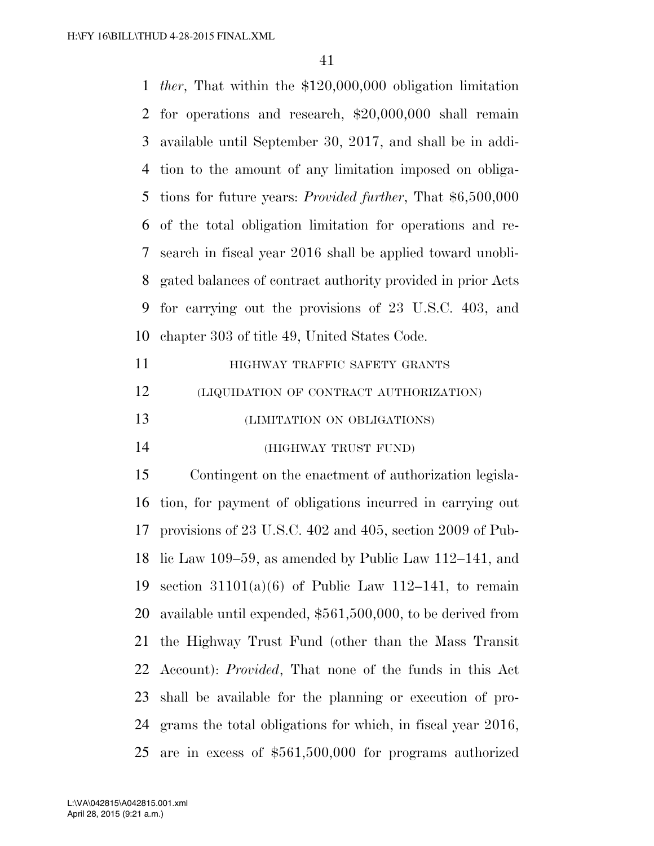*ther*, That within the \$120,000,000 obligation limitation for operations and research, \$20,000,000 shall remain available until September 30, 2017, and shall be in addi- tion to the amount of any limitation imposed on obliga- tions for future years: *Provided further*, That \$6,500,000 of the total obligation limitation for operations and re- search in fiscal year 2016 shall be applied toward unobli- gated balances of contract authority provided in prior Acts for carrying out the provisions of 23 U.S.C. 403, and chapter 303 of title 49, United States Code.

| 11 | HIGHWAY TRAFFIC SAFETY GRANTS           |
|----|-----------------------------------------|
| 12 | (LIQUIDATION OF CONTRACT AUTHORIZATION) |
| 13 | (LIMITATION ON OBLIGATIONS)             |
| 14 | (HIGHWAY TRUST FUND)                    |

 Contingent on the enactment of authorization legisla- tion, for payment of obligations incurred in carrying out provisions of 23 U.S.C. 402 and 405, section 2009 of Pub- lic Law 109–59, as amended by Public Law 112–141, and 19 section  $31101(a)(6)$  of Public Law 112–141, to remain available until expended, \$561,500,000, to be derived from the Highway Trust Fund (other than the Mass Transit Account): *Provided*, That none of the funds in this Act shall be available for the planning or execution of pro- grams the total obligations for which, in fiscal year 2016, are in excess of \$561,500,000 for programs authorized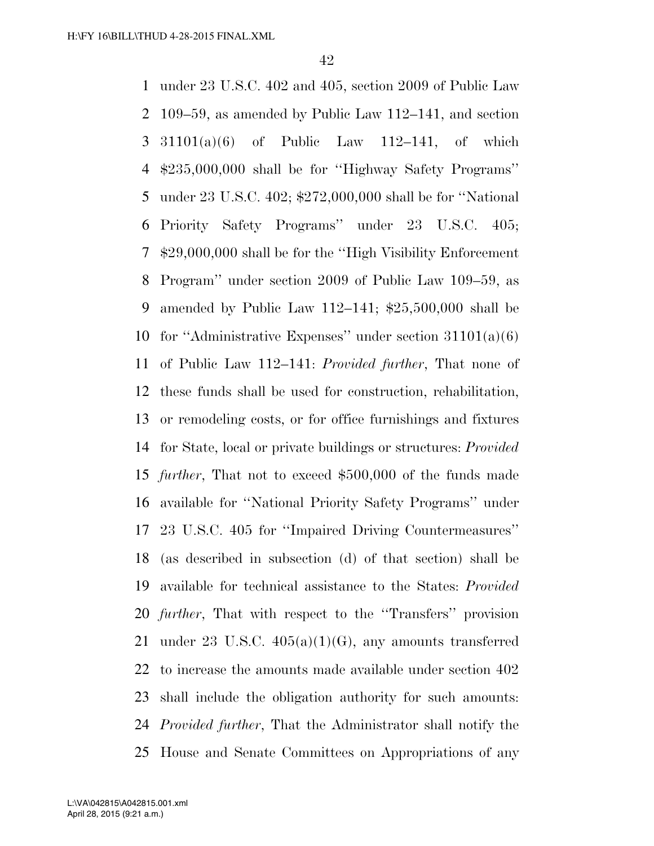under 23 U.S.C. 402 and 405, section 2009 of Public Law 109–59, as amended by Public Law 112–141, and section 31101(a)(6) of Public Law 112–141, of which \$235,000,000 shall be for ''Highway Safety Programs'' under 23 U.S.C. 402; \$272,000,000 shall be for ''National Priority Safety Programs'' under 23 U.S.C. 405; \$29,000,000 shall be for the ''High Visibility Enforcement Program'' under section 2009 of Public Law 109–59, as amended by Public Law 112–141; \$25,500,000 shall be 10 for "Administrative Expenses" under section  $31101(a)(6)$  of Public Law 112–141: *Provided further*, That none of these funds shall be used for construction, rehabilitation, or remodeling costs, or for office furnishings and fixtures for State, local or private buildings or structures: *Provided further*, That not to exceed \$500,000 of the funds made available for ''National Priority Safety Programs'' under 23 U.S.C. 405 for ''Impaired Driving Countermeasures'' (as described in subsection (d) of that section) shall be available for technical assistance to the States: *Provided further*, That with respect to the ''Transfers'' provision 21 under 23 U.S.C.  $405(a)(1)(G)$ , any amounts transferred to increase the amounts made available under section 402 shall include the obligation authority for such amounts: *Provided further*, That the Administrator shall notify the House and Senate Committees on Appropriations of any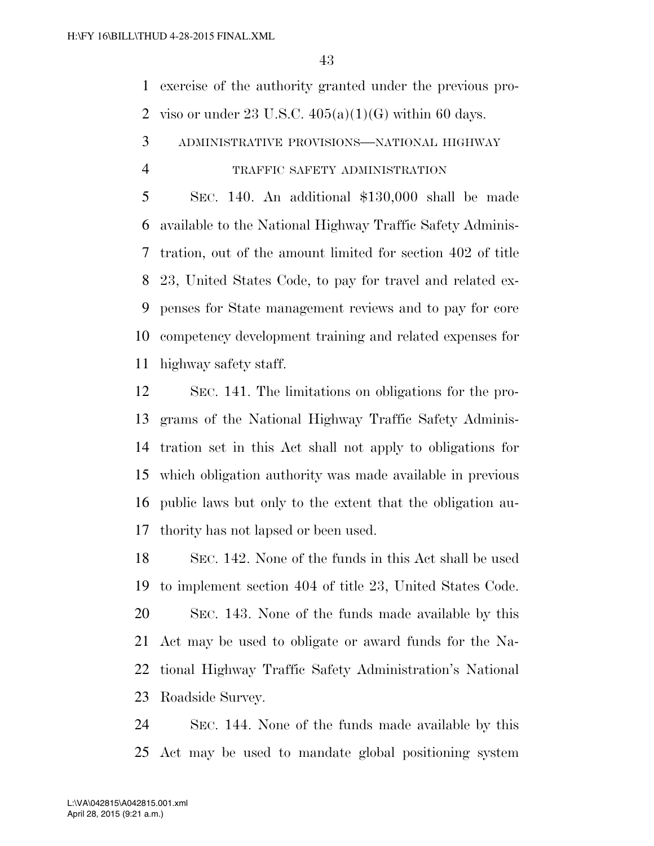exercise of the authority granted under the previous pro-2 viso or under 23 U.S.C.  $405(a)(1)(G)$  within 60 days.

ADMINISTRATIVE PROVISIONS—NATIONAL HIGHWAY

#### TRAFFIC SAFETY ADMINISTRATION

 SEC. 140. An additional \$130,000 shall be made available to the National Highway Traffic Safety Adminis- tration, out of the amount limited for section 402 of title 23, United States Code, to pay for travel and related ex- penses for State management reviews and to pay for core competency development training and related expenses for highway safety staff.

 SEC. 141. The limitations on obligations for the pro- grams of the National Highway Traffic Safety Adminis- tration set in this Act shall not apply to obligations for which obligation authority was made available in previous public laws but only to the extent that the obligation au-thority has not lapsed or been used.

 SEC. 142. None of the funds in this Act shall be used to implement section 404 of title 23, United States Code. SEC. 143. None of the funds made available by this Act may be used to obligate or award funds for the Na- tional Highway Traffic Safety Administration's National Roadside Survey.

 SEC. 144. None of the funds made available by this Act may be used to mandate global positioning system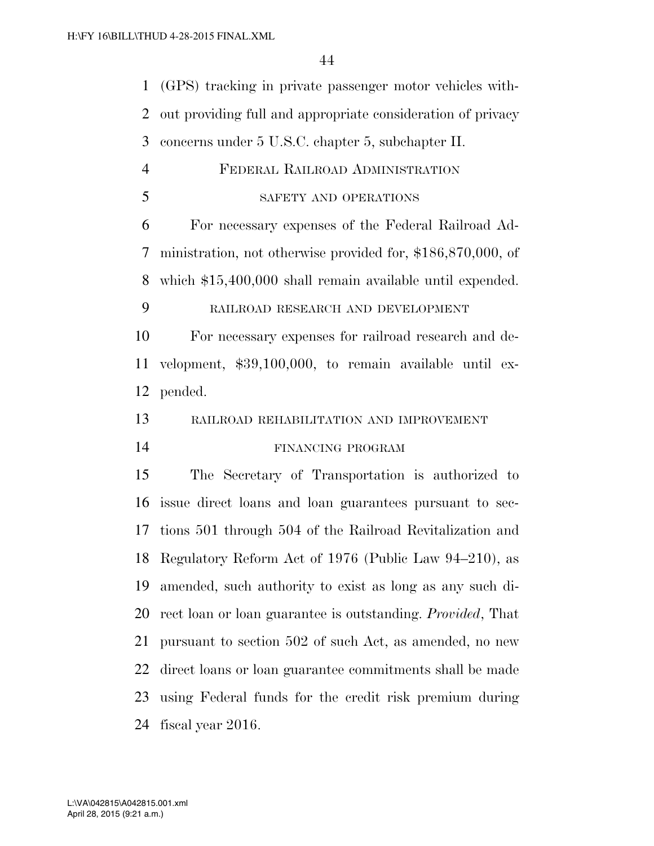(GPS) tracking in private passenger motor vehicles with- out providing full and appropriate consideration of privacy concerns under 5 U.S.C. chapter 5, subchapter II. FEDERAL RAILROAD ADMINISTRATION SAFETY AND OPERATIONS For necessary expenses of the Federal Railroad Ad- ministration, not otherwise provided for, \$186,870,000, of which \$15,400,000 shall remain available until expended. RAILROAD RESEARCH AND DEVELOPMENT For necessary expenses for railroad research and de- velopment, \$39,100,000, to remain available until ex- pended. RAILROAD REHABILITATION AND IMPROVEMENT FINANCING PROGRAM The Secretary of Transportation is authorized to issue direct loans and loan guarantees pursuant to sec- tions 501 through 504 of the Railroad Revitalization and Regulatory Reform Act of 1976 (Public Law 94–210), as amended, such authority to exist as long as any such di- rect loan or loan guarantee is outstanding. *Provided*, That pursuant to section 502 of such Act, as amended, no new direct loans or loan guarantee commitments shall be made using Federal funds for the credit risk premium during fiscal year 2016.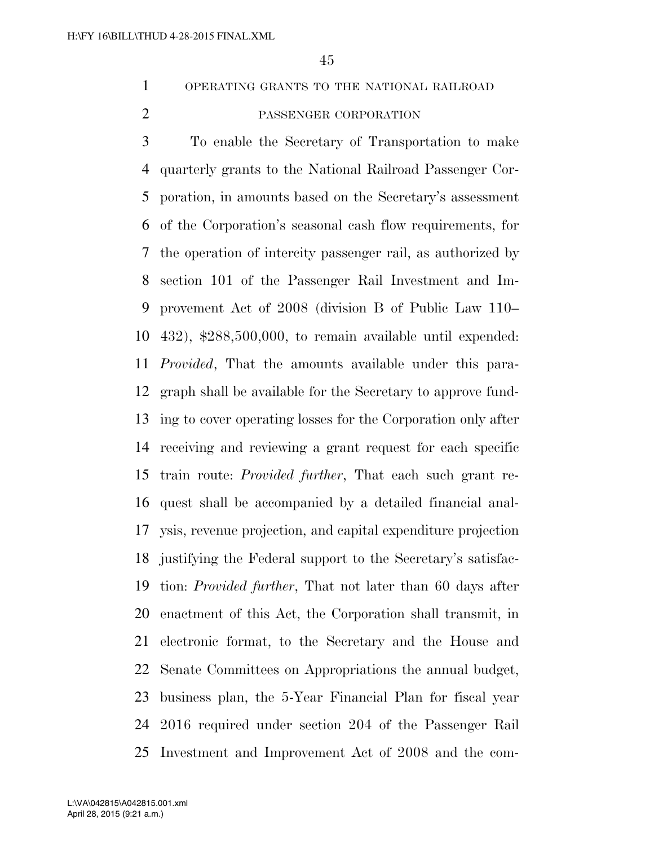OPERATING GRANTS TO THE NATIONAL RAILROAD

## PASSENGER CORPORATION

 To enable the Secretary of Transportation to make quarterly grants to the National Railroad Passenger Cor- poration, in amounts based on the Secretary's assessment of the Corporation's seasonal cash flow requirements, for the operation of intercity passenger rail, as authorized by section 101 of the Passenger Rail Investment and Im- provement Act of 2008 (division B of Public Law 110– 432), \$288,500,000, to remain available until expended: *Provided*, That the amounts available under this para- graph shall be available for the Secretary to approve fund- ing to cover operating losses for the Corporation only after receiving and reviewing a grant request for each specific train route: *Provided further*, That each such grant re- quest shall be accompanied by a detailed financial anal- ysis, revenue projection, and capital expenditure projection justifying the Federal support to the Secretary's satisfac- tion: *Provided further*, That not later than 60 days after enactment of this Act, the Corporation shall transmit, in electronic format, to the Secretary and the House and Senate Committees on Appropriations the annual budget, business plan, the 5-Year Financial Plan for fiscal year 2016 required under section 204 of the Passenger Rail Investment and Improvement Act of 2008 and the com-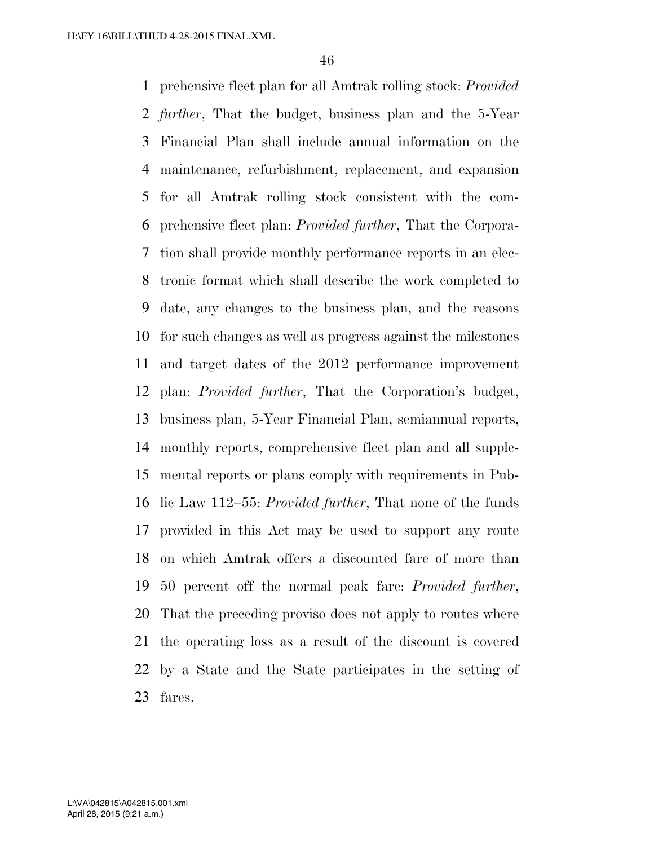prehensive fleet plan for all Amtrak rolling stock: *Provided further*, That the budget, business plan and the 5-Year Financial Plan shall include annual information on the maintenance, refurbishment, replacement, and expansion for all Amtrak rolling stock consistent with the com- prehensive fleet plan: *Provided further*, That the Corpora- tion shall provide monthly performance reports in an elec- tronic format which shall describe the work completed to date, any changes to the business plan, and the reasons for such changes as well as progress against the milestones and target dates of the 2012 performance improvement plan: *Provided further*, That the Corporation's budget, business plan, 5-Year Financial Plan, semiannual reports, monthly reports, comprehensive fleet plan and all supple- mental reports or plans comply with requirements in Pub- lic Law 112–55: *Provided further*, That none of the funds provided in this Act may be used to support any route on which Amtrak offers a discounted fare of more than 50 percent off the normal peak fare: *Provided further*, That the preceding proviso does not apply to routes where the operating loss as a result of the discount is covered by a State and the State participates in the setting of fares.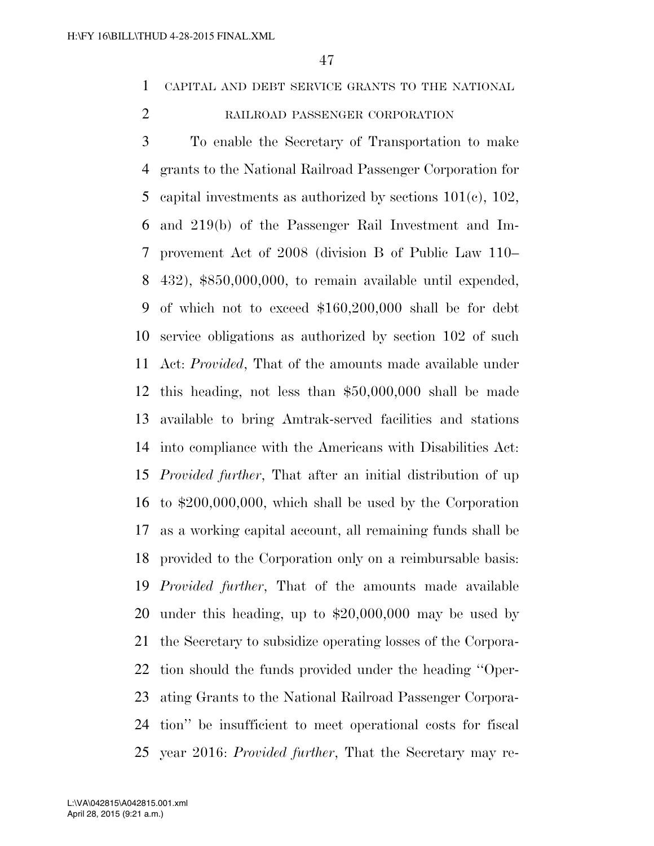CAPITAL AND DEBT SERVICE GRANTS TO THE NATIONAL

## RAILROAD PASSENGER CORPORATION

 To enable the Secretary of Transportation to make grants to the National Railroad Passenger Corporation for capital investments as authorized by sections 101(c), 102, and 219(b) of the Passenger Rail Investment and Im- provement Act of 2008 (division B of Public Law 110– 432), \$850,000,000, to remain available until expended, of which not to exceed \$160,200,000 shall be for debt service obligations as authorized by section 102 of such Act: *Provided*, That of the amounts made available under this heading, not less than \$50,000,000 shall be made available to bring Amtrak-served facilities and stations into compliance with the Americans with Disabilities Act: *Provided further*, That after an initial distribution of up to \$200,000,000, which shall be used by the Corporation as a working capital account, all remaining funds shall be provided to the Corporation only on a reimbursable basis: *Provided further*, That of the amounts made available under this heading, up to \$20,000,000 may be used by the Secretary to subsidize operating losses of the Corpora- tion should the funds provided under the heading ''Oper- ating Grants to the National Railroad Passenger Corpora- tion'' be insufficient to meet operational costs for fiscal year 2016: *Provided further*, That the Secretary may re-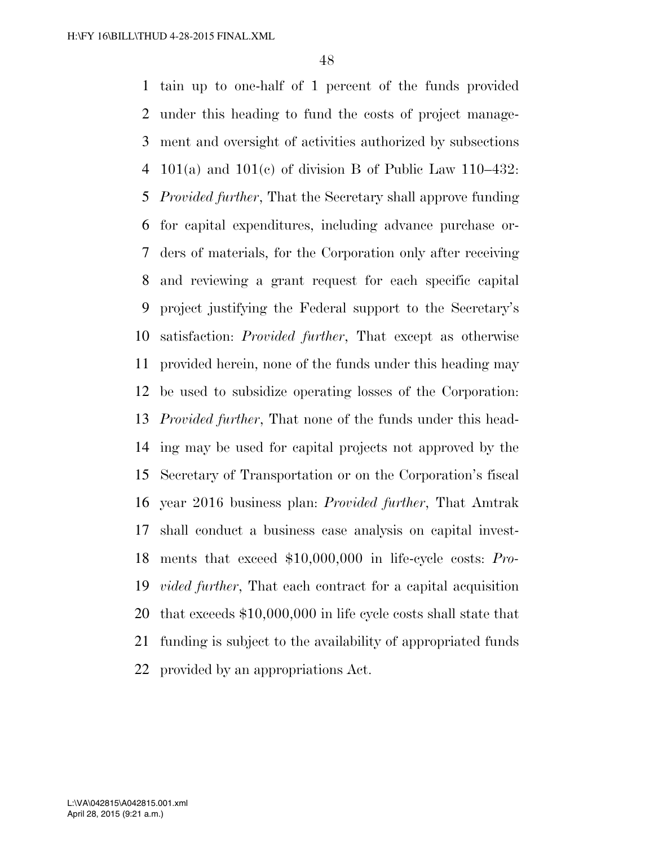tain up to one-half of 1 percent of the funds provided under this heading to fund the costs of project manage- ment and oversight of activities authorized by subsections 4 101(a) and 101(c) of division B of Public Law 110–432: *Provided further*, That the Secretary shall approve funding for capital expenditures, including advance purchase or- ders of materials, for the Corporation only after receiving and reviewing a grant request for each specific capital project justifying the Federal support to the Secretary's satisfaction: *Provided further*, That except as otherwise provided herein, none of the funds under this heading may be used to subsidize operating losses of the Corporation: *Provided further*, That none of the funds under this head- ing may be used for capital projects not approved by the Secretary of Transportation or on the Corporation's fiscal year 2016 business plan: *Provided further*, That Amtrak shall conduct a business case analysis on capital invest- ments that exceed \$10,000,000 in life-cycle costs: *Pro- vided further*, That each contract for a capital acquisition that exceeds \$10,000,000 in life cycle costs shall state that funding is subject to the availability of appropriated funds provided by an appropriations Act.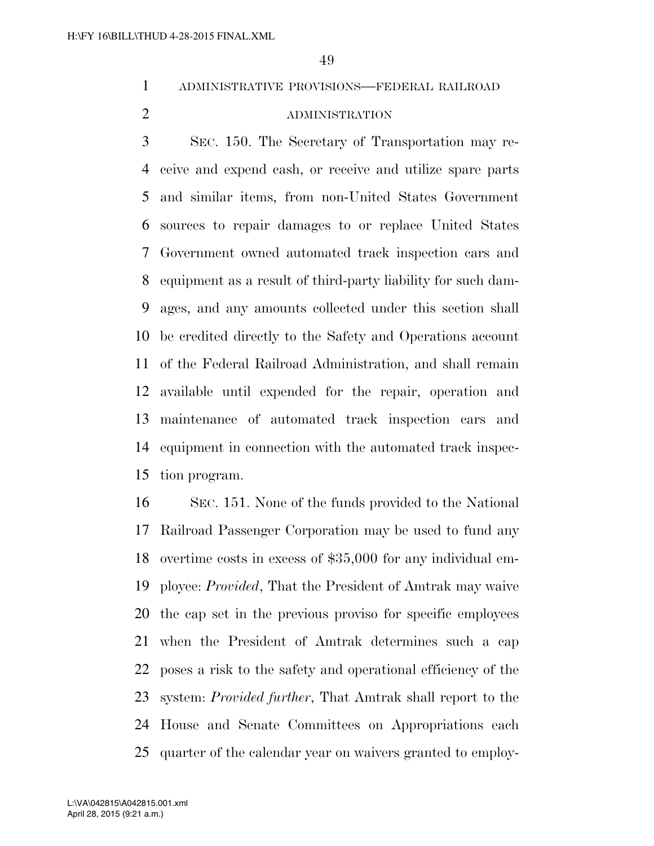ADMINISTRATIVE PROVISIONS—FEDERAL RAILROAD

## ADMINISTRATION

 SEC. 150. The Secretary of Transportation may re- ceive and expend cash, or receive and utilize spare parts and similar items, from non-United States Government sources to repair damages to or replace United States Government owned automated track inspection cars and equipment as a result of third-party liability for such dam- ages, and any amounts collected under this section shall be credited directly to the Safety and Operations account of the Federal Railroad Administration, and shall remain available until expended for the repair, operation and maintenance of automated track inspection cars and equipment in connection with the automated track inspec-tion program.

 SEC. 151. None of the funds provided to the National Railroad Passenger Corporation may be used to fund any overtime costs in excess of \$35,000 for any individual em- ployee: *Provided*, That the President of Amtrak may waive the cap set in the previous proviso for specific employees when the President of Amtrak determines such a cap poses a risk to the safety and operational efficiency of the system: *Provided further*, That Amtrak shall report to the House and Senate Committees on Appropriations each quarter of the calendar year on waivers granted to employ-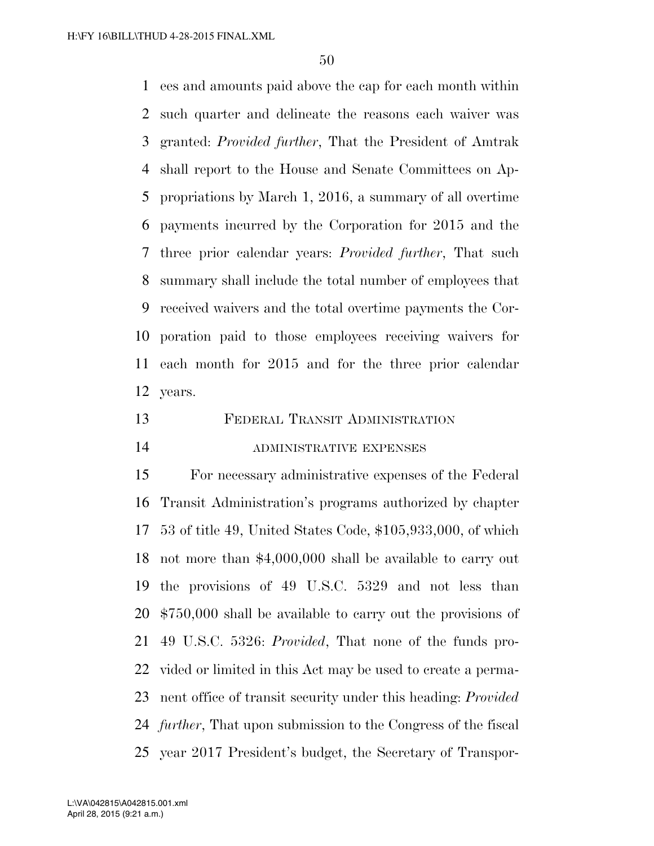ees and amounts paid above the cap for each month within such quarter and delineate the reasons each waiver was granted: *Provided further*, That the President of Amtrak shall report to the House and Senate Committees on Ap- propriations by March 1, 2016, a summary of all overtime payments incurred by the Corporation for 2015 and the three prior calendar years: *Provided further*, That such summary shall include the total number of employees that received waivers and the total overtime payments the Cor- poration paid to those employees receiving waivers for each month for 2015 and for the three prior calendar years.

 FEDERAL TRANSIT ADMINISTRATION ADMINISTRATIVE EXPENSES

 For necessary administrative expenses of the Federal Transit Administration's programs authorized by chapter 53 of title 49, United States Code, \$105,933,000, of which not more than \$4,000,000 shall be available to carry out the provisions of 49 U.S.C. 5329 and not less than \$750,000 shall be available to carry out the provisions of 49 U.S.C. 5326: *Provided*, That none of the funds pro- vided or limited in this Act may be used to create a perma- nent office of transit security under this heading: *Provided further*, That upon submission to the Congress of the fiscal year 2017 President's budget, the Secretary of Transpor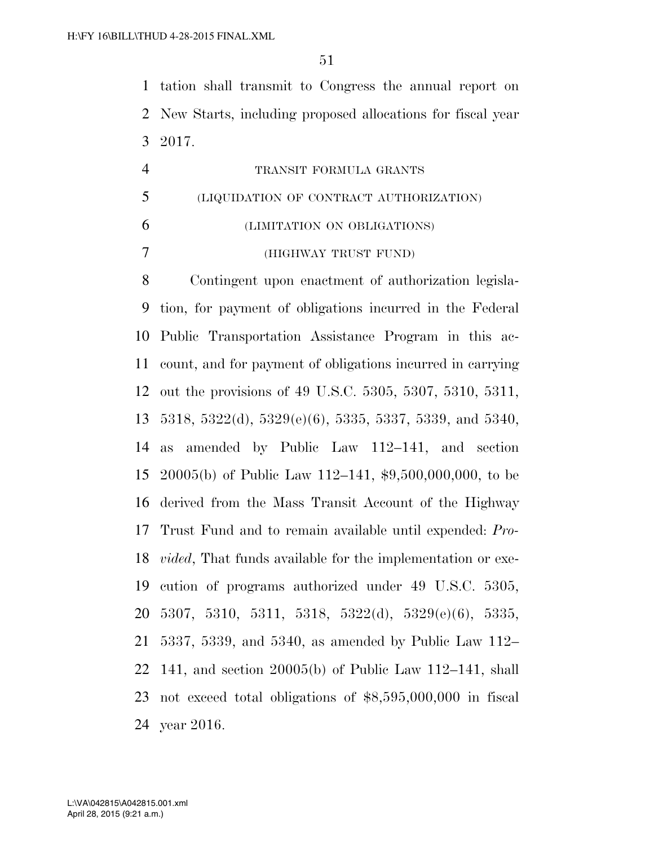tation shall transmit to Congress the annual report on New Starts, including proposed allocations for fiscal year 2017.

|   | TRANSIT FORMULA GRANTS                  |
|---|-----------------------------------------|
| 5 | (LIQUIDATION OF CONTRACT AUTHORIZATION) |
| 6 | (LIMITATION ON OBLIGATIONS)             |
|   | (HIGHWAY TRUST FUND)                    |

 Contingent upon enactment of authorization legisla- tion, for payment of obligations incurred in the Federal Public Transportation Assistance Program in this ac- count, and for payment of obligations incurred in carrying out the provisions of 49 U.S.C. 5305, 5307, 5310, 5311, 5318, 5322(d), 5329(e)(6), 5335, 5337, 5339, and 5340, as amended by Public Law 112–141, and section 20005(b) of Public Law 112–141, \$9,500,000,000, to be derived from the Mass Transit Account of the Highway Trust Fund and to remain available until expended: *Pro- vided*, That funds available for the implementation or exe- cution of programs authorized under 49 U.S.C. 5305, 5307, 5310, 5311, 5318, 5322(d), 5329(e)(6), 5335, 5337, 5339, and 5340, as amended by Public Law 112– 141, and section 20005(b) of Public Law 112–141, shall not exceed total obligations of \$8,595,000,000 in fiscal year 2016.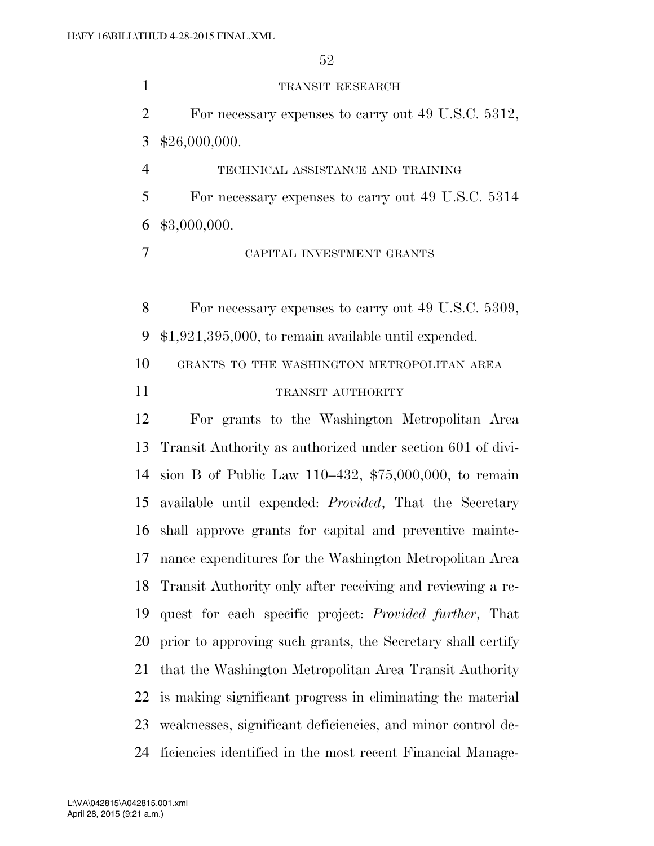1 TRANSIT RESEARCH For necessary expenses to carry out 49 U.S.C. 5312, \$26,000,000. TECHNICAL ASSISTANCE AND TRAINING For necessary expenses to carry out 49 U.S.C. 5314 \$3,000,000. CAPITAL INVESTMENT GRANTS For necessary expenses to carry out 49 U.S.C. 5309, \$1,921,395,000, to remain available until expended. GRANTS TO THE WASHINGTON METROPOLITAN AREA 11 TRANSIT AUTHORITY For grants to the Washington Metropolitan Area Transit Authority as authorized under section 601 of divi- sion B of Public Law 110–432, \$75,000,000, to remain available until expended: *Provided*, That the Secretary shall approve grants for capital and preventive mainte- nance expenditures for the Washington Metropolitan Area Transit Authority only after receiving and reviewing a re- quest for each specific project: *Provided further*, That prior to approving such grants, the Secretary shall certify that the Washington Metropolitan Area Transit Authority is making significant progress in eliminating the material weaknesses, significant deficiencies, and minor control de-ficiencies identified in the most recent Financial Manage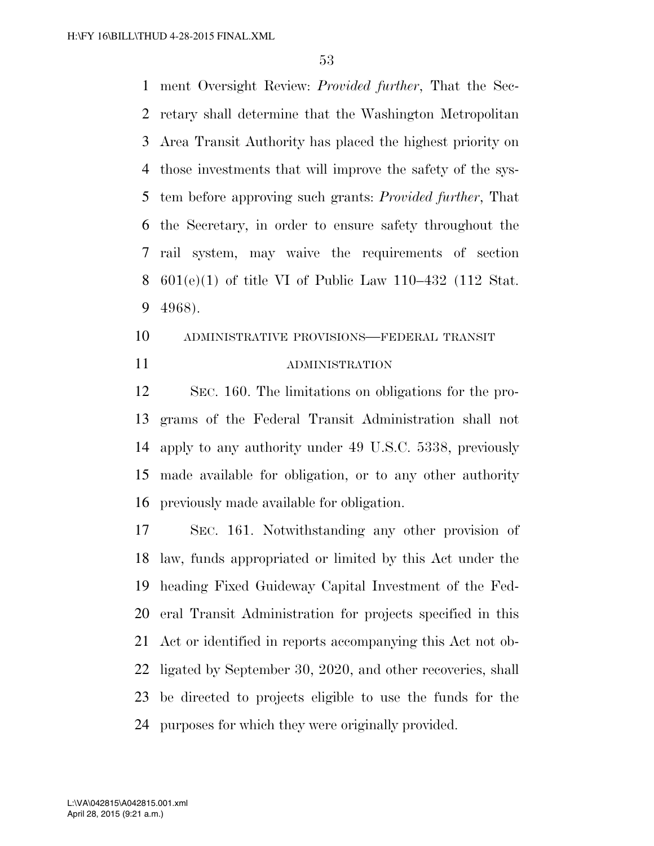ment Oversight Review: *Provided further*, That the Sec- retary shall determine that the Washington Metropolitan Area Transit Authority has placed the highest priority on those investments that will improve the safety of the sys- tem before approving such grants: *Provided further*, That the Secretary, in order to ensure safety throughout the rail system, may waive the requirements of section 601(e)(1) of title VI of Public Law 110–432 (112 Stat. 4968).

# ADMINISTRATIVE PROVISIONS—FEDERAL TRANSIT ADMINISTRATION

 SEC. 160. The limitations on obligations for the pro- grams of the Federal Transit Administration shall not apply to any authority under 49 U.S.C. 5338, previously made available for obligation, or to any other authority previously made available for obligation.

 SEC. 161. Notwithstanding any other provision of law, funds appropriated or limited by this Act under the heading Fixed Guideway Capital Investment of the Fed- eral Transit Administration for projects specified in this Act or identified in reports accompanying this Act not ob- ligated by September 30, 2020, and other recoveries, shall be directed to projects eligible to use the funds for the purposes for which they were originally provided.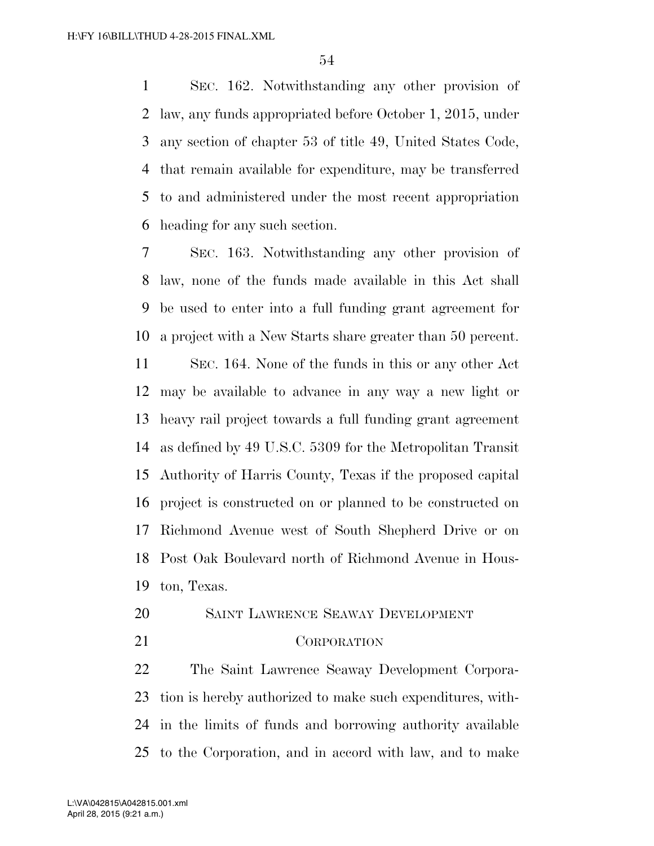SEC. 162. Notwithstanding any other provision of law, any funds appropriated before October 1, 2015, under any section of chapter 53 of title 49, United States Code, that remain available for expenditure, may be transferred to and administered under the most recent appropriation heading for any such section.

 SEC. 163. Notwithstanding any other provision of law, none of the funds made available in this Act shall be used to enter into a full funding grant agreement for a project with a New Starts share greater than 50 percent.

 SEC. 164. None of the funds in this or any other Act may be available to advance in any way a new light or heavy rail project towards a full funding grant agreement as defined by 49 U.S.C. 5309 for the Metropolitan Transit Authority of Harris County, Texas if the proposed capital project is constructed on or planned to be constructed on Richmond Avenue west of South Shepherd Drive or on Post Oak Boulevard north of Richmond Avenue in Hous-ton, Texas.

- SAINT LAWRENCE SEAWAY DEVELOPMENT
- CORPORATION

 The Saint Lawrence Seaway Development Corpora- tion is hereby authorized to make such expenditures, with- in the limits of funds and borrowing authority available to the Corporation, and in accord with law, and to make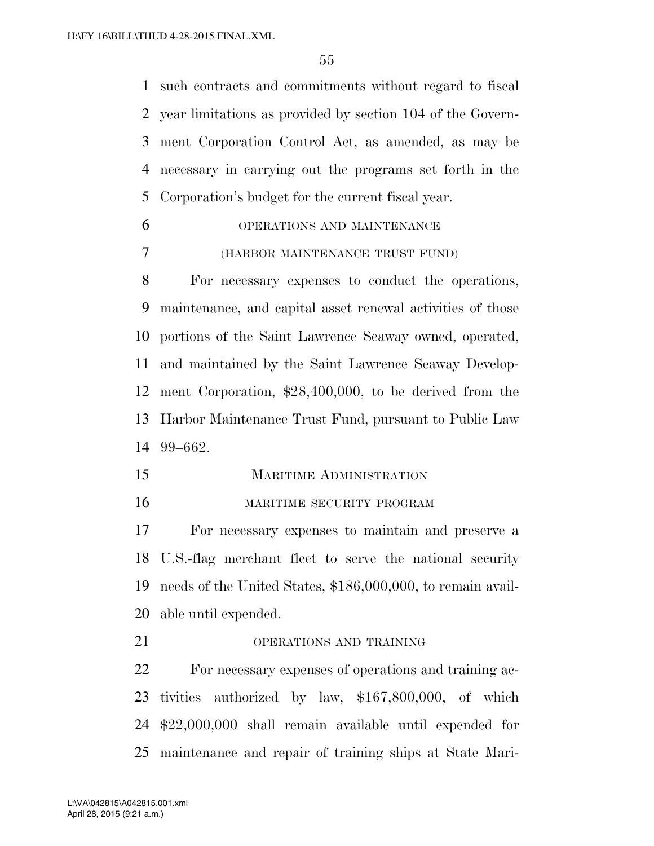such contracts and commitments without regard to fiscal year limitations as provided by section 104 of the Govern- ment Corporation Control Act, as amended, as may be necessary in carrying out the programs set forth in the Corporation's budget for the current fiscal year.

 OPERATIONS AND MAINTENANCE (HARBOR MAINTENANCE TRUST FUND)

 For necessary expenses to conduct the operations, maintenance, and capital asset renewal activities of those portions of the Saint Lawrence Seaway owned, operated, and maintained by the Saint Lawrence Seaway Develop- ment Corporation, \$28,400,000, to be derived from the Harbor Maintenance Trust Fund, pursuant to Public Law 99–662.

- MARITIME ADMINISTRATION
- MARITIME SECURITY PROGRAM

 For necessary expenses to maintain and preserve a U.S.-flag merchant fleet to serve the national security needs of the United States, \$186,000,000, to remain avail-able until expended.

OPERATIONS AND TRAINING

 For necessary expenses of operations and training ac- tivities authorized by law, \$167,800,000, of which \$22,000,000 shall remain available until expended for maintenance and repair of training ships at State Mari-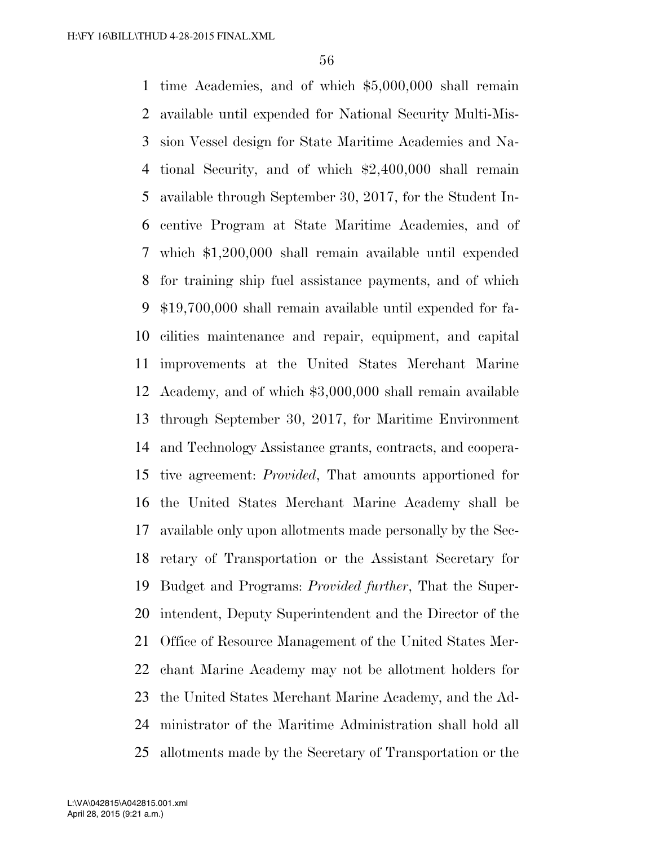time Academies, and of which \$5,000,000 shall remain available until expended for National Security Multi-Mis- sion Vessel design for State Maritime Academies and Na- tional Security, and of which \$2,400,000 shall remain available through September 30, 2017, for the Student In- centive Program at State Maritime Academies, and of which \$1,200,000 shall remain available until expended for training ship fuel assistance payments, and of which \$19,700,000 shall remain available until expended for fa- cilities maintenance and repair, equipment, and capital improvements at the United States Merchant Marine Academy, and of which \$3,000,000 shall remain available through September 30, 2017, for Maritime Environment and Technology Assistance grants, contracts, and coopera- tive agreement: *Provided*, That amounts apportioned for the United States Merchant Marine Academy shall be available only upon allotments made personally by the Sec- retary of Transportation or the Assistant Secretary for Budget and Programs: *Provided further*, That the Super- intendent, Deputy Superintendent and the Director of the Office of Resource Management of the United States Mer- chant Marine Academy may not be allotment holders for the United States Merchant Marine Academy, and the Ad- ministrator of the Maritime Administration shall hold all allotments made by the Secretary of Transportation or the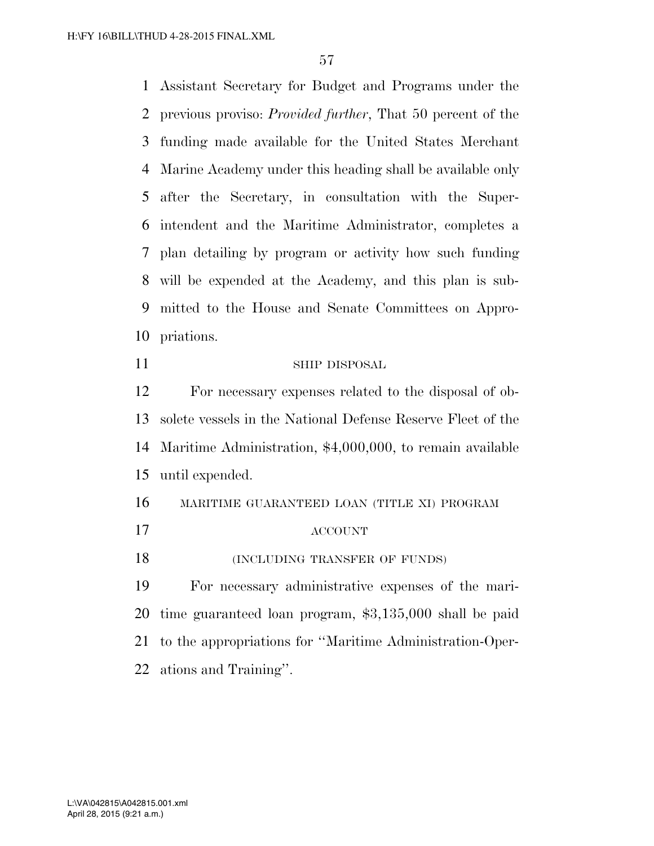Assistant Secretary for Budget and Programs under the previous proviso: *Provided further*, That 50 percent of the funding made available for the United States Merchant Marine Academy under this heading shall be available only after the Secretary, in consultation with the Super- intendent and the Maritime Administrator, completes a plan detailing by program or activity how such funding will be expended at the Academy, and this plan is sub- mitted to the House and Senate Committees on Appro-priations.

- 11 SHIP DISPOSAL For necessary expenses related to the disposal of ob- solete vessels in the National Defense Reserve Fleet of the Maritime Administration, \$4,000,000, to remain available
- until expended.

 MARITIME GUARANTEED LOAN (TITLE XI) PROGRAM ACCOUNT 18 (INCLUDING TRANSFER OF FUNDS) For necessary administrative expenses of the mari-

 time guaranteed loan program, \$3,135,000 shall be paid to the appropriations for ''Maritime Administration-Oper-ations and Training''.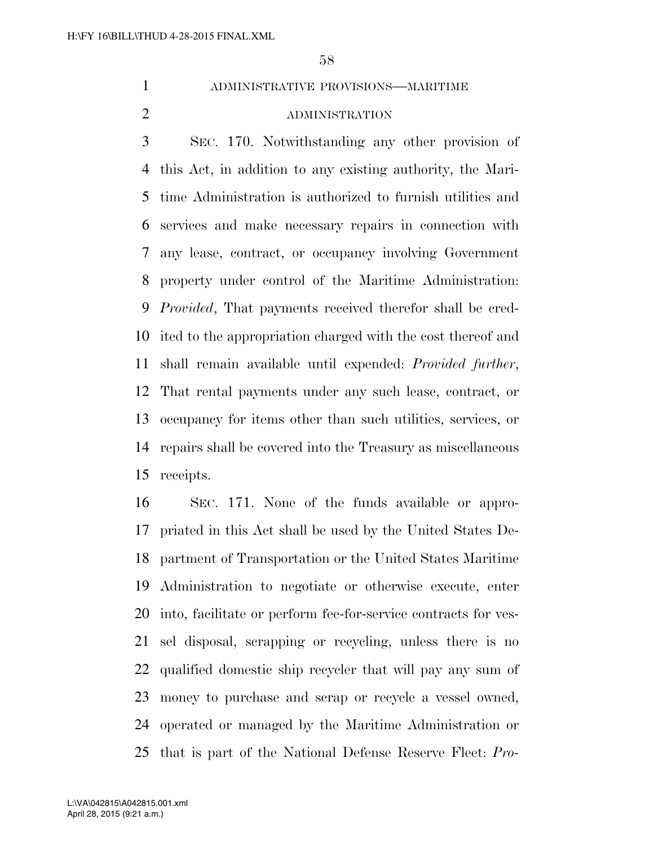## ADMINISTRATIVE PROVISIONS—MARITIME

### ADMINISTRATION

 SEC. 170. Notwithstanding any other provision of this Act, in addition to any existing authority, the Mari- time Administration is authorized to furnish utilities and services and make necessary repairs in connection with any lease, contract, or occupancy involving Government property under control of the Maritime Administration: *Provided*, That payments received therefor shall be cred- ited to the appropriation charged with the cost thereof and shall remain available until expended: *Provided further*, That rental payments under any such lease, contract, or occupancy for items other than such utilities, services, or repairs shall be covered into the Treasury as miscellaneous receipts.

 SEC. 171. None of the funds available or appro- priated in this Act shall be used by the United States De- partment of Transportation or the United States Maritime Administration to negotiate or otherwise execute, enter into, facilitate or perform fee-for-service contracts for ves- sel disposal, scrapping or recycling, unless there is no qualified domestic ship recycler that will pay any sum of money to purchase and scrap or recycle a vessel owned, operated or managed by the Maritime Administration or that is part of the National Defense Reserve Fleet: *Pro-*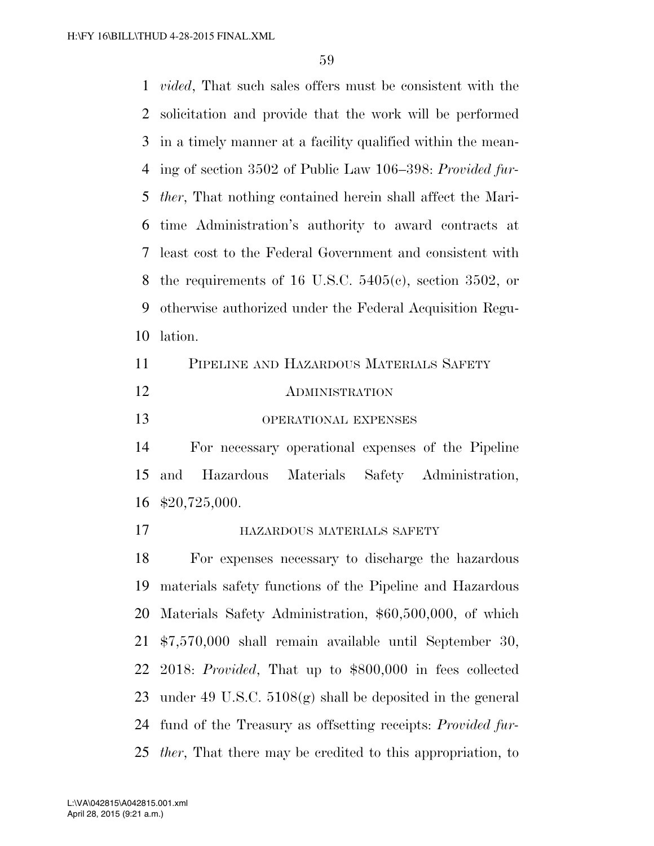*vided*, That such sales offers must be consistent with the solicitation and provide that the work will be performed in a timely manner at a facility qualified within the mean- ing of section 3502 of Public Law 106–398: *Provided fur- ther*, That nothing contained herein shall affect the Mari- time Administration's authority to award contracts at least cost to the Federal Government and consistent with 8 the requirements of 16 U.S.C.  $5405(c)$ , section 3502, or otherwise authorized under the Federal Acquisition Regu- lation. PIPELINE AND HAZARDOUS MATERIALS SAFETY

| <b>ADMINISTRATION</b> |
|-----------------------|
|                       |

OPERATIONAL EXPENSES

 For necessary operational expenses of the Pipeline and Hazardous Materials Safety Administration, \$20,725,000.

**HAZARDOUS MATERIALS SAFETY** 

 For expenses necessary to discharge the hazardous materials safety functions of the Pipeline and Hazardous Materials Safety Administration, \$60,500,000, of which \$7,570,000 shall remain available until September 30, 2018: *Provided*, That up to \$800,000 in fees collected under 49 U.S.C. 5108(g) shall be deposited in the general fund of the Treasury as offsetting receipts: *Provided fur-ther*, That there may be credited to this appropriation, to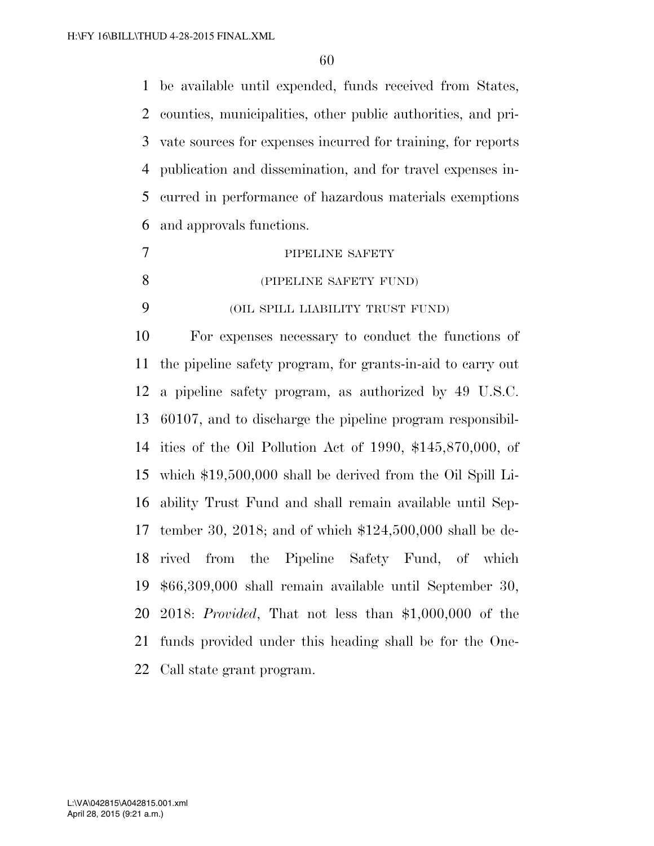be available until expended, funds received from States, counties, municipalities, other public authorities, and pri- vate sources for expenses incurred for training, for reports publication and dissemination, and for travel expenses in- curred in performance of hazardous materials exemptions and approvals functions.

- 7 PIPELINE SAFETY (PIPELINE SAFETY FUND)
- (OIL SPILL LIABILITY TRUST FUND)

 For expenses necessary to conduct the functions of the pipeline safety program, for grants-in-aid to carry out a pipeline safety program, as authorized by 49 U.S.C. 60107, and to discharge the pipeline program responsibil- ities of the Oil Pollution Act of 1990, \$145,870,000, of which \$19,500,000 shall be derived from the Oil Spill Li- ability Trust Fund and shall remain available until Sep- tember 30, 2018; and of which \$124,500,000 shall be de- rived from the Pipeline Safety Fund, of which \$66,309,000 shall remain available until September 30, 2018: *Provided*, That not less than \$1,000,000 of the funds provided under this heading shall be for the One-Call state grant program.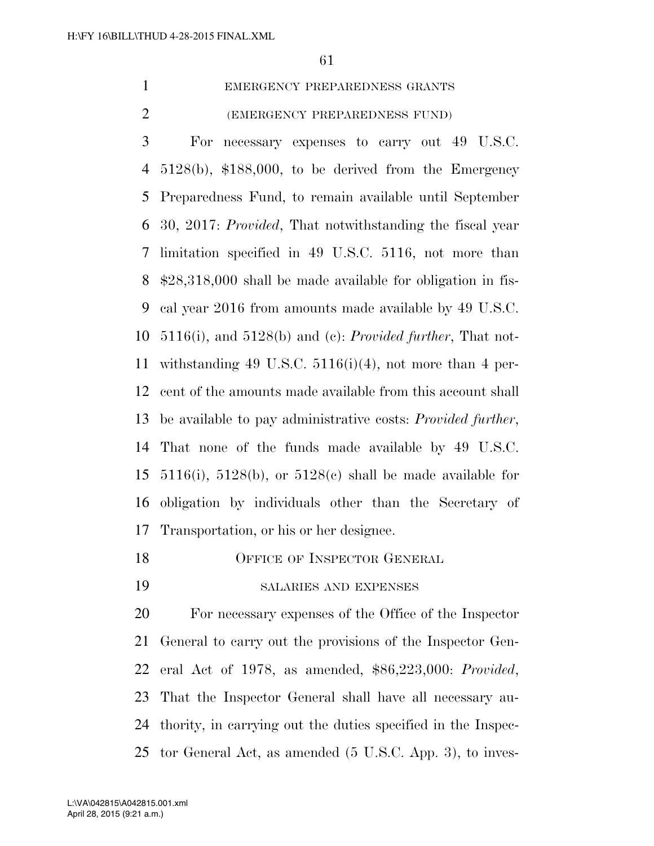| EMERGENCY PREPAREDNESS GRANTS |
|-------------------------------|
| (EMERGENCY PREPAREDNESS FUND) |

 For necessary expenses to carry out 49 U.S.C. 5128(b), \$188,000, to be derived from the Emergency Preparedness Fund, to remain available until September 30, 2017: *Provided*, That notwithstanding the fiscal year limitation specified in 49 U.S.C. 5116, not more than \$28,318,000 shall be made available for obligation in fis- cal year 2016 from amounts made available by 49 U.S.C. 5116(i), and 5128(b) and (c): *Provided further*, That not- withstanding 49 U.S.C. 5116(i)(4), not more than 4 per- cent of the amounts made available from this account shall be available to pay administrative costs: *Provided further*, That none of the funds made available by 49 U.S.C. 5116(i), 5128(b), or 5128(c) shall be made available for obligation by individuals other than the Secretary of Transportation, or his or her designee.

- 18 OFFICE OF INSPECTOR GENERAL
- SALARIES AND EXPENSES

 For necessary expenses of the Office of the Inspector General to carry out the provisions of the Inspector Gen- eral Act of 1978, as amended, \$86,223,000: *Provided*, That the Inspector General shall have all necessary au- thority, in carrying out the duties specified in the Inspec-tor General Act, as amended (5 U.S.C. App. 3), to inves-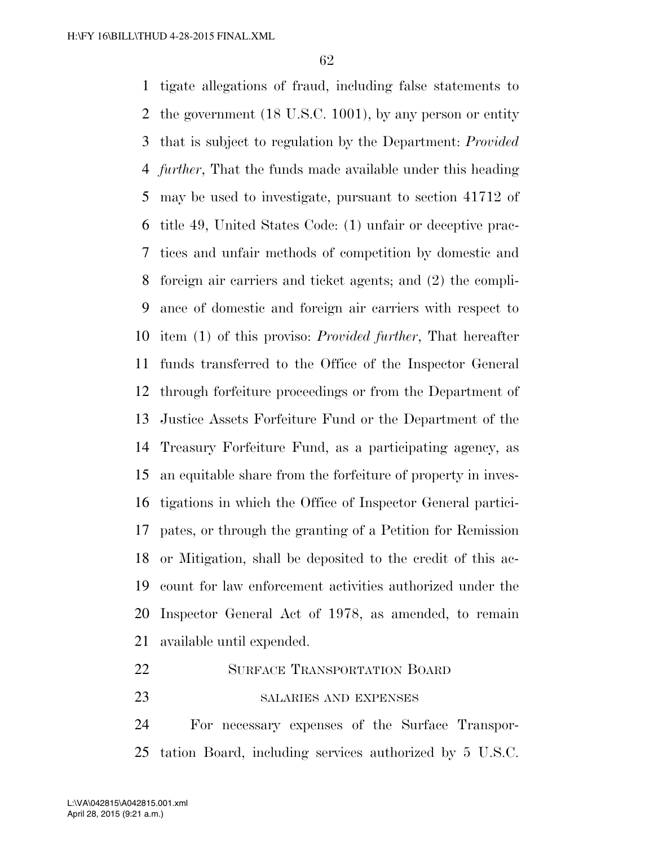tigate allegations of fraud, including false statements to the government (18 U.S.C. 1001), by any person or entity that is subject to regulation by the Department: *Provided further*, That the funds made available under this heading may be used to investigate, pursuant to section 41712 of title 49, United States Code: (1) unfair or deceptive prac- tices and unfair methods of competition by domestic and foreign air carriers and ticket agents; and (2) the compli- ance of domestic and foreign air carriers with respect to item (1) of this proviso: *Provided further*, That hereafter funds transferred to the Office of the Inspector General through forfeiture proceedings or from the Department of Justice Assets Forfeiture Fund or the Department of the Treasury Forfeiture Fund, as a participating agency, as an equitable share from the forfeiture of property in inves- tigations in which the Office of Inspector General partici- pates, or through the granting of a Petition for Remission or Mitigation, shall be deposited to the credit of this ac- count for law enforcement activities authorized under the Inspector General Act of 1978, as amended, to remain available until expended.

- 22 SURFACE TRANSPORTATION BOARD
- 23 SALARIES AND EXPENSES

 For necessary expenses of the Surface Transpor-tation Board, including services authorized by 5 U.S.C.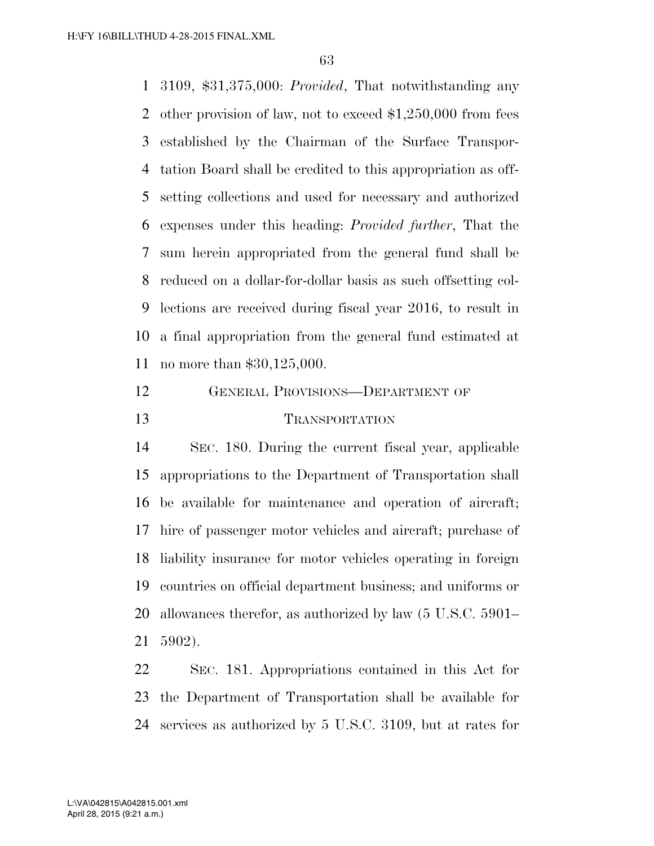3109, \$31,375,000: *Provided*, That notwithstanding any other provision of law, not to exceed \$1,250,000 from fees established by the Chairman of the Surface Transpor- tation Board shall be credited to this appropriation as off- setting collections and used for necessary and authorized expenses under this heading: *Provided further*, That the sum herein appropriated from the general fund shall be reduced on a dollar-for-dollar basis as such offsetting col- lections are received during fiscal year 2016, to result in a final appropriation from the general fund estimated at no more than \$30,125,000.

# GENERAL PROVISIONS—DEPARTMENT OF TRANSPORTATION

 SEC. 180. During the current fiscal year, applicable appropriations to the Department of Transportation shall be available for maintenance and operation of aircraft; hire of passenger motor vehicles and aircraft; purchase of liability insurance for motor vehicles operating in foreign countries on official department business; and uniforms or allowances therefor, as authorized by law (5 U.S.C. 5901– 5902).

 SEC. 181. Appropriations contained in this Act for the Department of Transportation shall be available for services as authorized by 5 U.S.C. 3109, but at rates for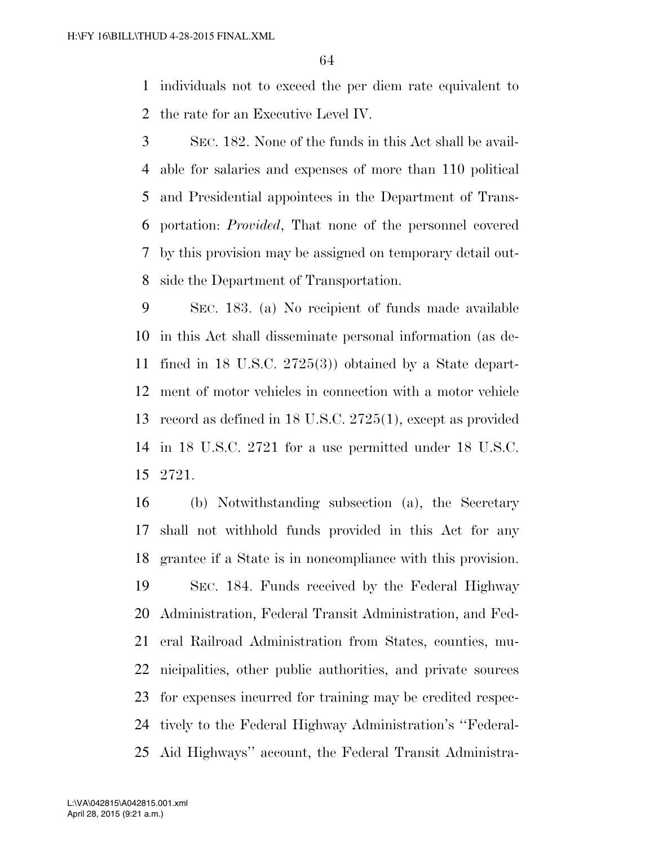individuals not to exceed the per diem rate equivalent to the rate for an Executive Level IV.

 SEC. 182. None of the funds in this Act shall be avail- able for salaries and expenses of more than 110 political and Presidential appointees in the Department of Trans- portation: *Provided*, That none of the personnel covered by this provision may be assigned on temporary detail out-side the Department of Transportation.

 SEC. 183. (a) No recipient of funds made available in this Act shall disseminate personal information (as de- fined in 18 U.S.C. 2725(3)) obtained by a State depart- ment of motor vehicles in connection with a motor vehicle record as defined in 18 U.S.C. 2725(1), except as provided in 18 U.S.C. 2721 for a use permitted under 18 U.S.C. 2721.

 (b) Notwithstanding subsection (a), the Secretary shall not withhold funds provided in this Act for any grantee if a State is in noncompliance with this provision. SEC. 184. Funds received by the Federal Highway Administration, Federal Transit Administration, and Fed- eral Railroad Administration from States, counties, mu- nicipalities, other public authorities, and private sources for expenses incurred for training may be credited respec- tively to the Federal Highway Administration's ''Federal-Aid Highways'' account, the Federal Transit Administra-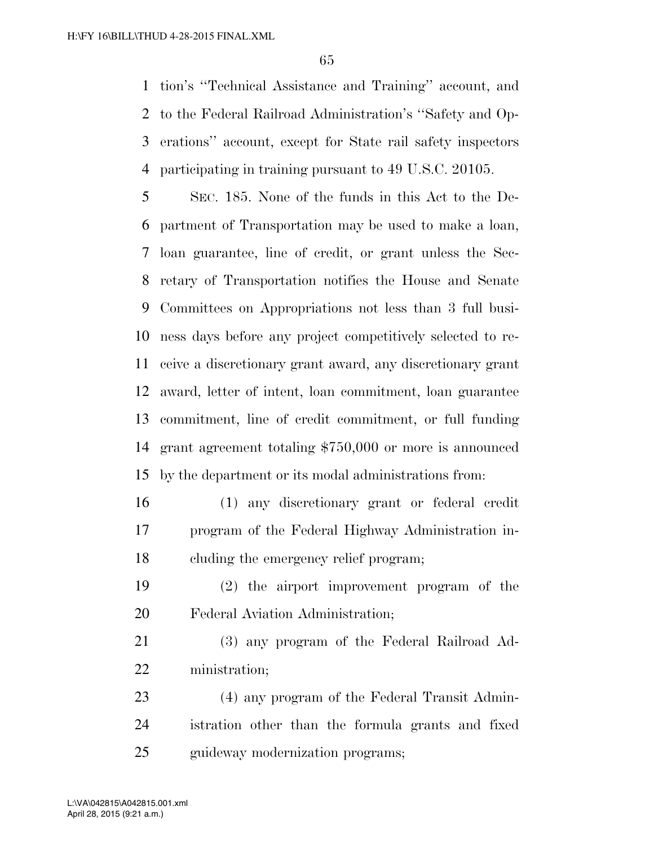tion's ''Technical Assistance and Training'' account, and to the Federal Railroad Administration's ''Safety and Op- erations'' account, except for State rail safety inspectors participating in training pursuant to 49 U.S.C. 20105.

 SEC. 185. None of the funds in this Act to the De- partment of Transportation may be used to make a loan, loan guarantee, line of credit, or grant unless the Sec- retary of Transportation notifies the House and Senate Committees on Appropriations not less than 3 full busi- ness days before any project competitively selected to re- ceive a discretionary grant award, any discretionary grant award, letter of intent, loan commitment, loan guarantee commitment, line of credit commitment, or full funding grant agreement totaling \$750,000 or more is announced by the department or its modal administrations from:

- (1) any discretionary grant or federal credit program of the Federal Highway Administration in-cluding the emergency relief program;
- (2) the airport improvement program of the Federal Aviation Administration;

 (3) any program of the Federal Railroad Ad-ministration;

 (4) any program of the Federal Transit Admin- istration other than the formula grants and fixed 25 guideway modernization programs;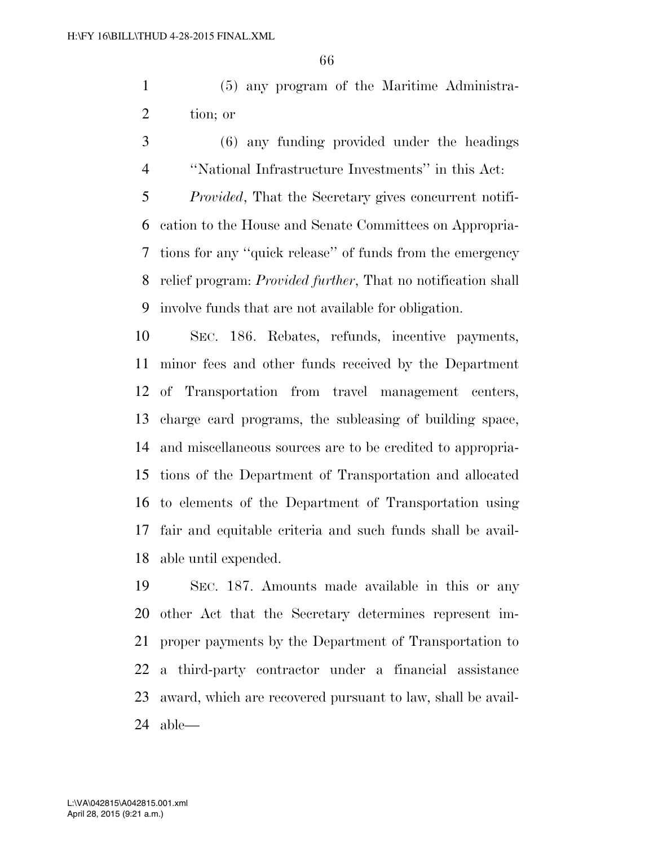(5) any program of the Maritime Administra-tion; or

 (6) any funding provided under the headings ''National Infrastructure Investments'' in this Act:

 *Provided*, That the Secretary gives concurrent notifi- cation to the House and Senate Committees on Appropria- tions for any ''quick release'' of funds from the emergency relief program: *Provided further*, That no notification shall involve funds that are not available for obligation.

 SEC. 186. Rebates, refunds, incentive payments, minor fees and other funds received by the Department of Transportation from travel management centers, charge card programs, the subleasing of building space, and miscellaneous sources are to be credited to appropria- tions of the Department of Transportation and allocated to elements of the Department of Transportation using fair and equitable criteria and such funds shall be avail-able until expended.

 SEC. 187. Amounts made available in this or any other Act that the Secretary determines represent im- proper payments by the Department of Transportation to a third-party contractor under a financial assistance award, which are recovered pursuant to law, shall be avail-able—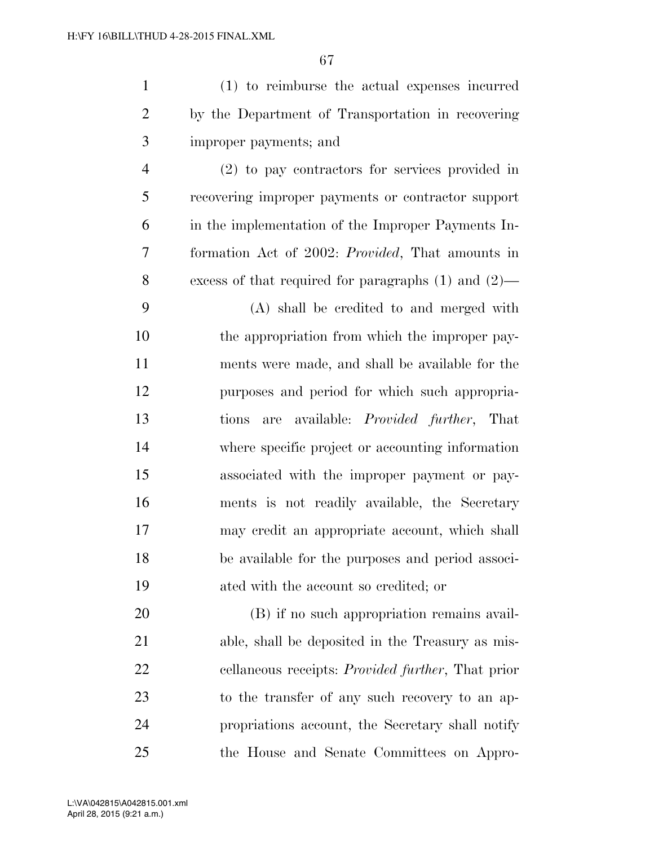|                | (1) to reimburse the actual expenses incurred     |
|----------------|---------------------------------------------------|
| 2              | by the Department of Transportation in recovering |
| 3              | improper payments; and                            |
| $\overline{4}$ | $(2)$ to pay contractors for services provided in |

 recovering improper payments or contractor support in the implementation of the Improper Payments In- formation Act of 2002: *Provided*, That amounts in excess of that required for paragraphs (1) and (2)—

 (A) shall be credited to and merged with 10 the appropriation from which the improper pay- ments were made, and shall be available for the purposes and period for which such appropria- tions are available: *Provided further*, That where specific project or accounting information associated with the improper payment or pay- ments is not readily available, the Secretary may credit an appropriate account, which shall be available for the purposes and period associ-ated with the account so credited; or

 (B) if no such appropriation remains avail- able, shall be deposited in the Treasury as mis- cellaneous receipts: *Provided further*, That prior to the transfer of any such recovery to an ap- propriations account, the Secretary shall notify the House and Senate Committees on Appro-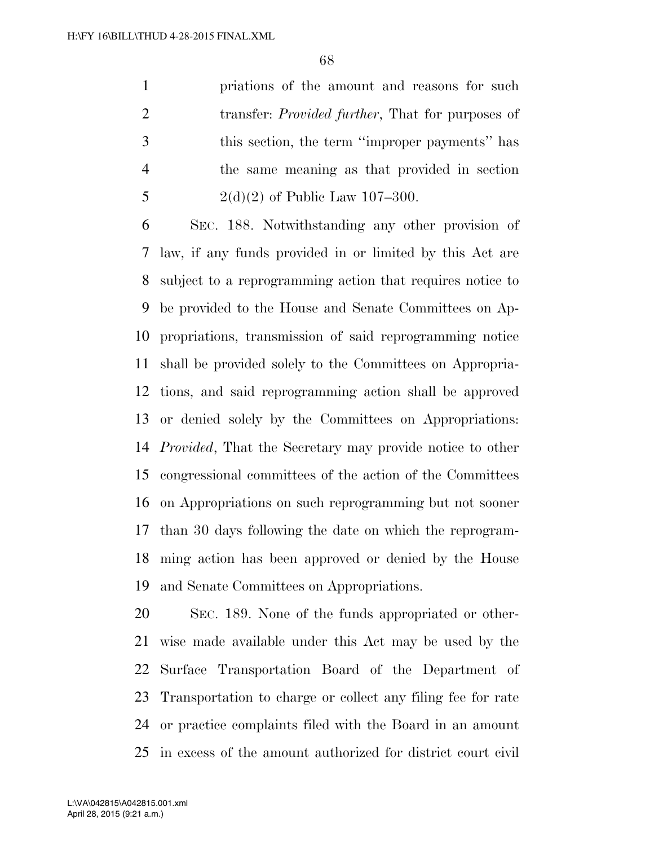priations of the amount and reasons for such transfer: *Provided further*, That for purposes of this section, the term ''improper payments'' has the same meaning as that provided in section 5 2(d)(2) of Public Law 107-300.

 SEC. 188. Notwithstanding any other provision of law, if any funds provided in or limited by this Act are subject to a reprogramming action that requires notice to be provided to the House and Senate Committees on Ap- propriations, transmission of said reprogramming notice shall be provided solely to the Committees on Appropria- tions, and said reprogramming action shall be approved or denied solely by the Committees on Appropriations: *Provided*, That the Secretary may provide notice to other congressional committees of the action of the Committees on Appropriations on such reprogramming but not sooner than 30 days following the date on which the reprogram- ming action has been approved or denied by the House and Senate Committees on Appropriations.

 SEC. 189. None of the funds appropriated or other- wise made available under this Act may be used by the Surface Transportation Board of the Department of Transportation to charge or collect any filing fee for rate or practice complaints filed with the Board in an amount in excess of the amount authorized for district court civil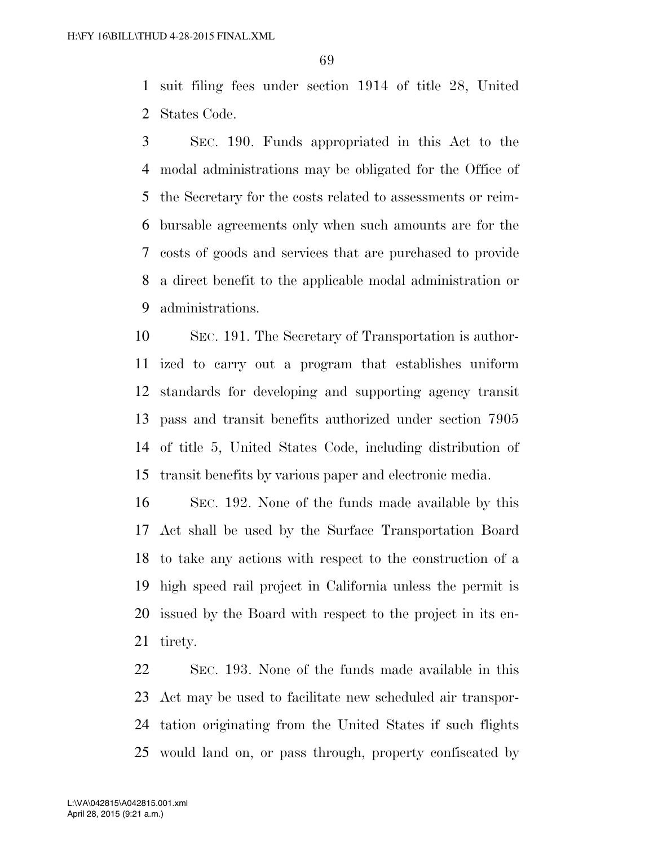suit filing fees under section 1914 of title 28, United States Code.

 SEC. 190. Funds appropriated in this Act to the modal administrations may be obligated for the Office of the Secretary for the costs related to assessments or reim- bursable agreements only when such amounts are for the costs of goods and services that are purchased to provide a direct benefit to the applicable modal administration or administrations.

 SEC. 191. The Secretary of Transportation is author- ized to carry out a program that establishes uniform standards for developing and supporting agency transit pass and transit benefits authorized under section 7905 of title 5, United States Code, including distribution of transit benefits by various paper and electronic media.

 SEC. 192. None of the funds made available by this Act shall be used by the Surface Transportation Board to take any actions with respect to the construction of a high speed rail project in California unless the permit is issued by the Board with respect to the project in its en-tirety.

 SEC. 193. None of the funds made available in this Act may be used to facilitate new scheduled air transpor- tation originating from the United States if such flights would land on, or pass through, property confiscated by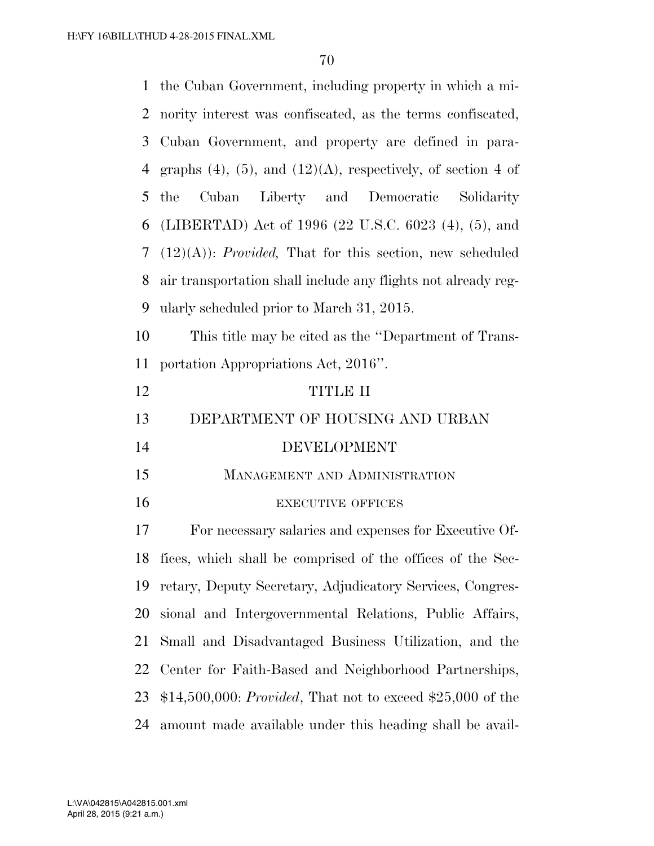| $\mathbf{1}$   | the Cuban Government, including property in which a mi-              |  |  |  |
|----------------|----------------------------------------------------------------------|--|--|--|
| 2              | nority interest was confiscated, as the terms confiscated,           |  |  |  |
| 3              | Cuban Government, and property are defined in para-                  |  |  |  |
| 4              | graphs $(4)$ , $(5)$ , and $(12)(A)$ , respectively, of section 4 of |  |  |  |
| 5              | Cuban Liberty and Democratic Solidarity<br>the                       |  |  |  |
| 6              | (LIBERTAD) Act of 1996 (22 U.S.C. 6023 (4), (5), and                 |  |  |  |
| 7              | $(12)(A)$ : <i>Provided</i> , That for this section, new scheduled   |  |  |  |
| 8              | air transportation shall include any flights not already reg-        |  |  |  |
| 9              | ularly scheduled prior to March 31, 2015.                            |  |  |  |
| 10             | This title may be cited as the "Department of Trans-                 |  |  |  |
| 11             | portation Appropriations Act, 2016".                                 |  |  |  |
| 12             | <b>TITLE II</b>                                                      |  |  |  |
| 13             | DEPARTMENT OF HOUSING AND URBAN                                      |  |  |  |
| 14             | <b>DEVELOPMENT</b>                                                   |  |  |  |
| 15             | MANAGEMENT AND ADMINISTRATION                                        |  |  |  |
| 16             | <b>EXECUTIVE OFFICES</b>                                             |  |  |  |
| 17             |                                                                      |  |  |  |
|                | For necessary salaries and expenses for Executive Of-                |  |  |  |
|                | fices, which shall be comprised of the offices of the Sec-           |  |  |  |
| 18<br>19       | retary, Deputy Secretary, Adjudicatory Services, Congres-            |  |  |  |
|                | sional and Intergovernmental Relations, Public Affairs,              |  |  |  |
|                | Small and Disadvantaged Business Utilization, and the                |  |  |  |
| 20<br>21<br>22 | Center for Faith-Based and Neighborhood Partnerships,                |  |  |  |
| 23             | \$14,500,000: <i>Provided</i> , That not to exceed \$25,000 of the   |  |  |  |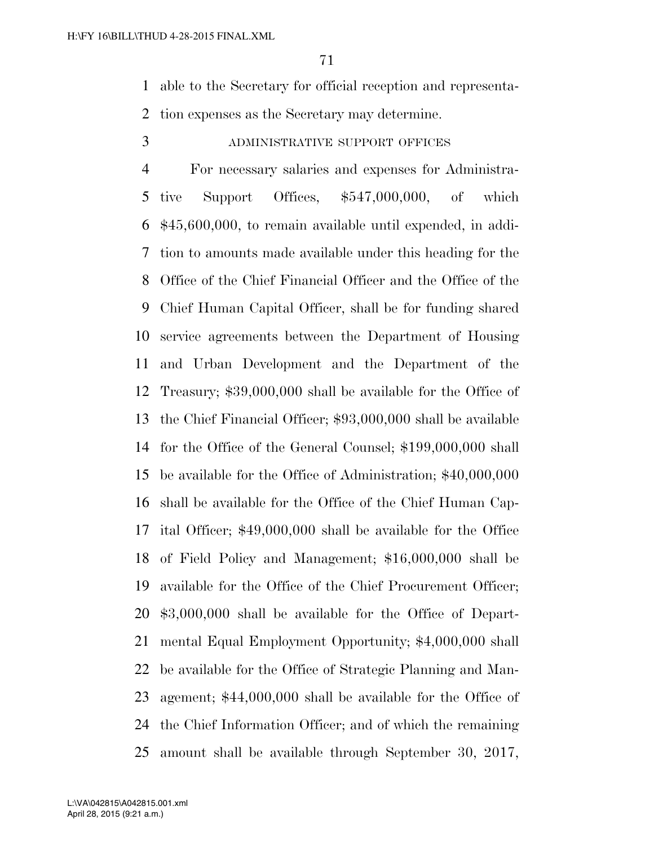able to the Secretary for official reception and representa-tion expenses as the Secretary may determine.

ADMINISTRATIVE SUPPORT OFFICES

 For necessary salaries and expenses for Administra- tive Support Offices, \$547,000,000, of which \$45,600,000, to remain available until expended, in addi- tion to amounts made available under this heading for the Office of the Chief Financial Officer and the Office of the Chief Human Capital Officer, shall be for funding shared service agreements between the Department of Housing and Urban Development and the Department of the Treasury; \$39,000,000 shall be available for the Office of the Chief Financial Officer; \$93,000,000 shall be available for the Office of the General Counsel; \$199,000,000 shall be available for the Office of Administration; \$40,000,000 shall be available for the Office of the Chief Human Cap- ital Officer; \$49,000,000 shall be available for the Office of Field Policy and Management; \$16,000,000 shall be available for the Office of the Chief Procurement Officer; \$3,000,000 shall be available for the Office of Depart- mental Equal Employment Opportunity; \$4,000,000 shall be available for the Office of Strategic Planning and Man- agement; \$44,000,000 shall be available for the Office of the Chief Information Officer; and of which the remaining amount shall be available through September 30, 2017,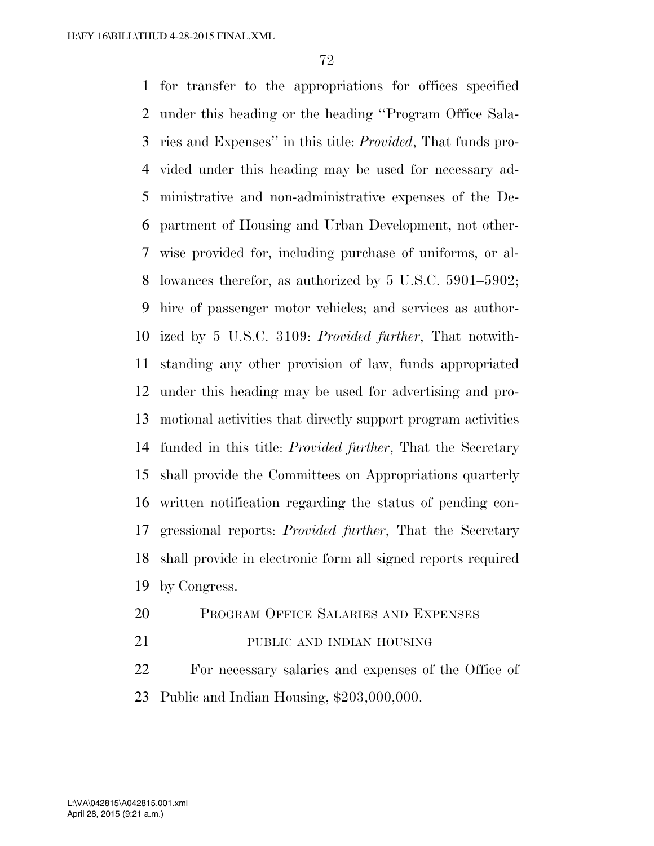for transfer to the appropriations for offices specified under this heading or the heading ''Program Office Sala- ries and Expenses'' in this title: *Provided*, That funds pro- vided under this heading may be used for necessary ad- ministrative and non-administrative expenses of the De- partment of Housing and Urban Development, not other- wise provided for, including purchase of uniforms, or al- lowances therefor, as authorized by 5 U.S.C. 5901–5902; hire of passenger motor vehicles; and services as author- ized by 5 U.S.C. 3109: *Provided further*, That notwith- standing any other provision of law, funds appropriated under this heading may be used for advertising and pro- motional activities that directly support program activities funded in this title: *Provided further*, That the Secretary shall provide the Committees on Appropriations quarterly written notification regarding the status of pending con- gressional reports: *Provided further*, That the Secretary shall provide in electronic form all signed reports required by Congress.

- PROGRAM OFFICE SALARIES AND EXPENSES
- PUBLIC AND INDIAN HOUSING

 For necessary salaries and expenses of the Office of Public and Indian Housing, \$203,000,000.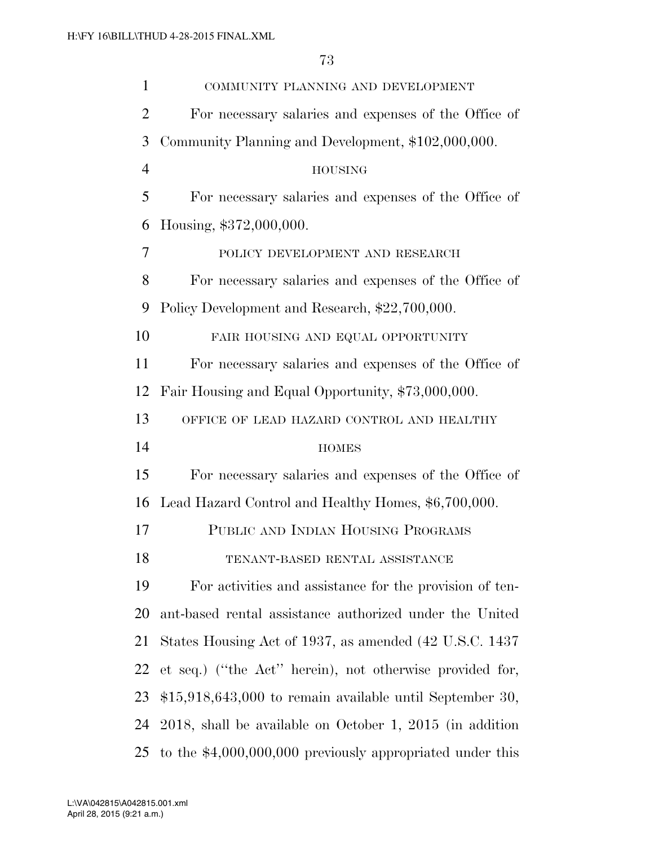| $\mathbf{1}$   | COMMUNITY PLANNING AND DEVELOPMENT                            |  |  |  |
|----------------|---------------------------------------------------------------|--|--|--|
| $\overline{2}$ | For necessary salaries and expenses of the Office of          |  |  |  |
| 3              | Community Planning and Development, \$102,000,000.            |  |  |  |
| $\overline{4}$ | <b>HOUSING</b>                                                |  |  |  |
| 5              | For necessary salaries and expenses of the Office of          |  |  |  |
| 6              | Housing, \$372,000,000.                                       |  |  |  |
| 7              | POLICY DEVELOPMENT AND RESEARCH                               |  |  |  |
| 8              | For necessary salaries and expenses of the Office of          |  |  |  |
| 9              | Policy Development and Research, \$22,700,000.                |  |  |  |
| 10             | FAIR HOUSING AND EQUAL OPPORTUNITY                            |  |  |  |
| 11             | For necessary salaries and expenses of the Office of          |  |  |  |
| 12             | Fair Housing and Equal Opportunity, \$73,000,000.             |  |  |  |
| 13             | OFFICE OF LEAD HAZARD CONTROL AND HEALTHY                     |  |  |  |
| 14             | <b>HOMES</b>                                                  |  |  |  |
| 15             | For necessary salaries and expenses of the Office of          |  |  |  |
| 16             | Lead Hazard Control and Healthy Homes, \$6,700,000.           |  |  |  |
| 17             | PUBLIC AND INDIAN HOUSING PROGRAMS                            |  |  |  |
| 18             | TENANT-BASED RENTAL ASSISTANCE                                |  |  |  |
| 19             | For activities and assistance for the provision of ten-       |  |  |  |
| 20             | ant-based rental assistance authorized under the United       |  |  |  |
| 21             | States Housing Act of 1937, as amended (42 U.S.C. 1437)       |  |  |  |
| 22             | et seq.) ("the Act" herein), not otherwise provided for,      |  |  |  |
| 23             | $$15,918,643,000$ to remain available until September 30,     |  |  |  |
| 24             | $2018$ , shall be available on October 1, $2015$ (in addition |  |  |  |
| 25             | to the $$4,000,000,000$ previously appropriated under this    |  |  |  |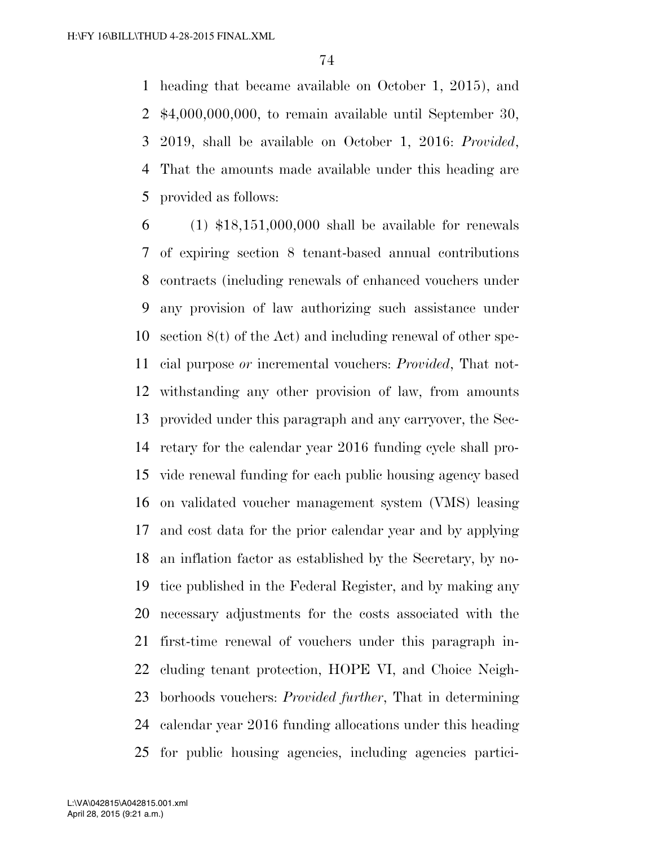heading that became available on October 1, 2015), and \$4,000,000,000, to remain available until September 30, 2019, shall be available on October 1, 2016: *Provided*, That the amounts made available under this heading are provided as follows:

 (1) \$18,151,000,000 shall be available for renewals of expiring section 8 tenant-based annual contributions contracts (including renewals of enhanced vouchers under any provision of law authorizing such assistance under section 8(t) of the Act) and including renewal of other spe- cial purpose *or* incremental vouchers: *Provided*, That not- withstanding any other provision of law, from amounts provided under this paragraph and any carryover, the Sec- retary for the calendar year 2016 funding cycle shall pro- vide renewal funding for each public housing agency based on validated voucher management system (VMS) leasing and cost data for the prior calendar year and by applying an inflation factor as established by the Secretary, by no- tice published in the Federal Register, and by making any necessary adjustments for the costs associated with the first-time renewal of vouchers under this paragraph in- cluding tenant protection, HOPE VI, and Choice Neigh- borhoods vouchers: *Provided further*, That in determining calendar year 2016 funding allocations under this heading for public housing agencies, including agencies partici-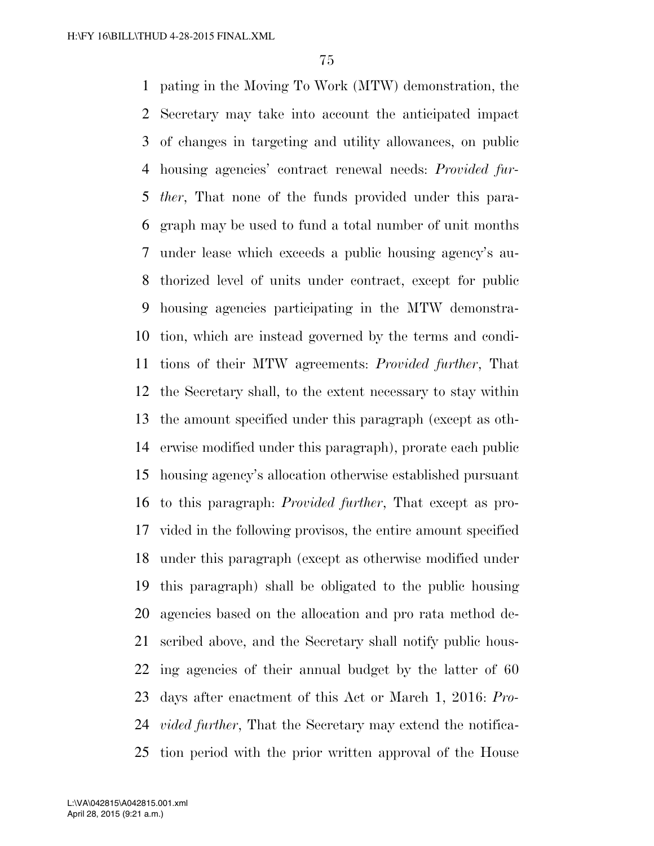pating in the Moving To Work (MTW) demonstration, the Secretary may take into account the anticipated impact of changes in targeting and utility allowances, on public housing agencies' contract renewal needs: *Provided fur- ther*, That none of the funds provided under this para- graph may be used to fund a total number of unit months under lease which exceeds a public housing agency's au- thorized level of units under contract, except for public housing agencies participating in the MTW demonstra- tion, which are instead governed by the terms and condi- tions of their MTW agreements: *Provided further*, That the Secretary shall, to the extent necessary to stay within the amount specified under this paragraph (except as oth- erwise modified under this paragraph), prorate each public housing agency's allocation otherwise established pursuant to this paragraph: *Provided further*, That except as pro- vided in the following provisos, the entire amount specified under this paragraph (except as otherwise modified under this paragraph) shall be obligated to the public housing agencies based on the allocation and pro rata method de- scribed above, and the Secretary shall notify public hous- ing agencies of their annual budget by the latter of 60 days after enactment of this Act or March 1, 2016: *Pro- vided further*, That the Secretary may extend the notifica-tion period with the prior written approval of the House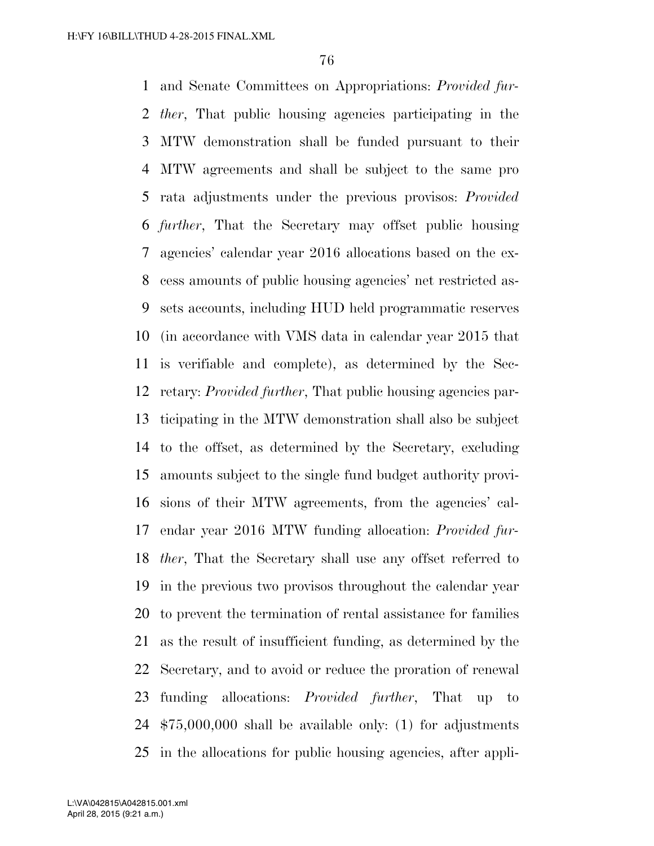and Senate Committees on Appropriations: *Provided fur- ther*, That public housing agencies participating in the MTW demonstration shall be funded pursuant to their MTW agreements and shall be subject to the same pro rata adjustments under the previous provisos: *Provided further*, That the Secretary may offset public housing agencies' calendar year 2016 allocations based on the ex- cess amounts of public housing agencies' net restricted as- sets accounts, including HUD held programmatic reserves (in accordance with VMS data in calendar year 2015 that is verifiable and complete), as determined by the Sec- retary: *Provided further*, That public housing agencies par- ticipating in the MTW demonstration shall also be subject to the offset, as determined by the Secretary, excluding amounts subject to the single fund budget authority provi- sions of their MTW agreements, from the agencies' cal- endar year 2016 MTW funding allocation: *Provided fur- ther*, That the Secretary shall use any offset referred to in the previous two provisos throughout the calendar year to prevent the termination of rental assistance for families as the result of insufficient funding, as determined by the Secretary, and to avoid or reduce the proration of renewal funding allocations: *Provided further*, That up to \$75,000,000 shall be available only: (1) for adjustments in the allocations for public housing agencies, after appli-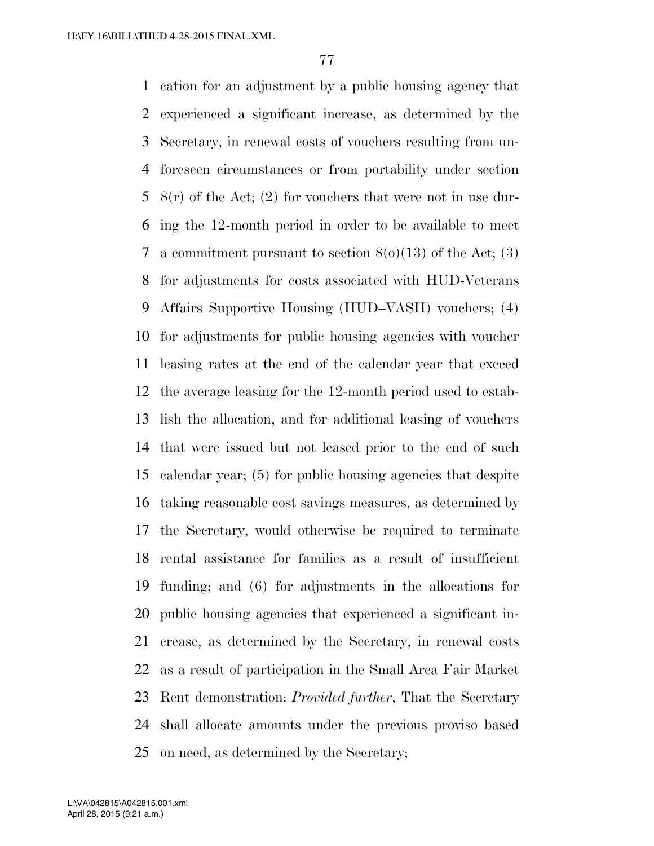cation for an adjustment by a public housing agency that experienced a significant increase, as determined by the Secretary, in renewal costs of vouchers resulting from un- foreseen circumstances or from portability under section  $8(r)$  of the Act; (2) for vouchers that were not in use dur- ing the 12-month period in order to be available to meet 7 a commitment pursuant to section  $8(0)(13)$  of the Act; (3) for adjustments for costs associated with HUD-Veterans Affairs Supportive Housing (HUD–VASH) vouchers; (4) for adjustments for public housing agencies with voucher leasing rates at the end of the calendar year that exceed the average leasing for the 12-month period used to estab- lish the allocation, and for additional leasing of vouchers that were issued but not leased prior to the end of such calendar year; (5) for public housing agencies that despite taking reasonable cost savings measures, as determined by the Secretary, would otherwise be required to terminate rental assistance for families as a result of insufficient funding; and (6) for adjustments in the allocations for public housing agencies that experienced a significant in- crease, as determined by the Secretary, in renewal costs as a result of participation in the Small Area Fair Market Rent demonstration: *Provided further*, That the Secretary shall allocate amounts under the previous proviso based on need, as determined by the Secretary;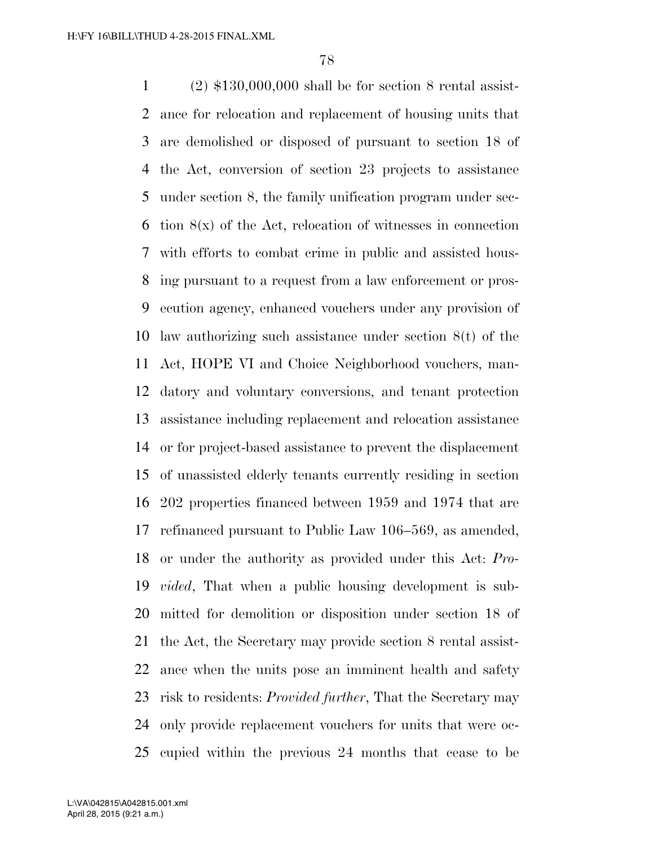(2) \$130,000,000 shall be for section 8 rental assist- ance for relocation and replacement of housing units that are demolished or disposed of pursuant to section 18 of the Act, conversion of section 23 projects to assistance under section 8, the family unification program under sec-6 tion  $8(x)$  of the Act, relocation of witnesses in connection with efforts to combat crime in public and assisted hous- ing pursuant to a request from a law enforcement or pros- ecution agency, enhanced vouchers under any provision of law authorizing such assistance under section 8(t) of the Act, HOPE VI and Choice Neighborhood vouchers, man- datory and voluntary conversions, and tenant protection assistance including replacement and relocation assistance or for project-based assistance to prevent the displacement of unassisted elderly tenants currently residing in section 202 properties financed between 1959 and 1974 that are refinanced pursuant to Public Law 106–569, as amended, or under the authority as provided under this Act: *Pro- vided*, That when a public housing development is sub- mitted for demolition or disposition under section 18 of the Act, the Secretary may provide section 8 rental assist- ance when the units pose an imminent health and safety risk to residents: *Provided further*, That the Secretary may only provide replacement vouchers for units that were oc-cupied within the previous 24 months that cease to be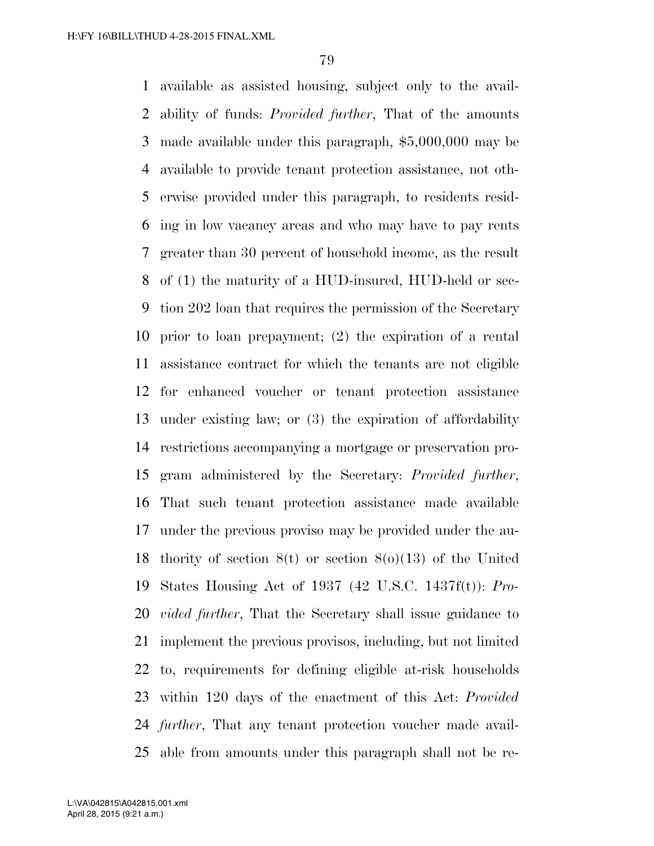available as assisted housing, subject only to the avail- ability of funds: *Provided further*, That of the amounts made available under this paragraph, \$5,000,000 may be available to provide tenant protection assistance, not oth- erwise provided under this paragraph, to residents resid- ing in low vacancy areas and who may have to pay rents greater than 30 percent of household income, as the result of (1) the maturity of a HUD-insured, HUD-held or sec- tion 202 loan that requires the permission of the Secretary prior to loan prepayment; (2) the expiration of a rental assistance contract for which the tenants are not eligible for enhanced voucher or tenant protection assistance under existing law; or (3) the expiration of affordability restrictions accompanying a mortgage or preservation pro- gram administered by the Secretary: *Provided further*, That such tenant protection assistance made available under the previous proviso may be provided under the au- thority of section 8(t) or section 8(o)(13) of the United States Housing Act of 1937 (42 U.S.C. 1437f(t)): *Pro- vided further*, That the Secretary shall issue guidance to implement the previous provisos, including, but not limited to, requirements for defining eligible at-risk households within 120 days of the enactment of this Act: *Provided further*, That any tenant protection voucher made avail-able from amounts under this paragraph shall not be re-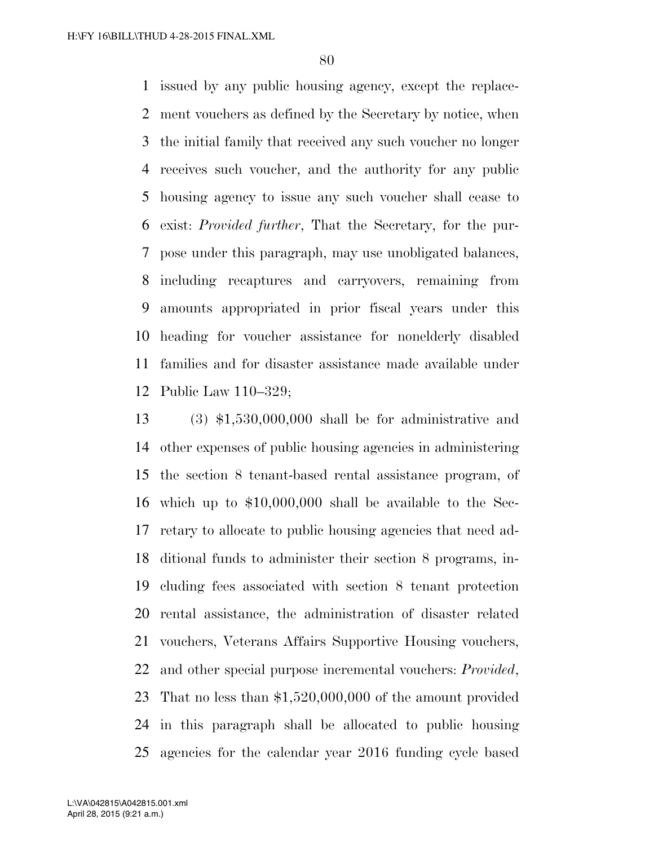issued by any public housing agency, except the replace- ment vouchers as defined by the Secretary by notice, when the initial family that received any such voucher no longer receives such voucher, and the authority for any public housing agency to issue any such voucher shall cease to exist: *Provided further*, That the Secretary, for the pur- pose under this paragraph, may use unobligated balances, including recaptures and carryovers, remaining from amounts appropriated in prior fiscal years under this heading for voucher assistance for nonelderly disabled families and for disaster assistance made available under Public Law 110–329;

 (3) \$1,530,000,000 shall be for administrative and other expenses of public housing agencies in administering the section 8 tenant-based rental assistance program, of which up to \$10,000,000 shall be available to the Sec- retary to allocate to public housing agencies that need ad- ditional funds to administer their section 8 programs, in- cluding fees associated with section 8 tenant protection rental assistance, the administration of disaster related vouchers, Veterans Affairs Supportive Housing vouchers, and other special purpose incremental vouchers: *Provided*, That no less than \$1,520,000,000 of the amount provided in this paragraph shall be allocated to public housing agencies for the calendar year 2016 funding cycle based

April 28, 2015 (9:21 a.m.) L:\VA\042815\A042815.001.xml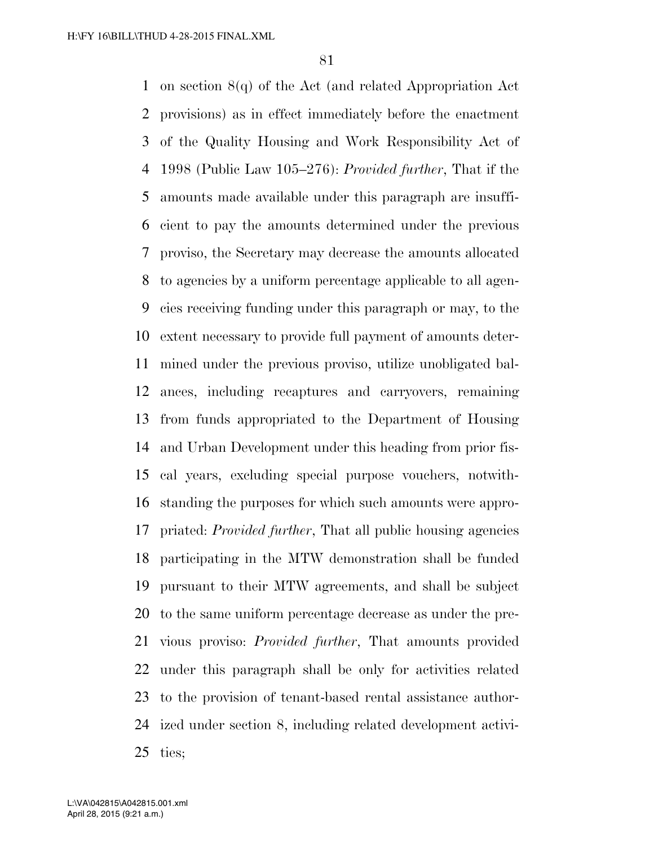on section 8(q) of the Act (and related Appropriation Act provisions) as in effect immediately before the enactment of the Quality Housing and Work Responsibility Act of 1998 (Public Law 105–276): *Provided further*, That if the amounts made available under this paragraph are insuffi- cient to pay the amounts determined under the previous proviso, the Secretary may decrease the amounts allocated to agencies by a uniform percentage applicable to all agen- cies receiving funding under this paragraph or may, to the extent necessary to provide full payment of amounts deter- mined under the previous proviso, utilize unobligated bal- ances, including recaptures and carryovers, remaining from funds appropriated to the Department of Housing and Urban Development under this heading from prior fis- cal years, excluding special purpose vouchers, notwith- standing the purposes for which such amounts were appro- priated: *Provided further*, That all public housing agencies participating in the MTW demonstration shall be funded pursuant to their MTW agreements, and shall be subject to the same uniform percentage decrease as under the pre- vious proviso: *Provided further*, That amounts provided under this paragraph shall be only for activities related to the provision of tenant-based rental assistance author- ized under section 8, including related development activi-ties;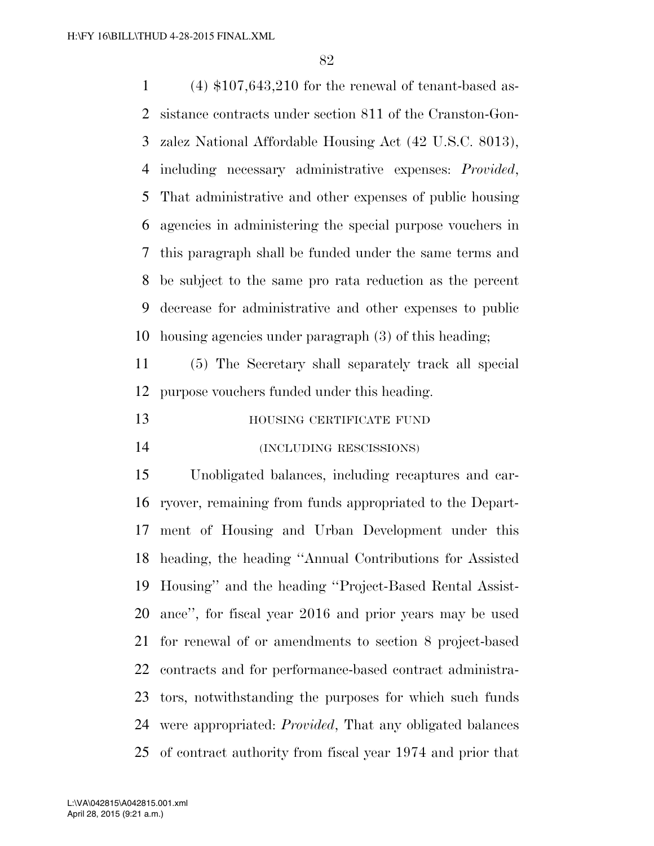(4) \$107,643,210 for the renewal of tenant-based as- sistance contracts under section 811 of the Cranston-Gon- zalez National Affordable Housing Act (42 U.S.C. 8013), including necessary administrative expenses: *Provided*, That administrative and other expenses of public housing agencies in administering the special purpose vouchers in this paragraph shall be funded under the same terms and be subject to the same pro rata reduction as the percent decrease for administrative and other expenses to public housing agencies under paragraph (3) of this heading;

 (5) The Secretary shall separately track all special purpose vouchers funded under this heading.

| 13 | HOUSING CERTIFICATE FUND |  |
|----|--------------------------|--|
|    |                          |  |

(INCLUDING RESCISSIONS)

 Unobligated balances, including recaptures and car- ryover, remaining from funds appropriated to the Depart- ment of Housing and Urban Development under this heading, the heading ''Annual Contributions for Assisted Housing'' and the heading ''Project-Based Rental Assist- ance'', for fiscal year 2016 and prior years may be used for renewal of or amendments to section 8 project-based contracts and for performance-based contract administra- tors, notwithstanding the purposes for which such funds were appropriated: *Provided*, That any obligated balances of contract authority from fiscal year 1974 and prior that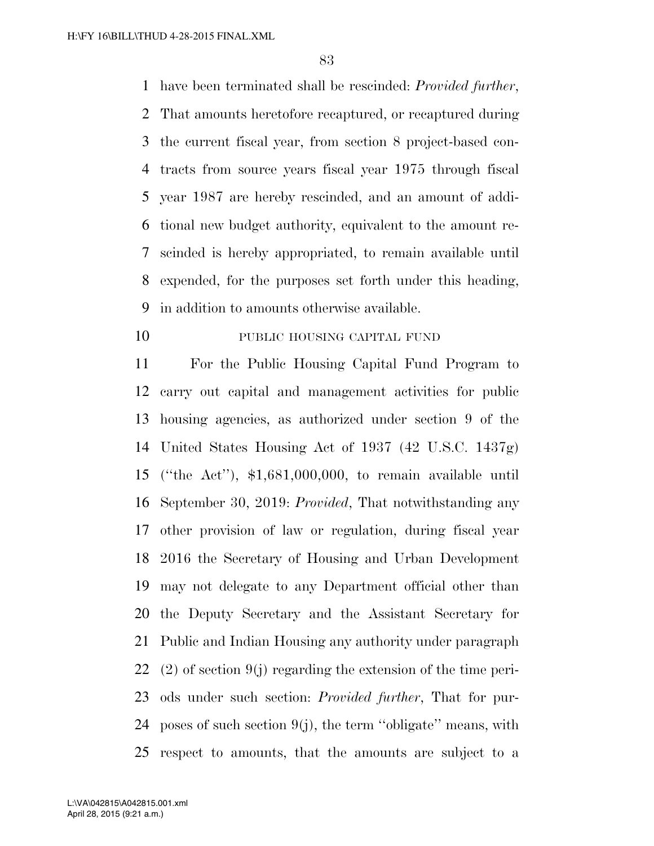have been terminated shall be rescinded: *Provided further*, That amounts heretofore recaptured, or recaptured during the current fiscal year, from section 8 project-based con- tracts from source years fiscal year 1975 through fiscal year 1987 are hereby rescinded, and an amount of addi- tional new budget authority, equivalent to the amount re- scinded is hereby appropriated, to remain available until expended, for the purposes set forth under this heading, in addition to amounts otherwise available.

## 10 PUBLIC HOUSING CAPITAL FUND

 For the Public Housing Capital Fund Program to carry out capital and management activities for public housing agencies, as authorized under section 9 of the United States Housing Act of 1937 (42 U.S.C. 1437g) (''the Act''), \$1,681,000,000, to remain available until September 30, 2019: *Provided*, That notwithstanding any other provision of law or regulation, during fiscal year 2016 the Secretary of Housing and Urban Development may not delegate to any Department official other than the Deputy Secretary and the Assistant Secretary for Public and Indian Housing any authority under paragraph (2) of section 9(j) regarding the extension of the time peri- ods under such section: *Provided further*, That for pur-24 poses of such section  $9(j)$ , the term "obligate" means, with respect to amounts, that the amounts are subject to a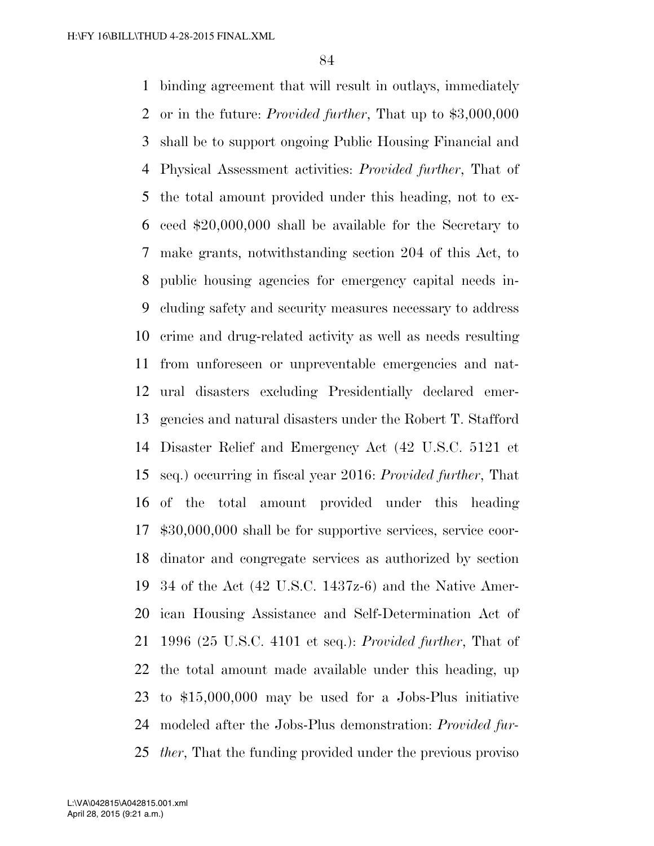binding agreement that will result in outlays, immediately or in the future: *Provided further*, That up to \$3,000,000 shall be to support ongoing Public Housing Financial and Physical Assessment activities: *Provided further*, That of the total amount provided under this heading, not to ex- ceed \$20,000,000 shall be available for the Secretary to make grants, notwithstanding section 204 of this Act, to public housing agencies for emergency capital needs in- cluding safety and security measures necessary to address crime and drug-related activity as well as needs resulting from unforeseen or unpreventable emergencies and nat- ural disasters excluding Presidentially declared emer- gencies and natural disasters under the Robert T. Stafford Disaster Relief and Emergency Act (42 U.S.C. 5121 et seq.) occurring in fiscal year 2016: *Provided further*, That of the total amount provided under this heading \$30,000,000 shall be for supportive services, service coor- dinator and congregate services as authorized by section 34 of the Act (42 U.S.C. 1437z-6) and the Native Amer- ican Housing Assistance and Self-Determination Act of 1996 (25 U.S.C. 4101 et seq.): *Provided further*, That of the total amount made available under this heading, up to \$15,000,000 may be used for a Jobs-Plus initiative modeled after the Jobs-Plus demonstration: *Provided fur-ther*, That the funding provided under the previous proviso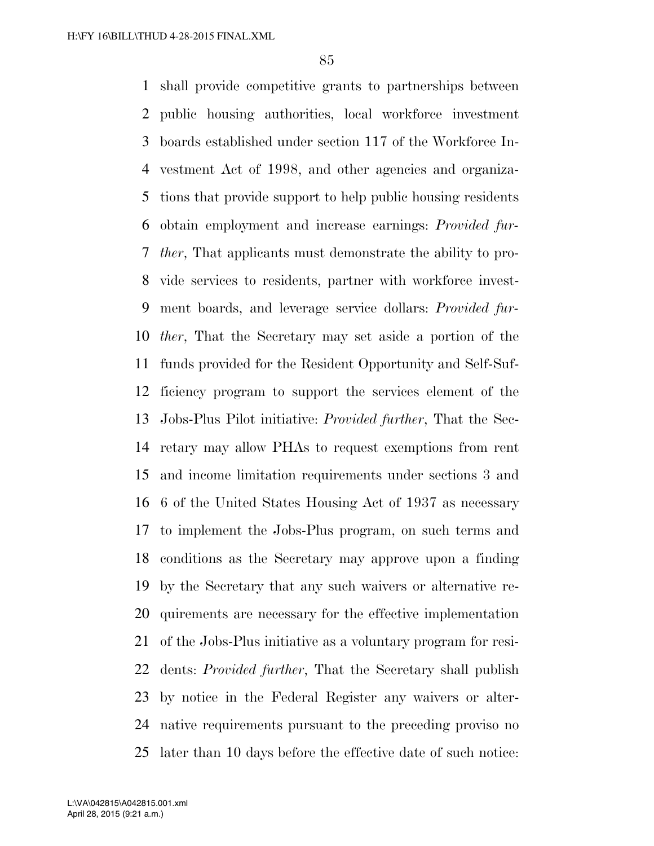shall provide competitive grants to partnerships between public housing authorities, local workforce investment boards established under section 117 of the Workforce In- vestment Act of 1998, and other agencies and organiza- tions that provide support to help public housing residents obtain employment and increase earnings: *Provided fur- ther*, That applicants must demonstrate the ability to pro- vide services to residents, partner with workforce invest- ment boards, and leverage service dollars: *Provided fur- ther*, That the Secretary may set aside a portion of the funds provided for the Resident Opportunity and Self-Suf- ficiency program to support the services element of the Jobs-Plus Pilot initiative: *Provided further*, That the Sec- retary may allow PHAs to request exemptions from rent and income limitation requirements under sections 3 and 6 of the United States Housing Act of 1937 as necessary to implement the Jobs-Plus program, on such terms and conditions as the Secretary may approve upon a finding by the Secretary that any such waivers or alternative re- quirements are necessary for the effective implementation of the Jobs-Plus initiative as a voluntary program for resi- dents: *Provided further*, That the Secretary shall publish by notice in the Federal Register any waivers or alter- native requirements pursuant to the preceding proviso no later than 10 days before the effective date of such notice: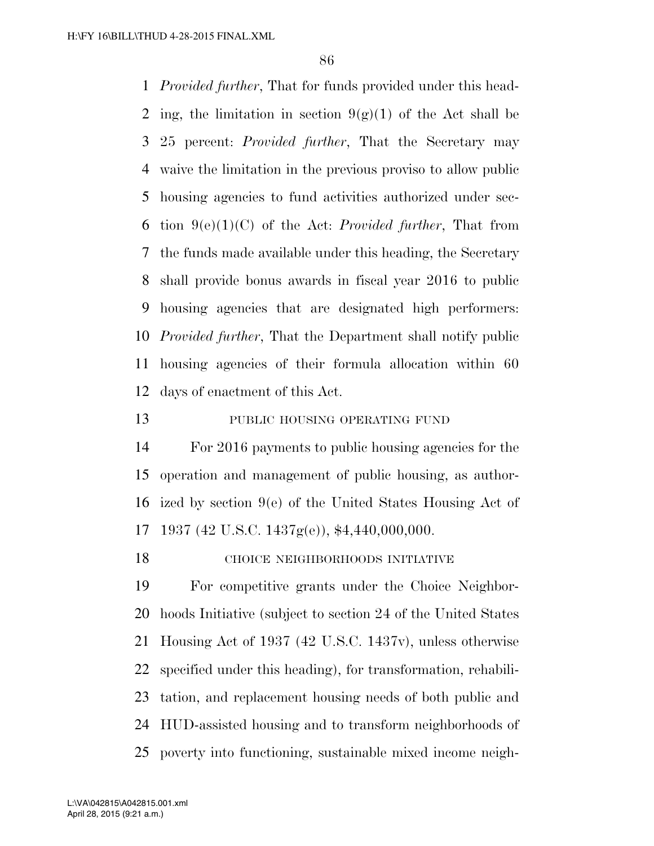*Provided further*, That for funds provided under this head-2 ing, the limitation in section  $9(g)(1)$  of the Act shall be 25 percent: *Provided further*, That the Secretary may waive the limitation in the previous proviso to allow public housing agencies to fund activities authorized under sec- tion 9(e)(1)(C) of the Act: *Provided further*, That from the funds made available under this heading, the Secretary shall provide bonus awards in fiscal year 2016 to public housing agencies that are designated high performers: *Provided further*, That the Department shall notify public housing agencies of their formula allocation within 60 days of enactment of this Act.

## 13 PUBLIC HOUSING OPERATING FUND

 For 2016 payments to public housing agencies for the operation and management of public housing, as author- ized by section 9(e) of the United States Housing Act of 1937 (42 U.S.C. 1437g(e)), \$4,440,000,000.

## CHOICE NEIGHBORHOODS INITIATIVE

 For competitive grants under the Choice Neighbor- hoods Initiative (subject to section 24 of the United States Housing Act of 1937 (42 U.S.C. 1437v), unless otherwise specified under this heading), for transformation, rehabili- tation, and replacement housing needs of both public and HUD-assisted housing and to transform neighborhoods of poverty into functioning, sustainable mixed income neigh-

April 28, 2015 (9:21 a.m.) L:\VA\042815\A042815.001.xml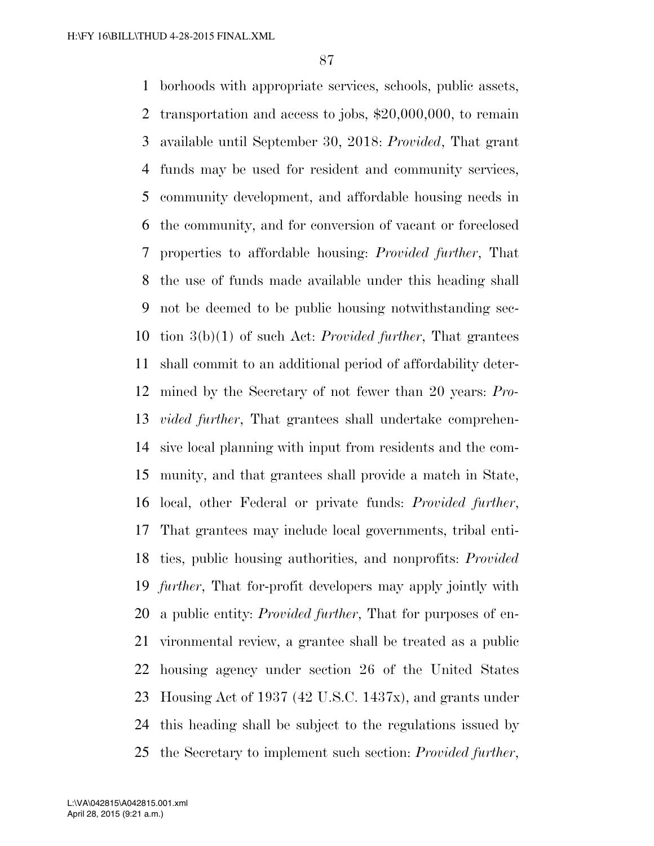borhoods with appropriate services, schools, public assets, transportation and access to jobs, \$20,000,000, to remain available until September 30, 2018: *Provided*, That grant funds may be used for resident and community services, community development, and affordable housing needs in the community, and for conversion of vacant or foreclosed properties to affordable housing: *Provided further*, That the use of funds made available under this heading shall not be deemed to be public housing notwithstanding sec- tion 3(b)(1) of such Act: *Provided further*, That grantees shall commit to an additional period of affordability deter- mined by the Secretary of not fewer than 20 years: *Pro- vided further*, That grantees shall undertake comprehen- sive local planning with input from residents and the com- munity, and that grantees shall provide a match in State, local, other Federal or private funds: *Provided further*, That grantees may include local governments, tribal enti- ties, public housing authorities, and nonprofits: *Provided further*, That for-profit developers may apply jointly with a public entity: *Provided further*, That for purposes of en- vironmental review, a grantee shall be treated as a public housing agency under section 26 of the United States Housing Act of 1937 (42 U.S.C. 1437x), and grants under this heading shall be subject to the regulations issued by the Secretary to implement such section: *Provided further*,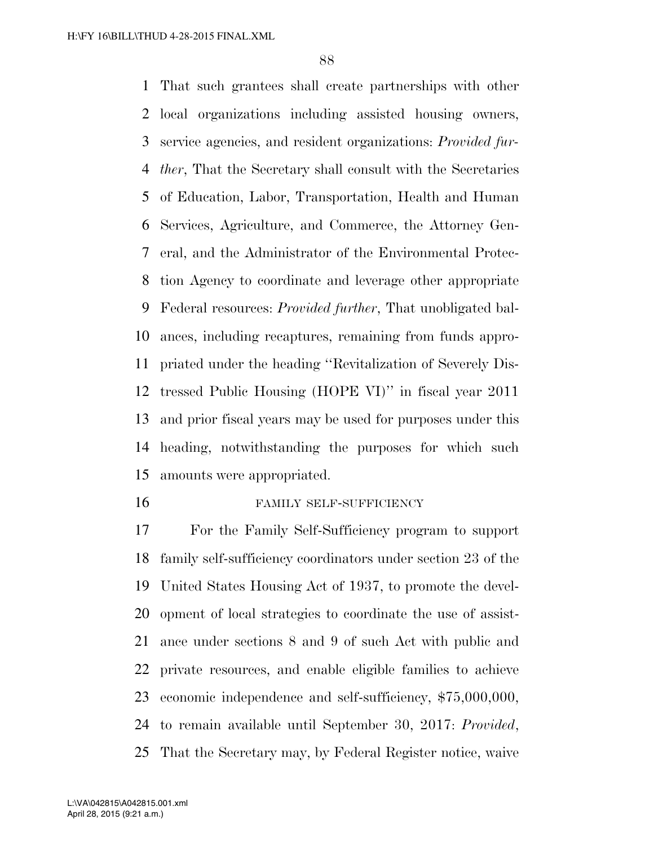That such grantees shall create partnerships with other local organizations including assisted housing owners, service agencies, and resident organizations: *Provided fur- ther*, That the Secretary shall consult with the Secretaries of Education, Labor, Transportation, Health and Human Services, Agriculture, and Commerce, the Attorney Gen- eral, and the Administrator of the Environmental Protec- tion Agency to coordinate and leverage other appropriate Federal resources: *Provided further*, That unobligated bal- ances, including recaptures, remaining from funds appro- priated under the heading ''Revitalization of Severely Dis- tressed Public Housing (HOPE VI)'' in fiscal year 2011 and prior fiscal years may be used for purposes under this heading, notwithstanding the purposes for which such amounts were appropriated.

#### FAMILY SELF-SUFFICIENCY

 For the Family Self-Sufficiency program to support family self-sufficiency coordinators under section 23 of the United States Housing Act of 1937, to promote the devel- opment of local strategies to coordinate the use of assist- ance under sections 8 and 9 of such Act with public and private resources, and enable eligible families to achieve economic independence and self-sufficiency, \$75,000,000, to remain available until September 30, 2017: *Provided*, That the Secretary may, by Federal Register notice, waive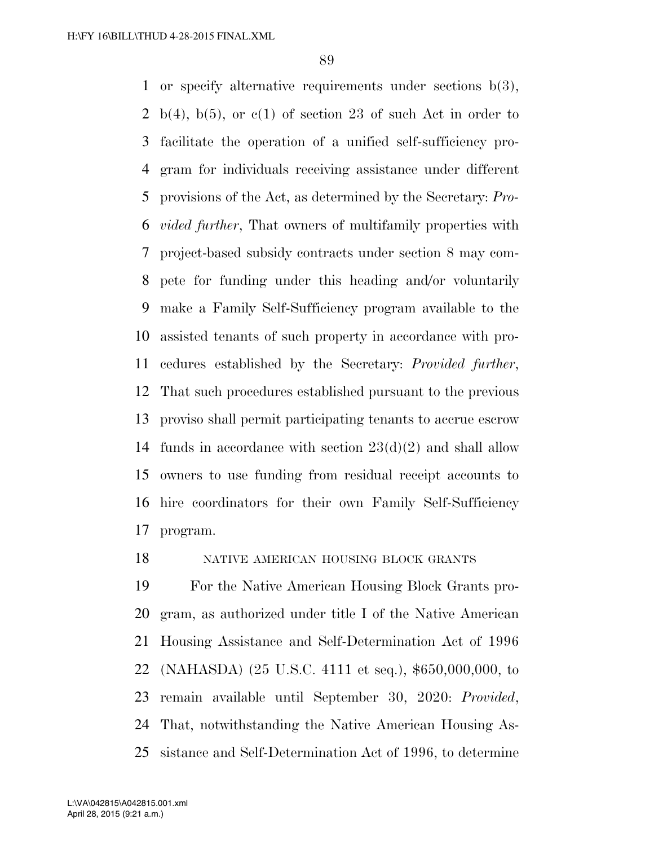or specify alternative requirements under sections b(3), 2 b(4), b(5), or  $c(1)$  of section 23 of such Act in order to facilitate the operation of a unified self-sufficiency pro- gram for individuals receiving assistance under different provisions of the Act, as determined by the Secretary: *Pro- vided further*, That owners of multifamily properties with project-based subsidy contracts under section 8 may com- pete for funding under this heading and/or voluntarily make a Family Self-Sufficiency program available to the assisted tenants of such property in accordance with pro- cedures established by the Secretary: *Provided further*, That such procedures established pursuant to the previous proviso shall permit participating tenants to accrue escrow 14 funds in accordance with section  $23(d)(2)$  and shall allow owners to use funding from residual receipt accounts to hire coordinators for their own Family Self-Sufficiency program.

### NATIVE AMERICAN HOUSING BLOCK GRANTS

 For the Native American Housing Block Grants pro- gram, as authorized under title I of the Native American Housing Assistance and Self-Determination Act of 1996 (NAHASDA) (25 U.S.C. 4111 et seq.), \$650,000,000, to remain available until September 30, 2020: *Provided*, That, notwithstanding the Native American Housing As-sistance and Self-Determination Act of 1996, to determine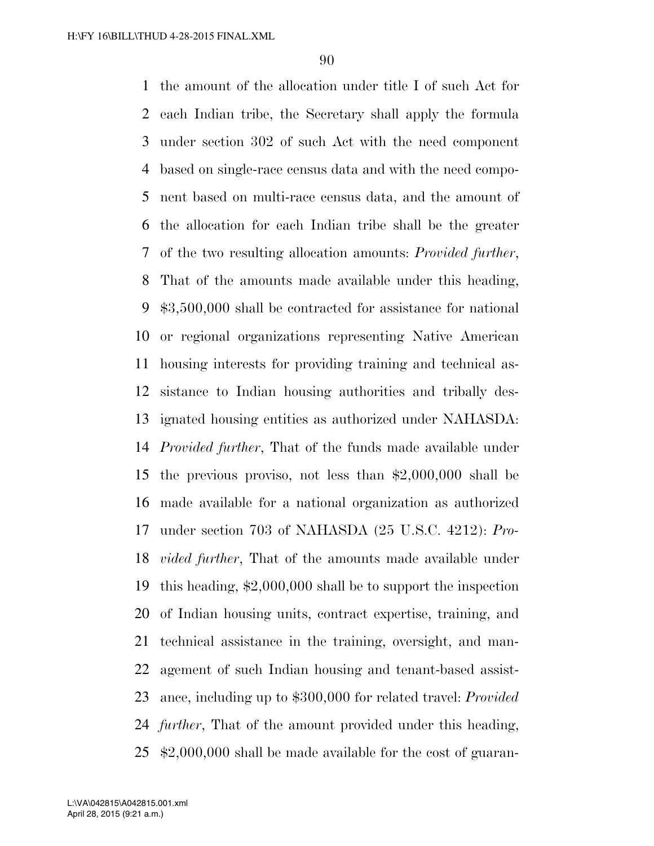the amount of the allocation under title I of such Act for each Indian tribe, the Secretary shall apply the formula under section 302 of such Act with the need component based on single-race census data and with the need compo- nent based on multi-race census data, and the amount of the allocation for each Indian tribe shall be the greater of the two resulting allocation amounts: *Provided further*, That of the amounts made available under this heading, \$3,500,000 shall be contracted for assistance for national or regional organizations representing Native American housing interests for providing training and technical as- sistance to Indian housing authorities and tribally des- ignated housing entities as authorized under NAHASDA: *Provided further*, That of the funds made available under the previous proviso, not less than \$2,000,000 shall be made available for a national organization as authorized under section 703 of NAHASDA (25 U.S.C. 4212): *Pro- vided further*, That of the amounts made available under this heading, \$2,000,000 shall be to support the inspection of Indian housing units, contract expertise, training, and technical assistance in the training, oversight, and man- agement of such Indian housing and tenant-based assist- ance, including up to \$300,000 for related travel: *Provided further*, That of the amount provided under this heading, \$2,000,000 shall be made available for the cost of guaran-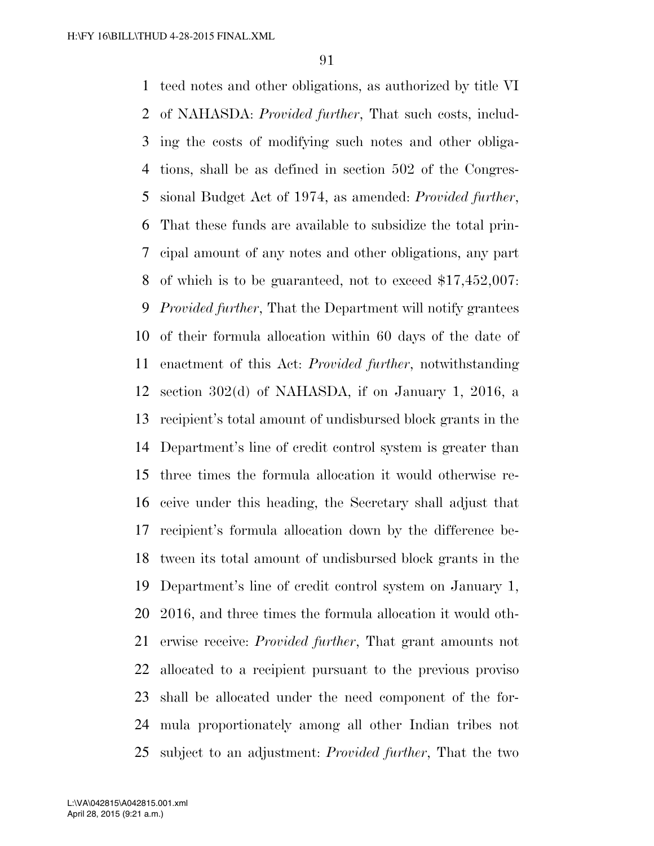teed notes and other obligations, as authorized by title VI of NAHASDA: *Provided further*, That such costs, includ- ing the costs of modifying such notes and other obliga- tions, shall be as defined in section 502 of the Congres- sional Budget Act of 1974, as amended: *Provided further*, That these funds are available to subsidize the total prin- cipal amount of any notes and other obligations, any part of which is to be guaranteed, not to exceed \$17,452,007: *Provided further*, That the Department will notify grantees of their formula allocation within 60 days of the date of enactment of this Act: *Provided further*, notwithstanding section 302(d) of NAHASDA, if on January 1, 2016, a recipient's total amount of undisbursed block grants in the Department's line of credit control system is greater than three times the formula allocation it would otherwise re- ceive under this heading, the Secretary shall adjust that recipient's formula allocation down by the difference be- tween its total amount of undisbursed block grants in the Department's line of credit control system on January 1, 2016, and three times the formula allocation it would oth- erwise receive: *Provided further*, That grant amounts not allocated to a recipient pursuant to the previous proviso shall be allocated under the need component of the for- mula proportionately among all other Indian tribes not subject to an adjustment: *Provided further*, That the two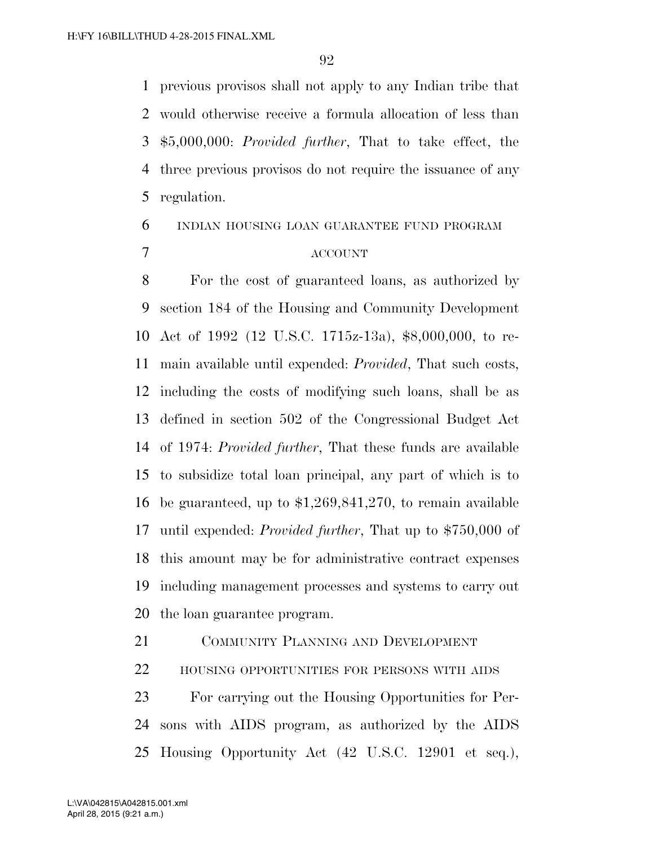previous provisos shall not apply to any Indian tribe that would otherwise receive a formula allocation of less than \$5,000,000: *Provided further*, That to take effect, the three previous provisos do not require the issuance of any regulation.

# INDIAN HOUSING LOAN GUARANTEE FUND PROGRAM ACCOUNT

 For the cost of guaranteed loans, as authorized by section 184 of the Housing and Community Development Act of 1992 (12 U.S.C. 1715z-13a), \$8,000,000, to re- main available until expended: *Provided*, That such costs, including the costs of modifying such loans, shall be as defined in section 502 of the Congressional Budget Act of 1974: *Provided further*, That these funds are available to subsidize total loan principal, any part of which is to be guaranteed, up to \$1,269,841,270, to remain available until expended: *Provided further*, That up to \$750,000 of this amount may be for administrative contract expenses including management processes and systems to carry out the loan guarantee program.

 COMMUNITY PLANNING AND DEVELOPMENT HOUSING OPPORTUNITIES FOR PERSONS WITH AIDS For carrying out the Housing Opportunities for Per- sons with AIDS program, as authorized by the AIDS Housing Opportunity Act (42 U.S.C. 12901 et seq.),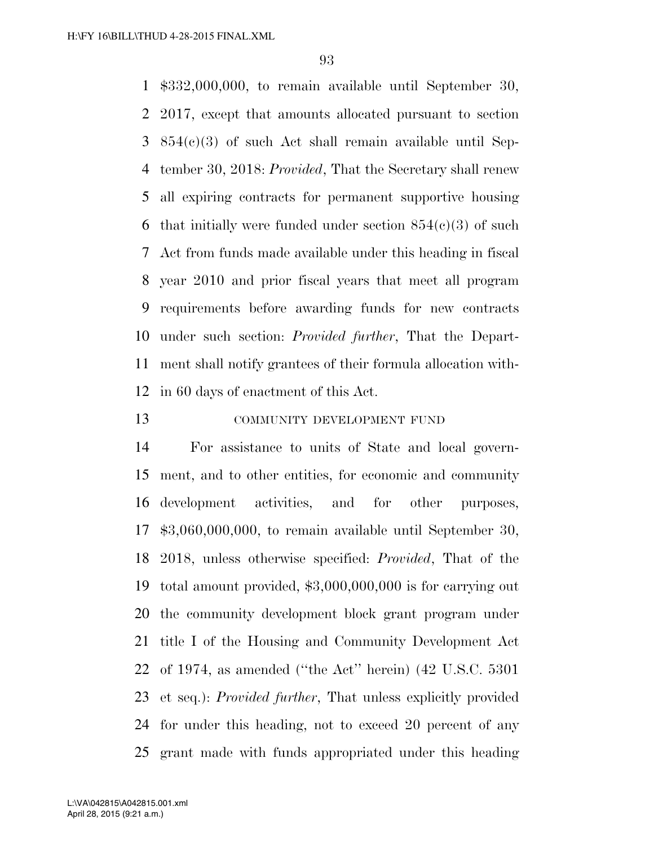\$332,000,000, to remain available until September 30, 2017, except that amounts allocated pursuant to section 854(c)(3) of such Act shall remain available until Sep- tember 30, 2018: *Provided*, That the Secretary shall renew all expiring contracts for permanent supportive housing 6 that initially were funded under section  $854(e)(3)$  of such Act from funds made available under this heading in fiscal year 2010 and prior fiscal years that meet all program requirements before awarding funds for new contracts under such section: *Provided further*, That the Depart- ment shall notify grantees of their formula allocation with-in 60 days of enactment of this Act.

COMMUNITY DEVELOPMENT FUND

 For assistance to units of State and local govern- ment, and to other entities, for economic and community development activities, and for other purposes, \$3,060,000,000, to remain available until September 30, 2018, unless otherwise specified: *Provided*, That of the total amount provided, \$3,000,000,000 is for carrying out the community development block grant program under title I of the Housing and Community Development Act of 1974, as amended (''the Act'' herein) (42 U.S.C. 5301 et seq.): *Provided further*, That unless explicitly provided for under this heading, not to exceed 20 percent of any grant made with funds appropriated under this heading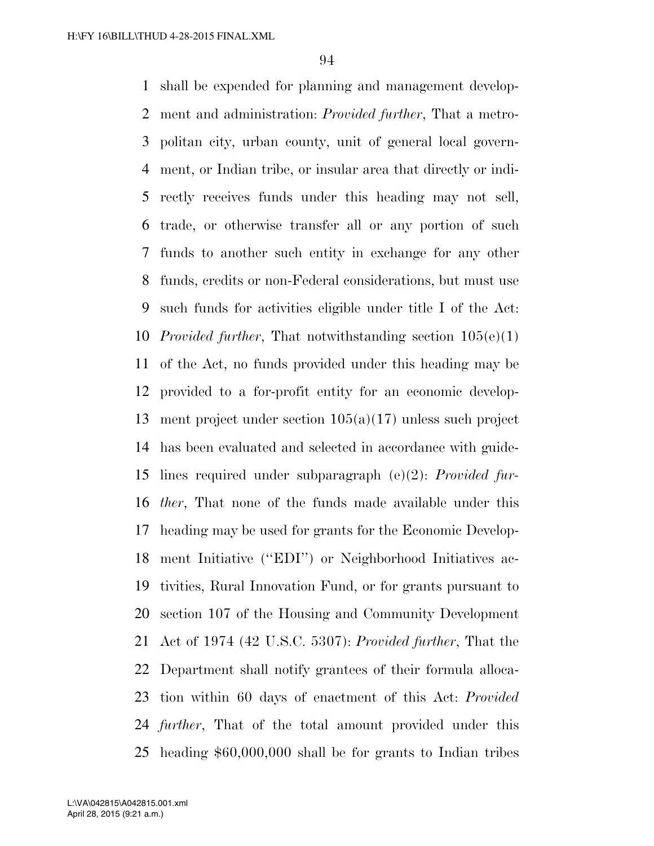shall be expended for planning and management develop- ment and administration: *Provided further*, That a metro- politan city, urban county, unit of general local govern- ment, or Indian tribe, or insular area that directly or indi- rectly receives funds under this heading may not sell, trade, or otherwise transfer all or any portion of such funds to another such entity in exchange for any other funds, credits or non-Federal considerations, but must use such funds for activities eligible under title I of the Act: *Provided further*, That notwithstanding section 105(e)(1) of the Act, no funds provided under this heading may be provided to a for-profit entity for an economic develop- ment project under section 105(a)(17) unless such project has been evaluated and selected in accordance with guide- lines required under subparagraph (e)(2): *Provided fur- ther*, That none of the funds made available under this heading may be used for grants for the Economic Develop- ment Initiative (''EDI'') or Neighborhood Initiatives ac- tivities, Rural Innovation Fund, or for grants pursuant to section 107 of the Housing and Community Development Act of 1974 (42 U.S.C. 5307): *Provided further*, That the Department shall notify grantees of their formula alloca- tion within 60 days of enactment of this Act: *Provided further*, That of the total amount provided under this heading \$60,000,000 shall be for grants to Indian tribes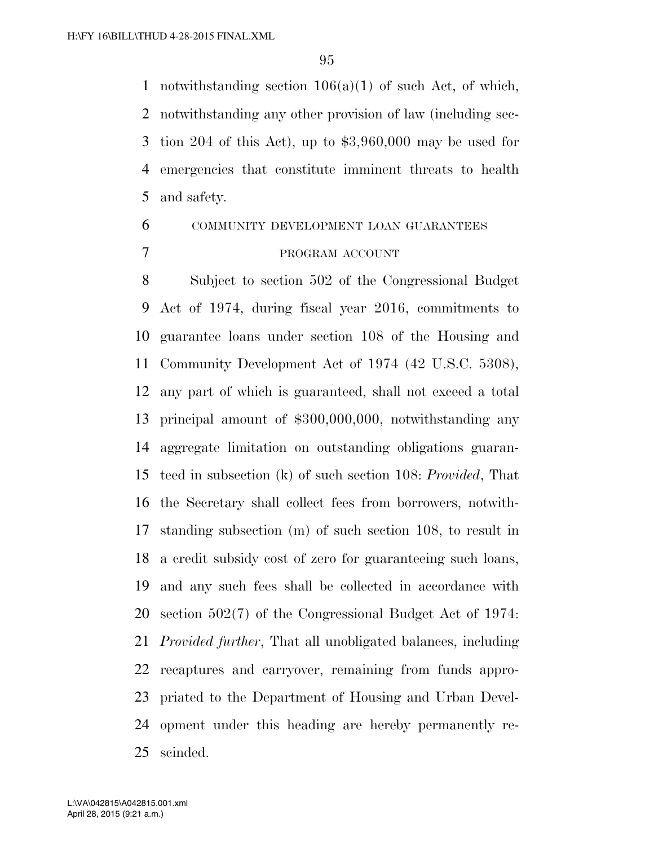1 notwithstanding section  $106(a)(1)$  of such Act, of which, notwithstanding any other provision of law (including sec- tion 204 of this Act), up to \$3,960,000 may be used for emergencies that constitute imminent threats to health and safety.

# COMMUNITY DEVELOPMENT LOAN GUARANTEES PROGRAM ACCOUNT

 Subject to section 502 of the Congressional Budget Act of 1974, during fiscal year 2016, commitments to guarantee loans under section 108 of the Housing and Community Development Act of 1974 (42 U.S.C. 5308), any part of which is guaranteed, shall not exceed a total principal amount of \$300,000,000, notwithstanding any aggregate limitation on outstanding obligations guaran- teed in subsection (k) of such section 108: *Provided*, That the Secretary shall collect fees from borrowers, notwith- standing subsection (m) of such section 108, to result in a credit subsidy cost of zero for guaranteeing such loans, and any such fees shall be collected in accordance with section 502(7) of the Congressional Budget Act of 1974: *Provided further*, That all unobligated balances, including recaptures and carryover, remaining from funds appro- priated to the Department of Housing and Urban Devel- opment under this heading are hereby permanently re-scinded.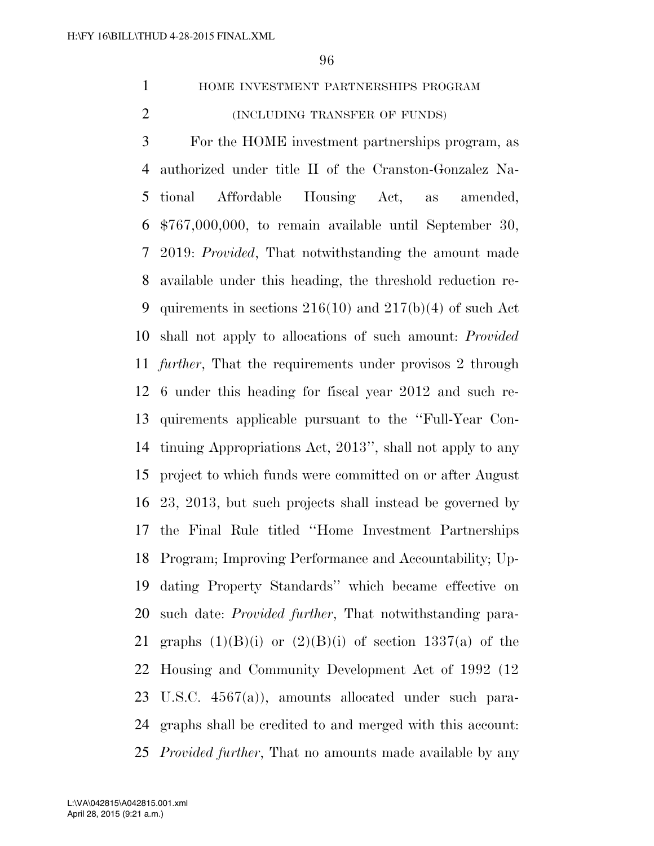HOME INVESTMENT PARTNERSHIPS PROGRAM (INCLUDING TRANSFER OF FUNDS)

 For the HOME investment partnerships program, as authorized under title II of the Cranston-Gonzalez Na- tional Affordable Housing Act, as amended, \$767,000,000, to remain available until September 30, 2019: *Provided*, That notwithstanding the amount made available under this heading, the threshold reduction re-9 quirements in sections  $216(10)$  and  $217(b)(4)$  of such Act shall not apply to allocations of such amount: *Provided further*, That the requirements under provisos 2 through 6 under this heading for fiscal year 2012 and such re- quirements applicable pursuant to the ''Full-Year Con- tinuing Appropriations Act, 2013'', shall not apply to any project to which funds were committed on or after August 23, 2013, but such projects shall instead be governed by the Final Rule titled ''Home Investment Partnerships Program; Improving Performance and Accountability; Up- dating Property Standards'' which became effective on such date: *Provided further*, That notwithstanding para-21 graphs  $(1)(B)(i)$  or  $(2)(B)(i)$  of section 1337(a) of the Housing and Community Development Act of 1992 (12 U.S.C. 4567(a)), amounts allocated under such para- graphs shall be credited to and merged with this account: *Provided further*, That no amounts made available by any

April 28, 2015 (9:21 a.m.) L:\VA\042815\A042815.001.xml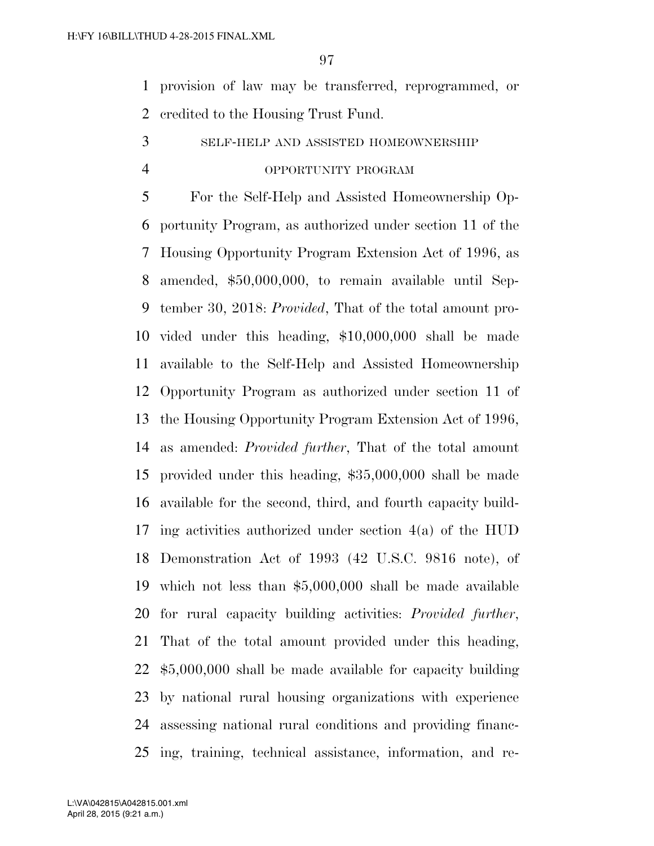provision of law may be transferred, reprogrammed, or credited to the Housing Trust Fund.

SELF-HELP AND ASSISTED HOMEOWNERSHIP

## OPPORTUNITY PROGRAM

 For the Self-Help and Assisted Homeownership Op- portunity Program, as authorized under section 11 of the Housing Opportunity Program Extension Act of 1996, as amended, \$50,000,000, to remain available until Sep- tember 30, 2018: *Provided*, That of the total amount pro- vided under this heading, \$10,000,000 shall be made available to the Self-Help and Assisted Homeownership Opportunity Program as authorized under section 11 of the Housing Opportunity Program Extension Act of 1996, as amended: *Provided further*, That of the total amount provided under this heading, \$35,000,000 shall be made available for the second, third, and fourth capacity build- ing activities authorized under section 4(a) of the HUD Demonstration Act of 1993 (42 U.S.C. 9816 note), of which not less than \$5,000,000 shall be made available for rural capacity building activities: *Provided further*, That of the total amount provided under this heading, \$5,000,000 shall be made available for capacity building by national rural housing organizations with experience assessing national rural conditions and providing financ-ing, training, technical assistance, information, and re-

April 28, 2015 (9:21 a.m.) L:\VA\042815\A042815.001.xml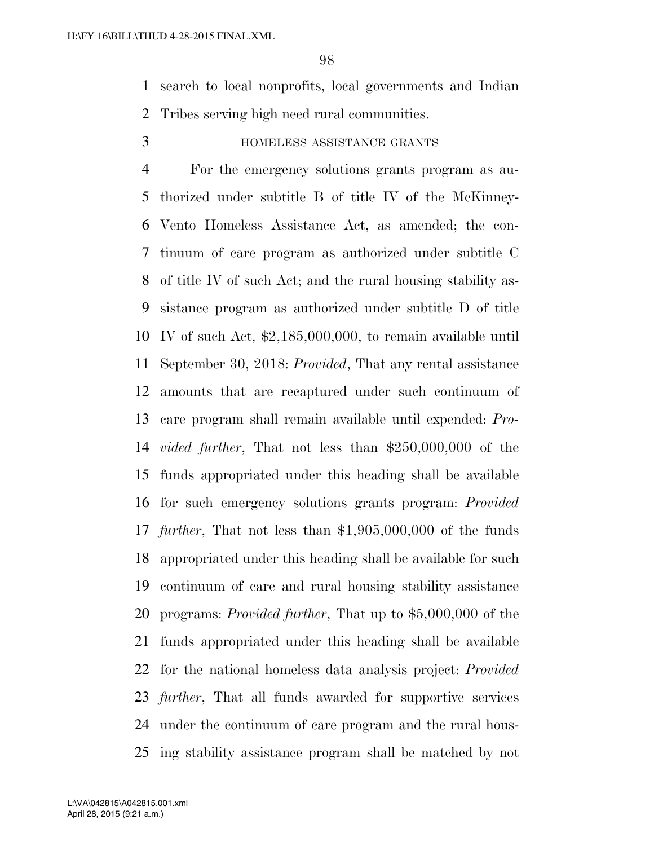search to local nonprofits, local governments and Indian Tribes serving high need rural communities.

## HOMELESS ASSISTANCE GRANTS

 For the emergency solutions grants program as au- thorized under subtitle B of title IV of the McKinney- Vento Homeless Assistance Act, as amended; the con- tinuum of care program as authorized under subtitle C of title IV of such Act; and the rural housing stability as- sistance program as authorized under subtitle D of title IV of such Act, \$2,185,000,000, to remain available until September 30, 2018: *Provided*, That any rental assistance amounts that are recaptured under such continuum of care program shall remain available until expended: *Pro- vided further*, That not less than \$250,000,000 of the funds appropriated under this heading shall be available for such emergency solutions grants program: *Provided further*, That not less than \$1,905,000,000 of the funds appropriated under this heading shall be available for such continuum of care and rural housing stability assistance programs: *Provided further*, That up to \$5,000,000 of the funds appropriated under this heading shall be available for the national homeless data analysis project: *Provided further*, That all funds awarded for supportive services under the continuum of care program and the rural hous-ing stability assistance program shall be matched by not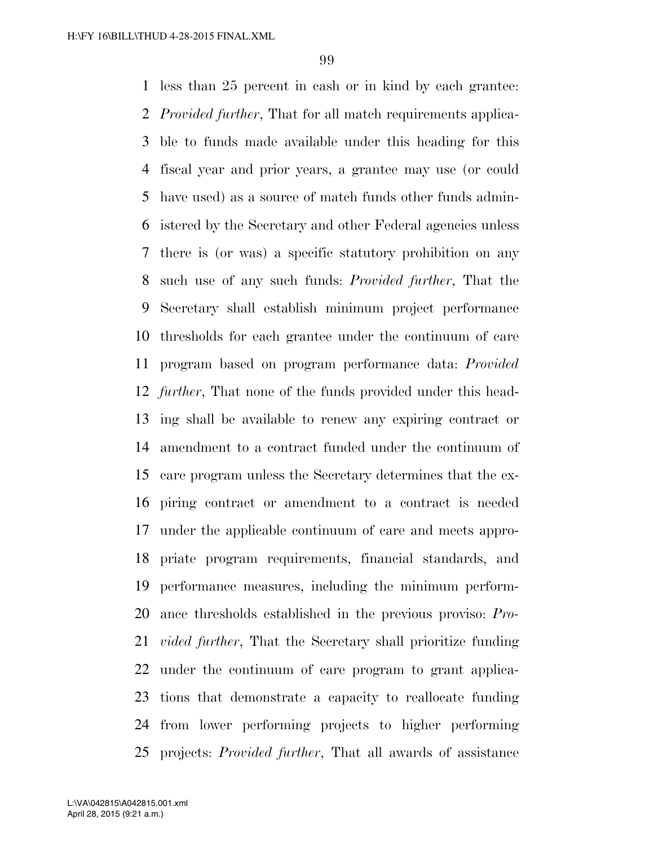less than 25 percent in cash or in kind by each grantee: *Provided further*, That for all match requirements applica- ble to funds made available under this heading for this fiscal year and prior years, a grantee may use (or could have used) as a source of match funds other funds admin- istered by the Secretary and other Federal agencies unless there is (or was) a specific statutory prohibition on any such use of any such funds: *Provided further*, That the Secretary shall establish minimum project performance thresholds for each grantee under the continuum of care program based on program performance data: *Provided further*, That none of the funds provided under this head- ing shall be available to renew any expiring contract or amendment to a contract funded under the continuum of care program unless the Secretary determines that the ex- piring contract or amendment to a contract is needed under the applicable continuum of care and meets appro- priate program requirements, financial standards, and performance measures, including the minimum perform- ance thresholds established in the previous proviso: *Pro- vided further*, That the Secretary shall prioritize funding under the continuum of care program to grant applica- tions that demonstrate a capacity to reallocate funding from lower performing projects to higher performing projects: *Provided further*, That all awards of assistance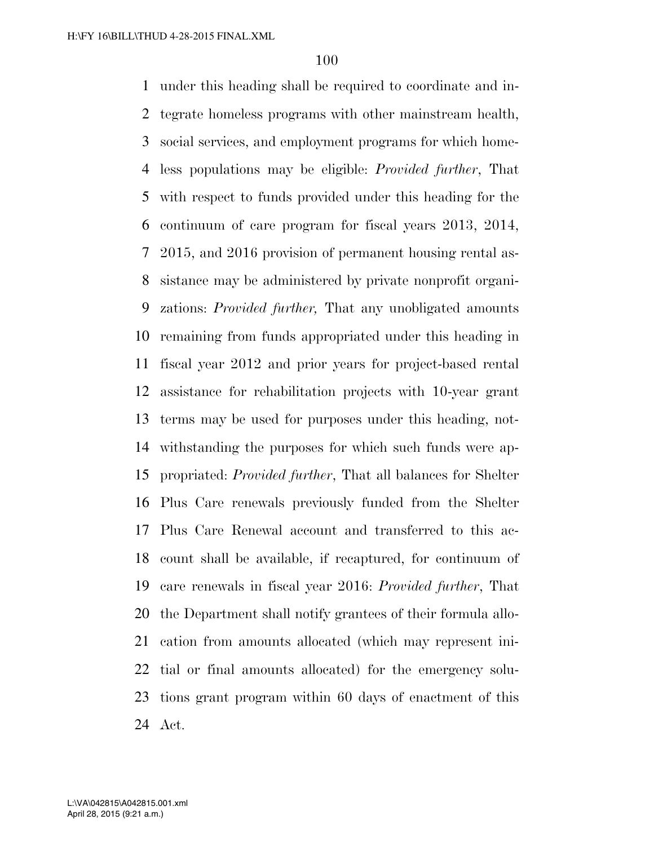under this heading shall be required to coordinate and in- tegrate homeless programs with other mainstream health, social services, and employment programs for which home- less populations may be eligible: *Provided further*, That with respect to funds provided under this heading for the continuum of care program for fiscal years 2013, 2014, 2015, and 2016 provision of permanent housing rental as- sistance may be administered by private nonprofit organi- zations: *Provided further,* That any unobligated amounts remaining from funds appropriated under this heading in fiscal year 2012 and prior years for project-based rental assistance for rehabilitation projects with 10-year grant terms may be used for purposes under this heading, not- withstanding the purposes for which such funds were ap- propriated: *Provided further*, That all balances for Shelter Plus Care renewals previously funded from the Shelter Plus Care Renewal account and transferred to this ac- count shall be available, if recaptured, for continuum of care renewals in fiscal year 2016: *Provided further*, That the Department shall notify grantees of their formula allo- cation from amounts allocated (which may represent ini- tial or final amounts allocated) for the emergency solu- tions grant program within 60 days of enactment of this Act.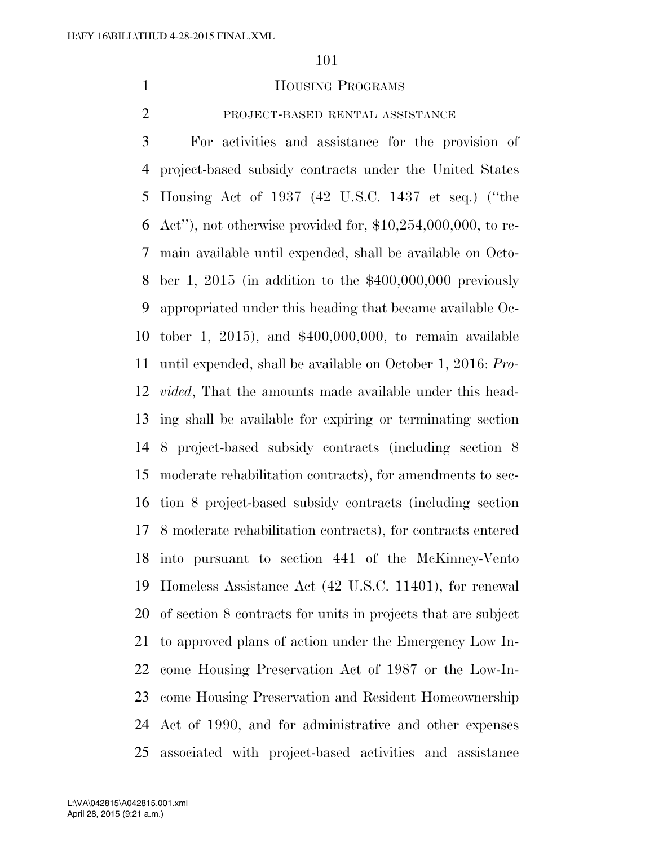#### 1 HOUSING PROGRAMS

## PROJECT-BASED RENTAL ASSISTANCE

 For activities and assistance for the provision of project-based subsidy contracts under the United States Housing Act of 1937 (42 U.S.C. 1437 et seq.) (''the 6 Act''), not otherwise provided for,  $$10,254,000,000$ , to re- main available until expended, shall be available on Octo- ber 1, 2015 (in addition to the \$400,000,000 previously appropriated under this heading that became available Oc- tober 1, 2015), and \$400,000,000, to remain available until expended, shall be available on October 1, 2016: *Pro- vided*, That the amounts made available under this head- ing shall be available for expiring or terminating section 8 project-based subsidy contracts (including section 8 moderate rehabilitation contracts), for amendments to sec- tion 8 project-based subsidy contracts (including section 8 moderate rehabilitation contracts), for contracts entered into pursuant to section 441 of the McKinney-Vento Homeless Assistance Act (42 U.S.C. 11401), for renewal of section 8 contracts for units in projects that are subject to approved plans of action under the Emergency Low In- come Housing Preservation Act of 1987 or the Low-In- come Housing Preservation and Resident Homeownership Act of 1990, and for administrative and other expenses associated with project-based activities and assistance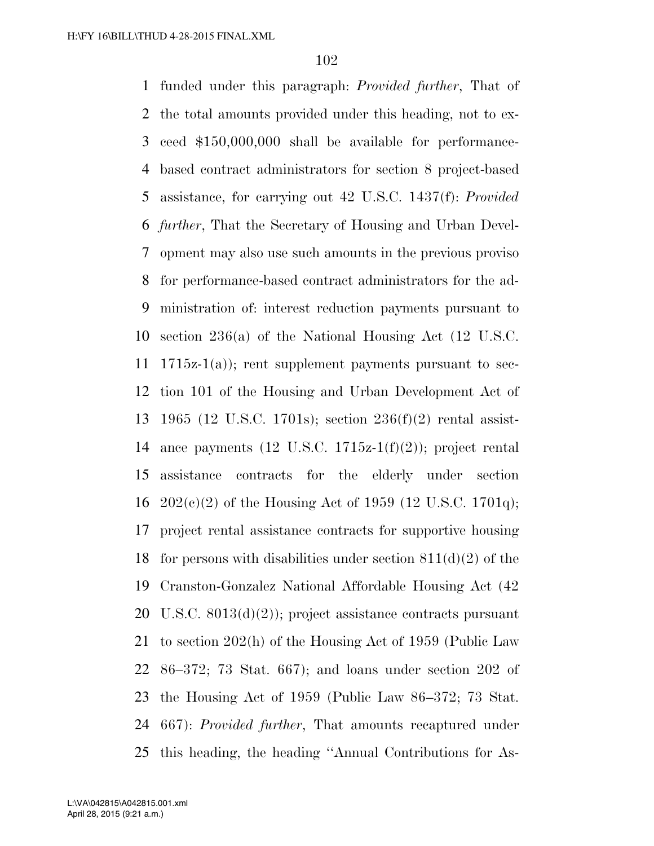funded under this paragraph: *Provided further*, That of the total amounts provided under this heading, not to ex- ceed \$150,000,000 shall be available for performance- based contract administrators for section 8 project-based assistance, for carrying out 42 U.S.C. 1437(f): *Provided further*, That the Secretary of Housing and Urban Devel- opment may also use such amounts in the previous proviso for performance-based contract administrators for the ad- ministration of: interest reduction payments pursuant to section 236(a) of the National Housing Act (12 U.S.C. 11 1715 $z$ -1(a)); rent supplement payments pursuant to sec- tion 101 of the Housing and Urban Development Act of 1965 (12 U.S.C. 1701s); section 236(f)(2) rental assist-14 ance payments  $(12 \text{ U.S.C. } 1715z-1(f)(2))$ ; project rental assistance contracts for the elderly under section  $202(c)(2)$  of the Housing Act of 1959 (12 U.S.C. 1701q); project rental assistance contracts for supportive housing 18 for persons with disabilities under section  $811(d)(2)$  of the Cranston-Gonzalez National Affordable Housing Act (42 U.S.C. 8013(d)(2)); project assistance contracts pursuant to section 202(h) of the Housing Act of 1959 (Public Law 86–372; 73 Stat. 667); and loans under section 202 of the Housing Act of 1959 (Public Law 86–372; 73 Stat. 667): *Provided further*, That amounts recaptured under this heading, the heading ''Annual Contributions for As-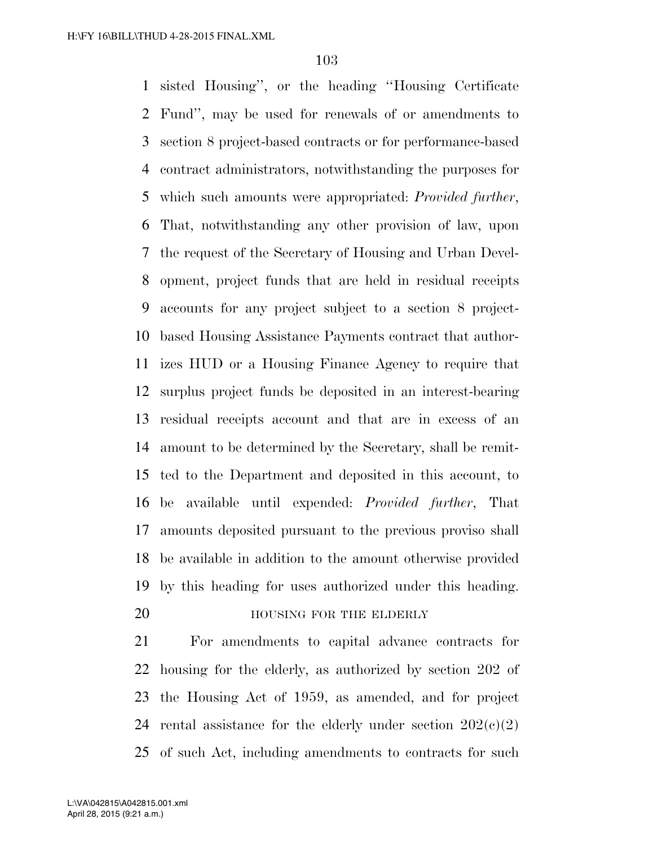sisted Housing'', or the heading ''Housing Certificate Fund'', may be used for renewals of or amendments to section 8 project-based contracts or for performance-based contract administrators, notwithstanding the purposes for which such amounts were appropriated: *Provided further*, That, notwithstanding any other provision of law, upon the request of the Secretary of Housing and Urban Devel- opment, project funds that are held in residual receipts accounts for any project subject to a section 8 project- based Housing Assistance Payments contract that author- izes HUD or a Housing Finance Agency to require that surplus project funds be deposited in an interest-bearing residual receipts account and that are in excess of an amount to be determined by the Secretary, shall be remit- ted to the Department and deposited in this account, to be available until expended: *Provided further*, That amounts deposited pursuant to the previous proviso shall be available in addition to the amount otherwise provided by this heading for uses authorized under this heading.

## **HOUSING FOR THE ELDERLY**

 For amendments to capital advance contracts for housing for the elderly, as authorized by section 202 of the Housing Act of 1959, as amended, and for project 24 rental assistance for the elderly under section  $202(c)(2)$ of such Act, including amendments to contracts for such

April 28, 2015 (9:21 a.m.) L:\VA\042815\A042815.001.xml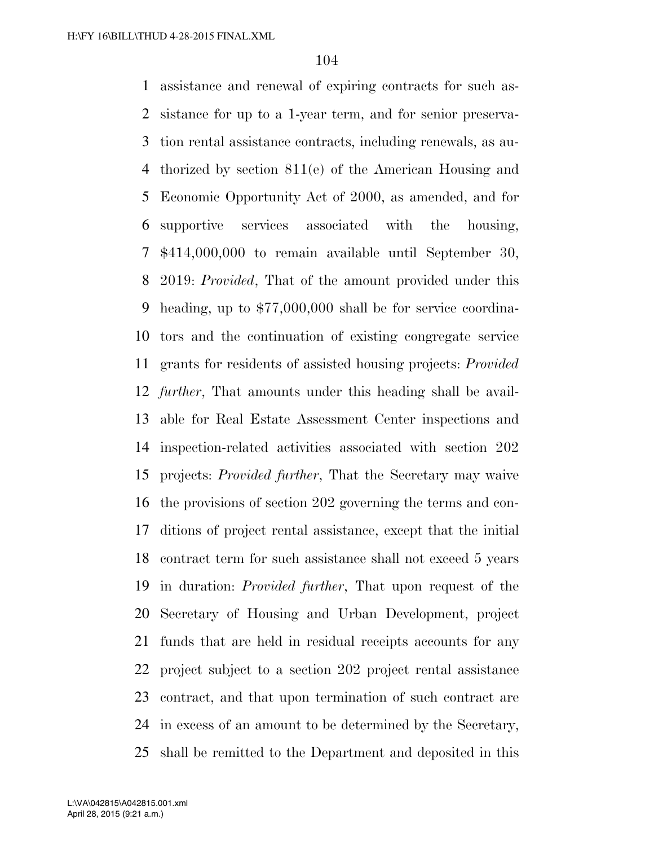assistance and renewal of expiring contracts for such as- sistance for up to a 1-year term, and for senior preserva- tion rental assistance contracts, including renewals, as au- thorized by section 811(e) of the American Housing and Economic Opportunity Act of 2000, as amended, and for supportive services associated with the housing, \$414,000,000 to remain available until September 30, 2019: *Provided*, That of the amount provided under this heading, up to \$77,000,000 shall be for service coordina- tors and the continuation of existing congregate service grants for residents of assisted housing projects: *Provided further*, That amounts under this heading shall be avail- able for Real Estate Assessment Center inspections and inspection-related activities associated with section 202 projects: *Provided further*, That the Secretary may waive the provisions of section 202 governing the terms and con- ditions of project rental assistance, except that the initial contract term for such assistance shall not exceed 5 years in duration: *Provided further*, That upon request of the Secretary of Housing and Urban Development, project funds that are held in residual receipts accounts for any project subject to a section 202 project rental assistance contract, and that upon termination of such contract are in excess of an amount to be determined by the Secretary, shall be remitted to the Department and deposited in this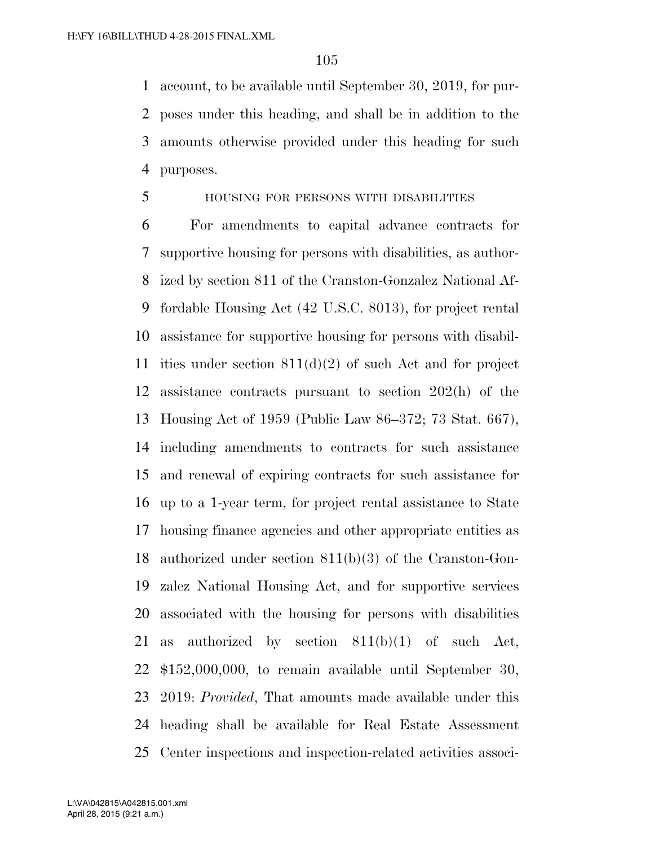account, to be available until September 30, 2019, for pur- poses under this heading, and shall be in addition to the amounts otherwise provided under this heading for such purposes.

#### HOUSING FOR PERSONS WITH DISABILITIES

 For amendments to capital advance contracts for supportive housing for persons with disabilities, as author- ized by section 811 of the Cranston-Gonzalez National Af- fordable Housing Act (42 U.S.C. 8013), for project rental assistance for supportive housing for persons with disabil-11 ities under section  $811(d)(2)$  of such Act and for project assistance contracts pursuant to section 202(h) of the Housing Act of 1959 (Public Law 86–372; 73 Stat. 667), including amendments to contracts for such assistance and renewal of expiring contracts for such assistance for up to a 1-year term, for project rental assistance to State housing finance agencies and other appropriate entities as authorized under section 811(b)(3) of the Cranston-Gon- zalez National Housing Act, and for supportive services associated with the housing for persons with disabilities as authorized by section 811(b)(1) of such Act, \$152,000,000, to remain available until September 30, 2019: *Provided*, That amounts made available under this heading shall be available for Real Estate Assessment Center inspections and inspection-related activities associ-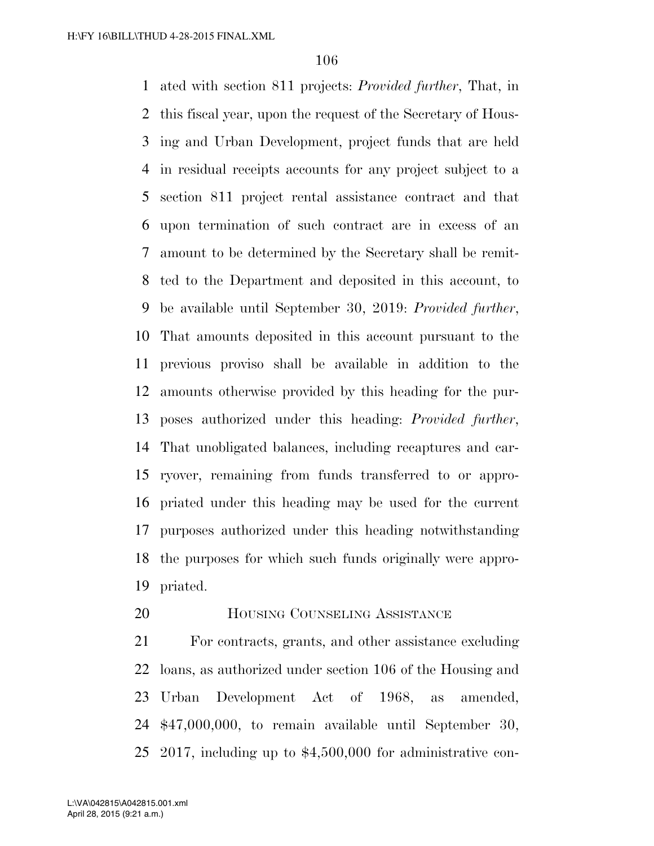ated with section 811 projects: *Provided further*, That, in this fiscal year, upon the request of the Secretary of Hous- ing and Urban Development, project funds that are held in residual receipts accounts for any project subject to a section 811 project rental assistance contract and that upon termination of such contract are in excess of an amount to be determined by the Secretary shall be remit- ted to the Department and deposited in this account, to be available until September 30, 2019: *Provided further*, That amounts deposited in this account pursuant to the previous proviso shall be available in addition to the amounts otherwise provided by this heading for the pur- poses authorized under this heading: *Provided further*, That unobligated balances, including recaptures and car- ryover, remaining from funds transferred to or appro- priated under this heading may be used for the current purposes authorized under this heading notwithstanding the purposes for which such funds originally were appro-priated.

**HOUSING COUNSELING ASSISTANCE** 

 For contracts, grants, and other assistance excluding loans, as authorized under section 106 of the Housing and Urban Development Act of 1968, as amended, \$47,000,000, to remain available until September 30, 2017, including up to \$4,500,000 for administrative con-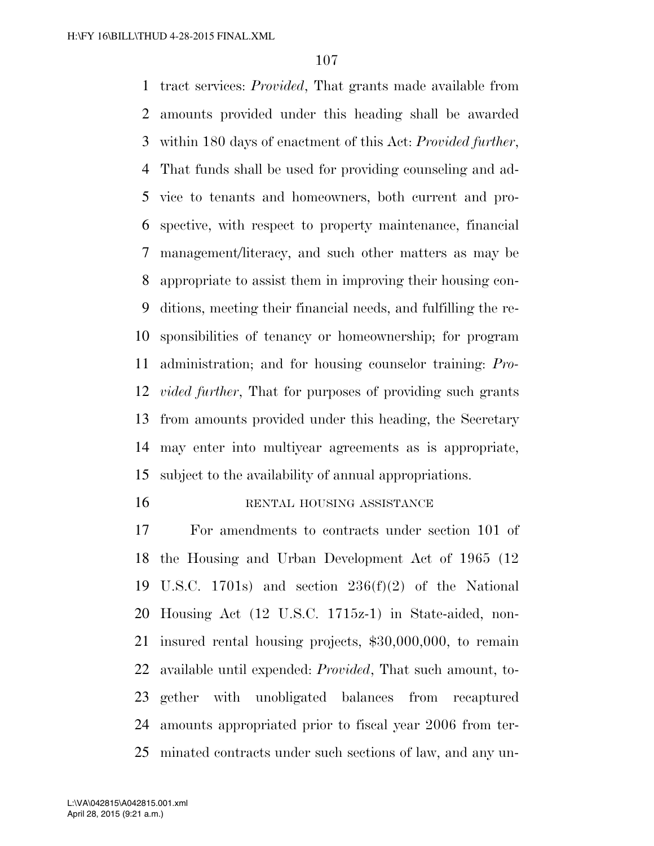tract services: *Provided*, That grants made available from amounts provided under this heading shall be awarded within 180 days of enactment of this Act: *Provided further*, That funds shall be used for providing counseling and ad- vice to tenants and homeowners, both current and pro- spective, with respect to property maintenance, financial management/literacy, and such other matters as may be appropriate to assist them in improving their housing con- ditions, meeting their financial needs, and fulfilling the re- sponsibilities of tenancy or homeownership; for program administration; and for housing counselor training: *Pro- vided further*, That for purposes of providing such grants from amounts provided under this heading, the Secretary may enter into multiyear agreements as is appropriate, subject to the availability of annual appropriations.

#### 16 RENTAL HOUSING ASSISTANCE

 For amendments to contracts under section 101 of the Housing and Urban Development Act of 1965 (12 U.S.C. 1701s) and section 236(f)(2) of the National Housing Act (12 U.S.C. 1715z-1) in State-aided, non- insured rental housing projects, \$30,000,000, to remain available until expended: *Provided*, That such amount, to- gether with unobligated balances from recaptured amounts appropriated prior to fiscal year 2006 from ter-minated contracts under such sections of law, and any un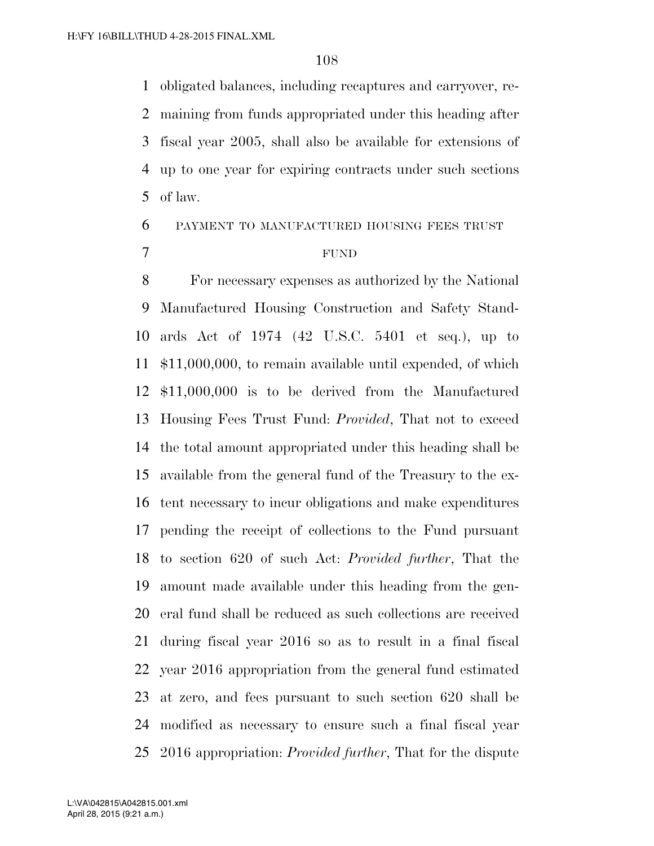obligated balances, including recaptures and carryover, re- maining from funds appropriated under this heading after fiscal year 2005, shall also be available for extensions of up to one year for expiring contracts under such sections of law.

## PAYMENT TO MANUFACTURED HOUSING FEES TRUST

#### FUND

 For necessary expenses as authorized by the National Manufactured Housing Construction and Safety Stand- ards Act of 1974 (42 U.S.C. 5401 et seq.), up to \$11,000,000, to remain available until expended, of which \$11,000,000 is to be derived from the Manufactured Housing Fees Trust Fund: *Provided*, That not to exceed the total amount appropriated under this heading shall be available from the general fund of the Treasury to the ex- tent necessary to incur obligations and make expenditures pending the receipt of collections to the Fund pursuant to section 620 of such Act: *Provided further*, That the amount made available under this heading from the gen- eral fund shall be reduced as such collections are received during fiscal year 2016 so as to result in a final fiscal year 2016 appropriation from the general fund estimated at zero, and fees pursuant to such section 620 shall be modified as necessary to ensure such a final fiscal year 2016 appropriation: *Provided further*, That for the dispute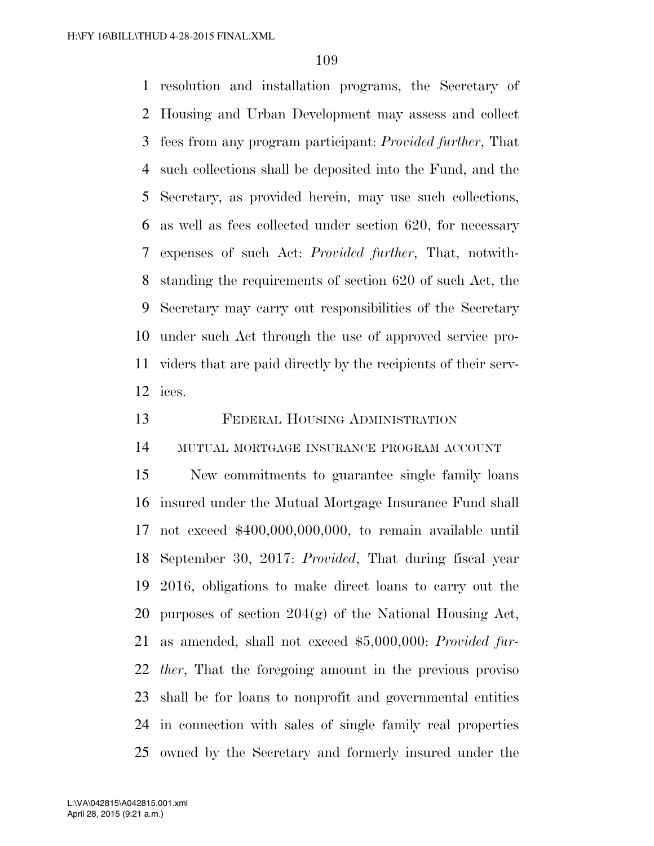resolution and installation programs, the Secretary of Housing and Urban Development may assess and collect fees from any program participant: *Provided further*, That such collections shall be deposited into the Fund, and the Secretary, as provided herein, may use such collections, as well as fees collected under section 620, for necessary expenses of such Act: *Provided further*, That, notwith- standing the requirements of section 620 of such Act, the Secretary may carry out responsibilities of the Secretary under such Act through the use of approved service pro- viders that are paid directly by the recipients of their serv-ices.

FEDERAL HOUSING ADMINISTRATION

MUTUAL MORTGAGE INSURANCE PROGRAM ACCOUNT

 New commitments to guarantee single family loans insured under the Mutual Mortgage Insurance Fund shall not exceed \$400,000,000,000, to remain available until September 30, 2017: *Provided*, That during fiscal year 2016, obligations to make direct loans to carry out the 20 purposes of section  $204(g)$  of the National Housing Act, as amended, shall not exceed \$5,000,000: *Provided fur- ther*, That the foregoing amount in the previous proviso shall be for loans to nonprofit and governmental entities in connection with sales of single family real properties owned by the Secretary and formerly insured under the

April 28, 2015 (9:21 a.m.) L:\VA\042815\A042815.001.xml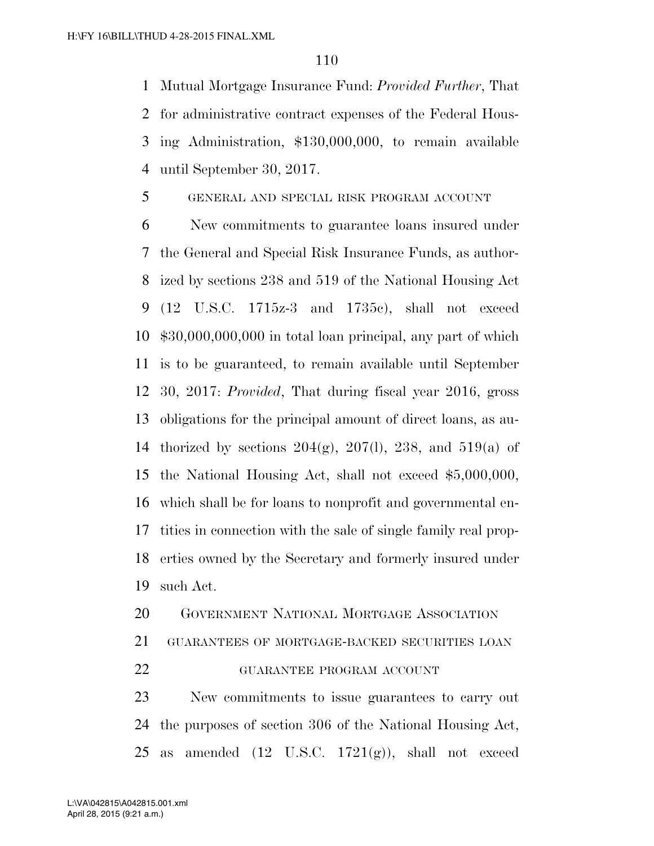Mutual Mortgage Insurance Fund: *Provided Further*, That for administrative contract expenses of the Federal Hous- ing Administration, \$130,000,000, to remain available until September 30, 2017.

#### GENERAL AND SPECIAL RISK PROGRAM ACCOUNT

 New commitments to guarantee loans insured under the General and Special Risk Insurance Funds, as author- ized by sections 238 and 519 of the National Housing Act (12 U.S.C. 1715z-3 and 1735c), shall not exceed \$30,000,000,000 in total loan principal, any part of which is to be guaranteed, to remain available until September 30, 2017: *Provided*, That during fiscal year 2016, gross obligations for the principal amount of direct loans, as au-14 thorized by sections  $204(g)$ ,  $207(l)$ ,  $238$ , and  $519(a)$  of the National Housing Act, shall not exceed \$5,000,000, which shall be for loans to nonprofit and governmental en- tities in connection with the sale of single family real prop- erties owned by the Secretary and formerly insured under such Act.

GOVERNMENT NATIONAL MORTGAGE ASSOCIATION

GUARANTEES OF MORTGAGE-BACKED SECURITIES LOAN

GUARANTEE PROGRAM ACCOUNT

 New commitments to issue guarantees to carry out the purposes of section 306 of the National Housing Act, 25 as amended  $(12 \text{ U.S.C. } 1721(g))$ , shall not exceed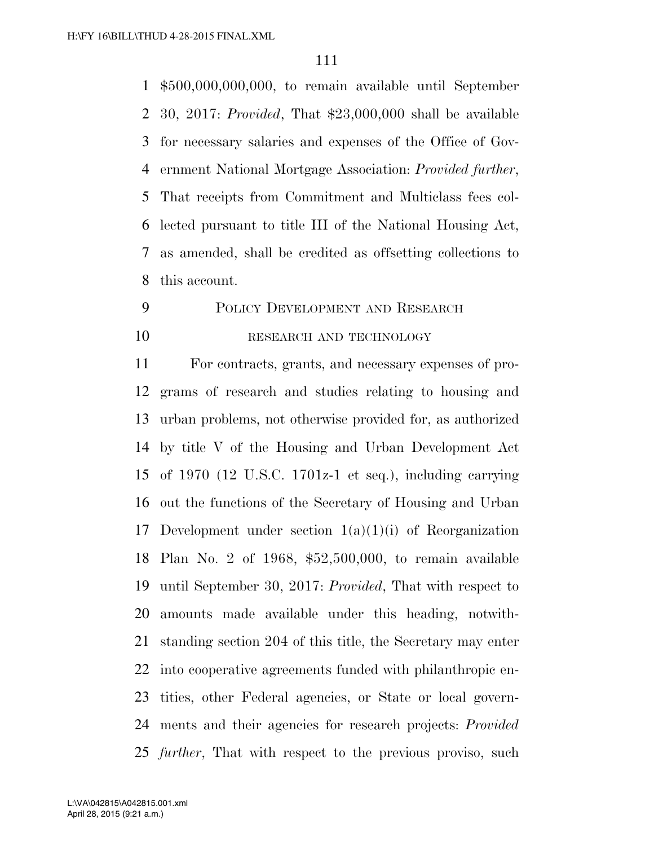\$500,000,000,000, to remain available until September 30, 2017: *Provided*, That \$23,000,000 shall be available for necessary salaries and expenses of the Office of Gov- ernment National Mortgage Association: *Provided further*, That receipts from Commitment and Multiclass fees col- lected pursuant to title III of the National Housing Act, as amended, shall be credited as offsetting collections to this account.

# POLICY DEVELOPMENT AND RESEARCH 10 RESEARCH AND TECHNOLOGY

 For contracts, grants, and necessary expenses of pro- grams of research and studies relating to housing and urban problems, not otherwise provided for, as authorized by title V of the Housing and Urban Development Act of 1970 (12 U.S.C. 1701z-1 et seq.), including carrying out the functions of the Secretary of Housing and Urban Development under section 1(a)(1)(i) of Reorganization Plan No. 2 of 1968, \$52,500,000, to remain available until September 30, 2017: *Provided*, That with respect to amounts made available under this heading, notwith- standing section 204 of this title, the Secretary may enter into cooperative agreements funded with philanthropic en- tities, other Federal agencies, or State or local govern- ments and their agencies for research projects: *Provided further*, That with respect to the previous proviso, such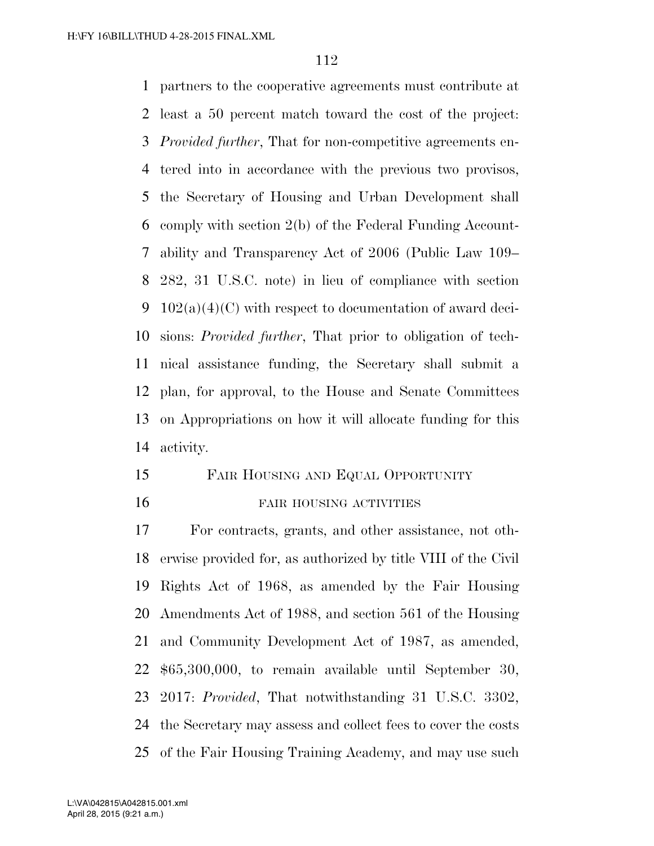partners to the cooperative agreements must contribute at least a 50 percent match toward the cost of the project: *Provided further*, That for non-competitive agreements en- tered into in accordance with the previous two provisos, the Secretary of Housing and Urban Development shall comply with section 2(b) of the Federal Funding Account- ability and Transparency Act of 2006 (Public Law 109– 282, 31 U.S.C. note) in lieu of compliance with section  $102(a)(4)(C)$  with respect to documentation of award deci- sions: *Provided further*, That prior to obligation of tech- nical assistance funding, the Secretary shall submit a plan, for approval, to the House and Senate Committees on Appropriations on how it will allocate funding for this activity.

 FAIR HOUSING AND EQUAL OPPORTUNITY 16 FAIR HOUSING ACTIVITIES

 For contracts, grants, and other assistance, not oth- erwise provided for, as authorized by title VIII of the Civil Rights Act of 1968, as amended by the Fair Housing Amendments Act of 1988, and section 561 of the Housing and Community Development Act of 1987, as amended, \$65,300,000, to remain available until September 30, 2017: *Provided*, That notwithstanding 31 U.S.C. 3302, the Secretary may assess and collect fees to cover the costs of the Fair Housing Training Academy, and may use such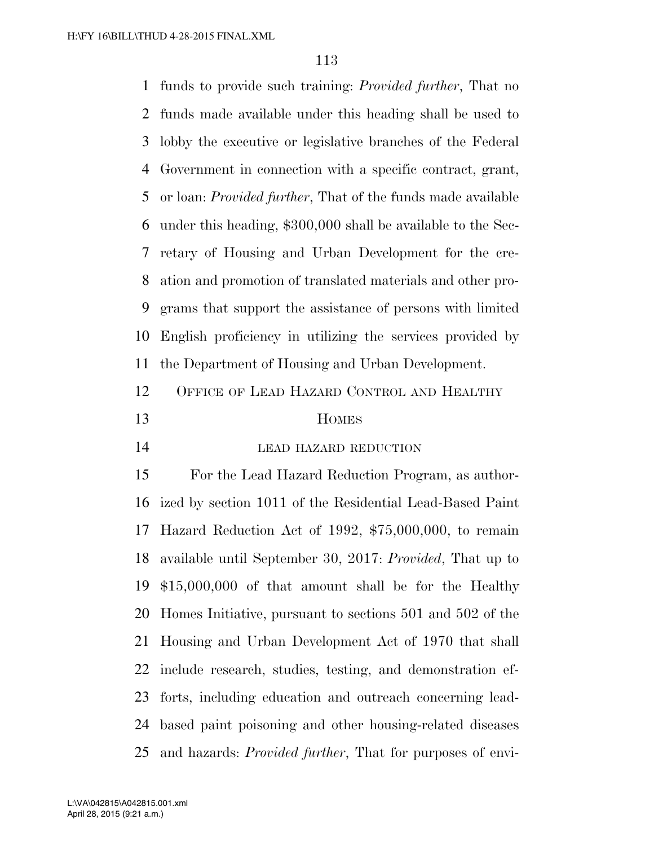funds to provide such training: *Provided further*, That no funds made available under this heading shall be used to lobby the executive or legislative branches of the Federal Government in connection with a specific contract, grant, or loan: *Provided further*, That of the funds made available under this heading, \$300,000 shall be available to the Sec- retary of Housing and Urban Development for the cre- ation and promotion of translated materials and other pro- grams that support the assistance of persons with limited English proficiency in utilizing the services provided by the Department of Housing and Urban Development. OFFICE OF LEAD HAZARD CONTROL AND HEALTHY HOMES 14 LEAD HAZARD REDUCTION

 For the Lead Hazard Reduction Program, as author- ized by section 1011 of the Residential Lead-Based Paint Hazard Reduction Act of 1992, \$75,000,000, to remain available until September 30, 2017: *Provided*, That up to \$15,000,000 of that amount shall be for the Healthy Homes Initiative, pursuant to sections 501 and 502 of the Housing and Urban Development Act of 1970 that shall include research, studies, testing, and demonstration ef- forts, including education and outreach concerning lead- based paint poisoning and other housing-related diseases and hazards: *Provided further*, That for purposes of envi-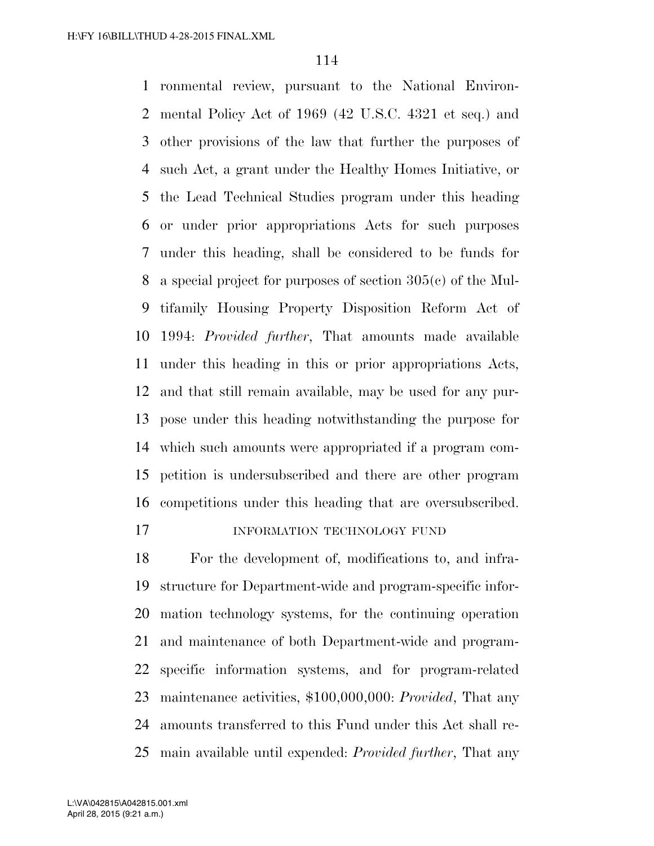ronmental review, pursuant to the National Environ- mental Policy Act of 1969 (42 U.S.C. 4321 et seq.) and other provisions of the law that further the purposes of such Act, a grant under the Healthy Homes Initiative, or the Lead Technical Studies program under this heading or under prior appropriations Acts for such purposes under this heading, shall be considered to be funds for a special project for purposes of section 305(c) of the Mul- tifamily Housing Property Disposition Reform Act of 1994: *Provided further*, That amounts made available under this heading in this or prior appropriations Acts, and that still remain available, may be used for any pur- pose under this heading notwithstanding the purpose for which such amounts were appropriated if a program com- petition is undersubscribed and there are other program competitions under this heading that are oversubscribed.

### 17 INFORMATION TECHNOLOGY FUND

 For the development of, modifications to, and infra- structure for Department-wide and program-specific infor- mation technology systems, for the continuing operation and maintenance of both Department-wide and program- specific information systems, and for program-related maintenance activities, \$100,000,000: *Provided*, That any amounts transferred to this Fund under this Act shall re-main available until expended: *Provided further*, That any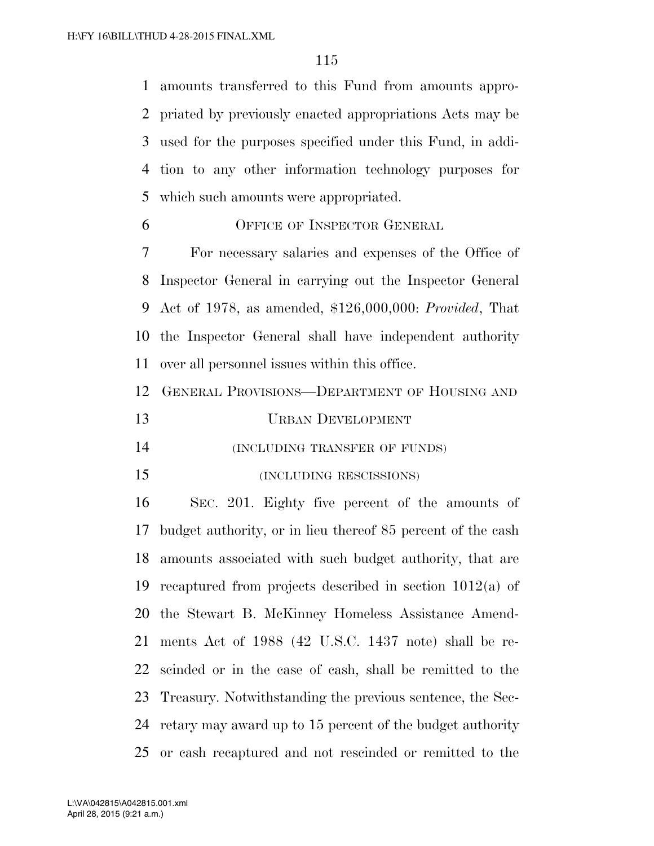amounts transferred to this Fund from amounts appro- priated by previously enacted appropriations Acts may be used for the purposes specified under this Fund, in addi- tion to any other information technology purposes for which such amounts were appropriated.

OFFICE OF INSPECTOR GENERAL

 For necessary salaries and expenses of the Office of Inspector General in carrying out the Inspector General Act of 1978, as amended, \$126,000,000: *Provided*, That the Inspector General shall have independent authority over all personnel issues within this office.

GENERAL PROVISIONS—DEPARTMENT OF HOUSING AND

URBAN DEVELOPMENT

(INCLUDING TRANSFER OF FUNDS)

#### (INCLUDING RESCISSIONS)

 SEC. 201. Eighty five percent of the amounts of budget authority, or in lieu thereof 85 percent of the cash amounts associated with such budget authority, that are recaptured from projects described in section 1012(a) of the Stewart B. McKinney Homeless Assistance Amend- ments Act of 1988 (42 U.S.C. 1437 note) shall be re- scinded or in the case of cash, shall be remitted to the Treasury. Notwithstanding the previous sentence, the Sec- retary may award up to 15 percent of the budget authority or cash recaptured and not rescinded or remitted to the

April 28, 2015 (9:21 a.m.) L:\VA\042815\A042815.001.xml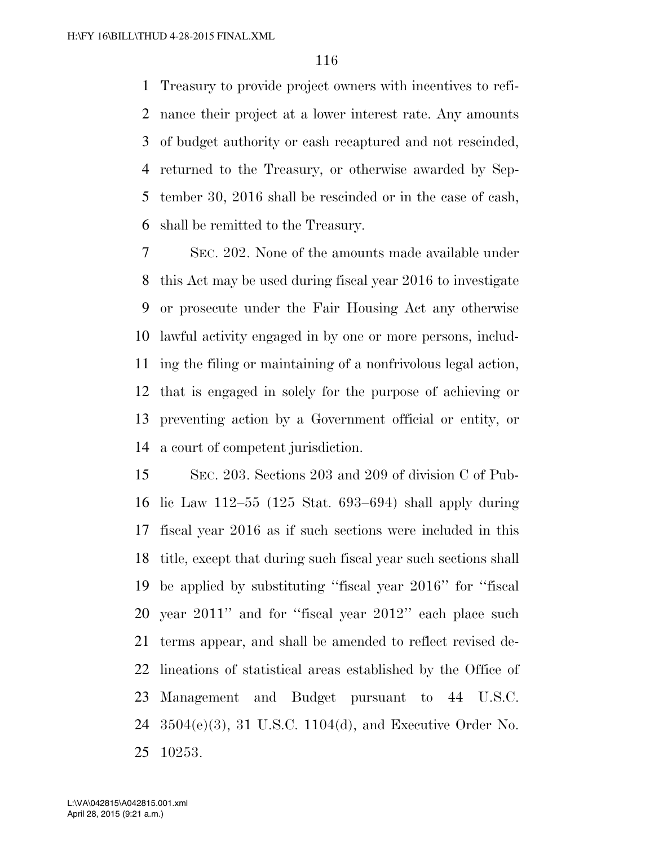Treasury to provide project owners with incentives to refi- nance their project at a lower interest rate. Any amounts of budget authority or cash recaptured and not rescinded, returned to the Treasury, or otherwise awarded by Sep- tember 30, 2016 shall be rescinded or in the case of cash, shall be remitted to the Treasury.

 SEC. 202. None of the amounts made available under this Act may be used during fiscal year 2016 to investigate or prosecute under the Fair Housing Act any otherwise lawful activity engaged in by one or more persons, includ- ing the filing or maintaining of a nonfrivolous legal action, that is engaged in solely for the purpose of achieving or preventing action by a Government official or entity, or a court of competent jurisdiction.

 SEC. 203. Sections 203 and 209 of division C of Pub- lic Law 112–55 (125 Stat. 693–694) shall apply during fiscal year 2016 as if such sections were included in this title, except that during such fiscal year such sections shall be applied by substituting ''fiscal year 2016'' for ''fiscal year 2011'' and for ''fiscal year 2012'' each place such terms appear, and shall be amended to reflect revised de- lineations of statistical areas established by the Office of Management and Budget pursuant to 44 U.S.C. 3504(e)(3), 31 U.S.C. 1104(d), and Executive Order No. 10253.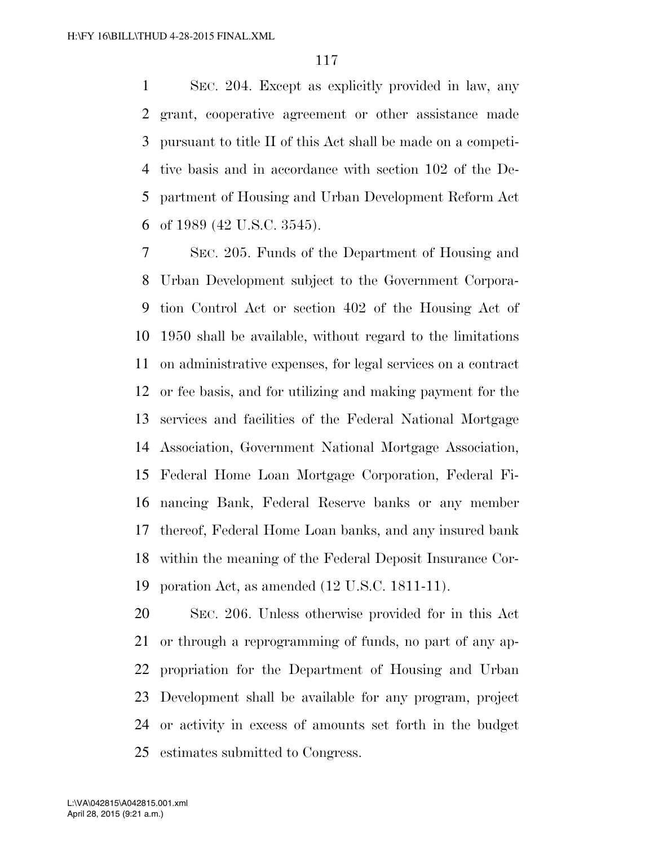SEC. 204. Except as explicitly provided in law, any grant, cooperative agreement or other assistance made pursuant to title II of this Act shall be made on a competi- tive basis and in accordance with section 102 of the De- partment of Housing and Urban Development Reform Act of 1989 (42 U.S.C. 3545).

 SEC. 205. Funds of the Department of Housing and Urban Development subject to the Government Corpora- tion Control Act or section 402 of the Housing Act of 1950 shall be available, without regard to the limitations on administrative expenses, for legal services on a contract or fee basis, and for utilizing and making payment for the services and facilities of the Federal National Mortgage Association, Government National Mortgage Association, Federal Home Loan Mortgage Corporation, Federal Fi- nancing Bank, Federal Reserve banks or any member thereof, Federal Home Loan banks, and any insured bank within the meaning of the Federal Deposit Insurance Cor-poration Act, as amended (12 U.S.C. 1811-11).

 SEC. 206. Unless otherwise provided for in this Act or through a reprogramming of funds, no part of any ap- propriation for the Department of Housing and Urban Development shall be available for any program, project or activity in excess of amounts set forth in the budget estimates submitted to Congress.

April 28, 2015 (9:21 a.m.) L:\VA\042815\A042815.001.xml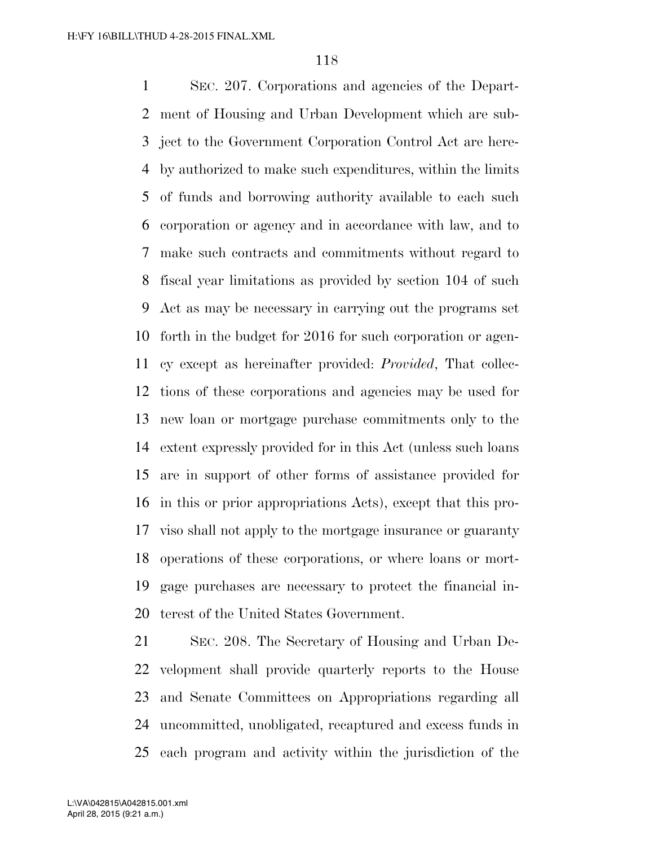SEC. 207. Corporations and agencies of the Depart- ment of Housing and Urban Development which are sub- ject to the Government Corporation Control Act are here- by authorized to make such expenditures, within the limits of funds and borrowing authority available to each such corporation or agency and in accordance with law, and to make such contracts and commitments without regard to fiscal year limitations as provided by section 104 of such Act as may be necessary in carrying out the programs set forth in the budget for 2016 for such corporation or agen- cy except as hereinafter provided: *Provided*, That collec- tions of these corporations and agencies may be used for new loan or mortgage purchase commitments only to the extent expressly provided for in this Act (unless such loans are in support of other forms of assistance provided for in this or prior appropriations Acts), except that this pro- viso shall not apply to the mortgage insurance or guaranty operations of these corporations, or where loans or mort- gage purchases are necessary to protect the financial in-terest of the United States Government.

 SEC. 208. The Secretary of Housing and Urban De- velopment shall provide quarterly reports to the House and Senate Committees on Appropriations regarding all uncommitted, unobligated, recaptured and excess funds in each program and activity within the jurisdiction of the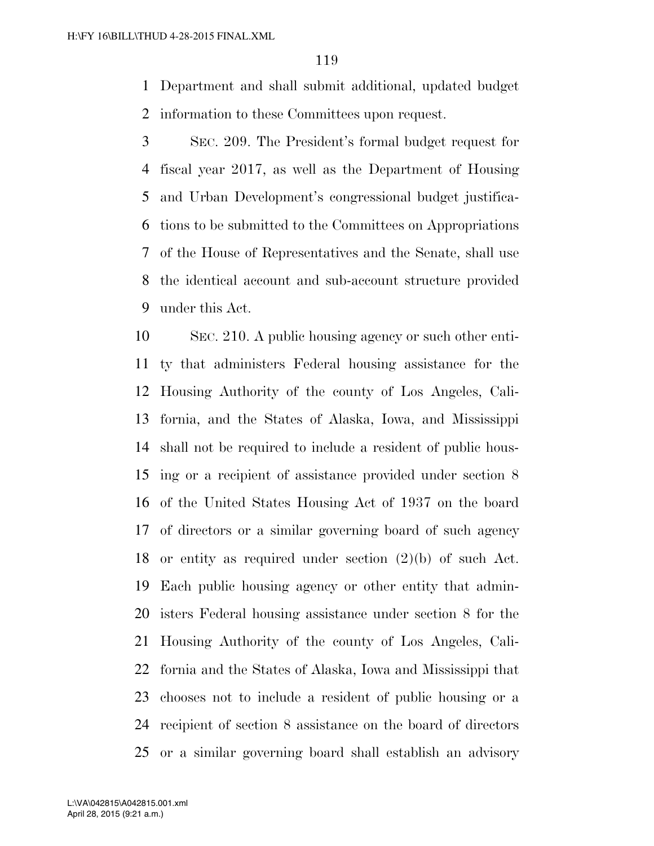Department and shall submit additional, updated budget information to these Committees upon request.

 SEC. 209. The President's formal budget request for fiscal year 2017, as well as the Department of Housing and Urban Development's congressional budget justifica- tions to be submitted to the Committees on Appropriations of the House of Representatives and the Senate, shall use the identical account and sub-account structure provided under this Act.

 SEC. 210. A public housing agency or such other enti- ty that administers Federal housing assistance for the Housing Authority of the county of Los Angeles, Cali- fornia, and the States of Alaska, Iowa, and Mississippi shall not be required to include a resident of public hous- ing or a recipient of assistance provided under section 8 of the United States Housing Act of 1937 on the board of directors or a similar governing board of such agency or entity as required under section (2)(b) of such Act. Each public housing agency or other entity that admin- isters Federal housing assistance under section 8 for the Housing Authority of the county of Los Angeles, Cali- fornia and the States of Alaska, Iowa and Mississippi that chooses not to include a resident of public housing or a recipient of section 8 assistance on the board of directors or a similar governing board shall establish an advisory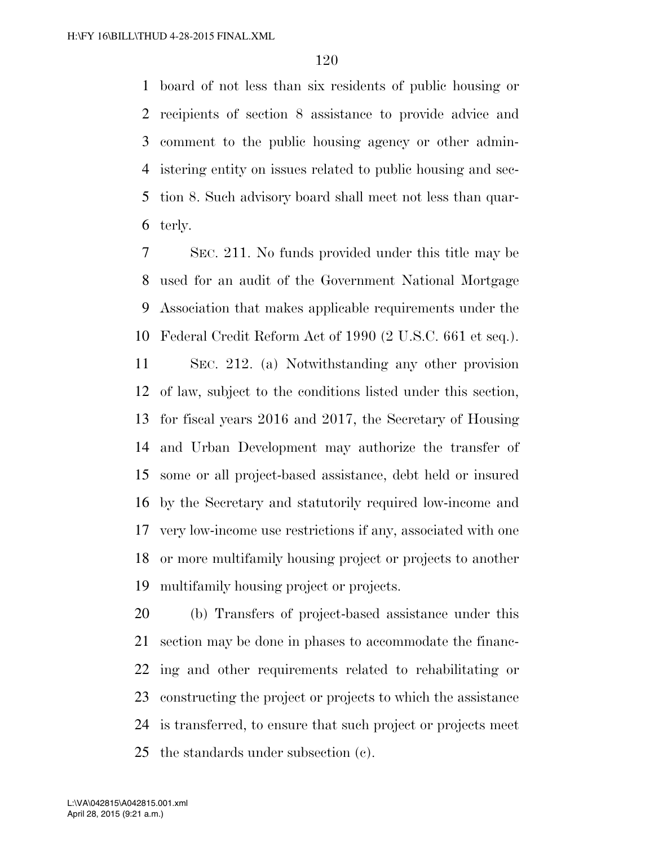board of not less than six residents of public housing or recipients of section 8 assistance to provide advice and comment to the public housing agency or other admin- istering entity on issues related to public housing and sec- tion 8. Such advisory board shall meet not less than quar-terly.

 SEC. 211. No funds provided under this title may be used for an audit of the Government National Mortgage Association that makes applicable requirements under the Federal Credit Reform Act of 1990 (2 U.S.C. 661 et seq.).

 SEC. 212. (a) Notwithstanding any other provision of law, subject to the conditions listed under this section, for fiscal years 2016 and 2017, the Secretary of Housing and Urban Development may authorize the transfer of some or all project-based assistance, debt held or insured by the Secretary and statutorily required low-income and very low-income use restrictions if any, associated with one or more multifamily housing project or projects to another multifamily housing project or projects.

 (b) Transfers of project-based assistance under this section may be done in phases to accommodate the financ- ing and other requirements related to rehabilitating or constructing the project or projects to which the assistance is transferred, to ensure that such project or projects meet the standards under subsection (c).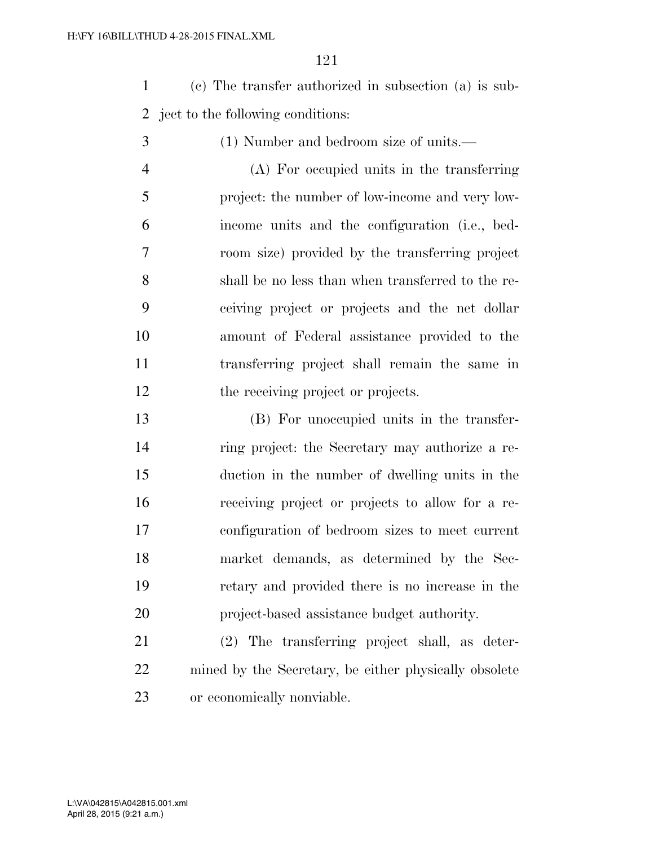(c) The transfer authorized in subsection (a) is sub-ject to the following conditions:

(1) Number and bedroom size of units.—

 (A) For occupied units in the transferring project: the number of low-income and very low- income units and the configuration (i.e., bed- room size) provided by the transferring project shall be no less than when transferred to the re- ceiving project or projects and the net dollar amount of Federal assistance provided to the transferring project shall remain the same in 12 the receiving project or projects.

 (B) For unoccupied units in the transfer- ring project: the Secretary may authorize a re- duction in the number of dwelling units in the receiving project or projects to allow for a re- configuration of bedroom sizes to meet current market demands, as determined by the Sec- retary and provided there is no increase in the project-based assistance budget authority.

 (2) The transferring project shall, as deter- mined by the Secretary, be either physically obsolete or economically nonviable.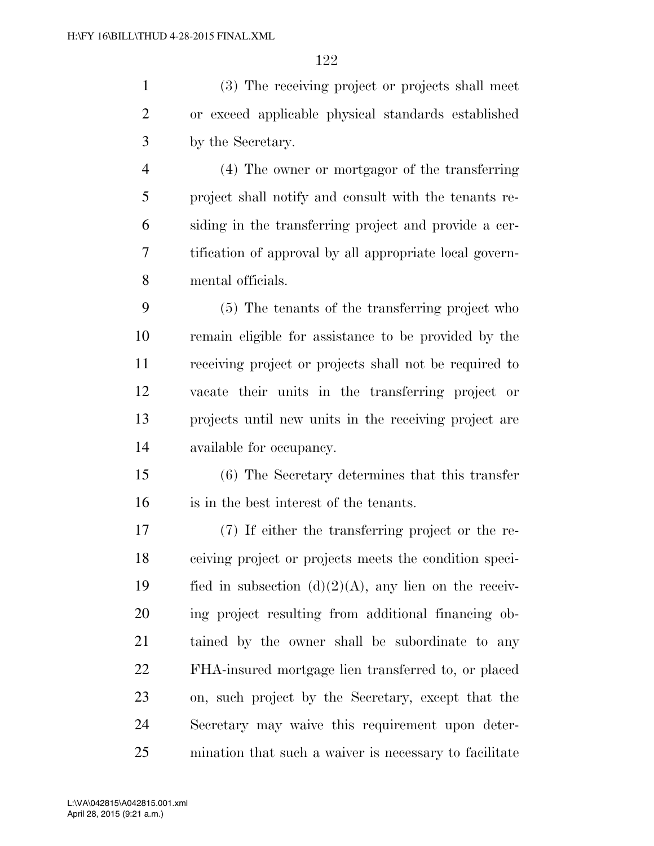(3) The receiving project or projects shall meet or exceed applicable physical standards established by the Secretary.

 (4) The owner or mortgagor of the transferring project shall notify and consult with the tenants re- siding in the transferring project and provide a cer- tification of approval by all appropriate local govern-mental officials.

 (5) The tenants of the transferring project who remain eligible for assistance to be provided by the receiving project or projects shall not be required to vacate their units in the transferring project or projects until new units in the receiving project are available for occupancy.

 (6) The Secretary determines that this transfer is in the best interest of the tenants.

 (7) If either the transferring project or the re- ceiving project or projects meets the condition speci-19 fied in subsection  $(d)(2)(A)$ , any lien on the receiv- ing project resulting from additional financing ob- tained by the owner shall be subordinate to any FHA-insured mortgage lien transferred to, or placed on, such project by the Secretary, except that the Secretary may waive this requirement upon deter-mination that such a waiver is necessary to facilitate

April 28, 2015 (9:21 a.m.) L:\VA\042815\A042815.001.xml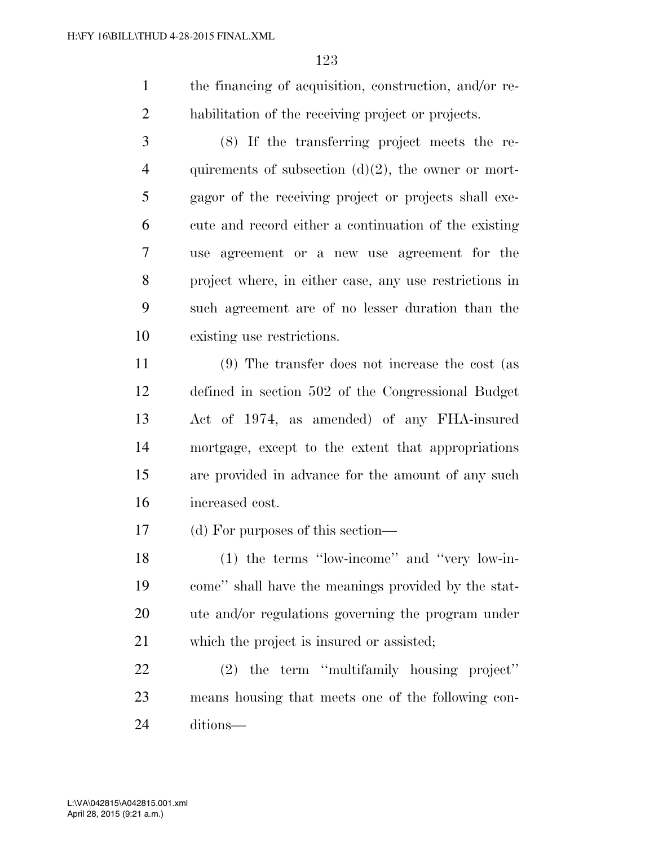the financing of acquisition, construction, and/or re-habilitation of the receiving project or projects.

 (8) If the transferring project meets the re-4 quirements of subsection  $(d)(2)$ , the owner or mort- gagor of the receiving project or projects shall exe- cute and record either a continuation of the existing use agreement or a new use agreement for the project where, in either case, any use restrictions in such agreement are of no lesser duration than the existing use restrictions.

 (9) The transfer does not increase the cost (as defined in section 502 of the Congressional Budget Act of 1974, as amended) of any FHA-insured mortgage, except to the extent that appropriations are provided in advance for the amount of any such increased cost.

(d) For purposes of this section—

 (1) the terms ''low-income'' and ''very low-in- come'' shall have the meanings provided by the stat- ute and/or regulations governing the program under which the project is insured or assisted;

 (2) the term ''multifamily housing project'' means housing that meets one of the following con-ditions—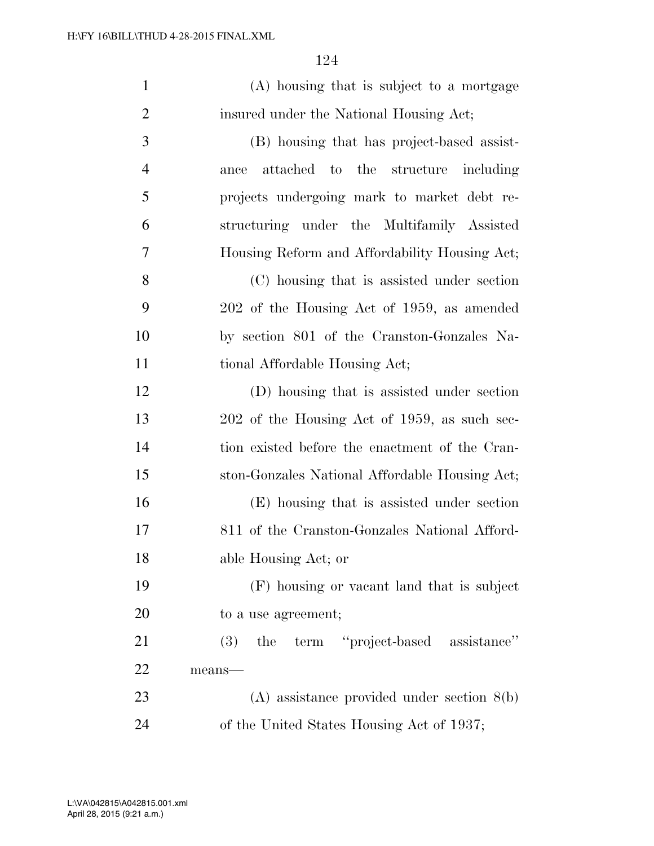| $\mathbf{1}$   | (A) housing that is subject to a mortgage      |
|----------------|------------------------------------------------|
| $\overline{2}$ | insured under the National Housing Act;        |
| 3              | (B) housing that has project-based assist-     |
| $\overline{4}$ | attached to the structure including<br>ance    |
| 5              | projects undergoing mark to market debt re-    |
| 6              | structuring under the Multifamily Assisted     |
| 7              | Housing Reform and Affordability Housing Act;  |
| 8              | (C) housing that is assisted under section     |
| 9              | 202 of the Housing Act of 1959, as amended     |
| 10             | by section 801 of the Cranston-Gonzales Na-    |
| 11             | tional Affordable Housing Act;                 |
| 12             | (D) housing that is assisted under section     |
| 13             | 202 of the Housing Act of 1959, as such sec-   |
| 14             | tion existed before the enactment of the Cran- |
| 15             | ston-Gonzales National Affordable Housing Act; |
| 16             | (E) housing that is assisted under section     |
| 17             | 811 of the Cranston-Gonzales National Afford-  |
| 18             | able Housing Act; or                           |
| 19             | (F) housing or vacant land that is subject     |
| 20             | to a use agreement;                            |
| 21             | term "project-based assistance"<br>(3)<br>the  |
| 22             | means-                                         |
| 23             | $(A)$ assistance provided under section $8(b)$ |
| 24             | of the United States Housing Act of 1937;      |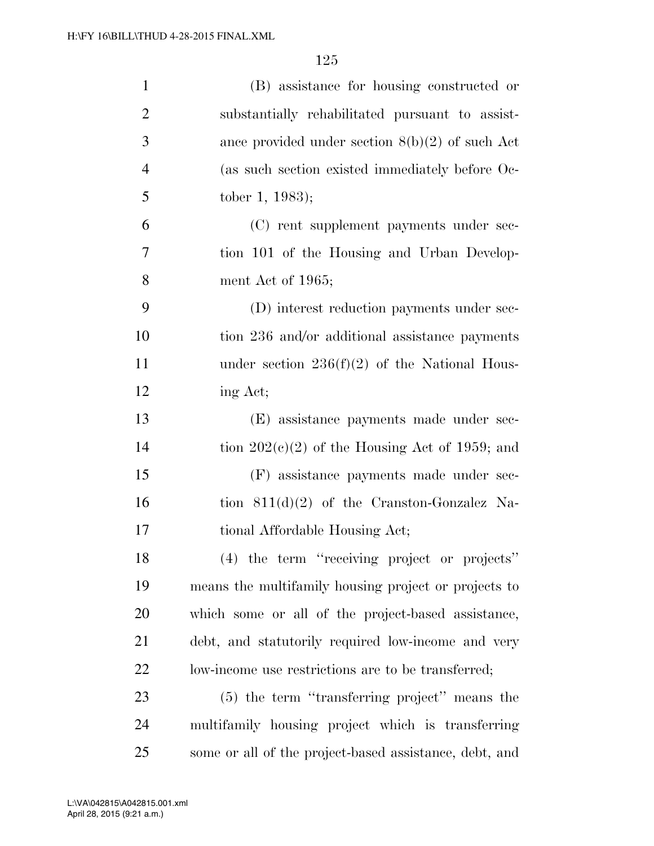| $\mathbf{1}$   | (B) assistance for housing constructed or              |
|----------------|--------------------------------------------------------|
| $\overline{2}$ | substantially rehabilitated pursuant to assist-        |
| 3              | ance provided under section $8(b)(2)$ of such Act      |
| $\overline{4}$ | (as such section existed immediately before Oc-        |
| 5              | tober 1, 1983);                                        |
| 6              | (C) rent supplement payments under sec-                |
| $\overline{7}$ | tion 101 of the Housing and Urban Develop-             |
| 8              | ment Act of 1965;                                      |
| 9              | (D) interest reduction payments under sec-             |
| 10             | tion 236 and/or additional assistance payments         |
| 11             | under section $236(f)(2)$ of the National Hous-        |
| 12             | ing Act;                                               |
| 13             | (E) assistance payments made under sec-                |
| 14             | tion $202(c)(2)$ of the Housing Act of 1959; and       |
| 15             | (F) assistance payments made under sec-                |
| 16             | tion $811(d)(2)$ of the Cranston-Gonzalez Na-          |
| 17             | tional Affordable Housing Act;                         |
| 18             | (4) the term "receiving project or projects"           |
| 19             | means the multifamily housing project or projects to   |
| 20             | which some or all of the project-based assistance,     |
| 21             | debt, and statutorily required low-income and very     |
| 22             | low-income use restrictions are to be transferred;     |
| 23             | (5) the term "transferring project" means the          |
| 24             | multifamily housing project which is transferring      |
| 25             | some or all of the project-based assistance, debt, and |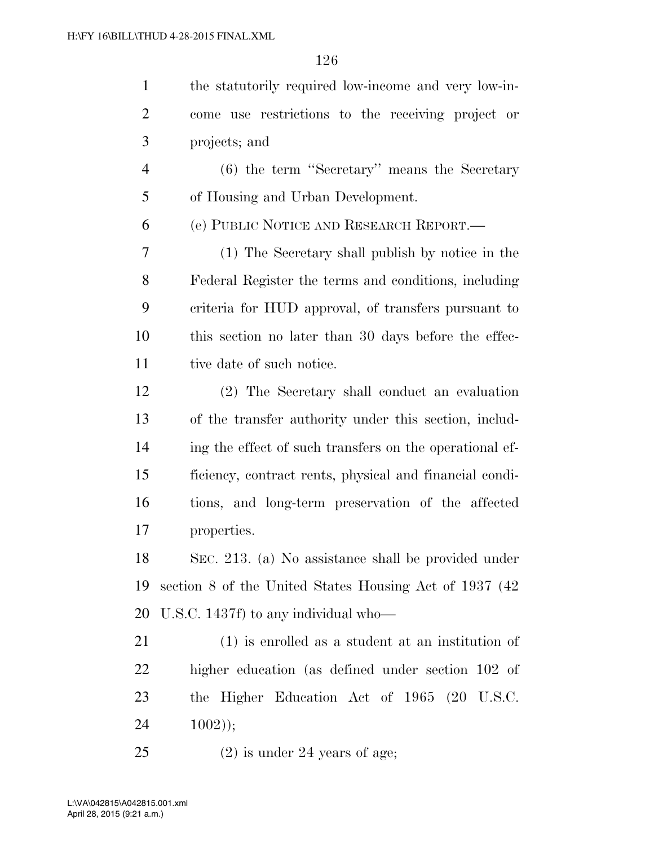| $\mathbf{1}$   | the statutorily required low-income and very low-in-    |
|----------------|---------------------------------------------------------|
| $\overline{2}$ | come use restrictions to the receiving project or       |
| 3              | projects; and                                           |
| $\overline{4}$ | (6) the term "Secretary" means the Secretary            |
| 5              | of Housing and Urban Development.                       |
| 6              | (e) PUBLIC NOTICE AND RESEARCH REPORT.                  |
| 7              | (1) The Secretary shall publish by notice in the        |
| 8              | Federal Register the terms and conditions, including    |
| 9              | criteria for HUD approval, of transfers pursuant to     |
| 10             | this section no later than 30 days before the effec-    |
| 11             | tive date of such notice.                               |
| 12             | (2) The Secretary shall conduct an evaluation           |
| 13             | of the transfer authority under this section, includ-   |
| 14             | ing the effect of such transfers on the operational ef- |
| 15             | ficiency, contract rents, physical and financial condi- |
| 16             | tions, and long-term preservation of the affected       |
| 17             | properties.                                             |
| 18             | SEC. 213. (a) No assistance shall be provided under     |
| 19             | section 8 of the United States Housing Act of 1937 (42) |
| 20             | U.S.C. 1437f) to any individual who—                    |
| 21             | $(1)$ is enrolled as a student at an institution of     |
| 22             | higher education (as defined under section 102 of       |
| 23             | the Higher Education Act of 1965 (20 U.S.C.             |
| 24             | $1002$ );                                               |
| 25             | $(2)$ is under 24 years of age;                         |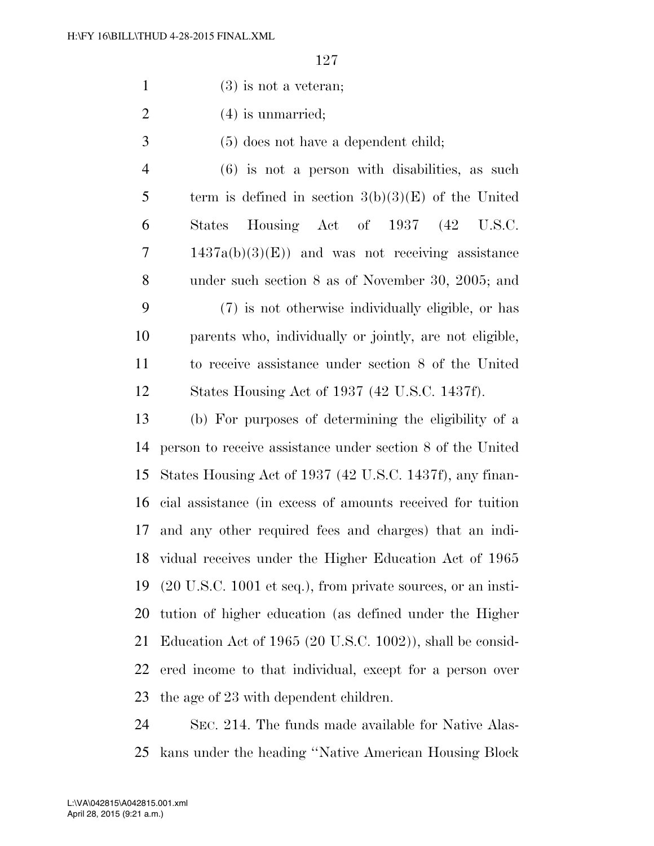- (3) is not a veteran;
- 2 (4) is unmarried;
- (5) does not have a dependent child;
- (6) is not a person with disabilities, as such 5 term is defined in section  $3(b)(3)(E)$  of the United States Housing Act of 1937 (42 U.S.C. 1437a(b)(3)(E)) and was not receiving assistance under such section 8 as of November 30, 2005; and (7) is not otherwise individually eligible, or has parents who, individually or jointly, are not eligible, to receive assistance under section 8 of the United States Housing Act of 1937 (42 U.S.C. 1437f).

 (b) For purposes of determining the eligibility of a person to receive assistance under section 8 of the United States Housing Act of 1937 (42 U.S.C. 1437f), any finan- cial assistance (in excess of amounts received for tuition and any other required fees and charges) that an indi- vidual receives under the Higher Education Act of 1965 (20 U.S.C. 1001 et seq.), from private sources, or an insti- tution of higher education (as defined under the Higher Education Act of 1965 (20 U.S.C. 1002)), shall be consid- ered income to that individual, except for a person over the age of 23 with dependent children.

 SEC. 214. The funds made available for Native Alas-kans under the heading ''Native American Housing Block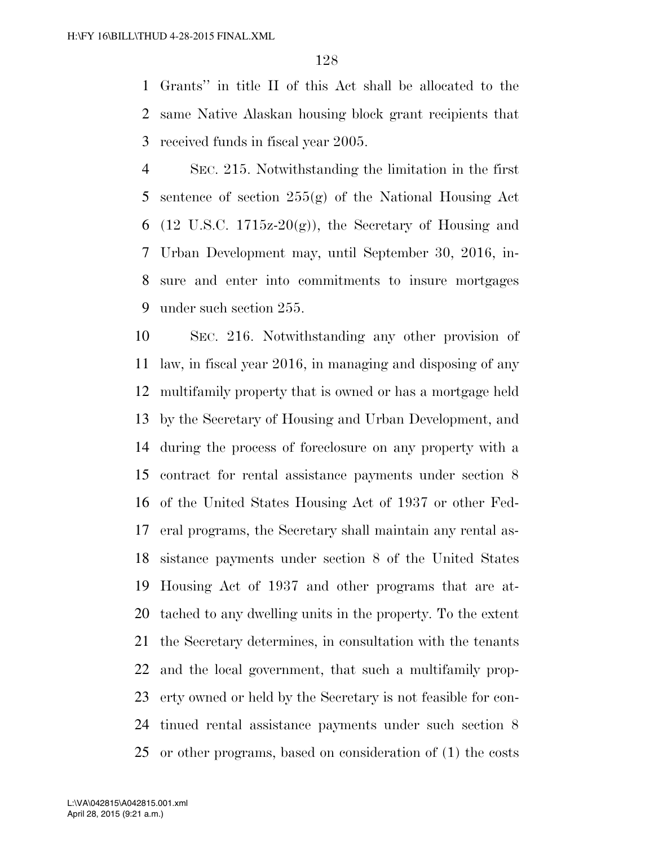Grants'' in title II of this Act shall be allocated to the same Native Alaskan housing block grant recipients that received funds in fiscal year 2005.

 SEC. 215. Notwithstanding the limitation in the first sentence of section 255(g) of the National Housing Act 6 (12 U.S.C. 1715 $z=20(g)$ ), the Secretary of Housing and Urban Development may, until September 30, 2016, in- sure and enter into commitments to insure mortgages under such section 255.

 SEC. 216. Notwithstanding any other provision of law, in fiscal year 2016, in managing and disposing of any multifamily property that is owned or has a mortgage held by the Secretary of Housing and Urban Development, and during the process of foreclosure on any property with a contract for rental assistance payments under section 8 of the United States Housing Act of 1937 or other Fed- eral programs, the Secretary shall maintain any rental as- sistance payments under section 8 of the United States Housing Act of 1937 and other programs that are at- tached to any dwelling units in the property. To the extent the Secretary determines, in consultation with the tenants and the local government, that such a multifamily prop- erty owned or held by the Secretary is not feasible for con- tinued rental assistance payments under such section 8 or other programs, based on consideration of (1) the costs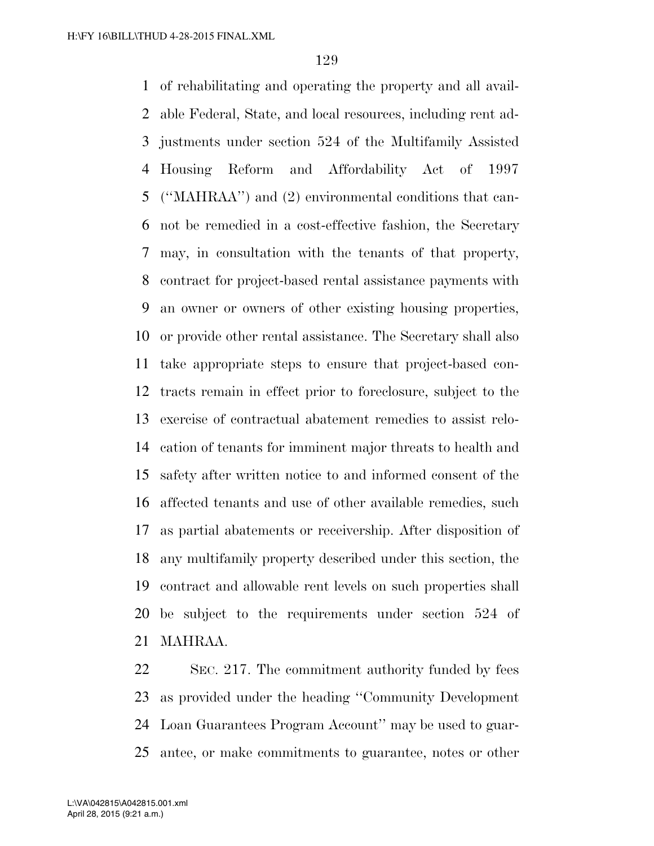of rehabilitating and operating the property and all avail- able Federal, State, and local resources, including rent ad- justments under section 524 of the Multifamily Assisted Housing Reform and Affordability Act of 1997 (''MAHRAA'') and (2) environmental conditions that can- not be remedied in a cost-effective fashion, the Secretary may, in consultation with the tenants of that property, contract for project-based rental assistance payments with an owner or owners of other existing housing properties, or provide other rental assistance. The Secretary shall also take appropriate steps to ensure that project-based con- tracts remain in effect prior to foreclosure, subject to the exercise of contractual abatement remedies to assist relo- cation of tenants for imminent major threats to health and safety after written notice to and informed consent of the affected tenants and use of other available remedies, such as partial abatements or receivership. After disposition of any multifamily property described under this section, the contract and allowable rent levels on such properties shall be subject to the requirements under section 524 of MAHRAA.

 SEC. 217. The commitment authority funded by fees as provided under the heading ''Community Development Loan Guarantees Program Account'' may be used to guar-antee, or make commitments to guarantee, notes or other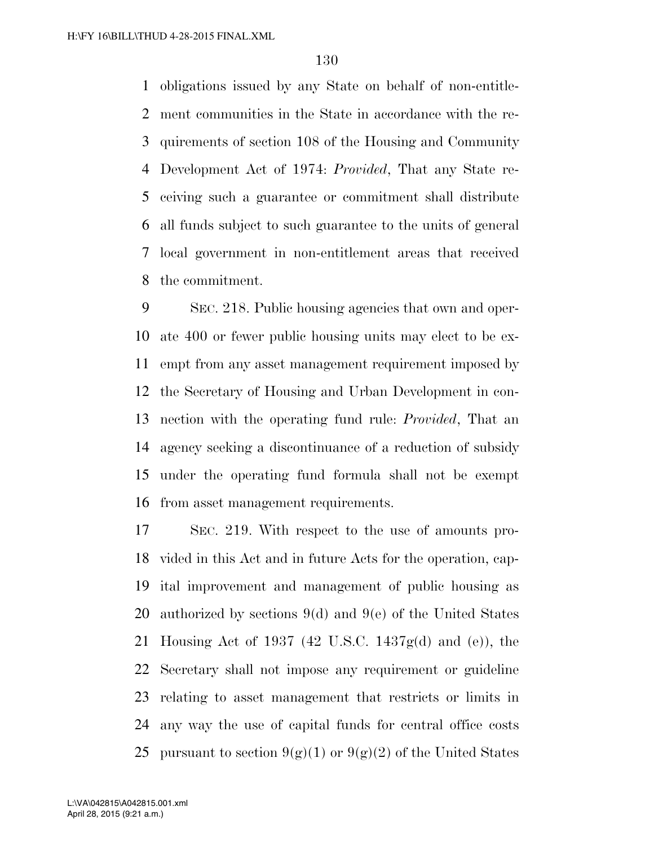obligations issued by any State on behalf of non-entitle- ment communities in the State in accordance with the re- quirements of section 108 of the Housing and Community Development Act of 1974: *Provided*, That any State re- ceiving such a guarantee or commitment shall distribute all funds subject to such guarantee to the units of general local government in non-entitlement areas that received the commitment.

 SEC. 218. Public housing agencies that own and oper- ate 400 or fewer public housing units may elect to be ex- empt from any asset management requirement imposed by the Secretary of Housing and Urban Development in con- nection with the operating fund rule: *Provided*, That an agency seeking a discontinuance of a reduction of subsidy under the operating fund formula shall not be exempt from asset management requirements.

 SEC. 219. With respect to the use of amounts pro- vided in this Act and in future Acts for the operation, cap- ital improvement and management of public housing as authorized by sections 9(d) and 9(e) of the United States Housing Act of 1937 (42 U.S.C. 1437g(d) and (e)), the Secretary shall not impose any requirement or guideline relating to asset management that restricts or limits in any way the use of capital funds for central office costs 25 pursuant to section  $9(\mathcal{Q})(1)$  or  $9(\mathcal{Q})(2)$  of the United States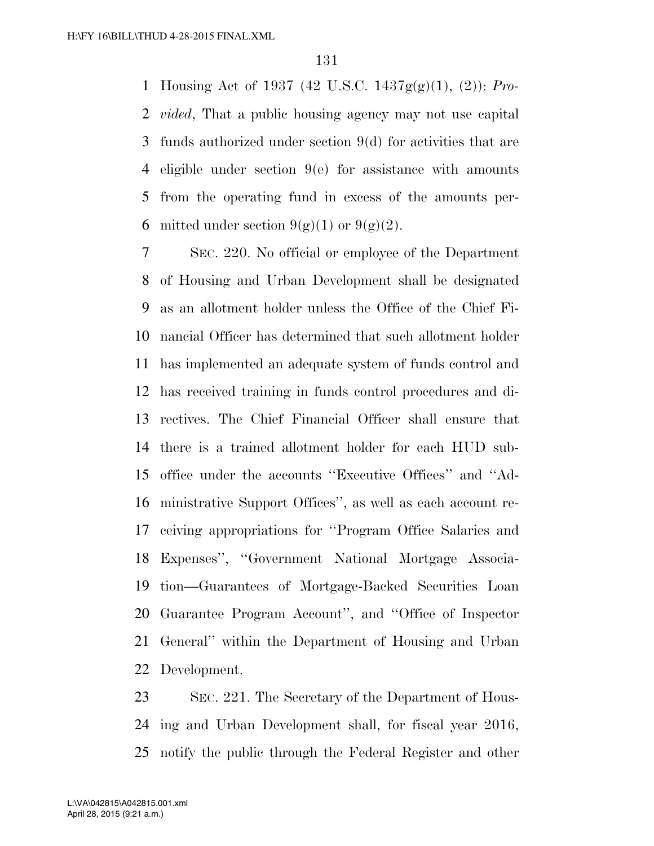Housing Act of 1937 (42 U.S.C. 1437g(g)(1), (2)): *Pro- vided*, That a public housing agency may not use capital funds authorized under section 9(d) for activities that are eligible under section 9(e) for assistance with amounts from the operating fund in excess of the amounts per-6 mitted under section  $9(g)(1)$  or  $9(g)(2)$ .

 SEC. 220. No official or employee of the Department of Housing and Urban Development shall be designated as an allotment holder unless the Office of the Chief Fi- nancial Officer has determined that such allotment holder has implemented an adequate system of funds control and has received training in funds control procedures and di- rectives. The Chief Financial Officer shall ensure that there is a trained allotment holder for each HUD sub- office under the accounts ''Executive Offices'' and ''Ad- ministrative Support Offices'', as well as each account re- ceiving appropriations for ''Program Office Salaries and Expenses'', ''Government National Mortgage Associa- tion—Guarantees of Mortgage-Backed Securities Loan Guarantee Program Account'', and ''Office of Inspector General'' within the Department of Housing and Urban Development.

 SEC. 221. The Secretary of the Department of Hous- ing and Urban Development shall, for fiscal year 2016, notify the public through the Federal Register and other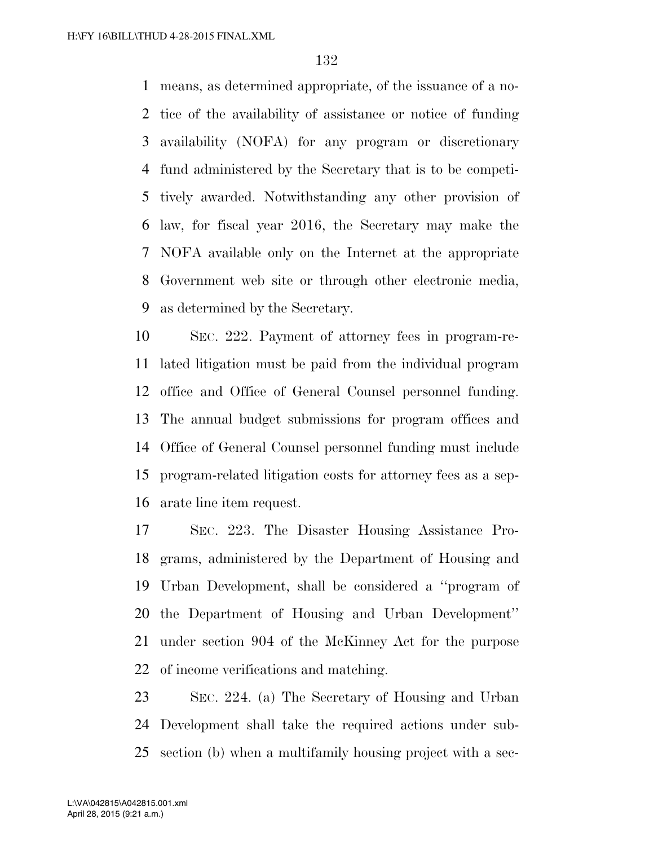means, as determined appropriate, of the issuance of a no- tice of the availability of assistance or notice of funding availability (NOFA) for any program or discretionary fund administered by the Secretary that is to be competi- tively awarded. Notwithstanding any other provision of law, for fiscal year 2016, the Secretary may make the NOFA available only on the Internet at the appropriate Government web site or through other electronic media, as determined by the Secretary.

 SEC. 222. Payment of attorney fees in program-re- lated litigation must be paid from the individual program office and Office of General Counsel personnel funding. The annual budget submissions for program offices and Office of General Counsel personnel funding must include program-related litigation costs for attorney fees as a sep-arate line item request.

 SEC. 223. The Disaster Housing Assistance Pro- grams, administered by the Department of Housing and Urban Development, shall be considered a ''program of the Department of Housing and Urban Development'' under section 904 of the McKinney Act for the purpose of income verifications and matching.

 SEC. 224. (a) The Secretary of Housing and Urban Development shall take the required actions under sub-section (b) when a multifamily housing project with a sec-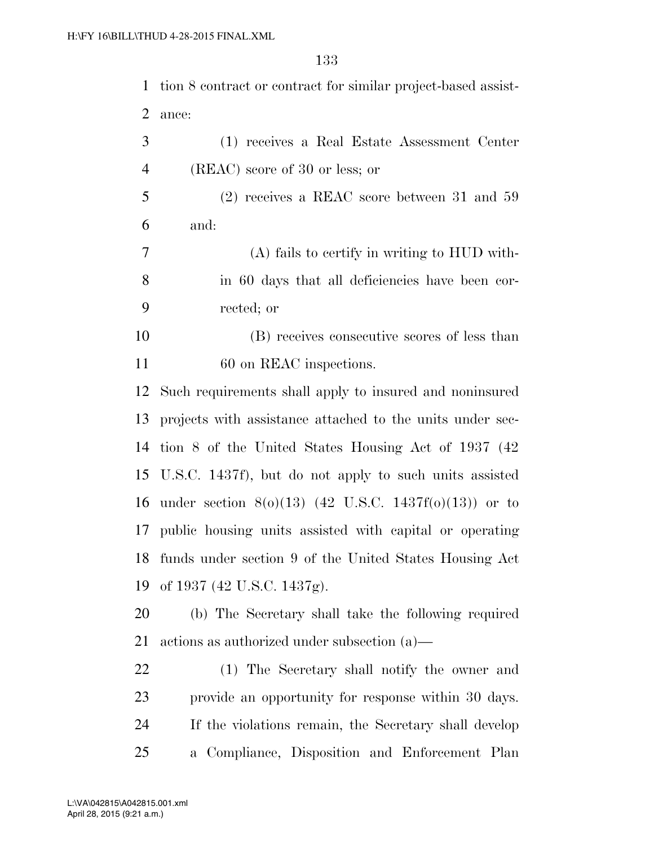tion 8 contract or contract for similar project-based assist-ance:

 (1) receives a Real Estate Assessment Center (REAC) score of 30 or less; or

 (2) receives a REAC score between 31 and 59 and:

 (A) fails to certify in writing to HUD with- in 60 days that all deficiencies have been cor-rected; or

 (B) receives consecutive scores of less than 11 60 on REAC inspections.

 Such requirements shall apply to insured and noninsured projects with assistance attached to the units under sec- tion 8 of the United States Housing Act of 1937 (42 U.S.C. 1437f), but do not apply to such units assisted under section 8(o)(13) (42 U.S.C. 1437f(o)(13)) or to public housing units assisted with capital or operating funds under section 9 of the United States Housing Act of 1937 (42 U.S.C. 1437g).

 (b) The Secretary shall take the following required actions as authorized under subsection (a)—

 (1) The Secretary shall notify the owner and provide an opportunity for response within 30 days. If the violations remain, the Secretary shall develop a Compliance, Disposition and Enforcement Plan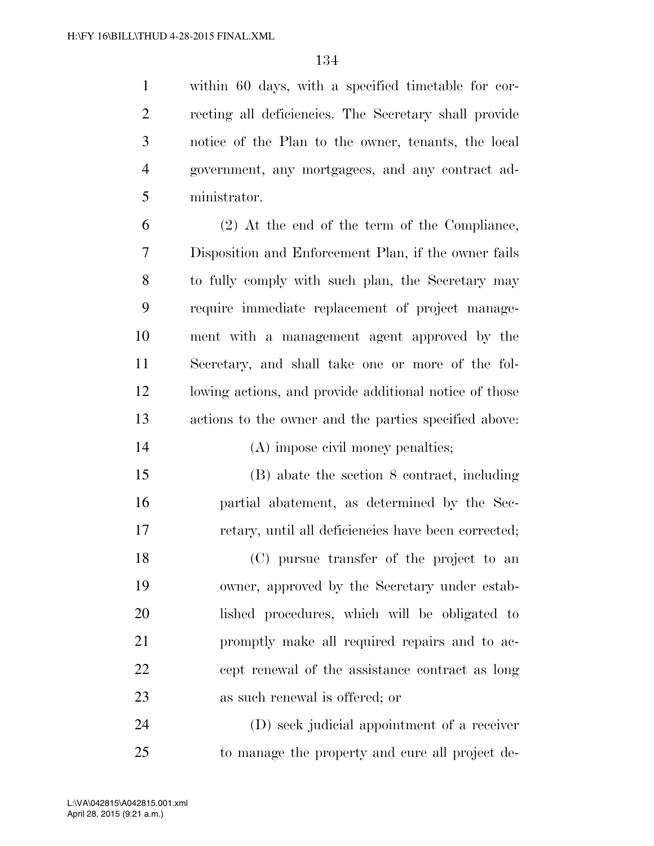within 60 days, with a specified timetable for cor- recting all deficiencies. The Secretary shall provide notice of the Plan to the owner, tenants, the local government, any mortgagees, and any contract ad-ministrator.

 (2) At the end of the term of the Compliance, Disposition and Enforcement Plan, if the owner fails to fully comply with such plan, the Secretary may require immediate replacement of project manage- ment with a management agent approved by the Secretary, and shall take one or more of the fol- lowing actions, and provide additional notice of those actions to the owner and the parties specified above:

(A) impose civil money penalties;

 (B) abate the section 8 contract, including partial abatement, as determined by the Sec-retary, until all deficiencies have been corrected;

 (C) pursue transfer of the project to an owner, approved by the Secretary under estab- lished procedures, which will be obligated to promptly make all required repairs and to ac- cept renewal of the assistance contract as long as such renewal is offered; or

 (D) seek judicial appointment of a receiver to manage the property and cure all project de-

April 28, 2015 (9:21 a.m.) L:\VA\042815\A042815.001.xml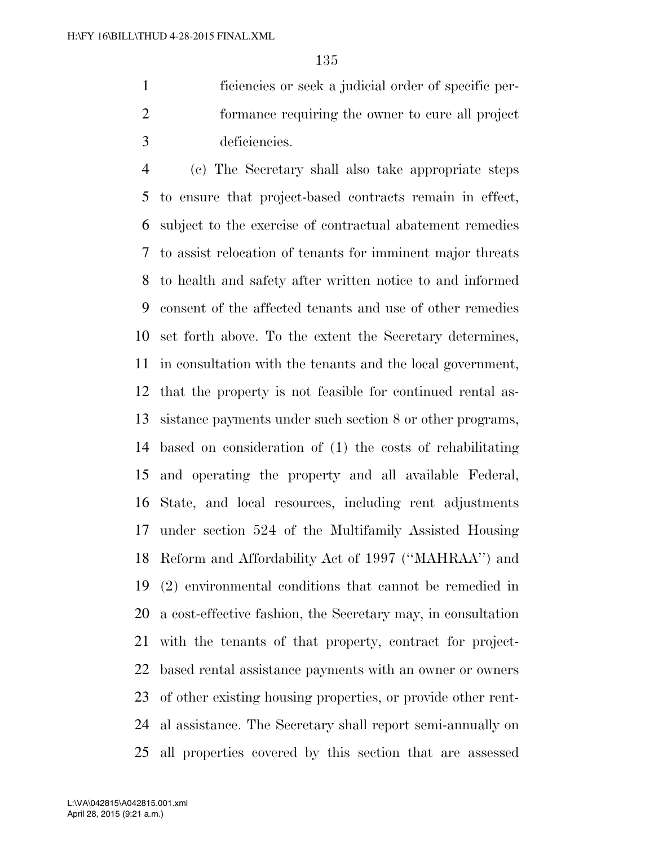ficiencies or seek a judicial order of specific per- formance requiring the owner to cure all project deficiencies.

 (c) The Secretary shall also take appropriate steps to ensure that project-based contracts remain in effect, subject to the exercise of contractual abatement remedies to assist relocation of tenants for imminent major threats to health and safety after written notice to and informed consent of the affected tenants and use of other remedies set forth above. To the extent the Secretary determines, in consultation with the tenants and the local government, that the property is not feasible for continued rental as- sistance payments under such section 8 or other programs, based on consideration of (1) the costs of rehabilitating and operating the property and all available Federal, State, and local resources, including rent adjustments under section 524 of the Multifamily Assisted Housing Reform and Affordability Act of 1997 (''MAHRAA'') and (2) environmental conditions that cannot be remedied in a cost-effective fashion, the Secretary may, in consultation with the tenants of that property, contract for project- based rental assistance payments with an owner or owners of other existing housing properties, or provide other rent- al assistance. The Secretary shall report semi-annually on all properties covered by this section that are assessed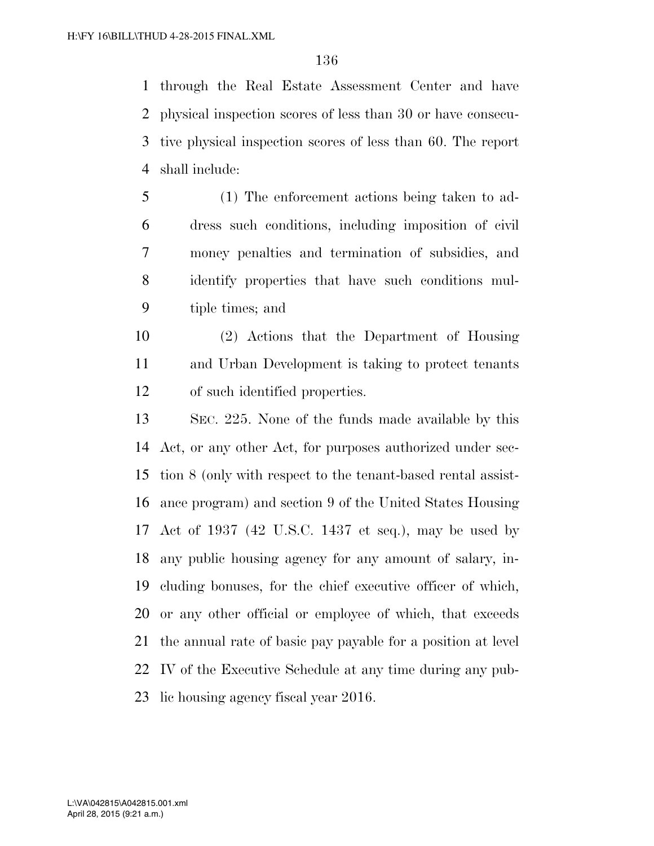through the Real Estate Assessment Center and have physical inspection scores of less than 30 or have consecu- tive physical inspection scores of less than 60. The report shall include:

- (1) The enforcement actions being taken to ad- dress such conditions, including imposition of civil money penalties and termination of subsidies, and identify properties that have such conditions mul-tiple times; and
- (2) Actions that the Department of Housing and Urban Development is taking to protect tenants of such identified properties.
- SEC. 225. None of the funds made available by this Act, or any other Act, for purposes authorized under sec- tion 8 (only with respect to the tenant-based rental assist- ance program) and section 9 of the United States Housing Act of 1937 (42 U.S.C. 1437 et seq.), may be used by any public housing agency for any amount of salary, in- cluding bonuses, for the chief executive officer of which, or any other official or employee of which, that exceeds the annual rate of basic pay payable for a position at level IV of the Executive Schedule at any time during any pub-lic housing agency fiscal year 2016.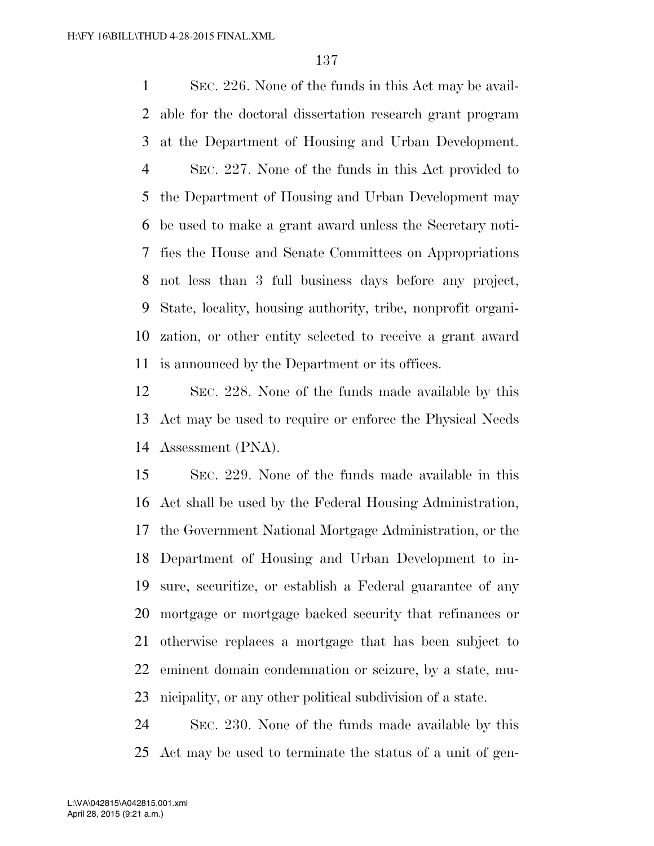SEC. 226. None of the funds in this Act may be avail- able for the doctoral dissertation research grant program at the Department of Housing and Urban Development. SEC. 227. None of the funds in this Act provided to the Department of Housing and Urban Development may be used to make a grant award unless the Secretary noti- fies the House and Senate Committees on Appropriations not less than 3 full business days before any project, State, locality, housing authority, tribe, nonprofit organi- zation, or other entity selected to receive a grant award is announced by the Department or its offices.

 SEC. 228. None of the funds made available by this Act may be used to require or enforce the Physical Needs Assessment (PNA).

 SEC. 229. None of the funds made available in this Act shall be used by the Federal Housing Administration, the Government National Mortgage Administration, or the Department of Housing and Urban Development to in- sure, securitize, or establish a Federal guarantee of any mortgage or mortgage backed security that refinances or otherwise replaces a mortgage that has been subject to eminent domain condemnation or seizure, by a state, mu-nicipality, or any other political subdivision of a state.

 SEC. 230. None of the funds made available by this Act may be used to terminate the status of a unit of gen-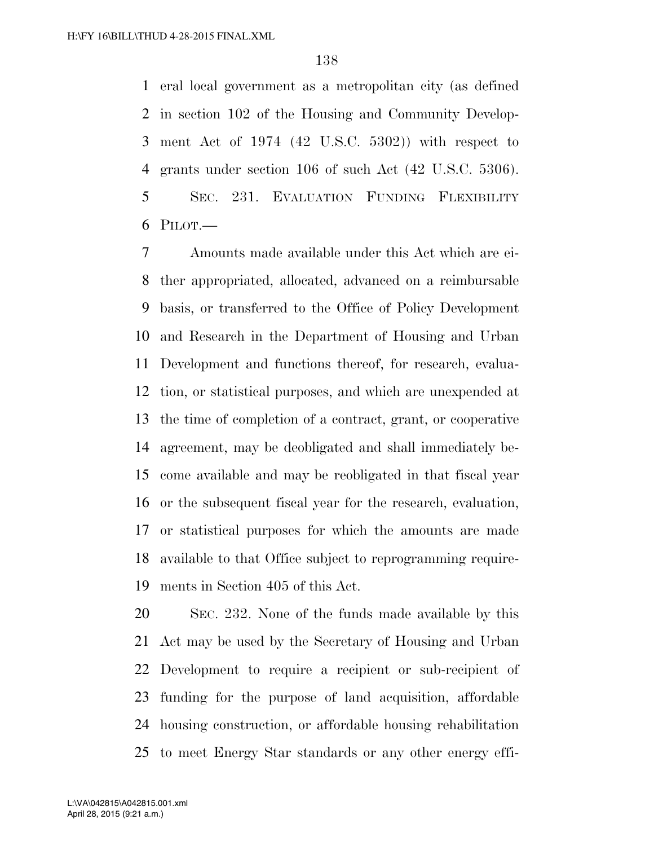eral local government as a metropolitan city (as defined in section 102 of the Housing and Community Develop- ment Act of 1974 (42 U.S.C. 5302)) with respect to grants under section 106 of such Act (42 U.S.C. 5306). SEC. 231. EVALUATION FUNDING FLEXIBILITY PILOT.—

 Amounts made available under this Act which are ei- ther appropriated, allocated, advanced on a reimbursable basis, or transferred to the Office of Policy Development and Research in the Department of Housing and Urban Development and functions thereof, for research, evalua- tion, or statistical purposes, and which are unexpended at the time of completion of a contract, grant, or cooperative agreement, may be deobligated and shall immediately be- come available and may be reobligated in that fiscal year or the subsequent fiscal year for the research, evaluation, or statistical purposes for which the amounts are made available to that Office subject to reprogramming require-ments in Section 405 of this Act.

 SEC. 232. None of the funds made available by this Act may be used by the Secretary of Housing and Urban Development to require a recipient or sub-recipient of funding for the purpose of land acquisition, affordable housing construction, or affordable housing rehabilitation to meet Energy Star standards or any other energy effi-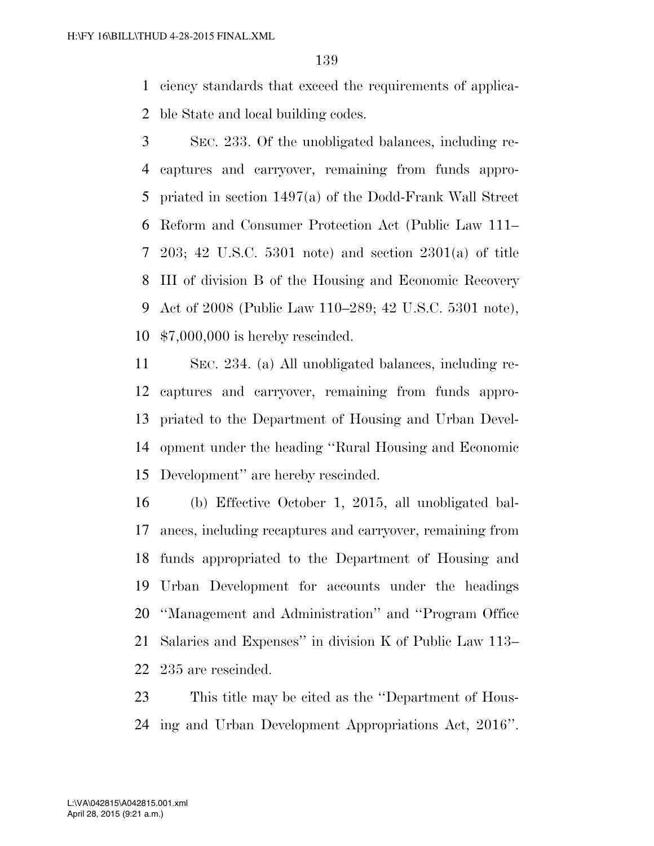ciency standards that exceed the requirements of applica-ble State and local building codes.

 SEC. 233. Of the unobligated balances, including re- captures and carryover, remaining from funds appro- priated in section 1497(a) of the Dodd-Frank Wall Street Reform and Consumer Protection Act (Public Law 111– 203; 42 U.S.C. 5301 note) and section 2301(a) of title III of division B of the Housing and Economic Recovery Act of 2008 (Public Law 110–289; 42 U.S.C. 5301 note), \$7,000,000 is hereby rescinded.

 SEC. 234. (a) All unobligated balances, including re- captures and carryover, remaining from funds appro- priated to the Department of Housing and Urban Devel- opment under the heading ''Rural Housing and Economic Development'' are hereby rescinded.

 (b) Effective October 1, 2015, all unobligated bal- ances, including recaptures and carryover, remaining from funds appropriated to the Department of Housing and Urban Development for accounts under the headings ''Management and Administration'' and ''Program Office Salaries and Expenses'' in division K of Public Law 113– 235 are rescinded.

 This title may be cited as the ''Department of Hous-ing and Urban Development Appropriations Act, 2016''.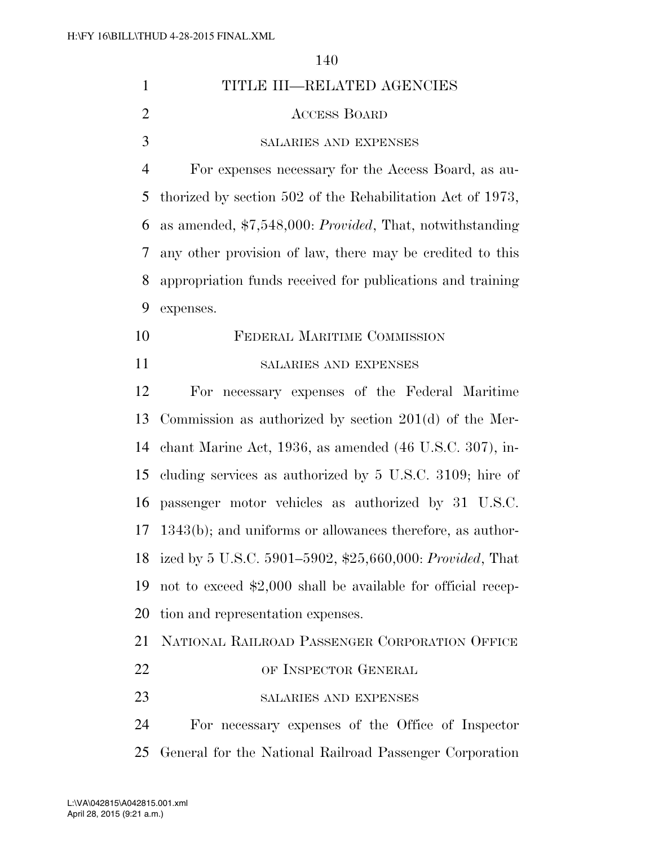|                | 140                                                                |
|----------------|--------------------------------------------------------------------|
| $\mathbf{1}$   | TITLE III—RELATED AGENCIES                                         |
| $\overline{2}$ | <b>ACCESS BOARD</b>                                                |
| 3              | <b>SALARIES AND EXPENSES</b>                                       |
| $\overline{4}$ | For expenses necessary for the Access Board, as au-                |
| 5              | thorized by section 502 of the Rehabilitation Act of 1973,         |
| 6              | as amended, $$7,548,000$ : <i>Provided</i> , That, notwithstanding |
| 7              | any other provision of law, there may be credited to this          |
| 8              | appropriation funds received for publications and training         |
| 9              | expenses.                                                          |
| 10             | FEDERAL MARITIME COMMISSION                                        |
| 11             | SALARIES AND EXPENSES                                              |
| 12             | For necessary expenses of the Federal Maritime                     |
| 13             | Commission as authorized by section $201(d)$ of the Mer-           |
| 14             | chant Marine Act, 1936, as amended (46 U.S.C. 307), in-            |
| 15             | cluding services as authorized by 5 U.S.C. 3109; hire of           |
| 16             | passenger motor vehicles as authorized by 31 U.S.C.                |
|                | 17 1343(b); and uniforms or allowances therefore, as author-       |
| 18             | ized by 5 U.S.C. 5901-5902, \$25,660,000: Provided, That           |
| 19             | not to exceed \$2,000 shall be available for official recep-       |
| 20             | tion and representation expenses.                                  |
| 21             | NATIONAL RAILROAD PASSENGER CORPORATION OFFICE                     |
| 22             | OF INSPECTOR GENERAL                                               |
| 23             | SALARIES AND EXPENSES                                              |

 For necessary expenses of the Office of Inspector General for the National Railroad Passenger Corporation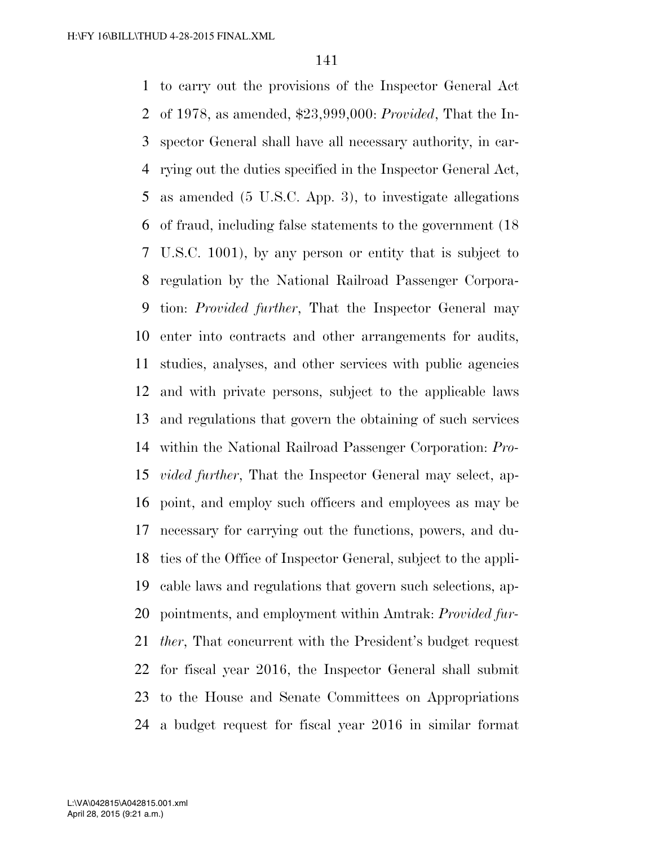to carry out the provisions of the Inspector General Act of 1978, as amended, \$23,999,000: *Provided*, That the In- spector General shall have all necessary authority, in car- rying out the duties specified in the Inspector General Act, as amended (5 U.S.C. App. 3), to investigate allegations of fraud, including false statements to the government (18 U.S.C. 1001), by any person or entity that is subject to regulation by the National Railroad Passenger Corpora- tion: *Provided further*, That the Inspector General may enter into contracts and other arrangements for audits, studies, analyses, and other services with public agencies and with private persons, subject to the applicable laws and regulations that govern the obtaining of such services within the National Railroad Passenger Corporation: *Pro- vided further*, That the Inspector General may select, ap- point, and employ such officers and employees as may be necessary for carrying out the functions, powers, and du- ties of the Office of Inspector General, subject to the appli- cable laws and regulations that govern such selections, ap- pointments, and employment within Amtrak: *Provided fur- ther*, That concurrent with the President's budget request for fiscal year 2016, the Inspector General shall submit to the House and Senate Committees on Appropriations a budget request for fiscal year 2016 in similar format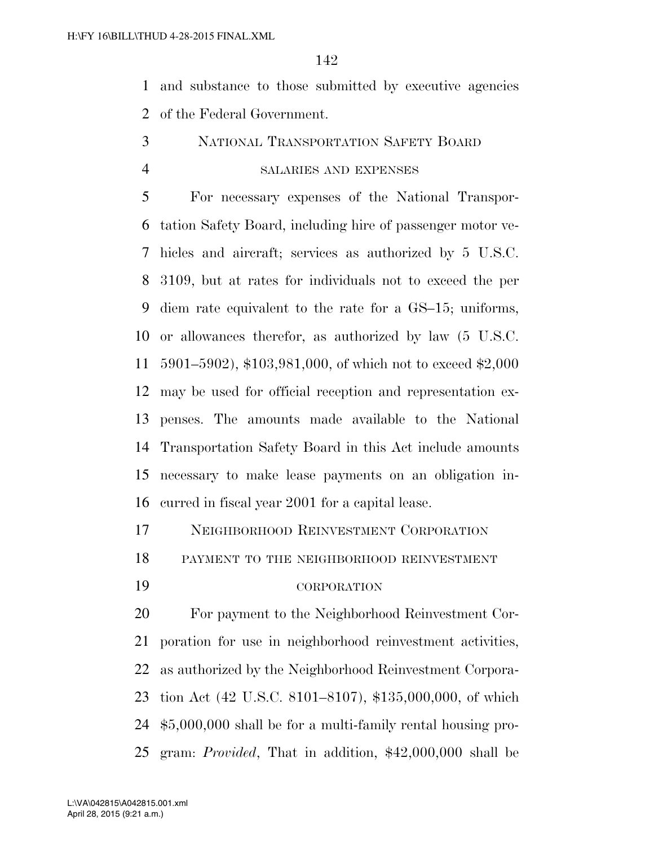and substance to those submitted by executive agencies of the Federal Government.

- NATIONAL TRANSPORTATION SAFETY BOARD
- 

## SALARIES AND EXPENSES

 For necessary expenses of the National Transpor- tation Safety Board, including hire of passenger motor ve- hicles and aircraft; services as authorized by 5 U.S.C. 3109, but at rates for individuals not to exceed the per diem rate equivalent to the rate for a GS–15; uniforms, or allowances therefor, as authorized by law (5 U.S.C. 5901–5902), \$103,981,000, of which not to exceed \$2,000 may be used for official reception and representation ex- penses. The amounts made available to the National Transportation Safety Board in this Act include amounts necessary to make lease payments on an obligation in-curred in fiscal year 2001 for a capital lease.

NEIGHBORHOOD REINVESTMENT CORPORATION

PAYMENT TO THE NEIGHBORHOOD REINVESTMENT

CORPORATION

 For payment to the Neighborhood Reinvestment Cor- poration for use in neighborhood reinvestment activities, as authorized by the Neighborhood Reinvestment Corpora- tion Act (42 U.S.C. 8101–8107), \$135,000,000, of which \$5,000,000 shall be for a multi-family rental housing pro-gram: *Provided*, That in addition, \$42,000,000 shall be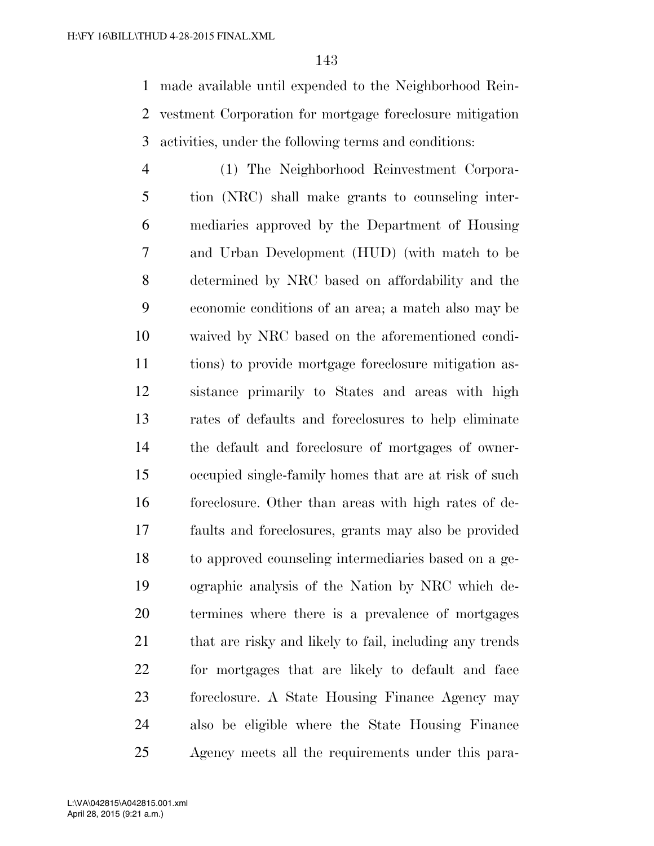made available until expended to the Neighborhood Rein- vestment Corporation for mortgage foreclosure mitigation activities, under the following terms and conditions:

 (1) The Neighborhood Reinvestment Corpora- tion (NRC) shall make grants to counseling inter- mediaries approved by the Department of Housing and Urban Development (HUD) (with match to be determined by NRC based on affordability and the economic conditions of an area; a match also may be waived by NRC based on the aforementioned condi- tions) to provide mortgage foreclosure mitigation as- sistance primarily to States and areas with high rates of defaults and foreclosures to help eliminate the default and foreclosure of mortgages of owner- occupied single-family homes that are at risk of such foreclosure. Other than areas with high rates of de- faults and foreclosures, grants may also be provided to approved counseling intermediaries based on a ge- ographic analysis of the Nation by NRC which de- termines where there is a prevalence of mortgages 21 that are risky and likely to fail, including any trends for mortgages that are likely to default and face foreclosure. A State Housing Finance Agency may also be eligible where the State Housing Finance Agency meets all the requirements under this para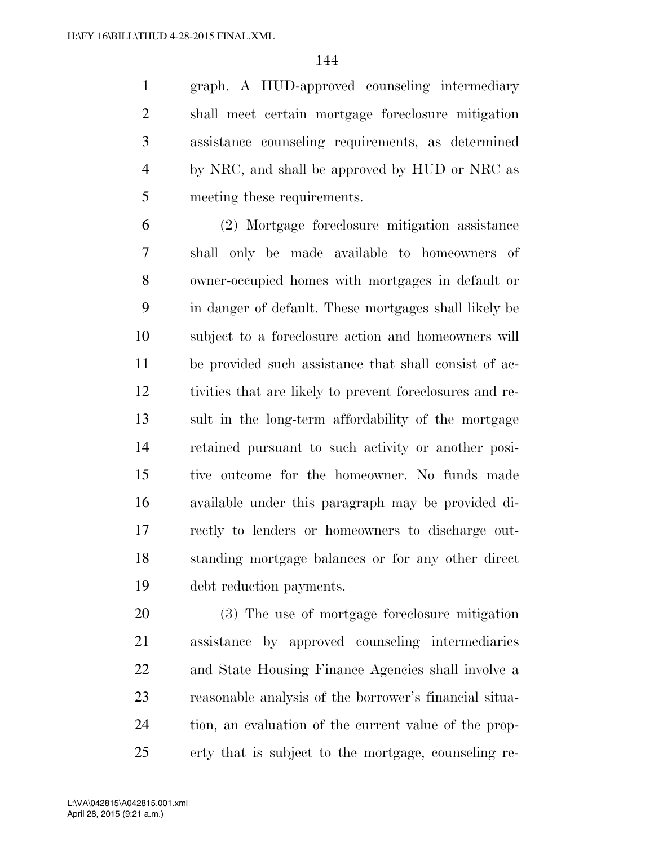graph. A HUD-approved counseling intermediary shall meet certain mortgage foreclosure mitigation assistance counseling requirements, as determined by NRC, and shall be approved by HUD or NRC as meeting these requirements.

 (2) Mortgage foreclosure mitigation assistance shall only be made available to homeowners of owner-occupied homes with mortgages in default or in danger of default. These mortgages shall likely be subject to a foreclosure action and homeowners will be provided such assistance that shall consist of ac- tivities that are likely to prevent foreclosures and re- sult in the long-term affordability of the mortgage retained pursuant to such activity or another posi- tive outcome for the homeowner. No funds made available under this paragraph may be provided di- rectly to lenders or homeowners to discharge out- standing mortgage balances or for any other direct debt reduction payments.

 (3) The use of mortgage foreclosure mitigation assistance by approved counseling intermediaries and State Housing Finance Agencies shall involve a reasonable analysis of the borrower's financial situa- tion, an evaluation of the current value of the prop-erty that is subject to the mortgage, counseling re-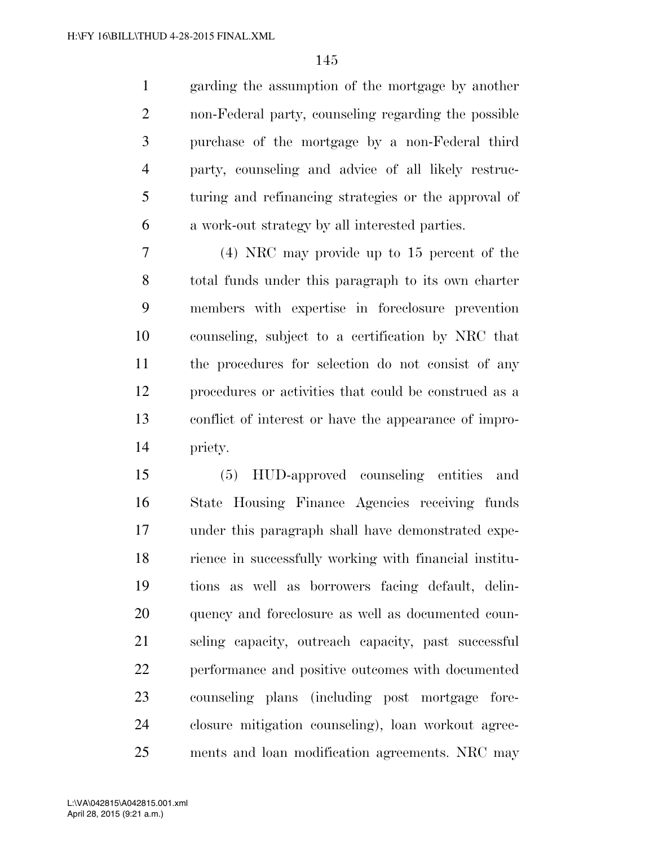garding the assumption of the mortgage by another non-Federal party, counseling regarding the possible purchase of the mortgage by a non-Federal third party, counseling and advice of all likely restruc- turing and refinancing strategies or the approval of a work-out strategy by all interested parties.

 (4) NRC may provide up to 15 percent of the total funds under this paragraph to its own charter members with expertise in foreclosure prevention counseling, subject to a certification by NRC that the procedures for selection do not consist of any procedures or activities that could be construed as a conflict of interest or have the appearance of impro-priety.

 (5) HUD-approved counseling entities and State Housing Finance Agencies receiving funds under this paragraph shall have demonstrated expe- rience in successfully working with financial institu- tions as well as borrowers facing default, delin- quency and foreclosure as well as documented coun- seling capacity, outreach capacity, past successful performance and positive outcomes with documented counseling plans (including post mortgage fore- closure mitigation counseling), loan workout agree-ments and loan modification agreements. NRC may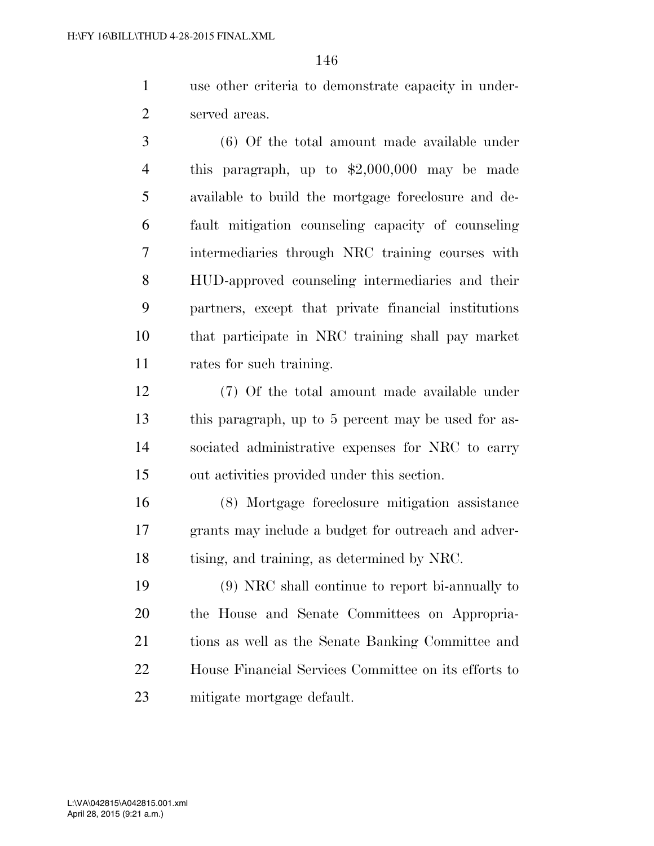use other criteria to demonstrate capacity in under-served areas.

 (6) Of the total amount made available under this paragraph, up to \$2,000,000 may be made available to build the mortgage foreclosure and de- fault mitigation counseling capacity of counseling intermediaries through NRC training courses with HUD-approved counseling intermediaries and their partners, except that private financial institutions that participate in NRC training shall pay market rates for such training.

 (7) Of the total amount made available under this paragraph, up to 5 percent may be used for as- sociated administrative expenses for NRC to carry out activities provided under this section.

 (8) Mortgage foreclosure mitigation assistance grants may include a budget for outreach and adver-tising, and training, as determined by NRC.

 (9) NRC shall continue to report bi-annually to the House and Senate Committees on Appropria- tions as well as the Senate Banking Committee and House Financial Services Committee on its efforts to mitigate mortgage default.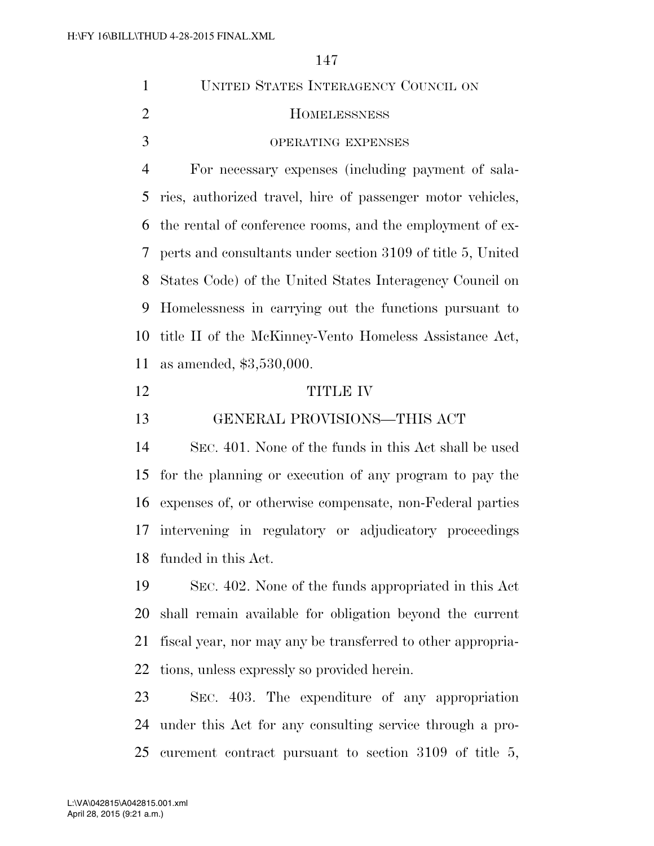| $\mathbf{1}$   | UNITED STATES INTERAGENCY COUNCIL ON                        |
|----------------|-------------------------------------------------------------|
| $\overline{2}$ | <b>HOMELESSNESS</b>                                         |
| 3              | OPERATING EXPENSES                                          |
| $\overline{4}$ | For necessary expenses (including payment of sala-          |
| 5              | ries, authorized travel, hire of passenger motor vehicles,  |
| 6              | the rental of conference rooms, and the employment of ex-   |
| 7              | perts and consultants under section 3109 of title 5, United |
| 8              | States Code) of the United States Interagency Council on    |
| 9              | Homelessness in carrying out the functions pursuant to      |
| 10             | title II of the McKinney-Vento Homeless Assistance Act,     |
| 11             | as amended, $$3,530,000$ .                                  |
| 12             | <b>TITLE IV</b>                                             |
| 13             | GENERAL PROVISIONS-THIS ACT                                 |
| 14             | SEC. 401. None of the funds in this Act shall be used       |
| 15             | for the planning or execution of any program to pay the     |
| 16             | expenses of, or otherwise compensate, non-Federal parties   |
| 17             | intervening in regulatory or adjudicatory proceedings       |
|                | 18 funded in this Act.                                      |
| 19             | SEC. 402. None of the funds appropriated in this Act        |
| 20             | shall remain available for obligation beyond the current    |
| 21             | fiscal year, nor may any be transferred to other appropria- |
| 22             | tions, unless expressly so provided herein.                 |
| 23             | SEC. 403. The expenditure of any appropriation              |
| 24             | under this Act for any consulting service through a pro-    |
| 25             | curement contract pursuant to section 3109 of title 5,      |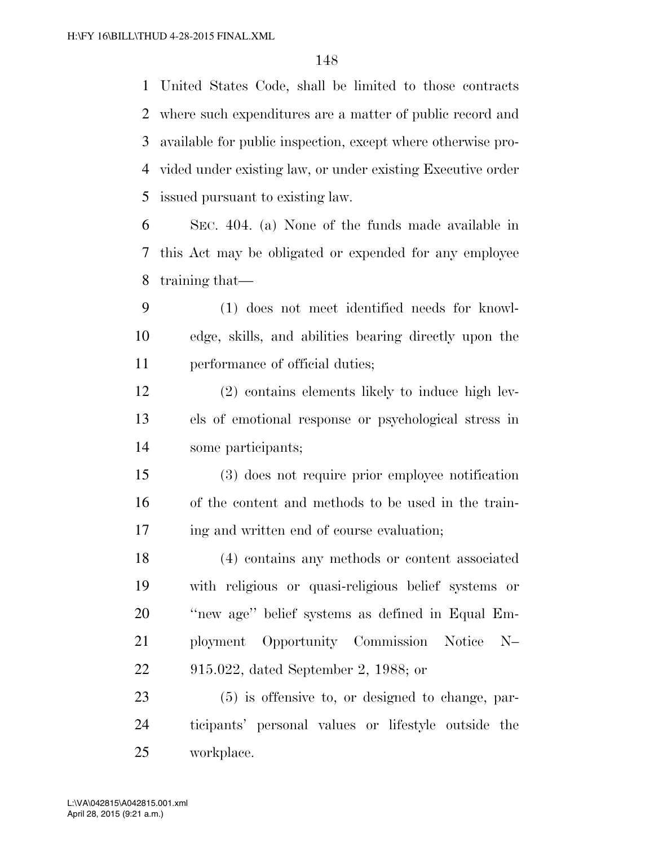United States Code, shall be limited to those contracts where such expenditures are a matter of public record and available for public inspection, except where otherwise pro- vided under existing law, or under existing Executive order issued pursuant to existing law.

 SEC. 404. (a) None of the funds made available in this Act may be obligated or expended for any employee training that—

 (1) does not meet identified needs for knowl- edge, skills, and abilities bearing directly upon the performance of official duties;

 (2) contains elements likely to induce high lev- els of emotional response or psychological stress in some participants;

 (3) does not require prior employee notification of the content and methods to be used in the train-ing and written end of course evaluation;

 (4) contains any methods or content associated with religious or quasi-religious belief systems or ''new age'' belief systems as defined in Equal Em- ployment Opportunity Commission Notice N– 915.022, dated September 2, 1988; or

 (5) is offensive to, or designed to change, par- ticipants' personal values or lifestyle outside the workplace.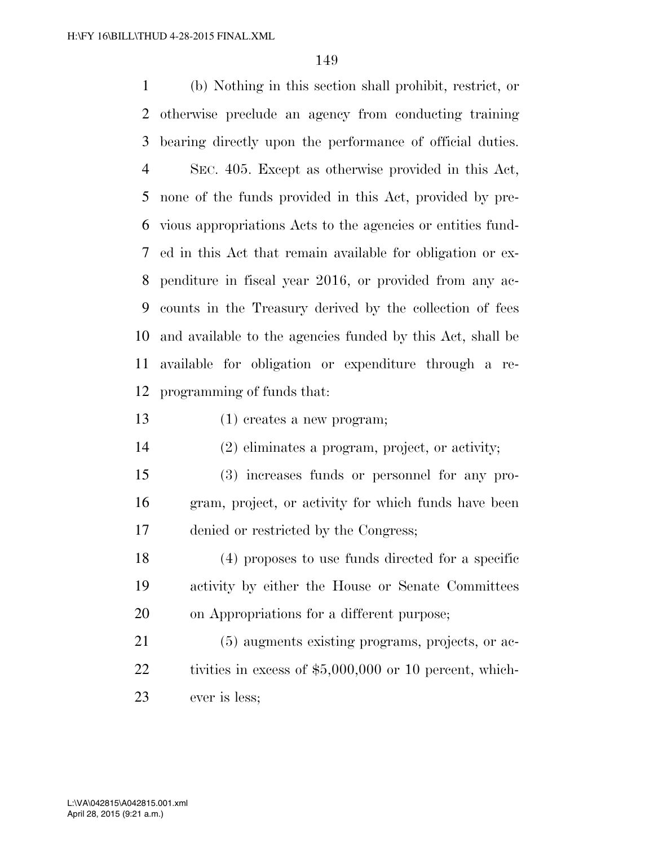(b) Nothing in this section shall prohibit, restrict, or otherwise preclude an agency from conducting training bearing directly upon the performance of official duties. SEC. 405. Except as otherwise provided in this Act, none of the funds provided in this Act, provided by pre- vious appropriations Acts to the agencies or entities fund- ed in this Act that remain available for obligation or ex- penditure in fiscal year 2016, or provided from any ac- counts in the Treasury derived by the collection of fees and available to the agencies funded by this Act, shall be available for obligation or expenditure through a re-programming of funds that:

(1) creates a new program;

(2) eliminates a program, project, or activity;

 (3) increases funds or personnel for any pro- gram, project, or activity for which funds have been denied or restricted by the Congress;

 (4) proposes to use funds directed for a specific activity by either the House or Senate Committees on Appropriations for a different purpose;

 (5) augments existing programs, projects, or ac-22 tivities in excess of \$5,000,000 or 10 percent, which-ever is less;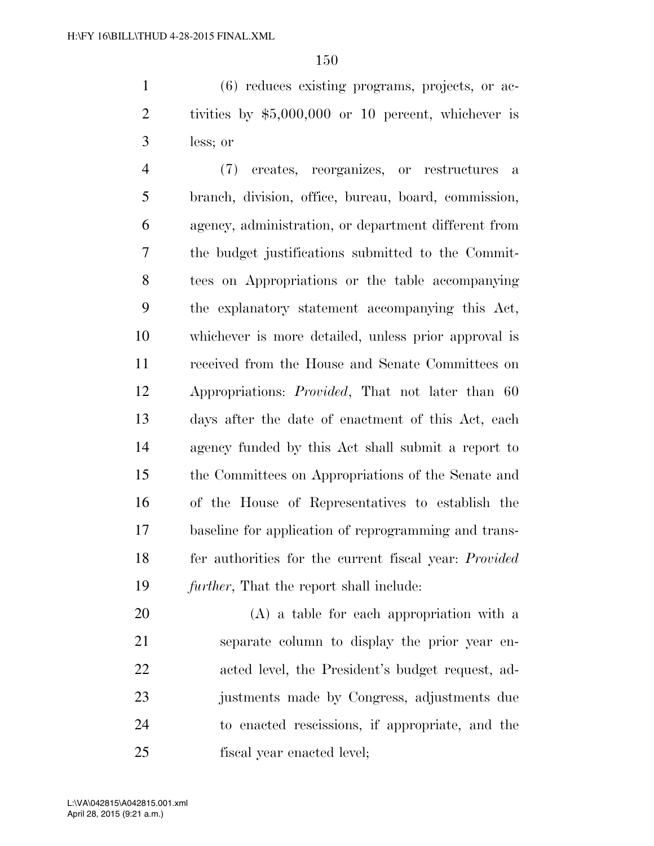(6) reduces existing programs, projects, or ac- tivities by \$5,000,000 or 10 percent, whichever is less; or

 (7) creates, reorganizes, or restructures a branch, division, office, bureau, board, commission, agency, administration, or department different from the budget justifications submitted to the Commit- tees on Appropriations or the table accompanying the explanatory statement accompanying this Act, whichever is more detailed, unless prior approval is received from the House and Senate Committees on Appropriations: *Provided*, That not later than 60 days after the date of enactment of this Act, each agency funded by this Act shall submit a report to the Committees on Appropriations of the Senate and of the House of Representatives to establish the baseline for application of reprogramming and trans- fer authorities for the current fiscal year: *Provided further*, That the report shall include:

 (A) a table for each appropriation with a separate column to display the prior year en- acted level, the President's budget request, ad- justments made by Congress, adjustments due to enacted rescissions, if appropriate, and the fiscal year enacted level;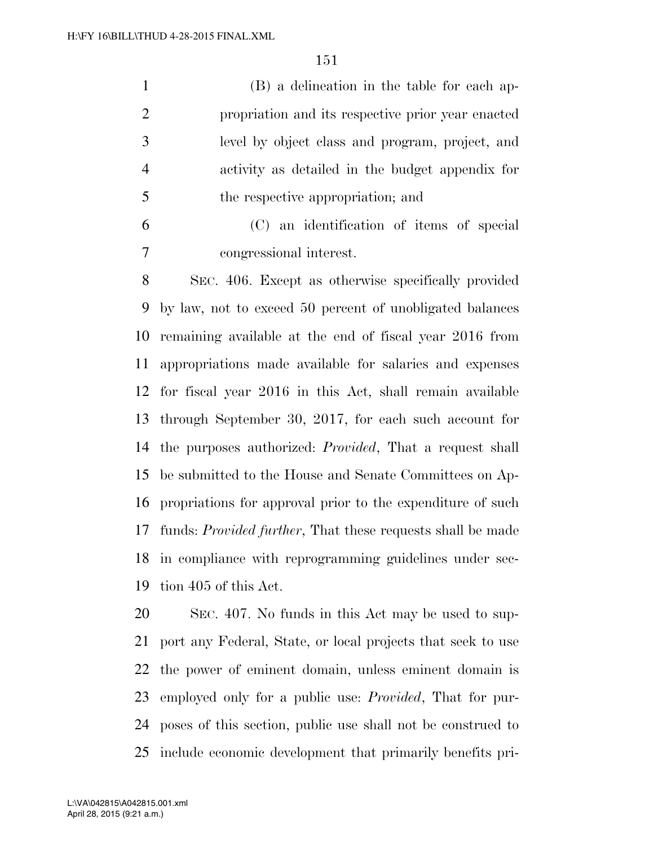(B) a delineation in the table for each ap- propriation and its respective prior year enacted level by object class and program, project, and activity as detailed in the budget appendix for the respective appropriation; and

 (C) an identification of items of special congressional interest.

 SEC. 406. Except as otherwise specifically provided by law, not to exceed 50 percent of unobligated balances remaining available at the end of fiscal year 2016 from appropriations made available for salaries and expenses for fiscal year 2016 in this Act, shall remain available through September 30, 2017, for each such account for the purposes authorized: *Provided*, That a request shall be submitted to the House and Senate Committees on Ap- propriations for approval prior to the expenditure of such funds: *Provided further*, That these requests shall be made in compliance with reprogramming guidelines under sec-tion 405 of this Act.

 SEC. 407. No funds in this Act may be used to sup- port any Federal, State, or local projects that seek to use the power of eminent domain, unless eminent domain is employed only for a public use: *Provided*, That for pur- poses of this section, public use shall not be construed to include economic development that primarily benefits pri-

April 28, 2015 (9:21 a.m.) L:\VA\042815\A042815.001.xml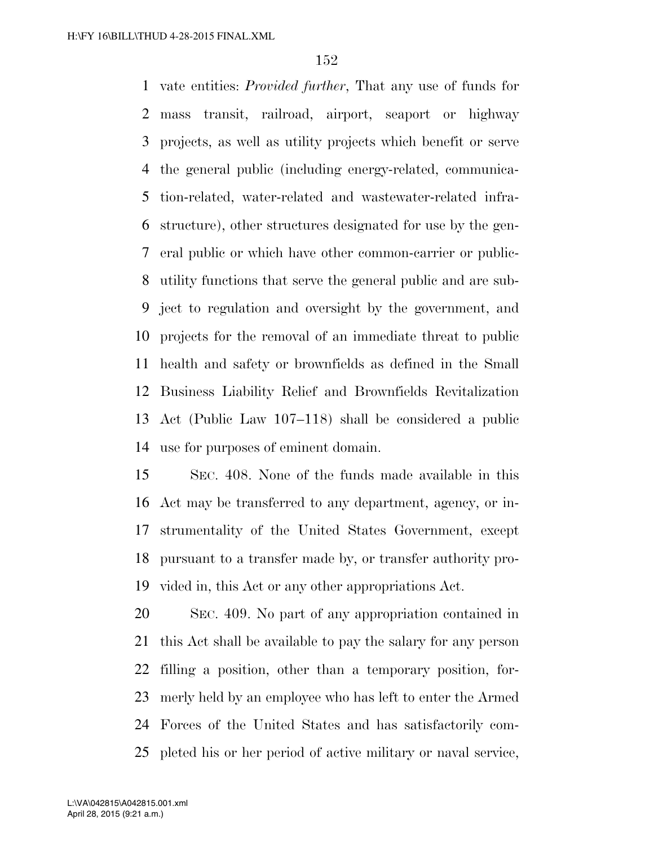vate entities: *Provided further*, That any use of funds for mass transit, railroad, airport, seaport or highway projects, as well as utility projects which benefit or serve the general public (including energy-related, communica- tion-related, water-related and wastewater-related infra- structure), other structures designated for use by the gen- eral public or which have other common-carrier or public- utility functions that serve the general public and are sub- ject to regulation and oversight by the government, and projects for the removal of an immediate threat to public health and safety or brownfields as defined in the Small Business Liability Relief and Brownfields Revitalization Act (Public Law 107–118) shall be considered a public use for purposes of eminent domain.

 SEC. 408. None of the funds made available in this Act may be transferred to any department, agency, or in- strumentality of the United States Government, except pursuant to a transfer made by, or transfer authority pro-vided in, this Act or any other appropriations Act.

 SEC. 409. No part of any appropriation contained in this Act shall be available to pay the salary for any person filling a position, other than a temporary position, for- merly held by an employee who has left to enter the Armed Forces of the United States and has satisfactorily com-pleted his or her period of active military or naval service,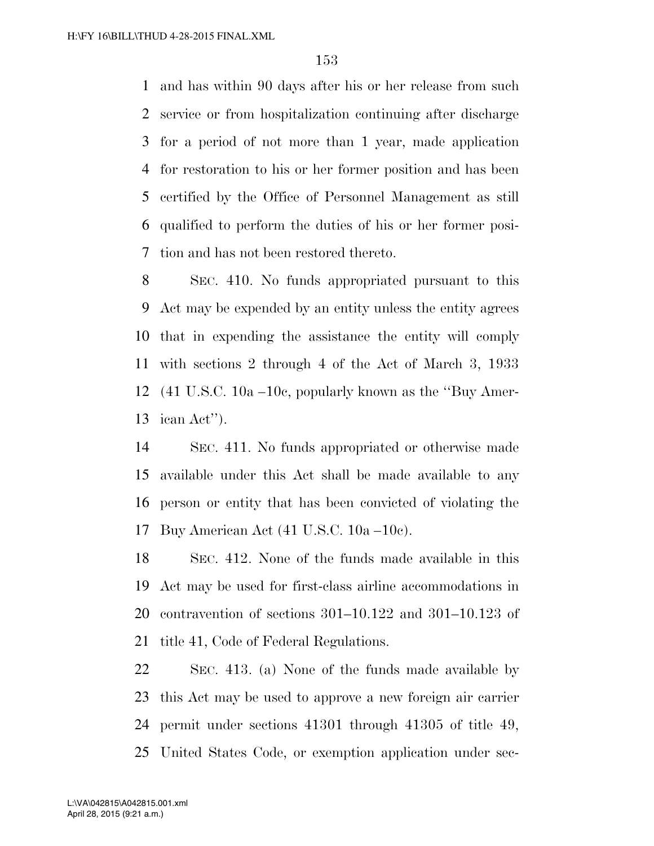and has within 90 days after his or her release from such service or from hospitalization continuing after discharge for a period of not more than 1 year, made application for restoration to his or her former position and has been certified by the Office of Personnel Management as still qualified to perform the duties of his or her former posi-tion and has not been restored thereto.

 SEC. 410. No funds appropriated pursuant to this Act may be expended by an entity unless the entity agrees that in expending the assistance the entity will comply with sections 2 through 4 of the Act of March 3, 1933 (41 U.S.C. 10a *–*10c, popularly known as the ''Buy Amer-ican Act'').

 SEC. 411. No funds appropriated or otherwise made available under this Act shall be made available to any person or entity that has been convicted of violating the Buy American Act (41 U.S.C. 10a *–*10c).

 SEC. 412. None of the funds made available in this Act may be used for first-class airline accommodations in contravention of sections 301–10.122 and 301–10.123 of title 41, Code of Federal Regulations.

 SEC. 413. (a) None of the funds made available by this Act may be used to approve a new foreign air carrier permit under sections 41301 through 41305 of title 49, United States Code, or exemption application under sec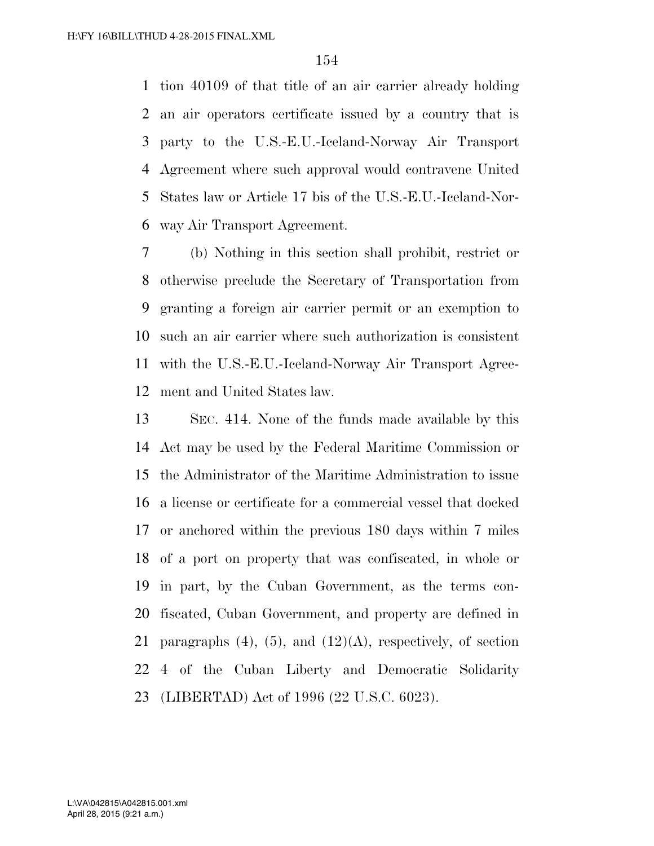tion 40109 of that title of an air carrier already holding an air operators certificate issued by a country that is party to the U.S.-E.U.-Iceland-Norway Air Transport Agreement where such approval would contravene United States law or Article 17 bis of the U.S.-E.U.-Iceland-Nor-way Air Transport Agreement.

 (b) Nothing in this section shall prohibit, restrict or otherwise preclude the Secretary of Transportation from granting a foreign air carrier permit or an exemption to such an air carrier where such authorization is consistent with the U.S.-E.U.-Iceland-Norway Air Transport Agree-ment and United States law.

 SEC. 414. None of the funds made available by this Act may be used by the Federal Maritime Commission or the Administrator of the Maritime Administration to issue a license or certificate for a commercial vessel that docked or anchored within the previous 180 days within 7 miles of a port on property that was confiscated, in whole or in part, by the Cuban Government, as the terms con- fiscated, Cuban Government, and property are defined in 21 paragraphs  $(4)$ ,  $(5)$ , and  $(12)(A)$ , respectively, of section 4 of the Cuban Liberty and Democratic Solidarity (LIBERTAD) Act of 1996 (22 U.S.C. 6023).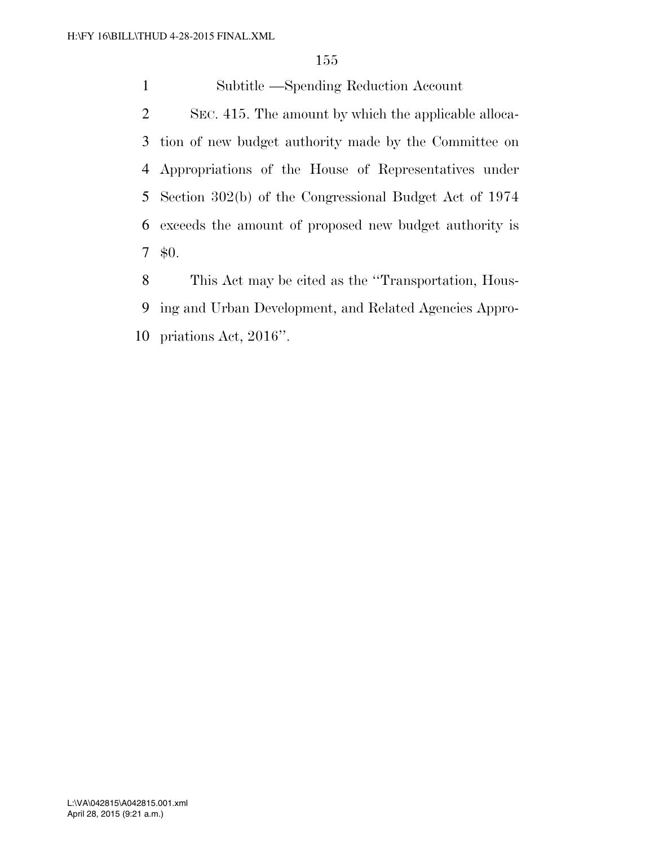Subtitle —Spending Reduction Account

 SEC. 415. The amount by which the applicable alloca- tion of new budget authority made by the Committee on Appropriations of the House of Representatives under Section 302(b) of the Congressional Budget Act of 1974 exceeds the amount of proposed new budget authority is \$0.

 This Act may be cited as the ''Transportation, Hous- ing and Urban Development, and Related Agencies Appro-priations Act, 2016''.